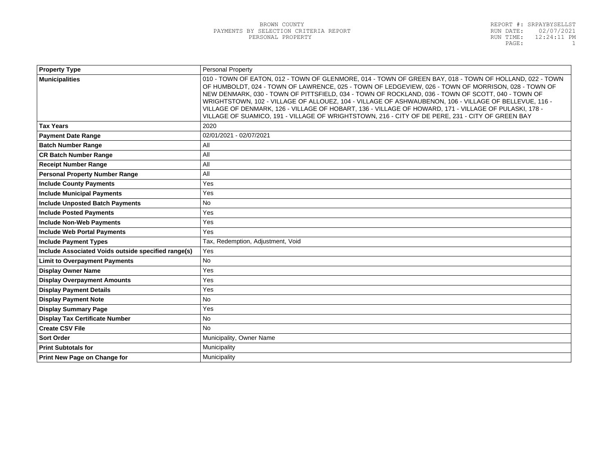| <b>Property Type</b>                                | Personal Property                                                                                                                                                                                                                                                                                                                                                                                                                                                                                                                                                                                                                         |  |
|-----------------------------------------------------|-------------------------------------------------------------------------------------------------------------------------------------------------------------------------------------------------------------------------------------------------------------------------------------------------------------------------------------------------------------------------------------------------------------------------------------------------------------------------------------------------------------------------------------------------------------------------------------------------------------------------------------------|--|
| <b>Municipalities</b>                               | 010 - TOWN OF EATON, 012 - TOWN OF GLENMORE, 014 - TOWN OF GREEN BAY, 018 - TOWN OF HOLLAND, 022 - TOWN<br>OF HUMBOLDT, 024 - TOWN OF LAWRENCE, 025 - TOWN OF LEDGEVIEW, 026 - TOWN OF MORRISON, 028 - TOWN OF<br>NEW DENMARK, 030 - TOWN OF PITTSFIELD, 034 - TOWN OF ROCKLAND, 036 - TOWN OF SCOTT, 040 - TOWN OF<br>WRIGHTSTOWN, 102 - VILLAGE OF ALLOUEZ, 104 - VILLAGE OF ASHWAUBENON, 106 - VILLAGE OF BELLEVUE, 116 -<br>VILLAGE OF DENMARK, 126 - VILLAGE OF HOBART, 136 - VILLAGE OF HOWARD, 171 - VILLAGE OF PULASKI, 178 -<br>VILLAGE OF SUAMICO, 191 - VILLAGE OF WRIGHTSTOWN, 216 - CITY OF DE PERE, 231 - CITY OF GREEN BAY |  |
| <b>Tax Years</b>                                    | 2020                                                                                                                                                                                                                                                                                                                                                                                                                                                                                                                                                                                                                                      |  |
| <b>Payment Date Range</b>                           | 02/01/2021 - 02/07/2021                                                                                                                                                                                                                                                                                                                                                                                                                                                                                                                                                                                                                   |  |
| <b>Batch Number Range</b>                           | All                                                                                                                                                                                                                                                                                                                                                                                                                                                                                                                                                                                                                                       |  |
| <b>CR Batch Number Range</b>                        | All                                                                                                                                                                                                                                                                                                                                                                                                                                                                                                                                                                                                                                       |  |
| <b>Receipt Number Range</b>                         | All                                                                                                                                                                                                                                                                                                                                                                                                                                                                                                                                                                                                                                       |  |
| <b>Personal Property Number Range</b>               | All                                                                                                                                                                                                                                                                                                                                                                                                                                                                                                                                                                                                                                       |  |
| <b>Include County Payments</b>                      | Yes                                                                                                                                                                                                                                                                                                                                                                                                                                                                                                                                                                                                                                       |  |
| <b>Include Municipal Payments</b>                   | Yes                                                                                                                                                                                                                                                                                                                                                                                                                                                                                                                                                                                                                                       |  |
| <b>Include Unposted Batch Payments</b>              | <b>No</b>                                                                                                                                                                                                                                                                                                                                                                                                                                                                                                                                                                                                                                 |  |
| <b>Include Posted Payments</b>                      | Yes                                                                                                                                                                                                                                                                                                                                                                                                                                                                                                                                                                                                                                       |  |
| <b>Include Non-Web Payments</b>                     | Yes                                                                                                                                                                                                                                                                                                                                                                                                                                                                                                                                                                                                                                       |  |
| <b>Include Web Portal Payments</b>                  | Yes                                                                                                                                                                                                                                                                                                                                                                                                                                                                                                                                                                                                                                       |  |
| <b>Include Payment Types</b>                        | Tax, Redemption, Adjustment, Void                                                                                                                                                                                                                                                                                                                                                                                                                                                                                                                                                                                                         |  |
| Include Associated Voids outside specified range(s) | Yes                                                                                                                                                                                                                                                                                                                                                                                                                                                                                                                                                                                                                                       |  |
| <b>Limit to Overpayment Payments</b>                | <b>No</b>                                                                                                                                                                                                                                                                                                                                                                                                                                                                                                                                                                                                                                 |  |
| <b>Display Owner Name</b>                           | Yes                                                                                                                                                                                                                                                                                                                                                                                                                                                                                                                                                                                                                                       |  |
| <b>Display Overpayment Amounts</b>                  | Yes                                                                                                                                                                                                                                                                                                                                                                                                                                                                                                                                                                                                                                       |  |
| <b>Display Payment Details</b>                      | Yes                                                                                                                                                                                                                                                                                                                                                                                                                                                                                                                                                                                                                                       |  |
| <b>Display Payment Note</b>                         | <b>No</b>                                                                                                                                                                                                                                                                                                                                                                                                                                                                                                                                                                                                                                 |  |
| <b>Display Summary Page</b>                         | Yes                                                                                                                                                                                                                                                                                                                                                                                                                                                                                                                                                                                                                                       |  |
| <b>Display Tax Certificate Number</b>               | <b>No</b>                                                                                                                                                                                                                                                                                                                                                                                                                                                                                                                                                                                                                                 |  |
| <b>Create CSV File</b>                              | <b>No</b>                                                                                                                                                                                                                                                                                                                                                                                                                                                                                                                                                                                                                                 |  |
| <b>Sort Order</b>                                   | Municipality, Owner Name                                                                                                                                                                                                                                                                                                                                                                                                                                                                                                                                                                                                                  |  |
| <b>Print Subtotals for</b>                          | Municipality                                                                                                                                                                                                                                                                                                                                                                                                                                                                                                                                                                                                                              |  |
| Print New Page on Change for                        | Municipality                                                                                                                                                                                                                                                                                                                                                                                                                                                                                                                                                                                                                              |  |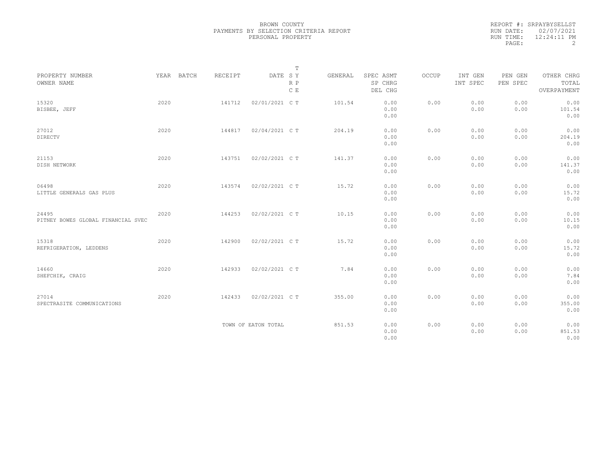|                                             |      |            |                |                     | $\mathbb T$ |         |                                 |       |                     |                     |                                    |
|---------------------------------------------|------|------------|----------------|---------------------|-------------|---------|---------------------------------|-------|---------------------|---------------------|------------------------------------|
| PROPERTY NUMBER<br>OWNER NAME               |      | YEAR BATCH | <b>RECEIPT</b> | DATE SY             | R P<br>C E  | GENERAL | SPEC ASMT<br>SP CHRG<br>DEL CHG | OCCUP | INT GEN<br>INT SPEC | PEN GEN<br>PEN SPEC | OTHER CHRG<br>TOTAL<br>OVERPAYMENT |
| 15320<br>BISBEE, JEFF                       | 2020 |            | 141712         | 02/01/2021 C T      |             | 101.54  | 0.00<br>0.00<br>0.00            | 0.00  | 0.00<br>0.00        | 0.00<br>0.00        | 0.00<br>101.54<br>0.00             |
| 27012<br>DIRECTV                            | 2020 |            | 144817         | 02/04/2021 C T      |             | 204.19  | 0.00<br>0.00<br>0.00            | 0.00  | 0.00<br>0.00        | 0.00<br>0.00        | 0.00<br>204.19<br>0.00             |
| 21153<br>DISH NETWORK                       | 2020 |            | 143751         | 02/02/2021 C T      |             | 141.37  | 0.00<br>0.00<br>0.00            | 0.00  | 0.00<br>0.00        | 0.00<br>0.00        | 0.00<br>141.37<br>0.00             |
| 06498<br>LITTLE GENERALS GAS PLUS           | 2020 |            | 143574         | 02/02/2021 C T      |             | 15.72   | 0.00<br>0.00<br>0.00            | 0.00  | 0.00<br>0.00        | 0.00<br>0.00        | 0.00<br>15.72<br>0.00              |
| 24495<br>PITNEY BOWES GLOBAL FINANCIAL SVEC | 2020 |            | 144253         | 02/02/2021 C T      |             | 10.15   | 0.00<br>0.00<br>0.00            | 0.00  | 0.00<br>0.00        | 0.00<br>0.00        | 0.00<br>10.15<br>0.00              |
| 15318<br>REFRIGERATION, LEDDENS             | 2020 |            | 142900         | 02/02/2021 C T      |             | 15.72   | 0.00<br>0.00<br>0.00            | 0.00  | 0.00<br>0.00        | 0.00<br>0.00        | 0.00<br>15.72<br>0.00              |
| 14660<br>SHEFCHIK, CRAIG                    | 2020 |            | 142933         | 02/02/2021 C T      |             | 7.84    | 0.00<br>0.00<br>0.00            | 0.00  | 0.00<br>0.00        | 0.00<br>0.00        | 0.00<br>7.84<br>0.00               |
| 27014<br>SPECTRASITE COMMUNICATIONS         | 2020 |            | 142433         | 02/02/2021 C T      |             | 355.00  | 0.00<br>0.00<br>0.00            | 0.00  | 0.00<br>0.00        | 0.00<br>0.00        | 0.00<br>355.00<br>0.00             |
|                                             |      |            |                | TOWN OF EATON TOTAL |             | 851.53  | 0.00<br>0.00<br>0.00            | 0.00  | 0.00<br>0.00        | 0.00<br>0.00        | 0.00<br>851.53<br>0.00             |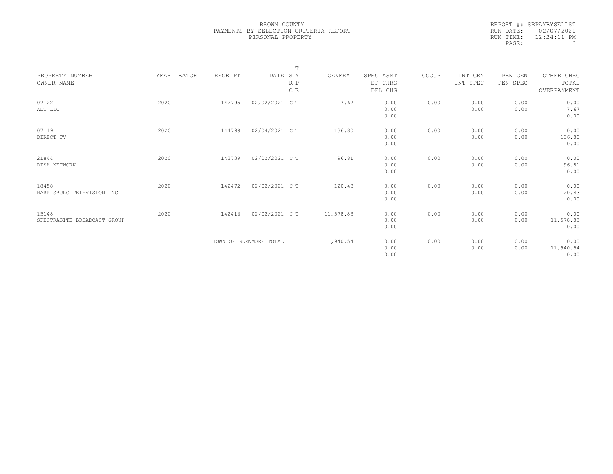| REPORT #: SRPAYBYSELLST    |
|----------------------------|
| RUN DATE: 02/07/2021       |
| $12:24:11$ PM<br>RUN TIME: |
| 3                          |
|                            |

|                                      |               |         |                        | $\mathbb T$ |           |                                 |       |                     |                     |                                    |
|--------------------------------------|---------------|---------|------------------------|-------------|-----------|---------------------------------|-------|---------------------|---------------------|------------------------------------|
| PROPERTY NUMBER<br>OWNER NAME        | YEAR<br>BATCH | RECEIPT | DATE SY                | R P<br>C E  | GENERAL   | SPEC ASMT<br>SP CHRG<br>DEL CHG | OCCUP | INT GEN<br>INT SPEC | PEN GEN<br>PEN SPEC | OTHER CHRG<br>TOTAL<br>OVERPAYMENT |
| 07122<br>ADT LLC                     | 2020          | 142795  | 02/02/2021 C T         |             | 7.67      | 0.00<br>0.00<br>0.00            | 0.00  | 0.00<br>0.00        | 0.00<br>0.00        | 0.00<br>7.67<br>0.00               |
| 07119<br>DIRECT TV                   | 2020          | 144799  | 02/04/2021 C T         |             | 136.80    | 0.00<br>0.00<br>0.00            | 0.00  | 0.00<br>0.00        | 0.00<br>0.00        | 0.00<br>136.80<br>0.00             |
| 21844<br>DISH NETWORK                | 2020          | 143739  | 02/02/2021 C T         |             | 96.81     | 0.00<br>0.00<br>0.00            | 0.00  | 0.00<br>0.00        | 0.00<br>0.00        | 0.00<br>96.81<br>0.00              |
| 18458<br>HARRISBURG TELEVISION INC   | 2020          | 142472  | 02/02/2021 C T         |             | 120.43    | 0.00<br>0.00<br>0.00            | 0.00  | 0.00<br>0.00        | 0.00<br>0.00        | 0.00<br>120.43<br>0.00             |
| 15148<br>SPECTRASITE BROADCAST GROUP | 2020          | 142416  | 02/02/2021 C T         |             | 11,578.83 | 0.00<br>0.00<br>0.00            | 0.00  | 0.00<br>0.00        | 0.00<br>0.00        | 0.00<br>11,578.83<br>0.00          |
|                                      |               |         | TOWN OF GLENMORE TOTAL |             | 11,940.54 | 0.00<br>0.00<br>0.00            | 0.00  | 0.00<br>0.00        | 0.00<br>0.00        | 0.00<br>11,940.54<br>0.00          |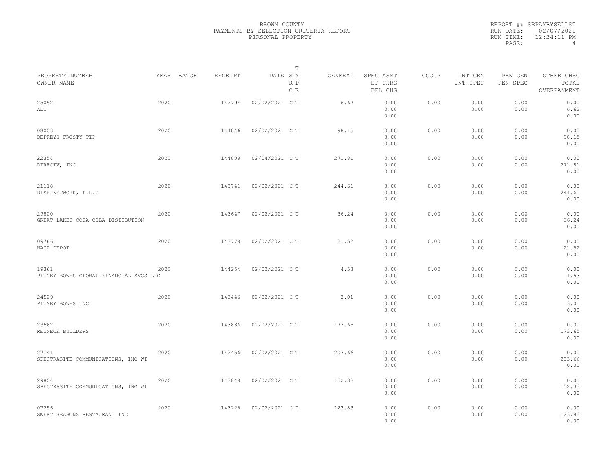|                                                 |      |            |         |                | T          |         |                                 |       |                     |                     |                                    |  |
|-------------------------------------------------|------|------------|---------|----------------|------------|---------|---------------------------------|-------|---------------------|---------------------|------------------------------------|--|
| PROPERTY NUMBER<br>OWNER NAME                   |      | YEAR BATCH | RECEIPT | DATE SY        | R P<br>C E | GENERAL | SPEC ASMT<br>SP CHRG<br>DEL CHG | OCCUP | INT GEN<br>INT SPEC | PEN GEN<br>PEN SPEC | OTHER CHRG<br>TOTAL<br>OVERPAYMENT |  |
| 25052<br>ADT                                    | 2020 |            | 142794  | 02/02/2021 C T |            | 6.62    | 0.00<br>0.00<br>0.00            | 0.00  | 0.00<br>0.00        | 0.00<br>0.00        | 0.00<br>6.62<br>0.00               |  |
| 08003<br>DEPREYS FROSTY TIP                     | 2020 |            | 144046  | 02/02/2021 C T |            | 98.15   | 0.00<br>0.00<br>0.00            | 0.00  | 0.00<br>0.00        | 0.00<br>0.00        | 0.00<br>98.15<br>0.00              |  |
| 22354<br>DIRECTV, INC                           | 2020 |            | 144808  | 02/04/2021 C T |            | 271.81  | 0.00<br>0.00<br>0.00            | 0.00  | 0.00<br>0.00        | 0.00<br>0.00        | 0.00<br>271.81<br>0.00             |  |
| 21118<br>DISH NETWORK, L.L.C                    | 2020 |            | 143741  | 02/02/2021 C T |            | 244.61  | 0.00<br>0.00<br>0.00            | 0.00  | 0.00<br>0.00        | 0.00<br>0.00        | 0.00<br>244.61<br>0.00             |  |
| 29800<br>GREAT LAKES COCA-COLA DISTIBUTION      | 2020 |            | 143647  | 02/02/2021 C T |            | 36.24   | 0.00<br>0.00<br>0.00            | 0.00  | 0.00<br>0.00        | 0.00<br>0.00        | 0.00<br>36.24<br>0.00              |  |
| 09766<br>HAIR DEPOT                             | 2020 |            | 143778  | 02/02/2021 C T |            | 21.52   | 0.00<br>0.00<br>0.00            | 0.00  | 0.00<br>0.00        | 0.00<br>0.00        | 0.00<br>21.52<br>0.00              |  |
| 19361<br>PITNEY BOWES GLOBAL FINANCIAL SVCS LLC | 2020 |            | 144254  | 02/02/2021 C T |            | 4.53    | 0.00<br>0.00<br>0.00            | 0.00  | 0.00<br>0.00        | 0.00<br>0.00        | 0.00<br>4.53<br>0.00               |  |
| 24529<br>PITNEY BOWES INC                       | 2020 |            | 143446  | 02/02/2021 C T |            | 3.01    | 0.00<br>0.00<br>0.00            | 0.00  | 0.00<br>0.00        | 0.00<br>0.00        | 0.00<br>3.01<br>0.00               |  |
| 23562<br>REINECK BUILDERS                       | 2020 |            | 143886  | 02/02/2021 C T |            | 173.65  | 0.00<br>0.00<br>0.00            | 0.00  | 0.00<br>0.00        | 0.00<br>0.00        | 0.00<br>173.65<br>0.00             |  |
| 27141<br>SPECTRASITE COMMUNICATIONS, INC WI     | 2020 |            | 142456  | 02/02/2021 C T |            | 203.66  | 0.00<br>0.00<br>0.00            | 0.00  | 0.00<br>0.00        | 0.00<br>0.00        | 0.00<br>203.66<br>0.00             |  |
| 29804<br>SPECTRASITE COMMUNICATIONS, INC WI     | 2020 |            | 143848  | 02/02/2021 C T |            | 152.33  | 0.00<br>0.00<br>0.00            | 0.00  | 0.00<br>0.00        | 0.00<br>0.00        | 0.00<br>152.33<br>0.00             |  |
| 07256<br>SWEET SEASONS RESTAURANT INC           | 2020 |            | 143225  | 02/02/2021 C T |            | 123.83  | 0.00<br>0.00<br>0.00            | 0.00  | 0.00<br>0.00        | 0.00<br>0.00        | 0.00<br>123.83<br>0.00             |  |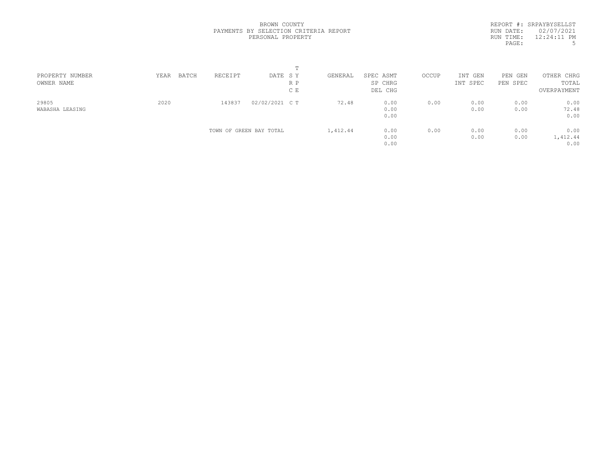REPORT #: SRPAYBYSELLST RUN DATE: 02/07/2021 RUN TIME: 12:24:11 PM<br>PAGE: 5 PAGE:

| PROPERTY NUMBER<br>OWNER NAME | BATCH<br>YEAR | RECEIPT | DATE SY<br>R P          | GENERAL  | SPEC ASMT<br>SP CHRG | OCCUP | INT GEN<br>INT SPEC | PEN<br>GEN<br>PEN SPEC | OTHER CHRG<br>TOTAL |  |
|-------------------------------|---------------|---------|-------------------------|----------|----------------------|-------|---------------------|------------------------|---------------------|--|
|                               |               |         | C E                     |          | DEL CHG              |       |                     |                        | OVERPAYMENT         |  |
| 29805                         | 2020          | 143837  | 02/02/2021 C T          | 72.48    | 0.00                 | 0.00  | 0.00                | 0.00                   | 0.00                |  |
| WABASHA LEASING               |               |         |                         |          | 0.00                 |       | 0.00                | 0.00                   | 72.48               |  |
|                               |               |         |                         |          | 0.00                 |       |                     |                        | 0.00                |  |
|                               |               |         | TOWN OF GREEN BAY TOTAL | 1,412.44 | 0.00                 | 0.00  | 0.00                | 0.00                   | 0.00                |  |
|                               |               |         |                         |          | 0.00                 |       | 0.00                | 0.00                   | 1,412.44            |  |
|                               |               |         |                         |          | 0.00                 |       |                     |                        | 0.00                |  |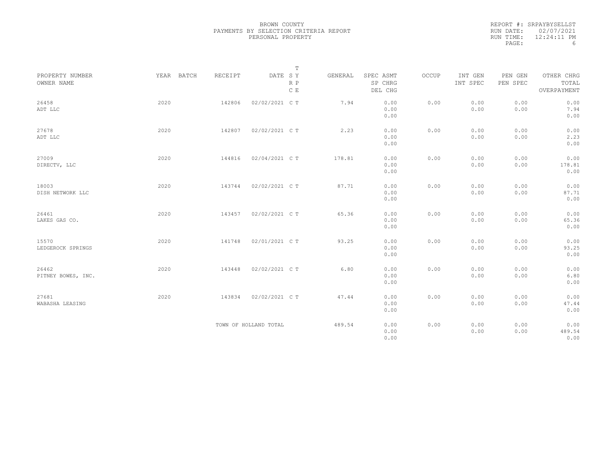| REPORT #: SRPAYBYSELLST |
|-------------------------|
| RUN DATE: 02/07/2021    |
| $12:24:11$ PM           |
| h                       |
|                         |

|                               |            |         |                       | $\mathbb T$ |         |                                 |       |                     |                     |                                    |
|-------------------------------|------------|---------|-----------------------|-------------|---------|---------------------------------|-------|---------------------|---------------------|------------------------------------|
| PROPERTY NUMBER<br>OWNER NAME | YEAR BATCH | RECEIPT | DATE SY               | R P<br>C E  | GENERAL | SPEC ASMT<br>SP CHRG<br>DEL CHG | OCCUP | INT GEN<br>INT SPEC | PEN GEN<br>PEN SPEC | OTHER CHRG<br>TOTAL<br>OVERPAYMENT |
| 26458<br>ADT LLC              | 2020       | 142806  | 02/02/2021 C T        |             | 7.94    | 0.00<br>0.00<br>0.00            | 0.00  | 0.00<br>0.00        | 0.00<br>0.00        | 0.00<br>7.94<br>0.00               |
| 27678<br>ADT LLC              | 2020       | 142807  | 02/02/2021 C T        |             | 2.23    | 0.00<br>0.00<br>0.00            | 0.00  | 0.00<br>0.00        | 0.00<br>0.00        | 0.00<br>2.23<br>0.00               |
| 27009<br>DIRECTV, LLC         | 2020       | 144816  | 02/04/2021 C T        |             | 178.81  | 0.00<br>0.00<br>0.00            | 0.00  | 0.00<br>0.00        | 0.00<br>0.00        | 0.00<br>178.81<br>0.00             |
| 18003<br>DISH NETWORK LLC     | 2020       | 143744  | 02/02/2021 C T        |             | 87.71   | 0.00<br>0.00<br>0.00            | 0.00  | 0.00<br>0.00        | 0.00<br>0.00        | 0.00<br>87.71<br>0.00              |
| 26461<br>LAKES GAS CO.        | 2020       | 143457  | 02/02/2021 C T        |             | 65.36   | 0.00<br>0.00<br>0.00            | 0.00  | 0.00<br>0.00        | 0.00<br>0.00        | 0.00<br>65.36<br>0.00              |
| 15570<br>LEDGEROCK SPRINGS    | 2020       | 141748  | 02/01/2021 C T        |             | 93.25   | 0.00<br>0.00<br>0.00            | 0.00  | 0.00<br>0.00        | 0.00<br>0.00        | 0.00<br>93.25<br>0.00              |
| 26462<br>PITNEY BOWES, INC.   | 2020       | 143448  | 02/02/2021 C T        |             | 6.80    | 0.00<br>0.00<br>0.00            | 0.00  | 0.00<br>0.00        | 0.00<br>0.00        | 0.00<br>6.80<br>0.00               |
| 27681<br>WABASHA LEASING      | 2020       | 143834  | 02/02/2021 C T        |             | 47.44   | 0.00<br>0.00<br>0.00            | 0.00  | 0.00<br>0.00        | 0.00<br>0.00        | 0.00<br>47.44<br>0.00              |
|                               |            |         | TOWN OF HOLLAND TOTAL |             | 489.54  | 0.00<br>0.00<br>0.00            | 0.00  | 0.00<br>0.00        | 0.00<br>0.00        | 0.00<br>489.54<br>0.00             |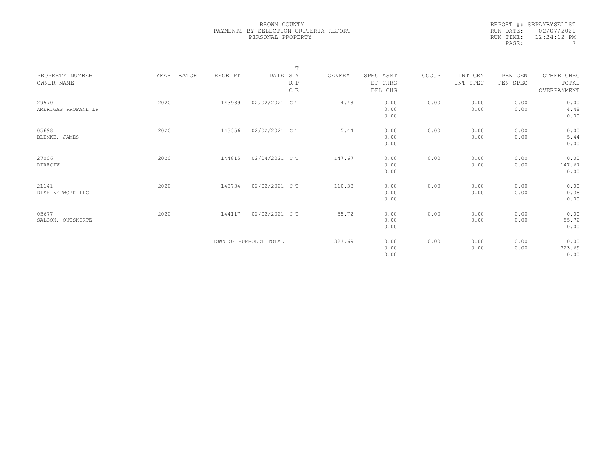|           | REPORT #: SRPAYBYSELLST |
|-----------|-------------------------|
|           | RUN DATE: 02/07/2021    |
| RUN TIME: | $12:24:12$ PM           |
| PAGE:     |                         |

|                               |               |         |                        | $\mathbb T$ |         |                                 |       |                     |                     |                                    |  |
|-------------------------------|---------------|---------|------------------------|-------------|---------|---------------------------------|-------|---------------------|---------------------|------------------------------------|--|
| PROPERTY NUMBER<br>OWNER NAME | YEAR<br>BATCH | RECEIPT | DATE SY                | R P<br>C E  | GENERAL | SPEC ASMT<br>SP CHRG<br>DEL CHG | OCCUP | INT GEN<br>INT SPEC | PEN GEN<br>PEN SPEC | OTHER CHRG<br>TOTAL<br>OVERPAYMENT |  |
| 29570<br>AMERIGAS PROPANE LP  | 2020          | 143989  | 02/02/2021 C T         |             | 4.48    | 0.00<br>0.00<br>0.00            | 0.00  | 0.00<br>0.00        | 0.00<br>0.00        | 0.00<br>4.48<br>0.00               |  |
| 05698<br>BLEMKE, JAMES        | 2020          | 143356  | 02/02/2021 C T         |             | 5.44    | 0.00<br>0.00<br>0.00            | 0.00  | 0.00<br>0.00        | 0.00<br>0.00        | 0.00<br>5.44<br>0.00               |  |
| 27006<br>DIRECTV              | 2020          | 144815  | 02/04/2021 C T         |             | 147.67  | 0.00<br>0.00<br>0.00            | 0.00  | 0.00<br>0.00        | 0.00<br>0.00        | 0.00<br>147.67<br>0.00             |  |
| 21141<br>DISH NETWORK LLC     | 2020          | 143734  | 02/02/2021 C T         |             | 110.38  | 0.00<br>0.00<br>0.00            | 0.00  | 0.00<br>0.00        | 0.00<br>0.00        | 0.00<br>110.38<br>0.00             |  |
| 05677<br>SALOON, OUTSKIRTZ    | 2020          | 144117  | 02/02/2021 C T         |             | 55.72   | 0.00<br>0.00<br>0.00            | 0.00  | 0.00<br>0.00        | 0.00<br>0.00        | 0.00<br>55.72<br>0.00              |  |
|                               |               |         | TOWN OF HUMBOLDT TOTAL |             | 323.69  | 0.00<br>0.00<br>0.00            | 0.00  | 0.00<br>0.00        | 0.00<br>0.00        | 0.00<br>323.69<br>0.00             |  |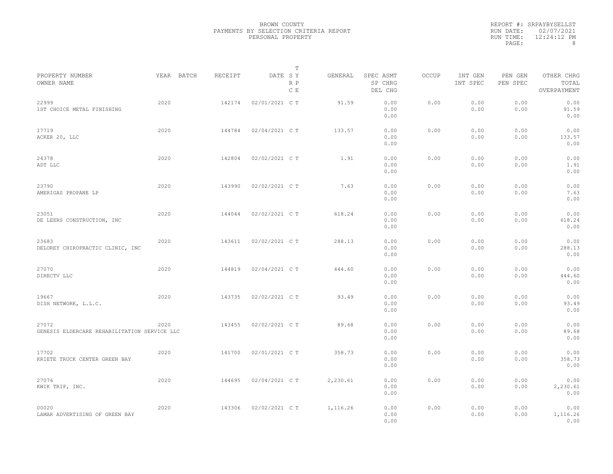|           | REPORT #: SRPAYBYSELLST |
|-----------|-------------------------|
|           | RUN DATE: 02/07/2021    |
| RUN TIME: | $12:24:12$ PM           |
| PAGE:     | 8                       |

| PROPERTY NUMBER<br>OWNER NAME                         |      | YEAR BATCH | RECEIPT | DATE SY        | Т<br>$\mathbb R$ $\mathbb P$<br>C E | GENERAL  | SPEC ASMT<br>SP CHRG<br>DEL CHG | OCCUP | INT GEN<br>INT SPEC | PEN GEN<br>PEN SPEC | OTHER CHRG<br>TOTAL<br>OVERPAYMENT |  |
|-------------------------------------------------------|------|------------|---------|----------------|-------------------------------------|----------|---------------------------------|-------|---------------------|---------------------|------------------------------------|--|
| 22999<br>1ST CHOICE METAL FINISHING                   | 2020 |            | 142174  | 02/01/2021 C T |                                     | 91.59    | 0.00<br>0.00<br>0.00            | 0.00  | 0.00<br>0.00        | 0.00<br>0.00        | 0.00<br>91.59<br>0.00              |  |
| 17719<br>ACKER 20, LLC                                | 2020 |            | 144784  | 02/04/2021 C T |                                     | 133.57   | 0.00<br>0.00<br>0.00            | 0.00  | 0.00<br>0.00        | 0.00<br>0.00        | 0.00<br>133.57<br>0.00             |  |
| 24378<br>ADT LLC                                      | 2020 |            | 142804  | 02/02/2021 C T |                                     | 1.91     | 0.00<br>0.00<br>0.00            | 0.00  | 0.00<br>0.00        | 0.00<br>0.00        | 0.00<br>1.91<br>0.00               |  |
| 23790<br>AMERIGAS PROPANE LP                          | 2020 |            | 143990  | 02/02/2021 C T |                                     | 7.63     | 0.00<br>0.00<br>0.00            | 0.00  | 0.00<br>0.00        | 0.00<br>0.00        | 0.00<br>7.63<br>0.00               |  |
| 23051<br>DE LEERS CONSTRUCTION, INC                   | 2020 |            | 144044  | 02/02/2021 C T |                                     | 618.24   | 0.00<br>0.00<br>0.00            | 0.00  | 0.00<br>0.00        | 0.00<br>0.00        | 0.00<br>618.24<br>0.00             |  |
| 23683<br>DELOREY CHIROPRACTIC CLINIC, INC             | 2020 |            | 143611  | 02/02/2021 C T |                                     | 288.13   | 0.00<br>0.00<br>0.00            | 0.00  | 0.00<br>0.00        | 0.00<br>0.00        | 0.00<br>288.13<br>0.00             |  |
| 27070<br>DIRECTV LLC                                  | 2020 |            | 144819  | 02/04/2021 C T |                                     | 444.60   | 0.00<br>0.00<br>0.00            | 0.00  | 0.00<br>0.00        | 0.00<br>0.00        | 0.00<br>444.60<br>0.00             |  |
| 19667<br>DISH NETWORK, L.L.C.                         | 2020 |            | 143735  | 02/02/2021 C T |                                     | 93.49    | 0.00<br>0.00<br>0.00            | 0.00  | 0.00<br>0.00        | 0.00<br>0.00        | 0.00<br>93.49<br>0.00              |  |
| 27072<br>GENESIS ELDERCARE REHABILITATION SERVICE LLC | 2020 |            | 143455  | 02/02/2021 C T |                                     | 89.68    | 0.00<br>0.00<br>0.00            | 0.00  | 0.00<br>0.00        | 0.00<br>0.00        | 0.00<br>89.68<br>0.00              |  |
| 17702<br>KRIETE TRUCK CENTER GREEN BAY                | 2020 |            | 141700  | 02/01/2021 C T |                                     | 358.73   | 0.00<br>0.00<br>0.00            | 0.00  | 0.00<br>0.00        | 0.00<br>0.00        | 0.00<br>358.73<br>0.00             |  |
| 27076<br>KWIK TRIP, INC.                              | 2020 |            | 144695  | 02/04/2021 C T |                                     | 2,230.61 | 0.00<br>0.00<br>0.00            | 0.00  | 0.00<br>0.00        | 0.00<br>0.00        | 0.00<br>2,230.61<br>0.00           |  |
| 00020<br>LAMAR ADVERTISING OF GREEN BAY               | 2020 |            | 143306  | 02/02/2021 C T |                                     | 1,116.26 | 0.00<br>0.00<br>0.00            | 0.00  | 0.00<br>0.00        | 0.00<br>0.00        | 0.00<br>1,116.26<br>0.00           |  |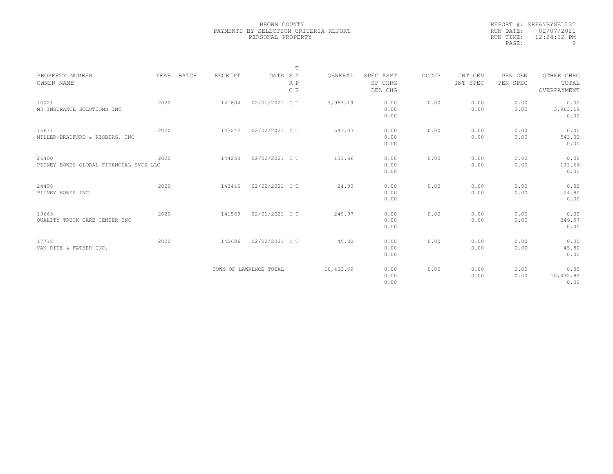|           | REPORT #: SRPAYBYSELLST |
|-----------|-------------------------|
|           | RUN DATE: 02/07/2021    |
| RUN TIME: | $12:24:12$ PM           |
| PAGE:     | q                       |

|                                                 |      |            |         |                        | $\mathbb T$ |           |                                 |       |                     |                     |                                    |
|-------------------------------------------------|------|------------|---------|------------------------|-------------|-----------|---------------------------------|-------|---------------------|---------------------|------------------------------------|
| PROPERTY NUMBER<br>OWNER NAME                   |      | YEAR BATCH | RECEIPT | DATE SY                | R P<br>C E  | GENERAL   | SPEC ASMT<br>SP CHRG<br>DEL CHG | OCCUP | INT GEN<br>INT SPEC | PEN GEN<br>PEN SPEC | OTHER CHRG<br>TOTAL<br>OVERPAYMENT |
| 10021<br>M3 INSURANCE SOLUTIONS INC             | 2020 |            | 141804  | 02/01/2021 C T         |             | 3,963.19  | 0.00<br>0.00<br>0.00            | 0.00  | 0.00<br>0.00        | 0.00<br>0.00        | 0.00<br>3,963.19<br>0.00           |
| 15611<br>MILLER-BRADFORD & RISBERG, INC         | 2020 |            | 143242  | 02/02/2021 C T         |             | 543.03    | 0.00<br>0.00<br>0.00            | 0.00  | 0.00<br>0.00        | 0.00<br>0.00        | 0.00<br>543.03<br>0.00             |
| 26400<br>PITNEY BOWES GLOBAL FINANCIAL SVCS LLC | 2020 |            | 144250  | 02/02/2021 C T         |             | 131.66    | 0.00<br>0.00<br>0.00            | 0.00  | 0.00<br>0.00        | 0.00<br>0.00        | 0.00<br>131.66<br>0.00             |
| 24408<br>PITNEY BOWES INC                       | 2020 |            | 143445  | 02/02/2021 C T         |             | 24.80     | 0.00<br>0.00<br>0.00            | 0.00  | 0.00<br>0.00        | 0.00<br>0.00        | 0.00<br>24.80<br>0.00              |
| 19663<br>QUALITY TRUCK CARE CENTER INC          | 2020 |            | 141569  | 02/01/2021 C T         |             | 249.97    | 0.00<br>0.00<br>0.00            | 0.00  | 0.00<br>0.00        | 0.00<br>0.00        | 0.00<br>249.97<br>0.00             |
| 17718<br>VAN RITE & FATHER INC.                 | 2020 |            | 142686  | 02/02/2021 C T         |             | 45.80     | 0.00<br>0.00<br>0.00            | 0.00  | 0.00<br>0.00        | 0.00<br>0.00        | 0.00<br>45.80<br>0.00              |
|                                                 |      |            |         | TOWN OF LAWRENCE TOTAL |             | 10,432.89 | 0.00<br>0.00<br>0.00            | 0.00  | 0.00<br>0.00        | 0.00<br>0.00        | 0.00<br>10,432.89<br>0.00          |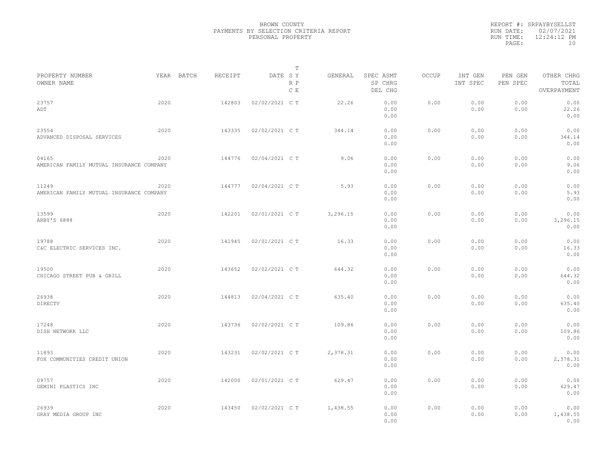|                                                   |      |            |         |                | T          |          |                                 |              |                     |                     |                                    |  |
|---------------------------------------------------|------|------------|---------|----------------|------------|----------|---------------------------------|--------------|---------------------|---------------------|------------------------------------|--|
| PROPERTY NUMBER<br>OWNER NAME                     |      | YEAR BATCH | RECEIPT | DATE SY        | R P<br>C E | GENERAL  | SPEC ASMT<br>SP CHRG<br>DEL CHG | <b>OCCUP</b> | INT GEN<br>INT SPEC | PEN GEN<br>PEN SPEC | OTHER CHRG<br>TOTAL<br>OVERPAYMENT |  |
| 23757<br>ADT                                      | 2020 |            | 142803  | 02/02/2021 C T |            | 22.26    | 0.00<br>0.00<br>0.00            | 0.00         | 0.00<br>0.00        | 0.00<br>0.00        | 0.00<br>22.26<br>0.00              |  |
| 23554<br>ADVANCED DISPOSAL SERVICES               | 2020 |            | 143335  | 02/02/2021 C T |            | 344.14   | 0.00<br>0.00<br>0.00            | 0.00         | 0.00<br>0.00        | 0.00<br>0.00        | 0.00<br>344.14<br>0.00             |  |
| 04165<br>AMERICAN FAMILY MUTUAL INSURANCE COMPANY | 2020 |            | 144776  | 02/04/2021 C T |            | 9.06     | 0.00<br>0.00<br>0.00            | 0.00         | 0.00<br>0.00        | 0.00<br>0.00        | 0.00<br>9.06<br>0.00               |  |
| 11249<br>AMERICAN FAMILY MUTUAL INSURANCE COMPANY | 2020 |            | 144777  | 02/04/2021 C T |            | 5.93     | 0.00<br>0.00<br>0.00            | 0.00         | 0.00<br>0.00        | 0.00<br>0.00        | 0.00<br>5.93<br>0.00               |  |
| 13599<br>ARBY'S 6888                              | 2020 |            | 142201  | 02/01/2021 C T |            | 3,296.15 | 0.00<br>0.00<br>0.00            | 0.00         | 0.00<br>0.00        | 0.00<br>0.00        | 0.00<br>3,296.15<br>0.00           |  |
| 19788<br>C&C ELECTRIC SERVICES INC.               | 2020 |            | 141945  | 02/01/2021 C T |            | 16.33    | 0.00<br>0.00<br>0.00            | 0.00         | 0.00<br>0.00        | 0.00<br>0.00        | 0.00<br>16.33<br>0.00              |  |
| 19500<br>CHICAGO STREET PUB & GRILL               | 2020 |            | 143652  | 02/02/2021 C T |            | 644.32   | 0.00<br>0.00<br>0.00            | 0.00         | 0.00<br>0.00        | 0.00<br>0.00        | 0.00<br>644.32<br>0.00             |  |
| 26938<br>DIRECTV                                  | 2020 |            | 144813  | 02/04/2021 C T |            | 635.40   | 0.00<br>0.00<br>0.00            | 0.00         | 0.00<br>0.00        | 0.00<br>0.00        | 0.00<br>635.40<br>0.00             |  |
| 17248<br>DISH NETWORK LLC                         | 2020 |            | 143736  | 02/02/2021 C T |            | 109.86   | 0.00<br>0.00<br>0.00            | 0.00         | 0.00<br>0.00        | 0.00<br>0.00        | 0.00<br>109.86<br>0.00             |  |
| 11893<br>FOX COMMUNITIES CREDIT UNION             | 2020 |            | 143231  | 02/02/2021 C T |            | 2,378.31 | 0.00<br>0.00<br>0.00            | 0.00         | 0.00<br>0.00        | 0.00<br>0.00        | 0.00<br>2,378.31<br>0.00           |  |
| 09757<br>GEMINI PLASTICS INC                      | 2020 |            | 142000  | 02/01/2021 C T |            | 629.47   | 0.00<br>0.00<br>0.00            | 0.00         | 0.00<br>0.00        | 0.00<br>0.00        | 0.00<br>629.47<br>0.00             |  |
| 26939<br>GRAY MEDIA GROUP INC                     | 2020 |            | 143450  | 02/02/2021 C T |            | 1,438.55 | 0.00<br>0.00<br>0.00            | 0.00         | 0.00<br>0.00        | 0.00<br>0.00        | 0.00<br>1,438.55<br>0.00           |  |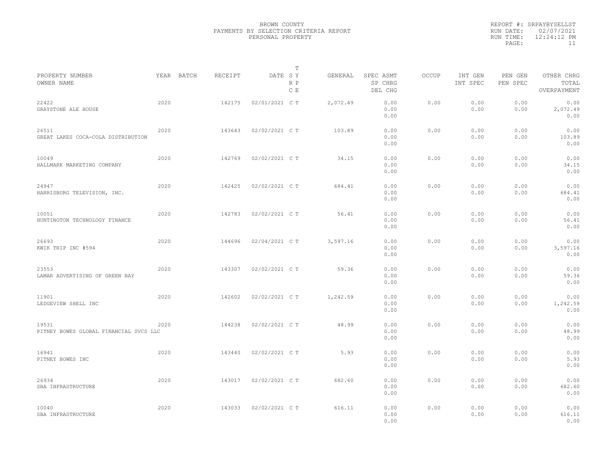|                                                 |            |         |                | T          |          |                                 |              |                     |                     |                                    |  |
|-------------------------------------------------|------------|---------|----------------|------------|----------|---------------------------------|--------------|---------------------|---------------------|------------------------------------|--|
| PROPERTY NUMBER<br>OWNER NAME                   | YEAR BATCH | RECEIPT | DATE SY        | R P<br>C E | GENERAL  | SPEC ASMT<br>SP CHRG<br>DEL CHG | <b>OCCUP</b> | INT GEN<br>INT SPEC | PEN GEN<br>PEN SPEC | OTHER CHRG<br>TOTAL<br>OVERPAYMENT |  |
| 22422<br>GRAYSTONE ALE HOUSE                    | 2020       | 142175  | 02/01/2021 C T |            | 2,072.49 | 0.00<br>0.00<br>0.00            | 0.00         | 0.00<br>0.00        | 0.00<br>0.00        | 0.00<br>2,072.49<br>0.00           |  |
| 26511<br>GREAT LAKES COCA-COLA DISTRIBUTION     | 2020       | 143643  | 02/02/2021 C T |            | 103.89   | 0.00<br>0.00<br>0.00            | 0.00         | 0.00<br>0.00        | 0.00<br>0.00        | 0.00<br>103.89<br>0.00             |  |
| 10049<br>HALLMARK MARKETING COMPANY             | 2020       | 142769  | 02/02/2021 C T |            | 34.15    | 0.00<br>0.00<br>0.00            | 0.00         | 0.00<br>0.00        | 0.00<br>0.00        | 0.00<br>34.15<br>0.00              |  |
| 24947<br>HARRISBURG TELEVISION, INC.            | 2020       | 142425  | 02/02/2021 C T |            | 684.41   | 0.00<br>0.00<br>0.00            | 0.00         | 0.00<br>0.00        | 0.00<br>0.00        | 0.00<br>684.41<br>0.00             |  |
| 10051<br>HUNTINGTON TECHNOLOGY FINANCE          | 2020       | 142783  | 02/02/2021 C T |            | 56.41    | 0.00<br>0.00<br>0.00            | 0.00         | 0.00<br>0.00        | 0.00<br>0.00        | 0.00<br>56.41<br>0.00              |  |
| 26693<br>KWIK TRIP INC #594                     | 2020       | 144696  | 02/04/2021 C T |            | 3,597.16 | 0.00<br>0.00<br>0.00            | 0.00         | 0.00<br>0.00        | 0.00<br>0.00        | 0.00<br>3,597.16<br>0.00           |  |
| 23553<br>LAMAR ADVERTISING OF GREEN BAY         | 2020       | 143307  | 02/02/2021 C T |            | 59.36    | 0.00<br>0.00<br>0.00            | 0.00         | 0.00<br>0.00        | 0.00<br>0.00        | 0.00<br>59.36<br>0.00              |  |
| 11901<br>LEDGEVIEW SHELL INC                    | 2020       | 142602  | 02/02/2021 C T |            | 1,242.59 | 0.00<br>0.00<br>0.00            | 0.00         | 0.00<br>0.00        | 0.00<br>0.00        | 0.00<br>1,242.59<br>0.00           |  |
| 19531<br>PITNEY BOWES GLOBAL FINANCIAL SVCS LLC | 2020       | 144238  | 02/02/2021 C T |            | 48.99    | 0.00<br>0.00<br>0.00            | 0.00         | 0.00<br>0.00        | 0.00<br>0.00        | 0.00<br>48.99<br>0.00              |  |
| 16941<br>PITNEY BOWES INC                       | 2020       | 143440  | 02/02/2021 C T |            | 5.93     | 0.00<br>0.00<br>0.00            | 0.00         | 0.00<br>0.00        | 0.00<br>0.00        | 0.00<br>5.93<br>0.00               |  |
| 26934<br>SBA INFRASTRUCTURE                     | 2020       | 143017  | 02/02/2021 C T |            | 682.60   | 0.00<br>0.00<br>0.00            | 0.00         | 0.00<br>0.00        | 0.00<br>0.00        | 0.00<br>682.60<br>0.00             |  |
| 10040<br>SBA INFRASTRUCTURE                     | 2020       | 143033  | 02/02/2021 C T |            | 616.11   | 0.00<br>0.00<br>0.00            | 0.00         | 0.00<br>0.00        | 0.00<br>0.00        | 0.00<br>616.11<br>0.00             |  |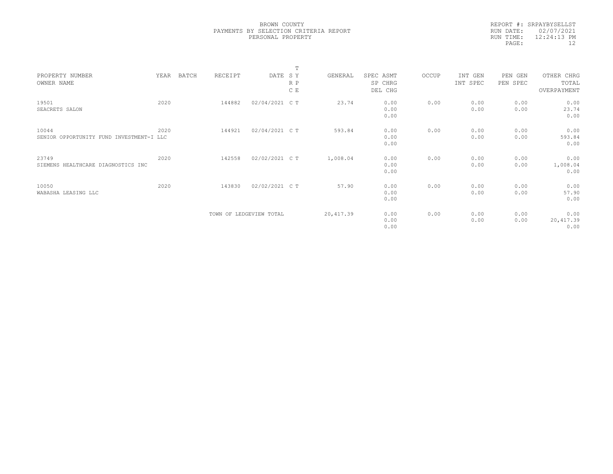|           | REPORT #: SRPAYBYSELLST |
|-----------|-------------------------|
|           | RUN DATE: 02/07/2021    |
| RUN TIME: | $12:24:13$ PM           |
| PAGE:     | 12                      |
|           |                         |

|                                          |      |       |                         |                | $\mathbf{m}$ |            |           |       |          |          |             |  |
|------------------------------------------|------|-------|-------------------------|----------------|--------------|------------|-----------|-------|----------|----------|-------------|--|
| PROPERTY NUMBER                          | YEAR | BATCH | RECEIPT                 | DATE SY        |              | GENERAL    | SPEC ASMT | OCCUP | INT GEN  | PEN GEN  | OTHER CHRG  |  |
| OWNER NAME                               |      |       |                         |                | R P          |            | SP CHRG   |       | INT SPEC | PEN SPEC | TOTAL       |  |
|                                          |      |       |                         |                | C E          |            | DEL CHG   |       |          |          | OVERPAYMENT |  |
|                                          |      |       |                         |                |              |            |           |       |          |          |             |  |
| 19501                                    | 2020 |       | 144882                  | 02/04/2021 C T |              | 23.74      | 0.00      | 0.00  | 0.00     | 0.00     | 0.00        |  |
| SEACRETS SALON                           |      |       |                         |                |              |            | 0.00      |       | 0.00     | 0.00     | 23.74       |  |
|                                          |      |       |                         |                |              |            | 0.00      |       |          |          | 0.00        |  |
|                                          |      |       |                         |                |              |            |           |       |          |          |             |  |
| 10044                                    | 2020 |       | 144921                  | 02/04/2021 C T |              | 593.84     | 0.00      | 0.00  | 0.00     | 0.00     | 0.00        |  |
| SENIOR OPPORTUNITY FUND INVESTMENT-I LLC |      |       |                         |                |              |            | 0.00      |       | 0.00     | 0.00     | 593.84      |  |
|                                          |      |       |                         |                |              |            | 0.00      |       |          |          | 0.00        |  |
|                                          |      |       |                         |                |              |            |           |       |          |          |             |  |
| 23749                                    | 2020 |       | 142558                  | 02/02/2021 C T |              | 1,008.04   | 0.00      | 0.00  | 0.00     | 0.00     | 0.00        |  |
| SIEMENS HEALTHCARE DIAGNOSTICS INC       |      |       |                         |                |              |            | 0.00      |       | 0.00     | 0.00     | 1,008.04    |  |
|                                          |      |       |                         |                |              |            | 0.00      |       |          |          | 0.00        |  |
|                                          |      |       |                         |                |              |            |           |       |          |          |             |  |
| 10050                                    | 2020 |       | 143830                  | 02/02/2021 C T |              | 57.90      | 0.00      | 0.00  | 0.00     | 0.00     | 0.00        |  |
| WABASHA LEASING LLC                      |      |       |                         |                |              |            | 0.00      |       | 0.00     | 0.00     | 57.90       |  |
|                                          |      |       |                         |                |              |            | 0.00      |       |          |          | 0.00        |  |
|                                          |      |       |                         |                |              |            |           |       |          |          |             |  |
|                                          |      |       |                         |                |              | 20, 417.39 |           |       | 0.00     | 0.00     | 0.00        |  |
|                                          |      |       | TOWN OF LEDGEVIEW TOTAL |                |              |            | 0.00      | 0.00  |          |          |             |  |
|                                          |      |       |                         |                |              |            | 0.00      |       | 0.00     | 0.00     | 20, 417.39  |  |
|                                          |      |       |                         |                |              |            | 0.00      |       |          |          | 0.00        |  |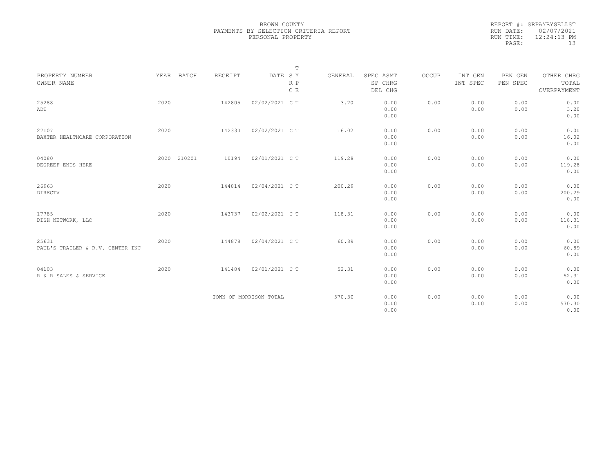|                                  |      |             |         |                        | $\mathbb T$ |         |                      |       |                     |                     |                     |
|----------------------------------|------|-------------|---------|------------------------|-------------|---------|----------------------|-------|---------------------|---------------------|---------------------|
| PROPERTY NUMBER<br>OWNER NAME    |      | YEAR BATCH  | RECEIPT | DATE SY                | $R$ $P$     | GENERAL | SPEC ASMT<br>SP CHRG | OCCUP | INT GEN<br>INT SPEC | PEN GEN<br>PEN SPEC | OTHER CHRG<br>TOTAL |
|                                  |      |             |         |                        | C E         |         | DEL CHG              |       |                     |                     | OVERPAYMENT         |
| 25288                            | 2020 |             | 142805  | 02/02/2021 C T         |             | 3.20    | 0.00                 | 0.00  | 0.00                | 0.00                | 0.00                |
| ADT                              |      |             |         |                        |             |         | 0.00                 |       | 0.00                | 0.00                | 3.20                |
|                                  |      |             |         |                        |             |         | 0.00                 |       |                     |                     | 0.00                |
| 27107                            | 2020 |             | 142330  | 02/02/2021 C T         |             | 16.02   | 0.00                 | 0.00  | 0.00                | 0.00                | 0.00                |
| BAXTER HEALTHCARE CORPORATION    |      |             |         |                        |             |         | 0.00                 |       | 0.00                | 0.00                | 16.02               |
|                                  |      |             |         |                        |             |         | 0.00                 |       |                     |                     | 0.00                |
| 04080                            |      | 2020 210201 | 10194   | 02/01/2021 C T         |             | 119.28  | 0.00                 | 0.00  | 0.00                | 0.00                | 0.00                |
| DEGREEF ENDS HERE                |      |             |         |                        |             |         | 0.00                 |       | 0.00                | 0.00                | 119.28              |
|                                  |      |             |         |                        |             |         | 0.00                 |       |                     |                     | 0.00                |
| 26963                            | 2020 |             | 144814  | 02/04/2021 C T         |             | 200.29  | 0.00                 | 0.00  | 0.00                | 0.00                | 0.00                |
| <b>DIRECTV</b>                   |      |             |         |                        |             |         | 0.00                 |       | 0.00                | 0.00                | 200.29              |
|                                  |      |             |         |                        |             |         | 0.00                 |       |                     |                     | 0.00                |
| 17785                            | 2020 |             | 143737  | 02/02/2021 C T         |             | 118.31  | 0.00                 | 0.00  | 0.00                | 0.00                | 0.00                |
| DISH NETWORK, LLC                |      |             |         |                        |             |         | 0.00                 |       | 0.00                | 0.00                | 118.31              |
|                                  |      |             |         |                        |             |         | 0.00                 |       |                     |                     | 0.00                |
| 25631                            | 2020 |             | 144878  | 02/04/2021 C T         |             | 60.89   | 0.00                 | 0.00  | 0.00                | 0.00                | 0.00                |
| PAUL'S TRAILER & R.V. CENTER INC |      |             |         |                        |             |         | 0.00                 |       | 0.00                | 0.00                | 60.89               |
|                                  |      |             |         |                        |             |         | 0.00                 |       |                     |                     | 0.00                |
| 04103                            | 2020 |             | 141484  | 02/01/2021 C T         |             | 52.31   | 0.00                 | 0.00  | 0.00                | 0.00                | 0.00                |
| R & R SALES & SERVICE            |      |             |         |                        |             |         | 0.00                 |       | 0.00                | 0.00                | 52.31               |
|                                  |      |             |         |                        |             |         | 0.00                 |       |                     |                     | 0.00                |
|                                  |      |             |         | TOWN OF MORRISON TOTAL |             | 570.30  | 0.00                 | 0.00  | 0.00                | 0.00                | 0.00                |
|                                  |      |             |         |                        |             |         | 0.00                 |       | 0.00                | 0.00                | 570.30              |
|                                  |      |             |         |                        |             |         | 0.00                 |       |                     |                     | 0.00                |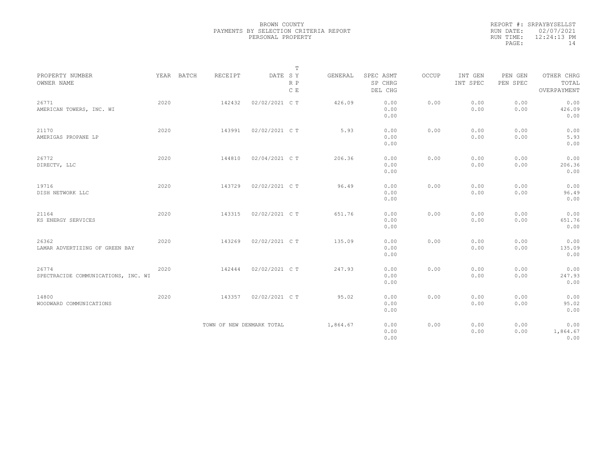|           | REPORT #: SRPAYBYSELLST |
|-----------|-------------------------|
|           | RUN DATE: 02/07/2021    |
| RUN TIME: | $12:24:13$ PM           |
| PAGE:     | 14                      |
|           |                         |

|                                              |      |            |         |                           | $\mathbb T$    |          |                                 |       |                     |                     |                                    |
|----------------------------------------------|------|------------|---------|---------------------------|----------------|----------|---------------------------------|-------|---------------------|---------------------|------------------------------------|
| PROPERTY NUMBER<br>OWNER NAME                |      | YEAR BATCH | RECEIPT | DATE SY                   | $R$ $P$<br>C E | GENERAL  | SPEC ASMT<br>SP CHRG<br>DEL CHG | OCCUP | INT GEN<br>INT SPEC | PEN GEN<br>PEN SPEC | OTHER CHRG<br>TOTAL<br>OVERPAYMENT |
| 26771<br>AMERICAN TOWERS, INC. WI            | 2020 |            | 142432  | 02/02/2021 C T            |                | 426.09   | 0.00<br>0.00<br>0.00            | 0.00  | 0.00<br>0.00        | 0.00<br>0.00        | 0.00<br>426.09<br>0.00             |
| 21170<br>AMERIGAS PROPANE LP                 | 2020 |            | 143991  | 02/02/2021 C T            |                | 5.93     | 0.00<br>0.00<br>0.00            | 0.00  | 0.00<br>0.00        | 0.00<br>0.00        | 0.00<br>5.93<br>0.00               |
| 26772<br>DIRECTV, LLC                        | 2020 |            | 144810  | 02/04/2021 C T            |                | 206.36   | 0.00<br>0.00<br>0.00            | 0.00  | 0.00<br>0.00        | 0.00<br>0.00        | 0.00<br>206.36<br>0.00             |
| 19716<br>DISH NETWORK LLC                    | 2020 |            | 143729  | 02/02/2021 C T            |                | 96.49    | 0.00<br>0.00<br>0.00            | 0.00  | 0.00<br>0.00        | 0.00<br>0.00        | 0.00<br>96.49<br>0.00              |
| 21164<br>KS ENERGY SERVICES                  | 2020 |            | 143315  | 02/02/2021 C T            |                | 651.76   | 0.00<br>0.00<br>0.00            | 0.00  | 0.00<br>0.00        | 0.00<br>0.00        | 0.00<br>651.76<br>0.00             |
| 26362<br>LAMAR ADVERTIZING OF GREEN BAY      | 2020 |            | 143269  | 02/02/2021 C T            |                | 135.09   | 0.00<br>0.00<br>0.00            | 0.00  | 0.00<br>0.00        | 0.00<br>0.00        | 0.00<br>135.09<br>0.00             |
| 26774<br>SPECTRACIDE COMMUNICATIONS, INC. WI | 2020 |            | 142444  | 02/02/2021 C T            |                | 247.93   | 0.00<br>0.00<br>0.00            | 0.00  | 0.00<br>0.00        | 0.00<br>0.00        | 0.00<br>247.93<br>0.00             |
| 14800<br>WOODWARD COMMUNICATIONS             | 2020 |            | 143357  | 02/02/2021 C T            |                | 95.02    | 0.00<br>0.00<br>0.00            | 0.00  | 0.00<br>0.00        | 0.00<br>0.00        | 0.00<br>95.02<br>0.00              |
|                                              |      |            |         | TOWN OF NEW DENMARK TOTAL |                | 1,864.67 | 0.00<br>0.00<br>0.00            | 0.00  | 0.00<br>0.00        | 0.00<br>0.00        | 0.00<br>1,864.67<br>0.00           |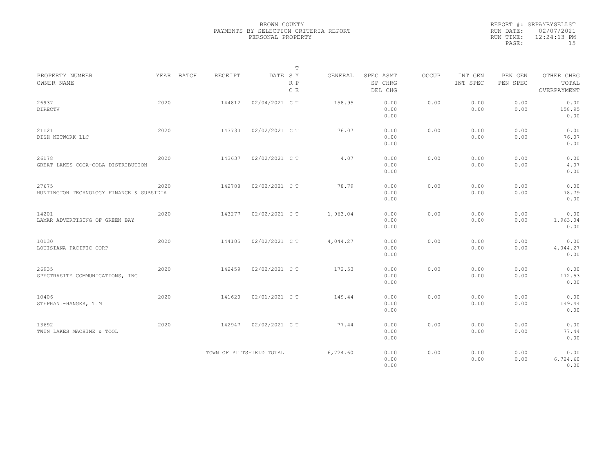|                                                   |      |            |         |                          | $\mathbb T$ |          |                                 |              |                     |                     |                                    |
|---------------------------------------------------|------|------------|---------|--------------------------|-------------|----------|---------------------------------|--------------|---------------------|---------------------|------------------------------------|
| PROPERTY NUMBER<br>OWNER NAME                     |      | YEAR BATCH | RECEIPT | DATE SY                  | R P<br>C E  | GENERAL  | SPEC ASMT<br>SP CHRG<br>DEL CHG | <b>OCCUP</b> | INT GEN<br>INT SPEC | PEN GEN<br>PEN SPEC | OTHER CHRG<br>TOTAL<br>OVERPAYMENT |
| 26937<br>DIRECTV                                  | 2020 |            | 144812  | 02/04/2021 C T           |             | 158.95   | 0.00<br>0.00<br>0.00            | 0.00         | 0.00<br>0.00        | 0.00<br>0.00        | 0.00<br>158.95<br>0.00             |
| 21121<br>DISH NETWORK LLC                         | 2020 |            | 143730  | 02/02/2021 C T           |             | 76.07    | 0.00<br>0.00<br>0.00            | 0.00         | 0.00<br>0.00        | 0.00<br>0.00        | 0.00<br>76.07<br>0.00              |
| 26178<br>GREAT LAKES COCA-COLA DISTRIBUTION       | 2020 |            | 143637  | 02/02/2021 C T           |             | 4.07     | 0.00<br>0.00<br>0.00            | 0.00         | 0.00<br>0.00        | 0.00<br>0.00        | 0.00<br>4.07<br>0.00               |
| 27675<br>HUNTINGTON TECHNOLOGY FINANCE & SUBSIDIA | 2020 |            | 142788  | 02/02/2021 C T           |             | 78.79    | 0.00<br>0.00<br>0.00            | 0.00         | 0.00<br>0.00        | 0.00<br>0.00        | 0.00<br>78.79<br>0.00              |
| 14201<br>LAMAR ADVERTISING OF GREEN BAY           | 2020 |            | 143277  | 02/02/2021 C T           |             | 1,963.04 | 0.00<br>0.00<br>0.00            | 0.00         | 0.00<br>0.00        | 0.00<br>0.00        | 0.00<br>1,963.04<br>0.00           |
| 10130<br>LOUISIANA PACIFIC CORP                   | 2020 |            | 144105  | 02/02/2021 C T           |             | 4,044.27 | 0.00<br>0.00<br>0.00            | 0.00         | 0.00<br>0.00        | 0.00<br>0.00        | 0.00<br>4,044.27<br>0.00           |
| 26935<br>SPECTRASITE COMMUNICATIONS, INC          | 2020 |            | 142459  | 02/02/2021 C T           |             | 172.53   | 0.00<br>0.00<br>0.00            | 0.00         | 0.00<br>0.00        | 0.00<br>0.00        | 0.00<br>172.53<br>0.00             |
| 10406<br>STEPHANI-HANGER, TIM                     | 2020 |            | 141620  | 02/01/2021 C T           |             | 149.44   | 0.00<br>0.00<br>0.00            | 0.00         | 0.00<br>0.00        | 0.00<br>0.00        | 0.00<br>149.44<br>0.00             |
| 13692<br>TWIN LAKES MACHINE & TOOL                | 2020 |            | 142947  | 02/02/2021 C T           |             | 77.44    | 0.00<br>0.00<br>0.00            | 0.00         | 0.00<br>0.00        | 0.00<br>0.00        | 0.00<br>77.44<br>0.00              |
|                                                   |      |            |         | TOWN OF PITTSFIELD TOTAL |             | 6,724.60 | 0.00<br>0.00<br>0.00            | 0.00         | 0.00<br>0.00        | 0.00<br>0.00        | 0.00<br>6,724.60<br>0.00           |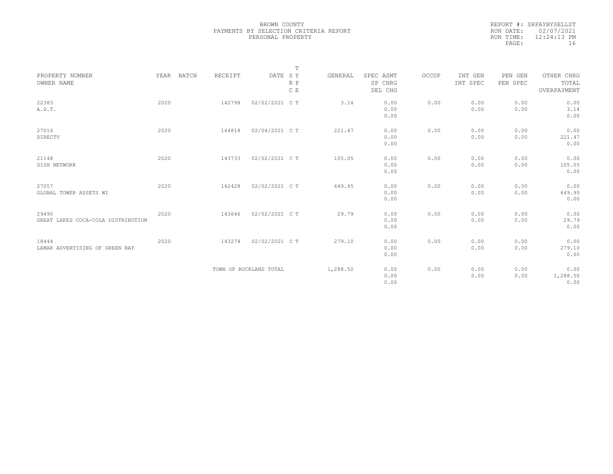|                                             |      |            |         |                        | $\mathbb T$ |          |                                 |       |                     |                     |                                    |  |
|---------------------------------------------|------|------------|---------|------------------------|-------------|----------|---------------------------------|-------|---------------------|---------------------|------------------------------------|--|
| PROPERTY NUMBER<br>OWNER NAME               |      | YEAR BATCH | RECEIPT | DATE SY                | R P<br>C E  | GENERAL  | SPEC ASMT<br>SP CHRG<br>DEL CHG | OCCUP | INT GEN<br>INT SPEC | PEN GEN<br>PEN SPEC | OTHER CHRG<br>TOTAL<br>OVERPAYMENT |  |
| 22383<br>A.D.T.                             | 2020 |            | 142798  | 02/02/2021 C T         |             | 3.14     | 0.00<br>0.00<br>0.00            | 0.00  | 0.00<br>0.00        | 0.00<br>0.00        | 0.00<br>3.14<br>0.00               |  |
| 27016<br>DIRECTV                            | 2020 |            | 144818  | 02/04/2021 C T         |             | 221.47   | 0.00<br>0.00<br>0.00            | 0.00  | 0.00<br>0.00        | 0.00<br>0.00        | 0.00<br>221.47<br>0.00             |  |
| 21148<br>DISH NETWORK                       | 2020 |            | 143733  | 02/02/2021 C T         |             | 105.05   | 0.00<br>0.00<br>0.00            | 0.00  | 0.00<br>0.00        | 0.00<br>0.00        | 0.00<br>105.05<br>0.00             |  |
| 27057<br>GLOBAL TOWER ASSETS WI             | 2020 |            | 142428  | 02/02/2021 C T         |             | 649.95   | 0.00<br>0.00<br>0.00            | 0.00  | 0.00<br>0.00        | 0.00<br>0.00        | 0.00<br>649.95<br>0.00             |  |
| 29490<br>GREAT LAKES COCA-COLA DISTRIBUTION | 2020 |            | 143646  | 02/02/2021 C T         |             | 29.79    | 0.00<br>0.00<br>0.00            | 0.00  | 0.00<br>0.00        | 0.00<br>0.00        | 0.00<br>29.79<br>0.00              |  |
| 18444<br>LAMAR ADVERTISING OF GREEN BAY     | 2020 |            | 143274  | 02/02/2021 C T         |             | 279.10   | 0.00<br>0.00<br>0.00            | 0.00  | 0.00<br>0.00        | 0.00<br>0.00        | 0.00<br>279.10<br>0.00             |  |
|                                             |      |            |         | TOWN OF ROCKLAND TOTAL |             | 1,288.50 | 0.00<br>0.00<br>0.00            | 0.00  | 0.00<br>0.00        | 0.00<br>0.00        | 0.00<br>1,288.50<br>0.00           |  |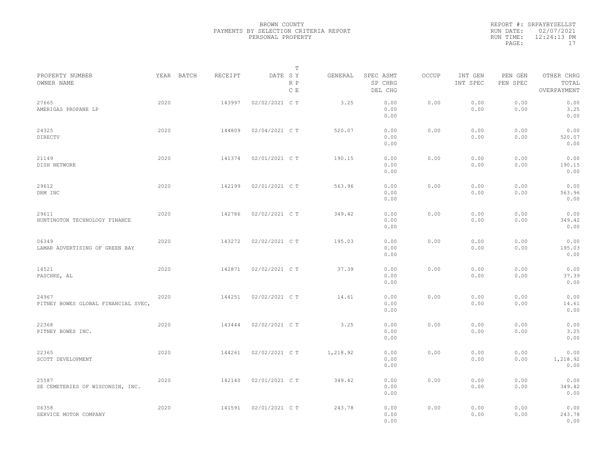|                                              |      |            |         |                | $\mathbb T$ |          |                                 |       |                     |                     |                                    |  |
|----------------------------------------------|------|------------|---------|----------------|-------------|----------|---------------------------------|-------|---------------------|---------------------|------------------------------------|--|
| PROPERTY NUMBER<br>OWNER NAME                |      | YEAR BATCH | RECEIPT | DATE SY        | R P<br>C E  | GENERAL  | SPEC ASMT<br>SP CHRG<br>DEL CHG | OCCUP | INT GEN<br>INT SPEC | PEN GEN<br>PEN SPEC | OTHER CHRG<br>TOTAL<br>OVERPAYMENT |  |
| 27665<br>AMERIGAS PROPANE LP                 | 2020 |            | 143997  | 02/02/2021 C T |             | 3.25     | 0.00<br>0.00<br>0.00            | 0.00  | 0.00<br>0.00        | 0.00<br>0.00        | 0.00<br>3.25<br>0.00               |  |
| 24325<br>DIRECTV                             | 2020 |            | 144809  | 02/04/2021 C T |             | 520.07   | 0.00<br>0.00<br>0.00            | 0.00  | 0.00<br>0.00        | 0.00<br>0.00        | 0.00<br>520.07<br>0.00             |  |
| 21149<br>DISH NETWORK                        | 2020 |            | 141374  | 02/01/2021 C T |             | 190.15   | 0.00<br>0.00<br>0.00            | 0.00  | 0.00<br>0.00        | 0.00<br>0.00        | 0.00<br>190.15<br>0.00             |  |
| 29612<br>DRM INC                             | 2020 |            | 142199  | 02/01/2021 C T |             | 563.96   | 0.00<br>0.00<br>0.00            | 0.00  | 0.00<br>0.00        | 0.00<br>0.00        | 0.00<br>563.96<br>0.00             |  |
| 29611<br>HUNTINGTON TECHNOLOGY FINANCE       | 2020 |            | 142786  | 02/02/2021 C T |             | 349.42   | 0.00<br>0.00<br>0.00            | 0.00  | 0.00<br>0.00        | 0.00<br>0.00        | 0.00<br>349.42<br>0.00             |  |
| 06349<br>LAMAR ADVERTISING OF GREEN BAY      | 2020 |            | 143272  | 02/02/2021 C T |             | 195.03   | 0.00<br>0.00<br>0.00            | 0.00  | 0.00<br>0.00        | 0.00<br>0.00        | 0.00<br>195.03<br>0.00             |  |
| 14521<br>PASCHKE, AL                         | 2020 |            | 142871  | 02/02/2021 C T |             | 37.39    | 0.00<br>0.00<br>0.00            | 0.00  | 0.00<br>0.00        | 0.00<br>0.00        | 0.00<br>37.39<br>0.00              |  |
| 24967<br>PITNEY BOWES GLOBAL FINANCIAL SVEC, | 2020 |            | 144251  | 02/02/2021 C T |             | 14.61    | 0.00<br>0.00<br>0.00            | 0.00  | 0.00<br>0.00        | 0.00<br>0.00        | 0.00<br>14.61<br>0.00              |  |
| 22368<br>PITNEY BOWES INC.                   | 2020 |            | 143444  | 02/02/2021 C T |             | 3.25     | 0.00<br>0.00<br>0.00            | 0.00  | 0.00<br>0.00        | 0.00<br>0.00        | 0.00<br>3.25<br>0.00               |  |
| 22365<br>SCOTT DEVELOPMENT                   | 2020 |            | 144261  | 02/02/2021 C T |             | 1,218.92 | 0.00<br>0.00<br>0.00            | 0.00  | 0.00<br>0.00        | 0.00<br>0.00        | 0.00<br>1,218.92<br>0.00           |  |
| 25587<br>SE CEMETERIES OF WISCONSIN, INC.    | 2020 |            | 142140  | 02/01/2021 C T |             | 349.42   | 0.00<br>0.00<br>0.00            | 0.00  | 0.00<br>0.00        | 0.00<br>0.00        | 0.00<br>349.42<br>0.00             |  |
| 06358<br>SERVICE MOTOR COMPANY               | 2020 |            | 141591  | 02/01/2021 C T |             | 243.78   | 0.00<br>0.00<br>0.00            | 0.00  | 0.00<br>0.00        | 0.00<br>0.00        | 0.00<br>243.78<br>0.00             |  |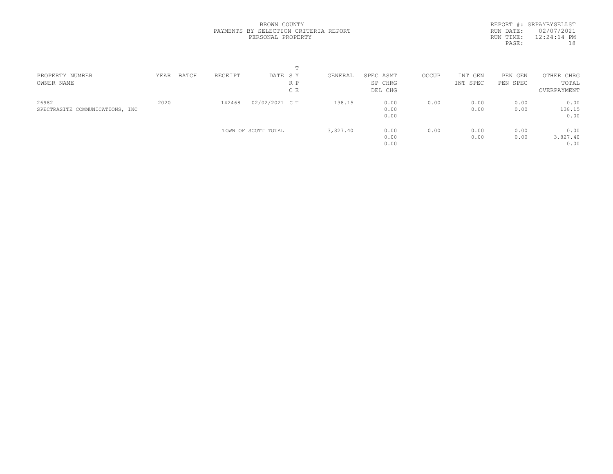|           | REPORT #: SRPAYBYSELLST |
|-----------|-------------------------|
| RUN DATE: | 02/07/2021              |
| RUN TIME: | $12:24:14$ PM           |
| PAGE:     | 18                      |
|           |                         |

| PROPERTY NUMBER<br>OWNER NAME            | YEAR | BATCH | RECEIPT | DATE SY             | R P<br>C E | GENERAL  | SPEC ASMT<br>SP CHRG<br>DEL CHG | OCCUP | INT GEN<br>INT SPEC | PEN GEN<br>PEN SPEC | OTHER CHRG<br>TOTAL<br>OVERPAYMENT |  |
|------------------------------------------|------|-------|---------|---------------------|------------|----------|---------------------------------|-------|---------------------|---------------------|------------------------------------|--|
| 26982<br>SPECTRASITE COMMUNICATIONS, INC | 2020 |       | 142468  | 02/02/2021 C T      |            | 138.15   | 0.00<br>0.00<br>0.00            | 0.00  | 0.00<br>0.00        | 0.00<br>0.00        | 0.00<br>138.15<br>0.00             |  |
|                                          |      |       |         | TOWN OF SCOTT TOTAL |            | 3,827.40 | 0.00<br>0.00<br>0.00            | 0.00  | 0.00<br>0.00        | 0.00<br>0.00        | 0.00<br>3,827.40<br>0.00           |  |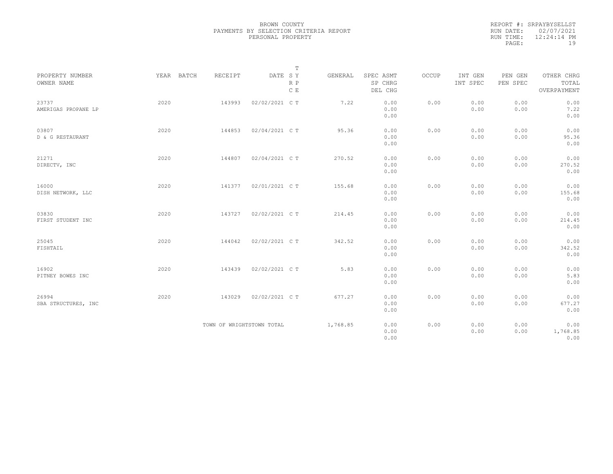| PROPERTY NUMBER<br>OWNER NAME | YEAR BATCH | RECEIPT                   | $\mathbb T$<br>DATE SY<br>R P | GENERAL  | SPEC ASMT<br>SP CHRG | OCCUP | INT GEN<br>INT SPEC | PEN GEN<br>PEN SPEC | OTHER CHRG<br>TOTAL      |  |
|-------------------------------|------------|---------------------------|-------------------------------|----------|----------------------|-------|---------------------|---------------------|--------------------------|--|
|                               |            |                           | $\mathbb C$ E                 |          | DEL CHG              |       |                     |                     | OVERPAYMENT              |  |
| 23737<br>AMERIGAS PROPANE LP  | 2020       | 143993                    | 02/02/2021 C T                | 7.22     | 0.00<br>0.00<br>0.00 | 0.00  | 0.00<br>0.00        | 0.00<br>0.00        | 0.00<br>7.22<br>0.00     |  |
| 03807<br>D & G RESTAURANT     | 2020       | 144853                    | 02/04/2021 C T                | 95.36    | 0.00<br>0.00<br>0.00 | 0.00  | 0.00<br>0.00        | 0.00<br>0.00        | 0.00<br>95.36<br>0.00    |  |
| 21271<br>DIRECTV, INC         | 2020       | 144807                    | 02/04/2021 C T                | 270.52   | 0.00<br>0.00<br>0.00 | 0.00  | 0.00<br>0.00        | 0.00<br>0.00        | 0.00<br>270.52<br>0.00   |  |
| 16000<br>DISH NETWORK, LLC    | 2020       | 141377                    | 02/01/2021 C T                | 155.68   | 0.00<br>0.00<br>0.00 | 0.00  | 0.00<br>0.00        | 0.00<br>0.00        | 0.00<br>155.68<br>0.00   |  |
| 03830<br>FIRST STUDENT INC    | 2020       | 143727                    | 02/02/2021 C T                | 214.45   | 0.00<br>0.00<br>0.00 | 0.00  | 0.00<br>0.00        | 0.00<br>0.00        | 0.00<br>214.45<br>0.00   |  |
| 25045<br>FISHTAIL             | 2020       | 144042                    | 02/02/2021 C T                | 342.52   | 0.00<br>0.00<br>0.00 | 0.00  | 0.00<br>0.00        | 0.00<br>0.00        | 0.00<br>342.52<br>0.00   |  |
| 16902<br>PITNEY BOWES INC     | 2020       | 143439                    | 02/02/2021 C T                | 5.83     | 0.00<br>0.00<br>0.00 | 0.00  | 0.00<br>0.00        | 0.00<br>0.00        | 0.00<br>5.83<br>0.00     |  |
| 26994<br>SBA STRUCTURES, INC  | 2020       | 143029                    | 02/02/2021 C T                | 677.27   | 0.00<br>0.00<br>0.00 | 0.00  | 0.00<br>0.00        | 0.00<br>0.00        | 0.00<br>677.27<br>0.00   |  |
|                               |            | TOWN OF WRIGHTSTOWN TOTAL |                               | 1,768.85 | 0.00<br>0.00<br>0.00 | 0.00  | 0.00<br>0.00        | 0.00<br>0.00        | 0.00<br>1,768.85<br>0.00 |  |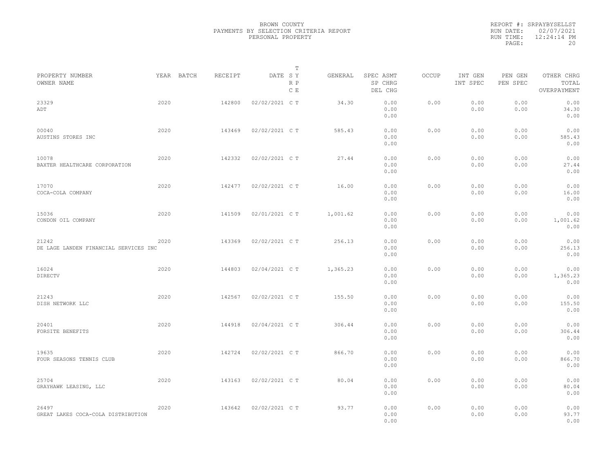|                                                |      |            |         |                | T          |          |                                 |       |                     |                     |                                    |  |
|------------------------------------------------|------|------------|---------|----------------|------------|----------|---------------------------------|-------|---------------------|---------------------|------------------------------------|--|
| PROPERTY NUMBER<br>OWNER NAME                  |      | YEAR BATCH | RECEIPT | DATE SY        | R P<br>C E | GENERAL  | SPEC ASMT<br>SP CHRG<br>DEL CHG | OCCUP | INT GEN<br>INT SPEC | PEN GEN<br>PEN SPEC | OTHER CHRG<br>TOTAL<br>OVERPAYMENT |  |
| 23329<br>ADT                                   | 2020 |            | 142800  | 02/02/2021 C T |            | 34.30    | 0.00<br>0.00<br>0.00            | 0.00  | 0.00<br>0.00        | 0.00<br>0.00        | 0.00<br>34.30<br>0.00              |  |
| 00040<br>AUSTINS STORES INC                    | 2020 |            | 143469  | 02/02/2021 C T |            | 585.43   | 0.00<br>0.00<br>0.00            | 0.00  | 0.00<br>0.00        | 0.00<br>0.00        | 0.00<br>585.43<br>0.00             |  |
| 10078<br>BAXTER HEALTHCARE CORPORATION         | 2020 |            | 142332  | 02/02/2021 C T |            | 27.44    | 0.00<br>0.00<br>0.00            | 0.00  | 0.00<br>0.00        | 0.00<br>0.00        | 0.00<br>27.44<br>0.00              |  |
| 17070<br>COCA-COLA COMPANY                     | 2020 |            | 142477  | 02/02/2021 C T |            | 16.00    | 0.00<br>0.00<br>0.00            | 0.00  | 0.00<br>0.00        | 0.00<br>0.00        | 0.00<br>16.00<br>0.00              |  |
| 15036<br>CONDON OIL COMPANY                    | 2020 |            | 141509  | 02/01/2021 C T |            | 1,001.62 | 0.00<br>0.00<br>0.00            | 0.00  | 0.00<br>0.00        | 0.00<br>0.00        | 0.00<br>1,001.62<br>0.00           |  |
| 21242<br>DE LAGE LANDEN FINANCIAL SERVICES INC | 2020 |            | 143369  | 02/02/2021 C T |            | 256.13   | 0.00<br>0.00<br>0.00            | 0.00  | 0.00<br>0.00        | 0.00<br>0.00        | 0.00<br>256.13<br>0.00             |  |
| 16024<br>DIRECTV                               | 2020 |            | 144803  | 02/04/2021 C T |            | 1,365.23 | 0.00<br>0.00<br>0.00            | 0.00  | 0.00<br>0.00        | 0.00<br>0.00        | 0.00<br>1,365.23<br>0.00           |  |
| 21243<br>DISH NETWORK LLC                      | 2020 |            | 142567  | 02/02/2021 C T |            | 155.50   | 0.00<br>0.00<br>0.00            | 0.00  | 0.00<br>0.00        | 0.00<br>0.00        | 0.00<br>155.50<br>0.00             |  |
| 20401<br>FORSITE BENEFITS                      | 2020 |            | 144918  | 02/04/2021 C T |            | 306.44   | 0.00<br>0.00<br>0.00            | 0.00  | 0.00<br>0.00        | 0.00<br>0.00        | 0.00<br>306.44<br>0.00             |  |
| 19635<br>FOUR SEASONS TENNIS CLUB              | 2020 |            | 142724  | 02/02/2021 C T |            | 866.70   | 0.00<br>0.00<br>0.00            | 0.00  | 0.00<br>0.00        | 0.00<br>0.00        | 0.00<br>866.70<br>0.00             |  |
| 25704<br>GRAYHAWK LEASING, LLC                 | 2020 |            | 143163  | 02/02/2021 C T |            | 80.04    | 0.00<br>0.00<br>0.00            | 0.00  | 0.00<br>0.00        | 0.00<br>0.00        | 0.00<br>80.04<br>0.00              |  |
| 26497<br>GREAT LAKES COCA-COLA DISTRIBUTION    | 2020 |            | 143642  | 02/02/2021 C T |            | 93.77    | 0.00<br>0.00<br>0.00            | 0.00  | 0.00<br>0.00        | 0.00<br>0.00        | 0.00<br>93.77<br>0.00              |  |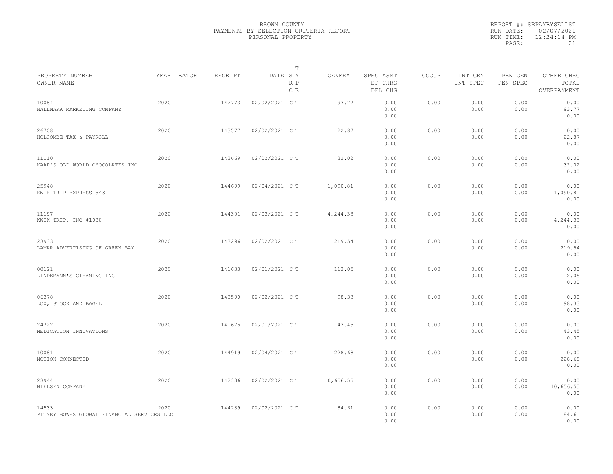|                                                     |            |         | T                     |           |                                 |       |                     |                     |                                    |
|-----------------------------------------------------|------------|---------|-----------------------|-----------|---------------------------------|-------|---------------------|---------------------|------------------------------------|
| PROPERTY NUMBER<br>OWNER NAME                       | YEAR BATCH | RECEIPT | DATE SY<br>R P<br>C E | GENERAL   | SPEC ASMT<br>SP CHRG<br>DEL CHG | OCCUP | INT GEN<br>INT SPEC | PEN GEN<br>PEN SPEC | OTHER CHRG<br>TOTAL<br>OVERPAYMENT |
| 10084<br>HALLMARK MARKETING COMPANY                 | 2020       | 142773  | 02/02/2021 C T        | 93.77     | 0.00<br>0.00<br>0.00            | 0.00  | 0.00<br>0.00        | 0.00<br>0.00        | 0.00<br>93.77<br>0.00              |
| 26708<br>HOLCOMBE TAX & PAYROLL                     | 2020       | 143577  | 02/02/2021 C T        | 22.87     | 0.00<br>0.00<br>0.00            | 0.00  | 0.00<br>0.00        | 0.00<br>0.00        | 0.00<br>22.87<br>0.00              |
| 11110<br>KAAP'S OLD WORLD CHOCOLATES INC            | 2020       | 143669  | 02/02/2021 C T        | 32.02     | 0.00<br>0.00<br>0.00            | 0.00  | 0.00<br>0.00        | 0.00<br>0.00        | 0.00<br>32.02<br>0.00              |
| 25948<br>KWIK TRIP EXPRESS 543                      | 2020       | 144699  | 02/04/2021 C T        | 1,090.81  | 0.00<br>0.00<br>0.00            | 0.00  | 0.00<br>0.00        | 0.00<br>0.00        | 0.00<br>1,090.81<br>0.00           |
| 11197<br>KWIK TRIP, INC #1030                       | 2020       | 144301  | 02/03/2021 C T        | 4,244.33  | 0.00<br>0.00<br>0.00            | 0.00  | 0.00<br>0.00        | 0.00<br>0.00        | 0.00<br>4,244.33<br>0.00           |
| 23933<br>LAMAR ADVERTISING OF GREEN BAY             | 2020       | 143296  | 02/02/2021 C T        | 219.54    | 0.00<br>0.00<br>0.00            | 0.00  | 0.00<br>0.00        | 0.00<br>0.00        | 0.00<br>219.54<br>0.00             |
| 00121<br>LINDEMANN'S CLEANING INC                   | 2020       | 141633  | 02/01/2021 C T        | 112.05    | 0.00<br>0.00<br>0.00            | 0.00  | 0.00<br>0.00        | 0.00<br>0.00        | 0.00<br>112.05<br>0.00             |
| 06378<br>LOX, STOCK AND BAGEL                       | 2020       | 143590  | 02/02/2021 C T        | 98.33     | 0.00<br>0.00<br>0.00            | 0.00  | 0.00<br>0.00        | 0.00<br>0.00        | 0.00<br>98.33<br>0.00              |
| 24722<br>MEDICATION INNOVATIONS                     | 2020       | 141675  | 02/01/2021 C T        | 43.45     | 0.00<br>0.00<br>0.00            | 0.00  | 0.00<br>0.00        | 0.00<br>0.00        | 0.00<br>43.45<br>0.00              |
| 10081<br>MOTION CONNECTED                           | 2020       | 144919  | 02/04/2021 C T        | 228.68    | 0.00<br>0.00<br>0.00            | 0.00  | 0.00<br>0.00        | 0.00<br>0.00        | 0.00<br>228.68<br>0.00             |
| 23944<br>NIELSEN COMPANY                            | 2020       | 142336  | 02/02/2021 C T        | 10,656.55 | 0.00<br>0.00<br>0.00            | 0.00  | 0.00<br>0.00        | 0.00<br>0.00        | 0.00<br>10,656.55<br>0.00          |
| 14533<br>PITNEY BOWES GLOBAL FINANCIAL SERVICES LLC | 2020       | 144239  | 02/02/2021 C T        | 84.61     | 0.00<br>0.00<br>0.00            | 0.00  | 0.00<br>0.00        | 0.00<br>0.00        | 0.00<br>84.61<br>0.00              |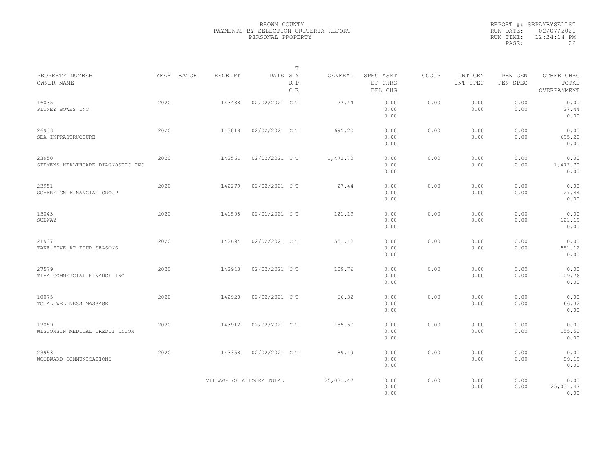|                                            |      |            |                          |                | $\mathbb T$ |           |                                 |              |                     |                     |                                    |
|--------------------------------------------|------|------------|--------------------------|----------------|-------------|-----------|---------------------------------|--------------|---------------------|---------------------|------------------------------------|
| PROPERTY NUMBER<br>OWNER NAME              |      | YEAR BATCH | RECEIPT                  | DATE SY        | R P<br>C E  | GENERAL   | SPEC ASMT<br>SP CHRG<br>DEL CHG | <b>OCCUP</b> | INT GEN<br>INT SPEC | PEN GEN<br>PEN SPEC | OTHER CHRG<br>TOTAL<br>OVERPAYMENT |
| 16035<br>PITNEY BOWES INC                  | 2020 |            | 143438                   | 02/02/2021 C T |             | 27.44     | 0.00<br>0.00<br>0.00            | 0.00         | 0.00<br>0.00        | 0.00<br>0.00        | 0.00<br>27.44<br>0.00              |
| 26933<br>SBA INFRASTRUCTURE                | 2020 |            | 143018                   | 02/02/2021 C T |             | 695.20    | 0.00<br>0.00<br>0.00            | 0.00         | 0.00<br>0.00        | 0.00<br>0.00        | 0.00<br>695.20<br>0.00             |
| 23950<br>SIEMENS HEALTHCARE DIAGNOSTIC INC | 2020 |            | 142561                   | 02/02/2021 C T |             | 1,472.70  | 0.00<br>0.00<br>0.00            | 0.00         | 0.00<br>0.00        | 0.00<br>0.00        | 0.00<br>1,472.70<br>0.00           |
| 23951<br>SOVEREIGN FINANCIAL GROUP         | 2020 |            | 142279                   | 02/02/2021 C T |             | 27.44     | 0.00<br>0.00<br>0.00            | 0.00         | 0.00<br>0.00        | 0.00<br>0.00        | 0.00<br>27.44<br>0.00              |
| 15043<br>SUBWAY                            | 2020 |            | 141508                   | 02/01/2021 C T |             | 121.19    | 0.00<br>0.00<br>0.00            | 0.00         | 0.00<br>0.00        | 0.00<br>0.00        | 0.00<br>121.19<br>0.00             |
| 21937<br>TAKE FIVE AT FOUR SEASONS         | 2020 |            | 142694                   | 02/02/2021 C T |             | 551.12    | 0.00<br>0.00<br>0.00            | 0.00         | 0.00<br>0.00        | 0.00<br>0.00        | 0.00<br>551.12<br>0.00             |
| 27579<br>TIAA COMMERCIAL FINANCE INC       | 2020 |            | 142943                   | 02/02/2021 C T |             | 109.76    | 0.00<br>0.00<br>0.00            | 0.00         | 0.00<br>0.00        | 0.00<br>0.00        | 0.00<br>109.76<br>0.00             |
| 10075<br>TOTAL WELLNESS MASSAGE            | 2020 |            | 142928                   | 02/02/2021 C T |             | 66.32     | 0.00<br>0.00<br>0.00            | 0.00         | 0.00<br>0.00        | 0.00<br>0.00        | 0.00<br>66.32<br>0.00              |
| 17059<br>WISCONSIN MEDICAL CREDIT UNION    | 2020 |            | 143912                   | 02/02/2021 C T |             | 155.50    | 0.00<br>0.00<br>0.00            | 0.00         | 0.00<br>0.00        | 0.00<br>0.00        | 0.00<br>155.50<br>0.00             |
| 23953<br>WOODWARD COMMUNICATIONS           | 2020 |            | 143358                   | 02/02/2021 C T |             | 89.19     | 0.00<br>0.00<br>0.00            | 0.00         | 0.00<br>0.00        | 0.00<br>0.00        | 0.00<br>89.19<br>0.00              |
|                                            |      |            | VILLAGE OF ALLOUEZ TOTAL |                |             | 25,031.47 | 0.00<br>0.00<br>0.00            | 0.00         | 0.00<br>0.00        | 0.00<br>0.00        | 0.00<br>25,031.47<br>0.00          |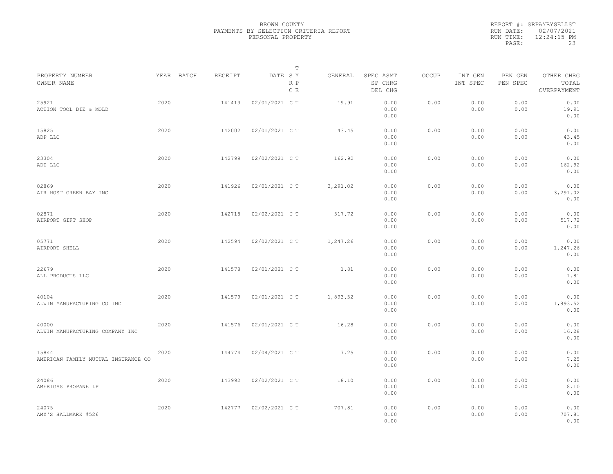|                                              |      |            |         |                | $\mathbb T$ |          |                                 |       |                     |                     |                                    |  |
|----------------------------------------------|------|------------|---------|----------------|-------------|----------|---------------------------------|-------|---------------------|---------------------|------------------------------------|--|
| PROPERTY NUMBER<br>OWNER NAME                |      | YEAR BATCH | RECEIPT | DATE SY        | R P<br>C E  | GENERAL  | SPEC ASMT<br>SP CHRG<br>DEL CHG | OCCUP | INT GEN<br>INT SPEC | PEN GEN<br>PEN SPEC | OTHER CHRG<br>TOTAL<br>OVERPAYMENT |  |
| 25921<br>ACTION TOOL DIE & MOLD              | 2020 |            | 141413  | 02/01/2021 C T |             | 19.91    | 0.00<br>0.00<br>0.00            | 0.00  | 0.00<br>0.00        | 0.00<br>0.00        | 0.00<br>19.91<br>0.00              |  |
| 15825<br>ADP LLC                             | 2020 |            | 142002  | 02/01/2021 C T |             | 43.45    | 0.00<br>0.00<br>0.00            | 0.00  | 0.00<br>0.00        | 0.00<br>0.00        | 0.00<br>43.45<br>0.00              |  |
| 23304<br>ADT LLC                             | 2020 |            | 142799  | 02/02/2021 C T |             | 162.92   | 0.00<br>0.00<br>0.00            | 0.00  | 0.00<br>0.00        | 0.00<br>0.00        | 0.00<br>162.92<br>0.00             |  |
| 02869<br>AIR HOST GREEN BAY INC              | 2020 |            | 141926  | 02/01/2021 C T |             | 3,291.02 | 0.00<br>0.00<br>0.00            | 0.00  | 0.00<br>0.00        | 0.00<br>0.00        | 0.00<br>3,291.02<br>0.00           |  |
| 02871<br>AIRPORT GIFT SHOP                   | 2020 |            | 142718  | 02/02/2021 C T |             | 517.72   | 0.00<br>0.00<br>0.00            | 0.00  | 0.00<br>0.00        | 0.00<br>0.00        | 0.00<br>517.72<br>0.00             |  |
| 05771<br>AIRPORT SHELL                       | 2020 |            | 142594  | 02/02/2021 C T |             | 1,247.26 | 0.00<br>0.00<br>0.00            | 0.00  | 0.00<br>0.00        | 0.00<br>0.00        | 0.00<br>1,247.26<br>0.00           |  |
| 22679<br>ALL PRODUCTS LLC                    | 2020 |            | 141578  | 02/01/2021 C T |             | 1.81     | 0.00<br>0.00<br>0.00            | 0.00  | 0.00<br>0.00        | 0.00<br>0.00        | 0.00<br>1.81<br>0.00               |  |
| 40104<br>ALWIN MANUFACTURING CO INC          | 2020 |            | 141579  | 02/01/2021 C T |             | 1,893.52 | 0.00<br>0.00<br>0.00            | 0.00  | 0.00<br>0.00        | 0.00<br>0.00        | 0.00<br>1,893.52<br>0.00           |  |
| 40000<br>ALWIN MANUFACTURING COMPANY INC     | 2020 |            | 141576  | 02/01/2021 C T |             | 16.28    | 0.00<br>0.00<br>0.00            | 0.00  | 0.00<br>0.00        | 0.00<br>0.00        | 0.00<br>16.28<br>0.00              |  |
| 15844<br>AMERICAN FAMILY MUTUAL INSURANCE CO | 2020 |            | 144774  | 02/04/2021 C T |             | 7.25     | 0.00<br>0.00<br>0.00            | 0.00  | 0.00<br>0.00        | 0.00<br>0.00        | 0.00<br>7.25<br>0.00               |  |
| 24086<br>AMERIGAS PROPANE LP                 | 2020 |            | 143992  | 02/02/2021 C T |             | 18.10    | 0.00<br>0.00<br>0.00            | 0.00  | 0.00<br>0.00        | 0.00<br>0.00        | 0.00<br>18.10<br>0.00              |  |
| 24075<br>AMY'S HALLMARK #526                 | 2020 |            | 142777  | 02/02/2021 C T |             | 707.81   | 0.00<br>0.00<br>0.00            | 0.00  | 0.00<br>0.00        | 0.00<br>0.00        | 0.00<br>707.81<br>0.00             |  |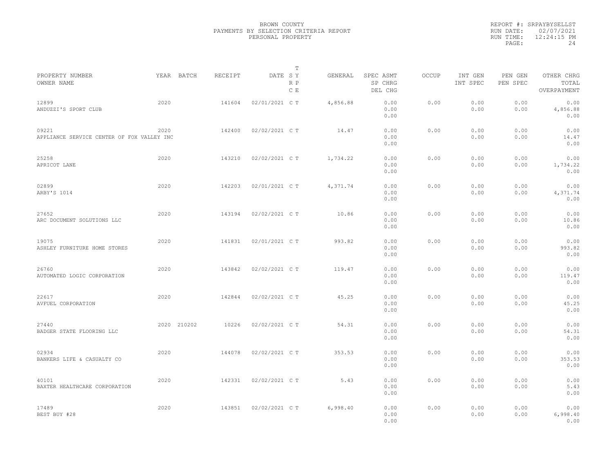|                                                     |             |         | T                     |          |                                 |              |                     |                     |                                    |
|-----------------------------------------------------|-------------|---------|-----------------------|----------|---------------------------------|--------------|---------------------|---------------------|------------------------------------|
| PROPERTY NUMBER<br>OWNER NAME                       | YEAR BATCH  | RECEIPT | DATE SY<br>R P<br>C E | GENERAL  | SPEC ASMT<br>SP CHRG<br>DEL CHG | <b>OCCUP</b> | INT GEN<br>INT SPEC | PEN GEN<br>PEN SPEC | OTHER CHRG<br>TOTAL<br>OVERPAYMENT |
| 12899<br>ANDUZZI'S SPORT CLUB                       | 2020        | 141604  | 02/01/2021 C T        | 4,856.88 | 0.00<br>0.00<br>0.00            | 0.00         | 0.00<br>0.00        | 0.00<br>0.00        | 0.00<br>4,856.88<br>0.00           |
| 09221<br>APPLIANCE SERVICE CENTER OF FOX VALLEY INC | 2020        | 142400  | 02/02/2021 C T        | 14.47    | 0.00<br>0.00<br>0.00            | 0.00         | 0.00<br>0.00        | 0.00<br>0.00        | 0.00<br>14.47<br>0.00              |
| 25258<br>APRICOT LANE                               | 2020        | 143210  | 02/02/2021 C T        | 1,734.22 | 0.00<br>0.00<br>0.00            | 0.00         | 0.00<br>0.00        | 0.00<br>0.00        | 0.00<br>1,734.22<br>0.00           |
| 02899<br>ARBY'S 1014                                | 2020        | 142203  | 02/01/2021 C T        | 4,371.74 | 0.00<br>0.00<br>0.00            | 0.00         | 0.00<br>0.00        | 0.00<br>0.00        | 0.00<br>4,371.74<br>0.00           |
| 27652<br>ARC DOCUMENT SOLUTIONS LLC                 | 2020        | 143194  | 02/02/2021 C T        | 10.86    | 0.00<br>0.00<br>0.00            | 0.00         | 0.00<br>0.00        | 0.00<br>0.00        | 0.00<br>10.86<br>0.00              |
| 19075<br>ASHLEY FURNITURE HOME STORES               | 2020        | 141831  | 02/01/2021 C T        | 993.82   | 0.00<br>0.00<br>0.00            | 0.00         | 0.00<br>0.00        | 0.00<br>0.00        | 0.00<br>993.82<br>0.00             |
| 26760<br>AUTOMATED LOGIC CORPORATION                | 2020        | 143842  | 02/02/2021 C T        | 119.47   | 0.00<br>0.00<br>0.00            | 0.00         | 0.00<br>0.00        | 0.00<br>0.00        | 0.00<br>119.47<br>0.00             |
| 22617<br>AVFUEL CORPORATION                         | 2020        | 142844  | 02/02/2021 C T        | 45.25    | 0.00<br>0.00<br>0.00            | 0.00         | 0.00<br>0.00        | 0.00<br>0.00        | 0.00<br>45.25<br>0.00              |
| 27440<br>BADGER STATE FLOORING LLC                  | 2020 210202 | 10226   | 02/02/2021 C T        | 54.31    | 0.00<br>0.00<br>0.00            | 0.00         | 0.00<br>0.00        | 0.00<br>0.00        | 0.00<br>54.31<br>0.00              |
| 02934<br>BANKERS LIFE & CASUALTY CO                 | 2020        | 144078  | 02/02/2021 C T        | 353.53   | 0.00<br>0.00<br>0.00            | 0.00         | 0.00<br>0.00        | 0.00<br>0.00        | 0.00<br>353.53<br>0.00             |
| 40101<br>BAXTER HEALTHCARE CORPORATION              | 2020        | 142331  | 02/02/2021 C T        | 5.43     | 0.00<br>0.00<br>0.00            | 0.00         | 0.00<br>0.00        | 0.00<br>0.00        | 0.00<br>5.43<br>0.00               |
| 17489<br>BEST BUY #28                               | 2020        | 143851  | 02/02/2021 C T        | 6,998.40 | 0.00<br>0.00<br>0.00            | 0.00         | 0.00<br>0.00        | 0.00<br>0.00        | 0.00<br>6,998.40<br>0.00           |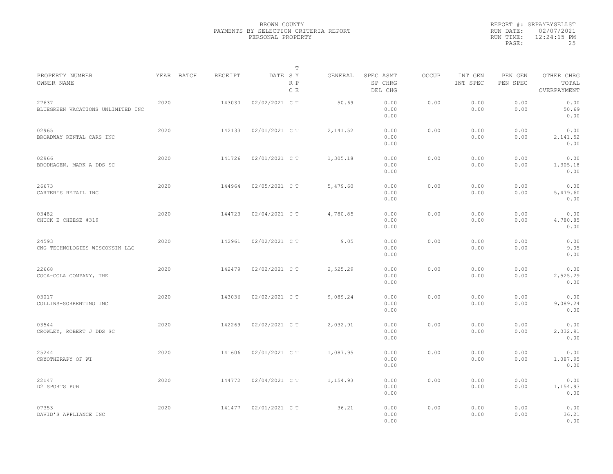|                                            |            |         | $\mathbb T$           |           |                                 |       |                     |                     |                                    |  |
|--------------------------------------------|------------|---------|-----------------------|-----------|---------------------------------|-------|---------------------|---------------------|------------------------------------|--|
| PROPERTY NUMBER<br>OWNER NAME              | YEAR BATCH | RECEIPT | DATE SY<br>R P<br>C E | GENERAL   | SPEC ASMT<br>SP CHRG<br>DEL CHG | OCCUP | INT GEN<br>INT SPEC | PEN GEN<br>PEN SPEC | OTHER CHRG<br>TOTAL<br>OVERPAYMENT |  |
| 27637<br>BLUEGREEN VACATIONS UNLIMITED INC | 2020       | 143030  | 02/02/2021 C T        | 50.69     | 0.00<br>0.00<br>0.00            | 0.00  | 0.00<br>0.00        | 0.00<br>0.00        | 0.00<br>50.69<br>0.00              |  |
| 02965<br>BROADWAY RENTAL CARS INC          | 2020       | 142133  | 02/01/2021 C T        | 2, 141.52 | 0.00<br>0.00<br>0.00            | 0.00  | 0.00<br>0.00        | 0.00<br>0.00        | 0.00<br>2,141.52<br>0.00           |  |
| 02966<br>BRODHAGEN, MARK A DDS SC          | 2020       | 141726  | 02/01/2021 C T        | 1,305.18  | 0.00<br>0.00<br>0.00            | 0.00  | 0.00<br>0.00        | 0.00<br>0.00        | 0.00<br>1,305.18<br>0.00           |  |
| 26673<br>CARTER'S RETAIL INC               | 2020       | 144964  | 02/05/2021 C T        | 5,479.60  | 0.00<br>0.00<br>0.00            | 0.00  | 0.00<br>0.00        | 0.00<br>0.00        | 0.00<br>5,479.60<br>0.00           |  |
| 03482<br>CHUCK E CHEESE #319               | 2020       | 144723  | 02/04/2021 C T        | 4,780.85  | 0.00<br>0.00<br>0.00            | 0.00  | 0.00<br>0.00        | 0.00<br>0.00        | 0.00<br>4,780.85<br>0.00           |  |
| 24593<br>CNG TECHNOLOGIES WISCONSIN LLC    | 2020       | 142961  | 02/02/2021 C T        | 9.05      | 0.00<br>0.00<br>0.00            | 0.00  | 0.00<br>0.00        | 0.00<br>0.00        | 0.00<br>9.05<br>0.00               |  |
| 22668<br>COCA-COLA COMPANY, THE            | 2020       | 142479  | 02/02/2021 C T        | 2,525.29  | 0.00<br>0.00<br>0.00            | 0.00  | 0.00<br>0.00        | 0.00<br>0.00        | 0.00<br>2,525.29<br>0.00           |  |
| 03017<br>COLLINS-SORRENTINO INC            | 2020       | 143036  | 02/02/2021 C T        | 9,089.24  | 0.00<br>0.00<br>0.00            | 0.00  | 0.00<br>0.00        | 0.00<br>0.00        | 0.00<br>9,089.24<br>0.00           |  |
| 03544<br>CROWLEY, ROBERT J DDS SC          | 2020       | 142269  | 02/02/2021 C T        | 2,032.91  | 0.00<br>0.00<br>0.00            | 0.00  | 0.00<br>0.00        | 0.00<br>0.00        | 0.00<br>2,032.91<br>0.00           |  |
| 25244<br>CRYOTHERAPY OF WI                 | 2020       | 141606  | 02/01/2021 C T        | 1,087.95  | 0.00<br>0.00<br>0.00            | 0.00  | 0.00<br>0.00        | 0.00<br>0.00        | 0.00<br>1,087.95<br>0.00           |  |
| 22147<br>D2 SPORTS PUB                     | 2020       | 144772  | 02/04/2021 C T        | 1,154.93  | 0.00<br>0.00<br>0.00            | 0.00  | 0.00<br>0.00        | 0.00<br>0.00        | 0.00<br>1,154.93<br>0.00           |  |
| 07353<br>DAVID'S APPLIANCE INC             | 2020       | 141477  | 02/01/2021 C T        | 36.21     | 0.00<br>0.00<br>0.00            | 0.00  | 0.00<br>0.00        | 0.00<br>0.00        | 0.00<br>36.21<br>0.00              |  |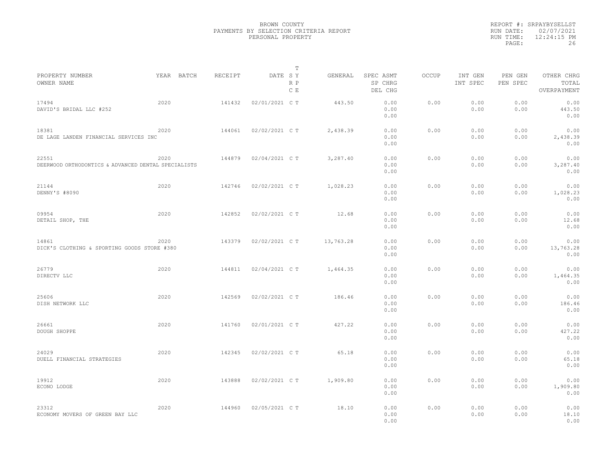|                                                              |            |         | $\mathbb T$           |           |                                 |       |                     |                     |                                    |  |
|--------------------------------------------------------------|------------|---------|-----------------------|-----------|---------------------------------|-------|---------------------|---------------------|------------------------------------|--|
| PROPERTY NUMBER<br>OWNER NAME                                | YEAR BATCH | RECEIPT | DATE SY<br>R P<br>C E | GENERAL   | SPEC ASMT<br>SP CHRG<br>DEL CHG | OCCUP | INT GEN<br>INT SPEC | PEN GEN<br>PEN SPEC | OTHER CHRG<br>TOTAL<br>OVERPAYMENT |  |
| 17494<br>DAVID'S BRIDAL LLC #252                             | 2020       | 141432  | 02/01/2021 C T        | 443.50    | 0.00<br>0.00<br>0.00            | 0.00  | 0.00<br>0.00        | 0.00<br>0.00        | 0.00<br>443.50<br>0.00             |  |
| 18381<br>DE LAGE LANDEN FINANCIAL SERVICES INC               | 2020       | 144061  | 02/02/2021 C T        | 2,438.39  | 0.00<br>0.00<br>0.00            | 0.00  | 0.00<br>0.00        | 0.00<br>0.00        | 0.00<br>2,438.39<br>0.00           |  |
| 22551<br>DEERWOOD ORTHODONTICS & ADVANCED DENTAL SPECIALISTS | 2020       | 144879  | 02/04/2021 C T        | 3,287.40  | 0.00<br>0.00<br>0.00            | 0.00  | 0.00<br>0.00        | 0.00<br>0.00        | 0.00<br>3,287.40<br>0.00           |  |
| 21144<br>DENNY'S #8090                                       | 2020       | 142746  | 02/02/2021 C T        | 1,028.23  | 0.00<br>0.00<br>0.00            | 0.00  | 0.00<br>0.00        | 0.00<br>0.00        | 0.00<br>1,028.23<br>0.00           |  |
| 09954<br>DETAIL SHOP, THE                                    | 2020       | 142852  | 02/02/2021 C T        | 12.68     | 0.00<br>0.00<br>0.00            | 0.00  | 0.00<br>0.00        | 0.00<br>0.00        | 0.00<br>12.68<br>0.00              |  |
| 14861<br>DICK'S CLOTHING & SPORTING GOODS STORE #380         | 2020       | 143379  | 02/02/2021 C T        | 13,763.28 | 0.00<br>0.00<br>0.00            | 0.00  | 0.00<br>0.00        | 0.00<br>0.00        | 0.00<br>13,763.28<br>0.00          |  |
| 26779<br>DIRECTV LLC                                         | 2020       | 144811  | 02/04/2021 C T        | 1,464.35  | 0.00<br>0.00<br>0.00            | 0.00  | 0.00<br>0.00        | 0.00<br>0.00        | 0.00<br>1,464.35<br>0.00           |  |
| 25606<br>DISH NETWORK LLC                                    | 2020       | 142569  | 02/02/2021 C T        | 186.46    | 0.00<br>0.00<br>0.00            | 0.00  | 0.00<br>0.00        | 0.00<br>0.00        | 0.00<br>186.46<br>0.00             |  |
| 26661<br>DOUGH SHOPPE                                        | 2020       | 141760  | 02/01/2021 C T        | 427.22    | 0.00<br>0.00<br>0.00            | 0.00  | 0.00<br>0.00        | 0.00<br>0.00        | 0.00<br>427.22<br>0.00             |  |
| 24029<br>DUELL FINANCIAL STRATEGIES                          | 2020       | 142345  | 02/02/2021 C T        | 65.18     | 0.00<br>0.00<br>0.00            | 0.00  | 0.00<br>0.00        | 0.00<br>0.00        | 0.00<br>65.18<br>0.00              |  |
| 19912<br>ECONO LODGE                                         | 2020       | 143888  | 02/02/2021 C T        | 1,909.80  | 0.00<br>0.00<br>0.00            | 0.00  | 0.00<br>0.00        | 0.00<br>0.00        | 0.00<br>1,909.80<br>0.00           |  |
| 23312<br>ECONOMY MOVERS OF GREEN BAY LLC                     | 2020       | 144960  | 02/05/2021 C T        | 18.10     | 0.00<br>0.00<br>0.00            | 0.00  | 0.00<br>0.00        | 0.00<br>0.00        | 0.00<br>18.10<br>0.00              |  |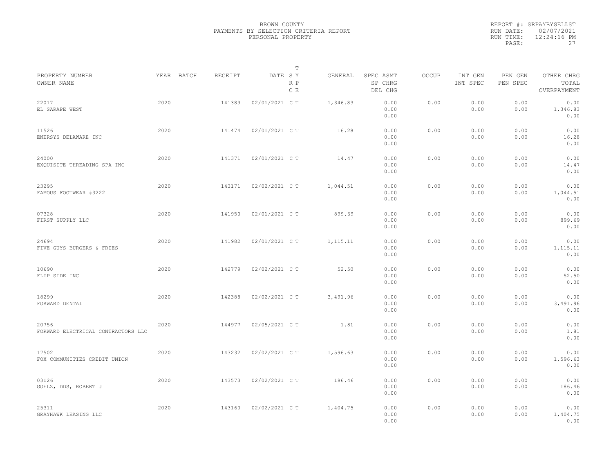|           | REPORT #: SRPAYBYSELLST |
|-----------|-------------------------|
|           | RUN DATE: 02/07/2021    |
| RUN TIME: | 12:24:16 PM             |
| PAGE:     | 27                      |
|           |                         |

| PROPERTY NUMBER                             |      |            | RECEIPT |                | Т                              |           | SPEC ASMT            | OCCUP | INT GEN      |                     | OTHER CHRG               |  |
|---------------------------------------------|------|------------|---------|----------------|--------------------------------|-----------|----------------------|-------|--------------|---------------------|--------------------------|--|
| OWNER NAME                                  |      | YEAR BATCH |         | DATE SY        | $\mathbb R$ $\mathbb P$<br>C E | GENERAL   | SP CHRG<br>DEL CHG   |       | INT SPEC     | PEN GEN<br>PEN SPEC | TOTAL<br>OVERPAYMENT     |  |
| 22017<br>EL SARAPE WEST                     | 2020 |            | 141383  | 02/01/2021 C T |                                | 1,346.83  | 0.00<br>0.00<br>0.00 | 0.00  | 0.00<br>0.00 | 0.00<br>0.00        | 0.00<br>1,346.83<br>0.00 |  |
| 11526<br>ENERSYS DELAWARE INC               | 2020 |            | 141474  | 02/01/2021 C T |                                | 16.28     | 0.00<br>0.00<br>0.00 | 0.00  | 0.00<br>0.00 | 0.00<br>0.00        | 0.00<br>16.28<br>0.00    |  |
| 24000<br>EXQUISITE THREADING SPA INC        | 2020 |            | 141371  | 02/01/2021 C T |                                | 14.47     | 0.00<br>0.00<br>0.00 | 0.00  | 0.00<br>0.00 | 0.00<br>0.00        | 0.00<br>14.47<br>0.00    |  |
| 23295<br>FAMOUS FOOTWEAR #3222              | 2020 |            | 143171  | 02/02/2021 C T |                                | 1,044.51  | 0.00<br>0.00<br>0.00 | 0.00  | 0.00<br>0.00 | 0.00<br>0.00        | 0.00<br>1,044.51<br>0.00 |  |
| 07328<br>FIRST SUPPLY LLC                   | 2020 |            | 141950  | 02/01/2021 C T |                                | 899.69    | 0.00<br>0.00<br>0.00 | 0.00  | 0.00<br>0.00 | 0.00<br>0.00        | 0.00<br>899.69<br>0.00   |  |
| 24694<br>FIVE GUYS BURGERS & FRIES          | 2020 |            | 141982  | 02/01/2021 C T |                                | 1, 115.11 | 0.00<br>0.00<br>0.00 | 0.00  | 0.00<br>0.00 | 0.00<br>0.00        | 0.00<br>1,115.11<br>0.00 |  |
| 10690<br>FLIP SIDE INC                      | 2020 |            | 142779  | 02/02/2021 C T |                                | 52.50     | 0.00<br>0.00<br>0.00 | 0.00  | 0.00<br>0.00 | 0.00<br>0.00        | 0.00<br>52.50<br>0.00    |  |
| 18299<br>FORWARD DENTAL                     | 2020 |            | 142388  | 02/02/2021 C T |                                | 3,491.96  | 0.00<br>0.00<br>0.00 | 0.00  | 0.00<br>0.00 | 0.00<br>0.00        | 0.00<br>3,491.96<br>0.00 |  |
| 20756<br>FORWARD ELECTRICAL CONTRACTORS LLC | 2020 |            | 144977  | 02/05/2021 C T |                                | 1.81      | 0.00<br>0.00<br>0.00 | 0.00  | 0.00<br>0.00 | 0.00<br>0.00        | 0.00<br>1.81<br>0.00     |  |
| 17502<br>FOX COMMUNITIES CREDIT UNION       | 2020 |            | 143232  | 02/02/2021 C T |                                | 1,596.63  | 0.00<br>0.00<br>0.00 | 0.00  | 0.00<br>0.00 | 0.00<br>0.00        | 0.00<br>1,596.63<br>0.00 |  |
| 03126<br>GOELZ, DDS, ROBERT J               | 2020 |            | 143573  | 02/02/2021 C T |                                | 186.46    | 0.00<br>0.00<br>0.00 | 0.00  | 0.00<br>0.00 | 0.00<br>0.00        | 0.00<br>186.46<br>0.00   |  |
| 25311<br>GRAYHAWK LEASING LLC               | 2020 |            | 143160  | 02/02/2021 C T |                                | 1,404.75  | 0.00<br>0.00<br>0.00 | 0.00  | 0.00<br>0.00 | 0.00<br>0.00        | 0.00<br>1,404.75<br>0.00 |  |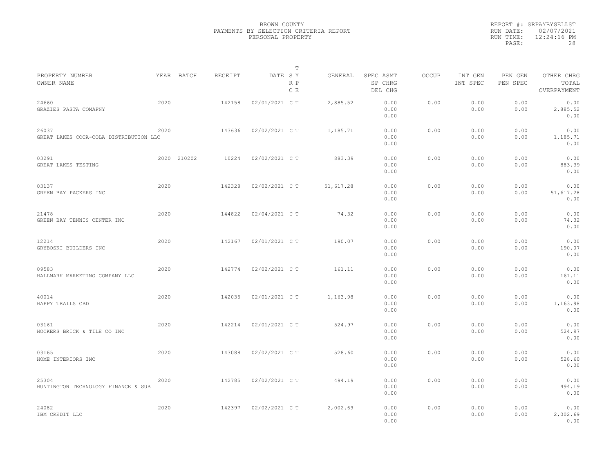|           | REPORT #: SRPAYBYSELLST |
|-----------|-------------------------|
|           | RUN DATE: 02/07/2021    |
| RUN TIME: | $12:24:16$ PM           |
| PAGE:     | 28                      |

| PROPERTY NUMBER                                 |      | YEAR BATCH  | RECEIPT | DATE SY        | Т          | GENERAL   | SPEC ASMT            | OCCUP | INT GEN      | PEN GEN      | OTHER CHRG                |  |
|-------------------------------------------------|------|-------------|---------|----------------|------------|-----------|----------------------|-------|--------------|--------------|---------------------------|--|
| OWNER NAME                                      |      |             |         |                | R P<br>C E |           | SP CHRG<br>DEL CHG   |       | INT SPEC     | PEN SPEC     | TOTAL<br>OVERPAYMENT      |  |
| 24660<br>GRAZIES PASTA COMAPNY                  | 2020 |             | 142158  | 02/01/2021 C T |            | 2,885.52  | 0.00<br>0.00<br>0.00 | 0.00  | 0.00<br>0.00 | 0.00<br>0.00 | 0.00<br>2,885.52<br>0.00  |  |
| 26037<br>GREAT LAKES COCA-COLA DISTRIBUTION LLC | 2020 |             | 143636  | 02/02/2021 C T |            | 1,185.71  | 0.00<br>0.00<br>0.00 | 0.00  | 0.00<br>0.00 | 0.00<br>0.00 | 0.00<br>1,185.71<br>0.00  |  |
| 03291<br>GREAT LAKES TESTING                    |      | 2020 210202 | 10224   | 02/02/2021 C T |            | 883.39    | 0.00<br>0.00<br>0.00 | 0.00  | 0.00<br>0.00 | 0.00<br>0.00 | 0.00<br>883.39<br>0.00    |  |
| 03137<br>GREEN BAY PACKERS INC                  | 2020 |             | 142328  | 02/02/2021 C T |            | 51,617.28 | 0.00<br>0.00<br>0.00 | 0.00  | 0.00<br>0.00 | 0.00<br>0.00 | 0.00<br>51,617.28<br>0.00 |  |
| 21478<br>GREEN BAY TENNIS CENTER INC            | 2020 |             | 144822  | 02/04/2021 C T |            | 74.32     | 0.00<br>0.00<br>0.00 | 0.00  | 0.00<br>0.00 | 0.00<br>0.00 | 0.00<br>74.32<br>0.00     |  |
| 12214<br>GRYBOSKI BUILDERS INC                  | 2020 |             | 142167  | 02/01/2021 C T |            | 190.07    | 0.00<br>0.00<br>0.00 | 0.00  | 0.00<br>0.00 | 0.00<br>0.00 | 0.00<br>190.07<br>0.00    |  |
| 09583<br>HALLMARK MARKETING COMPANY LLC         | 2020 |             | 142774  | 02/02/2021 C T |            | 161.11    | 0.00<br>0.00<br>0.00 | 0.00  | 0.00<br>0.00 | 0.00<br>0.00 | 0.00<br>161.11<br>0.00    |  |
| 40014<br>HAPPY TRAILS CBD                       | 2020 |             | 142035  | 02/01/2021 C T |            | 1,163.98  | 0.00<br>0.00<br>0.00 | 0.00  | 0.00<br>0.00 | 0.00<br>0.00 | 0.00<br>1,163.98<br>0.00  |  |
| 03161<br>HOCKERS BRICK & TILE CO INC            | 2020 |             | 142214  | 02/01/2021 C T |            | 524.97    | 0.00<br>0.00<br>0.00 | 0.00  | 0.00<br>0.00 | 0.00<br>0.00 | 0.00<br>524.97<br>0.00    |  |
| 03165<br>HOME INTERIORS INC                     | 2020 |             | 143088  | 02/02/2021 C T |            | 528.60    | 0.00<br>0.00<br>0.00 | 0.00  | 0.00<br>0.00 | 0.00<br>0.00 | 0.00<br>528.60<br>0.00    |  |
| 25304<br>HUNTINGTON TECHNOLOGY FINANCE & SUB    | 2020 |             | 142785  | 02/02/2021 C T |            | 494.19    | 0.00<br>0.00<br>0.00 | 0.00  | 0.00<br>0.00 | 0.00<br>0.00 | 0.00<br>494.19<br>0.00    |  |
| 24082<br>IBM CREDIT LLC                         | 2020 |             | 142397  | 02/02/2021 C T |            | 2,002.69  | 0.00<br>0.00<br>0.00 | 0.00  | 0.00<br>0.00 | 0.00<br>0.00 | 0.00<br>2,002.69<br>0.00  |  |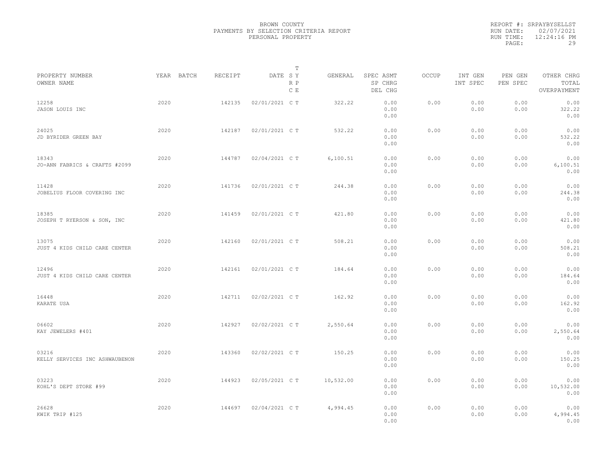|                                         |            |         | $\mathbb T$           |           |                                 |              |                     |                     |                                    |  |
|-----------------------------------------|------------|---------|-----------------------|-----------|---------------------------------|--------------|---------------------|---------------------|------------------------------------|--|
| PROPERTY NUMBER<br>OWNER NAME           | YEAR BATCH | RECEIPT | DATE SY<br>R P<br>C E | GENERAL   | SPEC ASMT<br>SP CHRG<br>DEL CHG | <b>OCCUP</b> | INT GEN<br>INT SPEC | PEN GEN<br>PEN SPEC | OTHER CHRG<br>TOTAL<br>OVERPAYMENT |  |
| 12258<br>JASON LOUIS INC                | 2020       | 142135  | 02/01/2021 C T        | 322.22    | 0.00<br>0.00<br>0.00            | 0.00         | 0.00<br>0.00        | 0.00<br>0.00        | 0.00<br>322.22<br>0.00             |  |
| 24025<br>JD BYRIDER GREEN BAY           | 2020       | 142187  | 02/01/2021 C T        | 532.22    | 0.00<br>0.00<br>0.00            | 0.00         | 0.00<br>0.00        | 0.00<br>0.00        | 0.00<br>532.22<br>0.00             |  |
| 18343<br>JO-ANN FABRICS & CRAFTS #2099  | 2020       | 144787  | 02/04/2021 C T        | 6,100.51  | 0.00<br>0.00<br>0.00            | 0.00         | 0.00<br>0.00        | 0.00<br>0.00        | 0.00<br>6,100.51<br>0.00           |  |
| 11428<br>JOBELIUS FLOOR COVERING INC    | 2020       | 141736  | 02/01/2021 C T        | 244.38    | 0.00<br>0.00<br>0.00            | 0.00         | 0.00<br>0.00        | 0.00<br>0.00        | 0.00<br>244.38<br>0.00             |  |
| 18385<br>JOSEPH T RYERSON & SON, INC    | 2020       | 141459  | 02/01/2021 C T        | 421.80    | 0.00<br>0.00<br>0.00            | 0.00         | 0.00<br>0.00        | 0.00<br>0.00        | 0.00<br>421.80<br>0.00             |  |
| 13075<br>JUST 4 KIDS CHILD CARE CENTER  | 2020       | 142160  | 02/01/2021 C T        | 508.21    | 0.00<br>0.00<br>0.00            | 0.00         | 0.00<br>0.00        | 0.00<br>0.00        | 0.00<br>508.21<br>0.00             |  |
| 12496<br>JUST 4 KIDS CHILD CARE CENTER  | 2020       | 142161  | 02/01/2021 C T        | 184.64    | 0.00<br>0.00<br>0.00            | 0.00         | 0.00<br>0.00        | 0.00<br>0.00        | 0.00<br>184.64<br>0.00             |  |
| 16448<br>KARATE USA                     | 2020       | 142711  | 02/02/2021 C T        | 162.92    | 0.00<br>0.00<br>0.00            | 0.00         | 0.00<br>0.00        | 0.00<br>0.00        | 0.00<br>162.92<br>0.00             |  |
| 06602<br>KAY JEWELERS #401              | 2020       | 142927  | 02/02/2021 C T        | 2,550.64  | 0.00<br>0.00<br>0.00            | 0.00         | 0.00<br>0.00        | 0.00<br>0.00        | 0.00<br>2,550.64<br>0.00           |  |
| 03216<br>KELLY SERVICES INC ASHWAUBENON | 2020       | 143360  | 02/02/2021 C T        | 150.25    | 0.00<br>0.00<br>0.00            | 0.00         | 0.00<br>0.00        | 0.00<br>0.00        | 0.00<br>150.25<br>0.00             |  |
| 03223<br>KOHL'S DEPT STORE #99          | 2020       | 144923  | 02/05/2021 C T        | 10,532.00 | 0.00<br>0.00<br>0.00            | 0.00         | 0.00<br>0.00        | 0.00<br>0.00        | 0.00<br>10,532.00<br>0.00          |  |
| 26628<br>KWIK TRIP #125                 | 2020       | 144697  | 02/04/2021 C T        | 4,994.45  | 0.00<br>0.00<br>0.00            | 0.00         | 0.00<br>0.00        | 0.00<br>0.00        | 0.00<br>4,994.45<br>0.00           |  |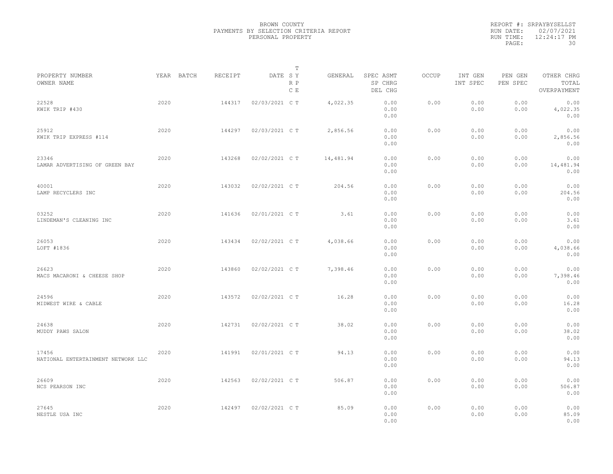|           | REPORT #: SRPAYBYSELLST |
|-----------|-------------------------|
|           | RUN DATE: 02/07/2021    |
| RUN TIME: | 12:24:17 PM             |
| PAGE:     | 30                      |
|           |                         |

|                                             |      |            |         |                | Т          |           |                                 |       |                     |                     |                                    |  |
|---------------------------------------------|------|------------|---------|----------------|------------|-----------|---------------------------------|-------|---------------------|---------------------|------------------------------------|--|
| PROPERTY NUMBER<br>OWNER NAME               |      | YEAR BATCH | RECEIPT | DATE SY        | R P<br>C E | GENERAL   | SPEC ASMT<br>SP CHRG<br>DEL CHG | OCCUP | INT GEN<br>INT SPEC | PEN GEN<br>PEN SPEC | OTHER CHRG<br>TOTAL<br>OVERPAYMENT |  |
| 22528<br>KWIK TRIP #430                     | 2020 |            | 144317  | 02/03/2021 C T |            | 4,022.35  | 0.00<br>0.00<br>0.00            | 0.00  | 0.00<br>0.00        | 0.00<br>0.00        | 0.00<br>4,022.35<br>0.00           |  |
| 25912<br>KWIK TRIP EXPRESS #114             | 2020 |            | 144297  | 02/03/2021 C T |            | 2,856.56  | 0.00<br>0.00<br>0.00            | 0.00  | 0.00<br>0.00        | 0.00<br>0.00        | 0.00<br>2,856.56<br>0.00           |  |
| 23346<br>LAMAR ADVERTISING OF GREEN BAY     | 2020 |            | 143268  | 02/02/2021 C T |            | 14,481.94 | 0.00<br>0.00<br>0.00            | 0.00  | 0.00<br>0.00        | 0.00<br>0.00        | 0.00<br>14,481.94<br>0.00          |  |
| 40001<br>LAMP RECYCLERS INC                 | 2020 |            | 143032  | 02/02/2021 C T |            | 204.56    | 0.00<br>0.00<br>0.00            | 0.00  | 0.00<br>0.00        | 0.00<br>0.00        | 0.00<br>204.56<br>0.00             |  |
| 03252<br>LINDEMAN'S CLEANING INC            | 2020 |            | 141636  | 02/01/2021 C T |            | 3.61      | 0.00<br>0.00<br>0.00            | 0.00  | 0.00<br>0.00        | 0.00<br>0.00        | 0.00<br>3.61<br>0.00               |  |
| 26053<br>LOFT #1836                         | 2020 |            | 143434  | 02/02/2021 C T |            | 4,038.66  | 0.00<br>0.00<br>0.00            | 0.00  | 0.00<br>0.00        | 0.00<br>0.00        | 0.00<br>4,038.66<br>0.00           |  |
| 26623<br>MACS MACARONI & CHEESE SHOP        | 2020 |            | 143860  | 02/02/2021 C T |            | 7,398.46  | 0.00<br>0.00<br>0.00            | 0.00  | 0.00<br>0.00        | 0.00<br>0.00        | 0.00<br>7,398.46<br>0.00           |  |
| 24596<br>MIDWEST WIRE & CABLE               | 2020 |            | 143572  | 02/02/2021 C T |            | 16.28     | 0.00<br>0.00<br>0.00            | 0.00  | 0.00<br>0.00        | 0.00<br>0.00        | 0.00<br>16.28<br>0.00              |  |
| 24638<br>MUDDY PAWS SALON                   | 2020 |            | 142731  | 02/02/2021 C T |            | 38.02     | 0.00<br>0.00<br>0.00            | 0.00  | 0.00<br>0.00        | 0.00<br>0.00        | 0.00<br>38.02<br>0.00              |  |
| 17456<br>NATIONAL ENTERTAINMENT NETWORK LLC | 2020 |            | 141991  | 02/01/2021 C T |            | 94.13     | 0.00<br>0.00<br>0.00            | 0.00  | 0.00<br>0.00        | 0.00<br>0.00        | 0.00<br>94.13<br>0.00              |  |
| 26609<br>NCS PEARSON INC                    | 2020 |            | 142563  | 02/02/2021 C T |            | 506.87    | 0.00<br>0.00<br>0.00            | 0.00  | 0.00<br>0.00        | 0.00<br>0.00        | 0.00<br>506.87<br>0.00             |  |
| 27645<br>NESTLE USA INC                     | 2020 |            | 142497  | 02/02/2021 C T |            | 85.09     | 0.00<br>0.00<br>0.00            | 0.00  | 0.00<br>0.00        | 0.00<br>0.00        | 0.00<br>85.09<br>0.00              |  |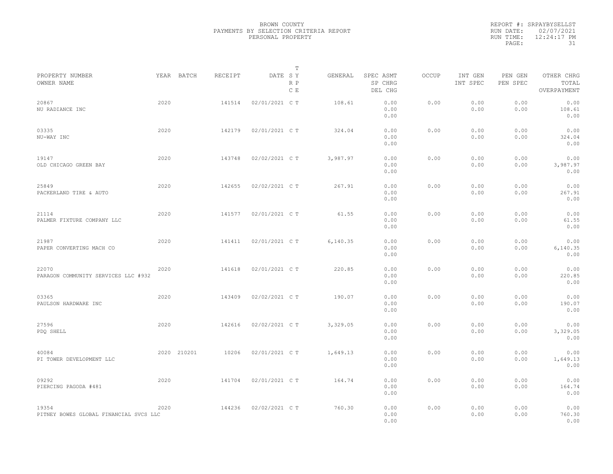|                                                 |      |             |         |                | T          |          |                                 |       |                     |                     |                                    |
|-------------------------------------------------|------|-------------|---------|----------------|------------|----------|---------------------------------|-------|---------------------|---------------------|------------------------------------|
| PROPERTY NUMBER<br>OWNER NAME                   |      | YEAR BATCH  | RECEIPT | DATE SY        | R P<br>C E | GENERAL  | SPEC ASMT<br>SP CHRG<br>DEL CHG | OCCUP | INT GEN<br>INT SPEC | PEN GEN<br>PEN SPEC | OTHER CHRG<br>TOTAL<br>OVERPAYMENT |
| 20867<br>NU RADIANCE INC                        | 2020 |             | 141514  | 02/01/2021 C T |            | 108.61   | 0.00<br>0.00<br>0.00            | 0.00  | 0.00<br>0.00        | 0.00<br>0.00        | 0.00<br>108.61<br>0.00             |
| 03335<br>NU-WAY INC                             | 2020 |             | 142179  | 02/01/2021 C T |            | 324.04   | 0.00<br>0.00<br>0.00            | 0.00  | 0.00<br>0.00        | 0.00<br>0.00        | 0.00<br>324.04<br>0.00             |
| 19147<br>OLD CHICAGO GREEN BAY                  | 2020 |             | 143748  | 02/02/2021 C T |            | 3,987.97 | 0.00<br>0.00<br>0.00            | 0.00  | 0.00<br>0.00        | 0.00<br>0.00        | 0.00<br>3,987.97<br>0.00           |
| 25849<br>PACKERLAND TIRE & AUTO                 | 2020 |             | 142655  | 02/02/2021 C T |            | 267.91   | 0.00<br>0.00<br>0.00            | 0.00  | 0.00<br>0.00        | 0.00<br>0.00        | 0.00<br>267.91<br>0.00             |
| 21114<br>PALMER FIXTURE COMPANY LLC             | 2020 |             | 141577  | 02/01/2021 C T |            | 61.55    | 0.00<br>0.00<br>0.00            | 0.00  | 0.00<br>0.00        | 0.00<br>0.00        | 0.00<br>61.55<br>0.00              |
| 21987<br>PAPER CONVERTING MACH CO               | 2020 |             | 141411  | 02/01/2021 C T |            | 6,140.35 | 0.00<br>0.00<br>0.00            | 0.00  | 0.00<br>0.00        | 0.00<br>0.00        | 0.00<br>6, 140.35<br>0.00          |
| 22070<br>PARAGON COMMUNITY SERVICES LLC #932    | 2020 |             | 141618  | 02/01/2021 C T |            | 220.85   | 0.00<br>0.00<br>0.00            | 0.00  | 0.00<br>0.00        | 0.00<br>0.00        | 0.00<br>220.85<br>0.00             |
| 03365<br>PAULSON HARDWARE INC                   | 2020 |             | 143409  | 02/02/2021 C T |            | 190.07   | 0.00<br>0.00<br>0.00            | 0.00  | 0.00<br>0.00        | 0.00<br>0.00        | 0.00<br>190.07<br>0.00             |
| 27596<br>PDQ SHELL                              | 2020 |             | 142616  | 02/02/2021 C T |            | 3,329.05 | 0.00<br>0.00<br>0.00            | 0.00  | 0.00<br>0.00        | 0.00<br>0.00        | 0.00<br>3,329.05<br>0.00           |
| 40084<br>PI TOWER DEVELOPMENT LLC               |      | 2020 210201 | 10206   | 02/01/2021 C T |            | 1,649.13 | 0.00<br>0.00<br>0.00            | 0.00  | 0.00<br>0.00        | 0.00<br>0.00        | 0.00<br>1,649.13<br>0.00           |
| 09292<br>PIERCING PAGODA #481                   | 2020 |             | 141704  | 02/01/2021 C T |            | 164.74   | 0.00<br>0.00<br>0.00            | 0.00  | 0.00<br>0.00        | 0.00<br>0.00        | 0.00<br>164.74<br>0.00             |
| 19354<br>PITNEY BOWES GLOBAL FINANCIAL SVCS LLC | 2020 |             | 144236  | 02/02/2021 C T |            | 760.30   | 0.00<br>0.00<br>0.00            | 0.00  | 0.00<br>0.00        | 0.00<br>0.00        | 0.00<br>760.30<br>0.00             |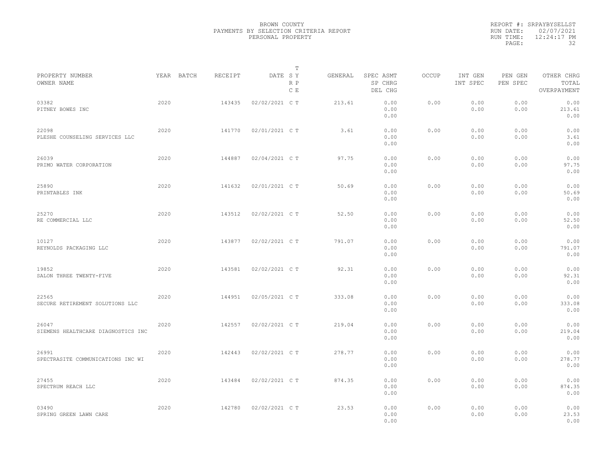|                                             |      |            |         |                | T          |         |                                 |       |                     |                     |                                    |  |
|---------------------------------------------|------|------------|---------|----------------|------------|---------|---------------------------------|-------|---------------------|---------------------|------------------------------------|--|
| PROPERTY NUMBER<br>OWNER NAME               |      | YEAR BATCH | RECEIPT | DATE SY        | R P<br>C E | GENERAL | SPEC ASMT<br>SP CHRG<br>DEL CHG | OCCUP | INT GEN<br>INT SPEC | PEN GEN<br>PEN SPEC | OTHER CHRG<br>TOTAL<br>OVERPAYMENT |  |
| 03382<br>PITNEY BOWES INC                   | 2020 |            | 143435  | 02/02/2021 C T |            | 213.61  | 0.00<br>0.00<br>0.00            | 0.00  | 0.00<br>0.00        | 0.00<br>0.00        | 0.00<br>213.61<br>0.00             |  |
| 22098<br>PLESHE COUNSELING SERVICES LLC     | 2020 |            | 141770  | 02/01/2021 C T |            | 3.61    | 0.00<br>0.00<br>0.00            | 0.00  | 0.00<br>0.00        | 0.00<br>0.00        | 0.00<br>3.61<br>0.00               |  |
| 26039<br>PRIMO WATER CORPORATION            | 2020 |            | 144887  | 02/04/2021 C T |            | 97.75   | 0.00<br>0.00<br>0.00            | 0.00  | 0.00<br>0.00        | 0.00<br>0.00        | 0.00<br>97.75<br>0.00              |  |
| 25890<br>PRINTABLES INK                     | 2020 |            | 141632  | 02/01/2021 C T |            | 50.69   | 0.00<br>0.00<br>0.00            | 0.00  | 0.00<br>0.00        | 0.00<br>0.00        | 0.00<br>50.69<br>0.00              |  |
| 25270<br>RE COMMERCIAL LLC                  | 2020 |            | 143512  | 02/02/2021 C T |            | 52.50   | 0.00<br>0.00<br>0.00            | 0.00  | 0.00<br>0.00        | 0.00<br>0.00        | 0.00<br>52.50<br>0.00              |  |
| 10127<br>REYNOLDS PACKAGING LLC             | 2020 |            | 143877  | 02/02/2021 C T |            | 791.07  | 0.00<br>0.00<br>0.00            | 0.00  | 0.00<br>0.00        | 0.00<br>0.00        | 0.00<br>791.07<br>0.00             |  |
| 19852<br>SALON THREE TWENTY-FIVE            | 2020 |            | 143581  | 02/02/2021 C T |            | 92.31   | 0.00<br>0.00<br>0.00            | 0.00  | 0.00<br>0.00        | 0.00<br>0.00        | 0.00<br>92.31<br>0.00              |  |
| 22565<br>SECURE RETIREMENT SOLUTIONS LLC    | 2020 |            | 144951  | 02/05/2021 C T |            | 333.08  | 0.00<br>0.00<br>0.00            | 0.00  | 0.00<br>0.00        | 0.00<br>0.00        | 0.00<br>333.08<br>0.00             |  |
| 26047<br>SIEMENS HEALTHCARE DIAGNOSTICS INC | 2020 |            | 142557  | 02/02/2021 C T |            | 219.04  | 0.00<br>0.00<br>0.00            | 0.00  | 0.00<br>0.00        | 0.00<br>0.00        | 0.00<br>219.04<br>0.00             |  |
| 26991<br>SPECTRASITE COMMUNICATIONS INC WI  | 2020 |            | 142443  | 02/02/2021 C T |            | 278.77  | 0.00<br>0.00<br>0.00            | 0.00  | 0.00<br>0.00        | 0.00<br>0.00        | 0.00<br>278.77<br>0.00             |  |
| 27455<br>SPECTRUM REACH LLC                 | 2020 |            | 143484  | 02/02/2021 C T |            | 874.35  | 0.00<br>0.00<br>0.00            | 0.00  | 0.00<br>0.00        | 0.00<br>0.00        | 0.00<br>874.35<br>0.00             |  |
| 03490<br>SPRING GREEN LAWN CARE             | 2020 |            | 142780  | 02/02/2021 C T |            | 23.53   | 0.00<br>0.00<br>0.00            | 0.00  | 0.00<br>0.00        | 0.00<br>0.00        | 0.00<br>23.53<br>0.00              |  |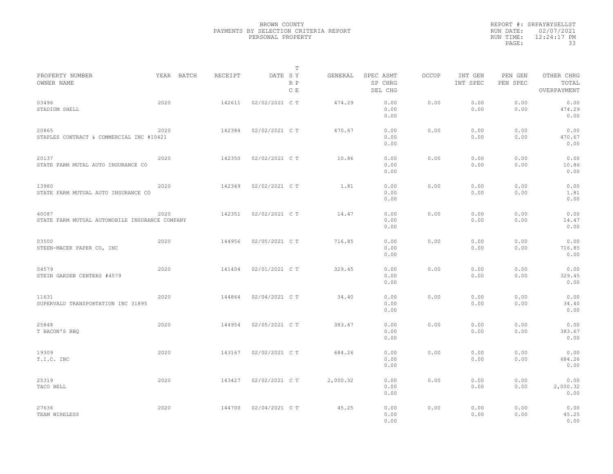|                                                         |            |         |                | T          |          |                                 |              |                     |                     |                                    |
|---------------------------------------------------------|------------|---------|----------------|------------|----------|---------------------------------|--------------|---------------------|---------------------|------------------------------------|
| PROPERTY NUMBER<br>OWNER NAME                           | YEAR BATCH | RECEIPT | DATE SY        | R P<br>C E | GENERAL  | SPEC ASMT<br>SP CHRG<br>DEL CHG | <b>OCCUP</b> | INT GEN<br>INT SPEC | PEN GEN<br>PEN SPEC | OTHER CHRG<br>TOTAL<br>OVERPAYMENT |
| 03496<br>STADIUM SHELL                                  | 2020       | 142611  | 02/02/2021 C T |            | 474.29   | 0.00<br>0.00<br>0.00            | 0.00         | 0.00<br>0.00        | 0.00<br>0.00        | 0.00<br>474.29<br>0.00             |
| 20865<br>STAPLES CONTRACT & COMMERCIAL INC #10421       | 2020       | 142384  | 02/02/2021 C T |            | 470.67   | 0.00<br>0.00<br>0.00            | 0.00         | 0.00<br>0.00        | 0.00<br>0.00        | 0.00<br>470.67<br>0.00             |
| 20137<br>STATE FARM MUTAL AUTO INSURANCE CO             | 2020       | 142350  | 02/02/2021 C T |            | 10.86    | 0.00<br>0.00<br>0.00            | 0.00         | 0.00<br>0.00        | 0.00<br>0.00        | 0.00<br>10.86<br>0.00              |
| 13980<br>STATE FARM MUTUAL AUTO INSURANCE CO            | 2020       | 142349  | 02/02/2021 C T |            | 1.81     | 0.00<br>0.00<br>0.00            | 0.00         | 0.00<br>0.00        | 0.00<br>0.00        | 0.00<br>1.81<br>0.00               |
| 40087<br>STATE FARM MUTUAL AUTOMOBILE INSURANCE COMPANY | 2020       | 142351  | 02/02/2021 C T |            | 14.47    | 0.00<br>0.00<br>0.00            | 0.00         | 0.00<br>0.00        | 0.00<br>0.00        | 0.00<br>14.47<br>0.00              |
| 03500<br>STEEN-MACEK PAPER CO, INC                      | 2020       | 144956  | 02/05/2021 C T |            | 716.85   | 0.00<br>0.00<br>0.00            | 0.00         | 0.00<br>0.00        | 0.00<br>0.00        | 0.00<br>716.85<br>0.00             |
| 04579<br>STEIN GARDEN CENTERS #4579                     | 2020       | 141404  | 02/01/2021 C T |            | 329.45   | 0.00<br>0.00<br>0.00            | 0.00         | 0.00<br>0.00        | 0.00<br>0.00        | 0.00<br>329.45<br>0.00             |
| 11631<br>SUPERVALU TRANSPORTATION INC 31895             | 2020       | 144864  | 02/04/2021 C T |            | 34.40    | 0.00<br>0.00<br>0.00            | 0.00         | 0.00<br>0.00        | 0.00<br>0.00        | 0.00<br>34.40<br>0.00              |
| 25848<br>T BACON'S BBQ                                  | 2020       | 144954  | 02/05/2021 C T |            | 383.67   | 0.00<br>0.00<br>0.00            | 0.00         | 0.00<br>0.00        | 0.00<br>0.00        | 0.00<br>383.67<br>0.00             |
| 19309<br>T.I.C. INC                                     | 2020       | 143167  | 02/02/2021 C T |            | 684.26   | 0.00<br>0.00<br>0.00            | 0.00         | 0.00<br>0.00        | 0.00<br>0.00        | 0.00<br>684.26<br>0.00             |
| 25319<br>TACO BELL                                      | 2020       | 143427  | 02/02/2021 C T |            | 2,000.32 | 0.00<br>0.00<br>0.00            | 0.00         | 0.00<br>0.00        | 0.00<br>0.00        | 0.00<br>2,000.32<br>0.00           |
| 27636<br>TEAM WIRELESS                                  | 2020       | 144700  | 02/04/2021 C T |            | 45.25    | 0.00<br>0.00<br>0.00            | 0.00         | 0.00<br>0.00        | 0.00<br>0.00        | 0.00<br>45.25<br>0.00              |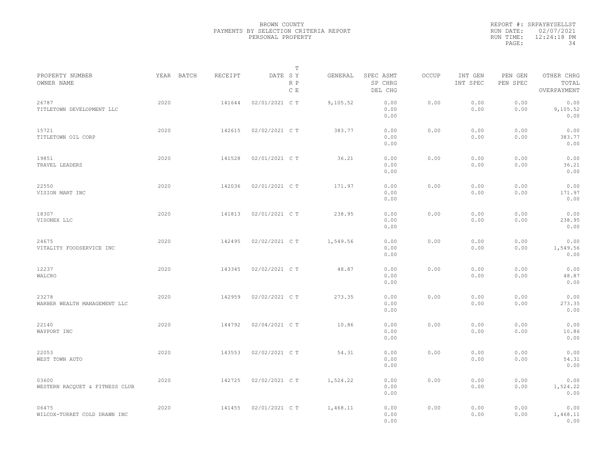|                                         |            |         | T                     |          |                                 |       |                     |                     |                                    |  |
|-----------------------------------------|------------|---------|-----------------------|----------|---------------------------------|-------|---------------------|---------------------|------------------------------------|--|
| PROPERTY NUMBER<br>OWNER NAME           | YEAR BATCH | RECEIPT | DATE SY<br>R P<br>C E | GENERAL  | SPEC ASMT<br>SP CHRG<br>DEL CHG | OCCUP | INT GEN<br>INT SPEC | PEN GEN<br>PEN SPEC | OTHER CHRG<br>TOTAL<br>OVERPAYMENT |  |
| 26787<br>TITLETOWN DEVELOPMENT LLC      | 2020       | 141644  | 02/01/2021 C T        | 9,105.52 | 0.00<br>0.00<br>0.00            | 0.00  | 0.00<br>0.00        | 0.00<br>0.00        | 0.00<br>9,105.52<br>0.00           |  |
| 15721<br>TITLETOWN OIL CORP             | 2020       | 142615  | 02/02/2021 C T        | 383.77   | 0.00<br>0.00<br>0.00            | 0.00  | 0.00<br>0.00        | 0.00<br>0.00        | 0.00<br>383.77<br>0.00             |  |
| 19851<br>TRAVEL LEADERS                 | 2020       | 141528  | 02/01/2021 C T        | 36.21    | 0.00<br>0.00<br>0.00            | 0.00  | 0.00<br>0.00        | 0.00<br>0.00        | 0.00<br>36.21<br>0.00              |  |
| 22550<br>VISION MART INC                | 2020       | 142036  | 02/01/2021 C T        | 171.97   | 0.00<br>0.00<br>0.00            | 0.00  | 0.00<br>0.00        | 0.00<br>0.00        | 0.00<br>171.97<br>0.00             |  |
| 18307<br>VISONEX LLC                    | 2020       | 141813  | 02/01/2021 C T        | 238.95   | 0.00<br>0.00<br>0.00            | 0.00  | 0.00<br>0.00        | 0.00<br>0.00        | 0.00<br>238.95<br>0.00             |  |
| 24675<br>VITALITY FOODSERVICE INC       | 2020       | 142495  | 02/02/2021 C T        | 1,549.56 | 0.00<br>0.00<br>0.00            | 0.00  | 0.00<br>0.00        | 0.00<br>0.00        | 0.00<br>1,549.56<br>0.00           |  |
| 12237<br>WALCRO                         | 2020       | 143345  | 02/02/2021 C T        | 48.87    | 0.00<br>0.00<br>0.00            | 0.00  | 0.00<br>0.00        | 0.00<br>0.00        | 0.00<br>48.87<br>0.00              |  |
| 23278<br>WARBER WEALTH MANAGEMENT LLC   | 2020       | 142959  | 02/02/2021 C T        | 273.35   | 0.00<br>0.00<br>0.00            | 0.00  | 0.00<br>0.00        | 0.00<br>0.00        | 0.00<br>273.35<br>0.00             |  |
| 22140<br>WAYPORT INC                    | 2020       | 144792  | 02/04/2021 C T        | 10.86    | 0.00<br>0.00<br>0.00            | 0.00  | 0.00<br>0.00        | 0.00<br>0.00        | 0.00<br>10.86<br>0.00              |  |
| 22053<br>WEST TOWN AUTO                 | 2020       | 143553  | 02/02/2021 C T        | 54.31    | 0.00<br>0.00<br>0.00            | 0.00  | 0.00<br>0.00        | 0.00<br>0.00        | 0.00<br>54.31<br>0.00              |  |
| 03600<br>WESTERN RACQUET & FITNESS CLUB | 2020       | 142725  | 02/02/2021 C T        | 1,524.22 | 0.00<br>0.00<br>0.00            | 0.00  | 0.00<br>0.00        | 0.00<br>0.00        | 0.00<br>1,524.22<br>0.00           |  |
| 06475<br>WILCOX-TURRET COLD DRAWN INC   | 2020       | 141455  | 02/01/2021 C T        | 1,468.11 | 0.00<br>0.00<br>0.00            | 0.00  | 0.00<br>0.00        | 0.00<br>0.00        | 0.00<br>1,468.11<br>0.00           |  |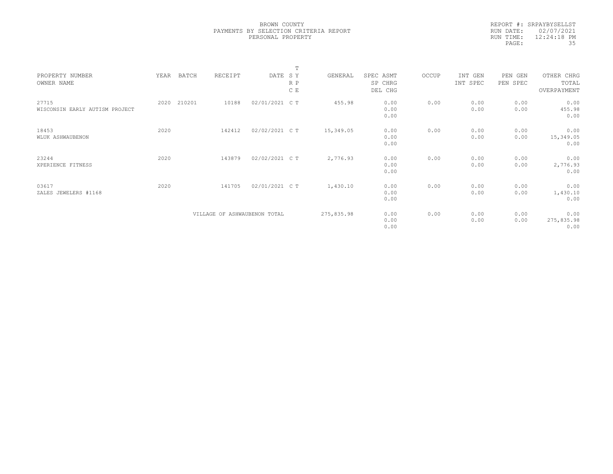|            | REPORT #: SRPAYBYSELLST |
|------------|-------------------------|
|            | RUN DATE: 02/07/2021    |
| RIIN TIME: | $12:24:18$ PM           |
| PAGE:      | 35                      |

|                                |      |        |                              |                | $\blacksquare$ |            |           |       |          |          |             |  |
|--------------------------------|------|--------|------------------------------|----------------|----------------|------------|-----------|-------|----------|----------|-------------|--|
| PROPERTY NUMBER                | YEAR | BATCH  | RECEIPT                      | DATE SY        |                | GENERAL    | SPEC ASMT | OCCUP | INT GEN  | PEN GEN  | OTHER CHRG  |  |
| OWNER NAME                     |      |        |                              |                | R P            |            | SP CHRG   |       | INT SPEC | PEN SPEC | TOTAL       |  |
|                                |      |        |                              |                | C E            |            | DEL CHG   |       |          |          | OVERPAYMENT |  |
|                                |      |        |                              |                |                |            |           |       |          |          |             |  |
| 27715                          | 2020 | 210201 | 10188                        | 02/01/2021 C T |                | 455.98     | 0.00      | 0.00  | 0.00     | 0.00     | 0.00        |  |
| WISCONSIN EARLY AUTISM PROJECT |      |        |                              |                |                |            | 0.00      |       | 0.00     | 0.00     | 455.98      |  |
|                                |      |        |                              |                |                |            | 0.00      |       |          |          | 0.00        |  |
|                                |      |        |                              |                |                |            |           |       |          |          |             |  |
| 18453                          | 2020 |        | 142412                       | 02/02/2021 C T |                | 15,349.05  | 0.00      | 0.00  | 0.00     | 0.00     | 0.00        |  |
| WLUK ASHWAUBENON               |      |        |                              |                |                |            | 0.00      |       | 0.00     | 0.00     | 15,349.05   |  |
|                                |      |        |                              |                |                |            | 0.00      |       |          |          | 0.00        |  |
| 23244                          | 2020 |        | 143879                       | 02/02/2021 C T |                | 2,776.93   | 0.00      | 0.00  | 0.00     | 0.00     | 0.00        |  |
| XPERIENCE FITNESS              |      |        |                              |                |                |            | 0.00      |       | 0.00     | 0.00     | 2,776.93    |  |
|                                |      |        |                              |                |                |            | 0.00      |       |          |          | 0.00        |  |
|                                |      |        |                              |                |                |            |           |       |          |          |             |  |
| 03617                          | 2020 |        | 141705                       | 02/01/2021 C T |                | 1,430.10   | 0.00      | 0.00  | 0.00     | 0.00     | 0.00        |  |
| ZALES JEWELERS #1168           |      |        |                              |                |                |            | 0.00      |       | 0.00     | 0.00     | 1,430.10    |  |
|                                |      |        |                              |                |                |            | 0.00      |       |          |          | 0.00        |  |
|                                |      |        |                              |                |                |            |           |       |          |          |             |  |
|                                |      |        | VILLAGE OF ASHWAUBENON TOTAL |                |                | 275,835.98 | 0.00      | 0.00  | 0.00     | 0.00     | 0.00        |  |
|                                |      |        |                              |                |                |            | 0.00      |       | 0.00     | 0.00     | 275,835.98  |  |
|                                |      |        |                              |                |                |            | 0.00      |       |          |          | 0.00        |  |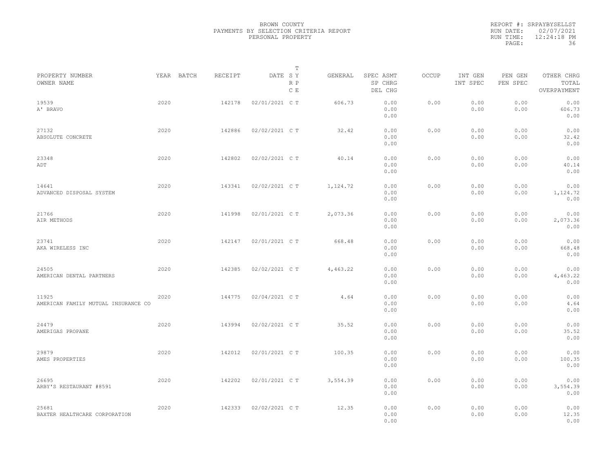|                                              |      |            |         |                | $\mathbb T$ |          |                                 |       |                     |                     |                                    |  |
|----------------------------------------------|------|------------|---------|----------------|-------------|----------|---------------------------------|-------|---------------------|---------------------|------------------------------------|--|
| PROPERTY NUMBER<br>OWNER NAME                |      | YEAR BATCH | RECEIPT | DATE SY        | R P<br>C E  | GENERAL  | SPEC ASMT<br>SP CHRG<br>DEL CHG | OCCUP | INT GEN<br>INT SPEC | PEN GEN<br>PEN SPEC | OTHER CHRG<br>TOTAL<br>OVERPAYMENT |  |
| 19539<br>A' BRAVO                            | 2020 |            | 142178  | 02/01/2021 C T |             | 606.73   | 0.00<br>0.00<br>0.00            | 0.00  | 0.00<br>0.00        | 0.00<br>0.00        | 0.00<br>606.73<br>0.00             |  |
| 27132<br>ABSOLUTE CONCRETE                   | 2020 |            | 142886  | 02/02/2021 C T |             | 32.42    | 0.00<br>0.00<br>0.00            | 0.00  | 0.00<br>0.00        | 0.00<br>0.00        | 0.00<br>32.42<br>0.00              |  |
| 23348<br>ADT                                 | 2020 |            | 142802  | 02/02/2021 C T |             | 40.14    | 0.00<br>0.00<br>0.00            | 0.00  | 0.00<br>0.00        | 0.00<br>0.00        | 0.00<br>40.14<br>0.00              |  |
| 14641<br>ADVANCED DISPOSAL SYSTEM            | 2020 |            | 143341  | 02/02/2021 C T |             | 1,124.72 | 0.00<br>0.00<br>0.00            | 0.00  | 0.00<br>0.00        | 0.00<br>0.00        | 0.00<br>1,124.72<br>0.00           |  |
| 21766<br>AIR METHODS                         | 2020 |            | 141998  | 02/01/2021 C T |             | 2,073.36 | 0.00<br>0.00<br>0.00            | 0.00  | 0.00<br>0.00        | 0.00<br>0.00        | 0.00<br>2,073.36<br>0.00           |  |
| 23741<br>AKA WIRELESS INC                    | 2020 |            | 142147  | 02/01/2021 C T |             | 668.48   | 0.00<br>0.00<br>0.00            | 0.00  | 0.00<br>0.00        | 0.00<br>0.00        | 0.00<br>668.48<br>0.00             |  |
| 24505<br>AMERICAN DENTAL PARTNERS            | 2020 |            | 142385  | 02/02/2021 C T |             | 4,463.22 | 0.00<br>0.00<br>0.00            | 0.00  | 0.00<br>0.00        | 0.00<br>0.00        | 0.00<br>4,463.22<br>0.00           |  |
| 11925<br>AMERICAN FAMILY MUTUAL INSURANCE CO | 2020 |            | 144775  | 02/04/2021 C T |             | 4.64     | 0.00<br>0.00<br>0.00            | 0.00  | 0.00<br>0.00        | 0.00<br>0.00        | 0.00<br>4.64<br>0.00               |  |
| 24479<br>AMERIGAS PROPANE                    | 2020 |            | 143994  | 02/02/2021 C T |             | 35.52    | 0.00<br>0.00<br>0.00            | 0.00  | 0.00<br>0.00        | 0.00<br>0.00        | 0.00<br>35.52<br>0.00              |  |
| 29879<br>AMES PROPERTIES                     | 2020 |            | 142012  | 02/01/2021 C T |             | 100.35   | 0.00<br>0.00<br>0.00            | 0.00  | 0.00<br>0.00        | 0.00<br>0.00        | 0.00<br>100.35<br>0.00             |  |
| 26695<br>ARBY'S RESTAURANT #8591             | 2020 |            | 142202  | 02/01/2021 C T |             | 3,554.39 | 0.00<br>0.00<br>0.00            | 0.00  | 0.00<br>0.00        | 0.00<br>0.00        | 0.00<br>3,554.39<br>0.00           |  |
| 25681<br>BAXTER HEALTHCARE CORPORATION       | 2020 |            | 142333  | 02/02/2021 C T |             | 12.35    | 0.00<br>0.00<br>0.00            | 0.00  | 0.00<br>0.00        | 0.00<br>0.00        | 0.00<br>12.35<br>0.00              |  |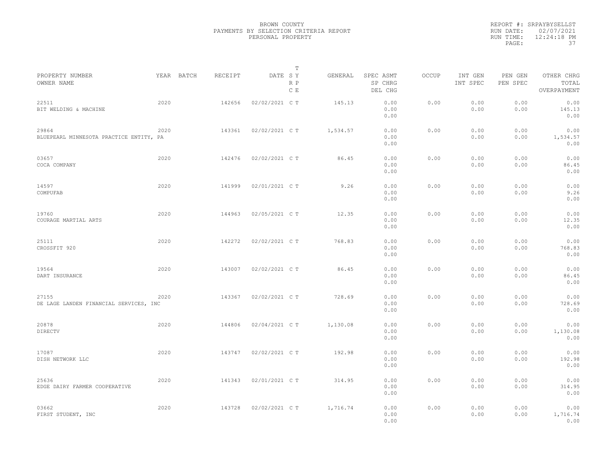|                                                  |      |            |         |                | T          |          |                                 |              |                     |                     |                                    |  |
|--------------------------------------------------|------|------------|---------|----------------|------------|----------|---------------------------------|--------------|---------------------|---------------------|------------------------------------|--|
| PROPERTY NUMBER<br>OWNER NAME                    |      | YEAR BATCH | RECEIPT | DATE SY        | R P<br>C E | GENERAL  | SPEC ASMT<br>SP CHRG<br>DEL CHG | <b>OCCUP</b> | INT GEN<br>INT SPEC | PEN GEN<br>PEN SPEC | OTHER CHRG<br>TOTAL<br>OVERPAYMENT |  |
| 22511<br>BIT WELDING & MACHINE                   | 2020 |            | 142656  | 02/02/2021 C T |            | 145.13   | 0.00<br>0.00<br>0.00            | 0.00         | 0.00<br>0.00        | 0.00<br>0.00        | 0.00<br>145.13<br>0.00             |  |
| 29864<br>BLUEPEARL MINNESOTA PRACTICE ENTITY, PA | 2020 |            | 143361  | 02/02/2021 C T |            | 1,534.57 | 0.00<br>0.00<br>0.00            | 0.00         | 0.00<br>0.00        | 0.00<br>0.00        | 0.00<br>1,534.57<br>0.00           |  |
| 03657<br>COCA COMPANY                            | 2020 |            | 142476  | 02/02/2021 C T |            | 86.45    | 0.00<br>0.00<br>0.00            | 0.00         | 0.00<br>0.00        | 0.00<br>0.00        | 0.00<br>86.45<br>0.00              |  |
| 14597<br>COMPUFAB                                | 2020 |            | 141999  | 02/01/2021 C T |            | 9.26     | 0.00<br>0.00<br>0.00            | 0.00         | 0.00<br>0.00        | 0.00<br>0.00        | 0.00<br>9.26<br>0.00               |  |
| 19760<br>COURAGE MARTIAL ARTS                    | 2020 |            | 144963  | 02/05/2021 C T |            | 12.35    | 0.00<br>0.00<br>0.00            | 0.00         | 0.00<br>0.00        | 0.00<br>0.00        | 0.00<br>12.35<br>0.00              |  |
| 25111<br>CROSSFIT 920                            | 2020 |            | 142272  | 02/02/2021 C T |            | 768.83   | 0.00<br>0.00<br>0.00            | 0.00         | 0.00<br>0.00        | 0.00<br>0.00        | 0.00<br>768.83<br>0.00             |  |
| 19564<br>DART INSURANCE                          | 2020 |            | 143007  | 02/02/2021 C T |            | 86.45    | 0.00<br>0.00<br>0.00            | 0.00         | 0.00<br>0.00        | 0.00<br>0.00        | 0.00<br>86.45<br>0.00              |  |
| 27155<br>DE LAGE LANDEN FINANCIAL SERVICES, INC  | 2020 |            | 143367  | 02/02/2021 C T |            | 728.69   | 0.00<br>0.00<br>0.00            | 0.00         | 0.00<br>0.00        | 0.00<br>0.00        | 0.00<br>728.69<br>0.00             |  |
| 20878<br>DIRECTV                                 | 2020 |            | 144806  | 02/04/2021 C T |            | 1,130.08 | 0.00<br>0.00<br>0.00            | 0.00         | 0.00<br>0.00        | 0.00<br>0.00        | 0.00<br>1,130.08<br>0.00           |  |
| 17087<br>DISH NETWORK LLC                        | 2020 |            | 143747  | 02/02/2021 C T |            | 192.98   | 0.00<br>0.00<br>0.00            | 0.00         | 0.00<br>0.00        | 0.00<br>0.00        | 0.00<br>192.98<br>0.00             |  |
| 25636<br>EDGE DAIRY FARMER COOPERATIVE           | 2020 |            | 141343  | 02/01/2021 C T |            | 314.95   | 0.00<br>0.00<br>0.00            | 0.00         | 0.00<br>0.00        | 0.00<br>0.00        | 0.00<br>314.95<br>0.00             |  |
| 03662<br>FIRST STUDENT, INC                      | 2020 |            | 143728  | 02/02/2021 C T |            | 1,716.74 | 0.00<br>0.00<br>0.00            | 0.00         | 0.00<br>0.00        | 0.00<br>0.00        | 0.00<br>1,716.74<br>0.00           |  |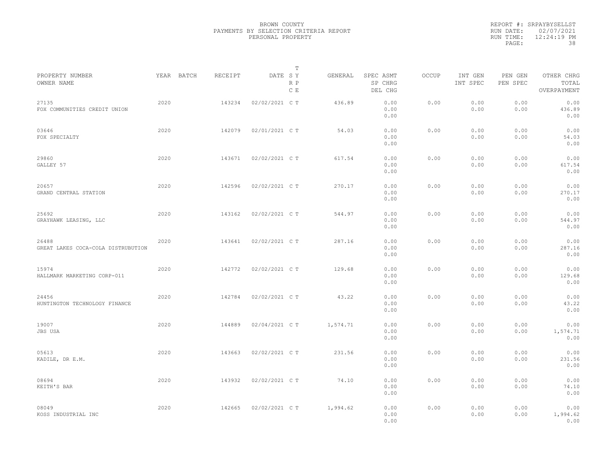|                                             |      |            |         |                | T          |          |                                 |              |                     |                     |                                    |  |
|---------------------------------------------|------|------------|---------|----------------|------------|----------|---------------------------------|--------------|---------------------|---------------------|------------------------------------|--|
| PROPERTY NUMBER<br>OWNER NAME               |      | YEAR BATCH | RECEIPT | DATE SY        | R P<br>C E | GENERAL  | SPEC ASMT<br>SP CHRG<br>DEL CHG | <b>OCCUP</b> | INT GEN<br>INT SPEC | PEN GEN<br>PEN SPEC | OTHER CHRG<br>TOTAL<br>OVERPAYMENT |  |
| 27135<br>FOX COMMUNITIES CREDIT UNION       | 2020 |            | 143234  | 02/02/2021 C T |            | 436.89   | 0.00<br>0.00<br>0.00            | 0.00         | 0.00<br>0.00        | 0.00<br>0.00        | 0.00<br>436.89<br>0.00             |  |
| 03646<br>FOX SPECIALTY                      | 2020 |            | 142079  | 02/01/2021 C T |            | 54.03    | 0.00<br>0.00<br>0.00            | 0.00         | 0.00<br>0.00        | 0.00<br>0.00        | 0.00<br>54.03<br>0.00              |  |
| 29860<br>GALLEY 57                          | 2020 |            | 143671  | 02/02/2021 C T |            | 617.54   | 0.00<br>0.00<br>0.00            | 0.00         | 0.00<br>0.00        | 0.00<br>0.00        | 0.00<br>617.54<br>0.00             |  |
| 20657<br>GRAND CENTRAL STATION              | 2020 |            | 142596  | 02/02/2021 C T |            | 270.17   | 0.00<br>0.00<br>0.00            | 0.00         | 0.00<br>0.00        | 0.00<br>0.00        | 0.00<br>270.17<br>0.00             |  |
| 25692<br>GRAYHAWK LEASING, LLC              | 2020 |            | 143162  | 02/02/2021 C T |            | 544.97   | 0.00<br>0.00<br>0.00            | 0.00         | 0.00<br>0.00        | 0.00<br>0.00        | 0.00<br>544.97<br>0.00             |  |
| 26488<br>GREAT LAKES COCA-COLA DISTRUBUTION | 2020 |            | 143641  | 02/02/2021 C T |            | 287.16   | 0.00<br>0.00<br>0.00            | 0.00         | 0.00<br>0.00        | 0.00<br>0.00        | 0.00<br>287.16<br>0.00             |  |
| 15974<br>HALLMARK MARKETING CORP-011        | 2020 |            | 142772  | 02/02/2021 C T |            | 129.68   | 0.00<br>0.00<br>0.00            | 0.00         | 0.00<br>0.00        | 0.00<br>0.00        | 0.00<br>129.68<br>0.00             |  |
| 24456<br>HUNTINGTON TECHNOLOGY FINANCE      | 2020 |            | 142784  | 02/02/2021 C T |            | 43.22    | 0.00<br>0.00<br>0.00            | 0.00         | 0.00<br>0.00        | 0.00<br>0.00        | 0.00<br>43.22<br>0.00              |  |
| 19007<br>JBS USA                            | 2020 |            | 144889  | 02/04/2021 C T |            | 1,574.71 | 0.00<br>0.00<br>0.00            | 0.00         | 0.00<br>0.00        | 0.00<br>0.00        | 0.00<br>1,574.71<br>0.00           |  |
| 05613<br>KADILE, DR E.M.                    | 2020 |            | 143663  | 02/02/2021 C T |            | 231.56   | 0.00<br>0.00<br>0.00            | 0.00         | 0.00<br>0.00        | 0.00<br>0.00        | 0.00<br>231.56<br>0.00             |  |
| 08694<br>KEITH'S BAR                        | 2020 |            | 143932  | 02/02/2021 C T |            | 74.10    | 0.00<br>0.00<br>0.00            | 0.00         | 0.00<br>0.00        | 0.00<br>0.00        | 0.00<br>74.10<br>0.00              |  |
| 08049<br>KOSS INDUSTRIAL INC                | 2020 |            | 142665  | 02/02/2021 C T |            | 1,994.62 | 0.00<br>0.00<br>0.00            | 0.00         | 0.00<br>0.00        | 0.00<br>0.00        | 0.00<br>1,994.62<br>0.00           |  |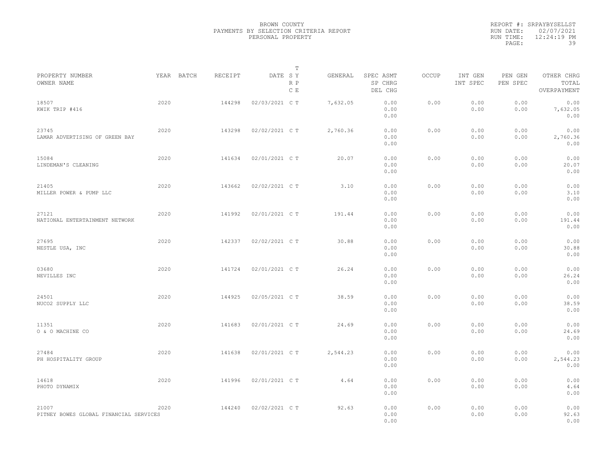|           | REPORT #: SRPAYBYSELLST |
|-----------|-------------------------|
|           | RUN DATE: 02/07/2021    |
| RUN TIME: | 12:24:19 PM             |
| PAGE:     | 39                      |
|           |                         |

|                                                 |      |            |         |                | Т          |          |                                 |       |                     |                     |                                    |  |
|-------------------------------------------------|------|------------|---------|----------------|------------|----------|---------------------------------|-------|---------------------|---------------------|------------------------------------|--|
| PROPERTY NUMBER<br>OWNER NAME                   |      | YEAR BATCH | RECEIPT | DATE SY        | R P<br>C E | GENERAL  | SPEC ASMT<br>SP CHRG<br>DEL CHG | OCCUP | INT GEN<br>INT SPEC | PEN GEN<br>PEN SPEC | OTHER CHRG<br>TOTAL<br>OVERPAYMENT |  |
| 18507<br>KWIK TRIP #416                         | 2020 |            | 144298  | 02/03/2021 C T |            | 7,632.05 | 0.00<br>0.00<br>0.00            | 0.00  | 0.00<br>0.00        | 0.00<br>0.00        | 0.00<br>7,632.05<br>0.00           |  |
| 23745<br>LAMAR ADVERTISING OF GREEN BAY         | 2020 |            | 143298  | 02/02/2021 C T |            | 2,760.36 | 0.00<br>0.00<br>0.00            | 0.00  | 0.00<br>0.00        | 0.00<br>0.00        | 0.00<br>2,760.36<br>0.00           |  |
| 15084<br>LINDEMAN'S CLEANING                    | 2020 |            | 141634  | 02/01/2021 C T |            | 20.07    | 0.00<br>0.00<br>0.00            | 0.00  | 0.00<br>0.00        | 0.00<br>0.00        | 0.00<br>20.07<br>0.00              |  |
| 21405<br>MILLER POWER & PUMP LLC                | 2020 |            | 143662  | 02/02/2021 C T |            | 3.10     | 0.00<br>0.00<br>0.00            | 0.00  | 0.00<br>0.00        | 0.00<br>0.00        | 0.00<br>3.10<br>0.00               |  |
| 27121<br>NATIONAL ENTERTAINMENT NETWORK         | 2020 |            | 141992  | 02/01/2021 C T |            | 191.44   | 0.00<br>0.00<br>0.00            | 0.00  | 0.00<br>0.00        | 0.00<br>0.00        | 0.00<br>191.44<br>0.00             |  |
| 27695<br>NESTLE USA, INC                        | 2020 |            | 142337  | 02/02/2021 C T |            | 30.88    | 0.00<br>0.00<br>0.00            | 0.00  | 0.00<br>0.00        | 0.00<br>0.00        | 0.00<br>30.88<br>0.00              |  |
| 03680<br>NEVILLES INC                           | 2020 |            | 141724  | 02/01/2021 C T |            | 26.24    | 0.00<br>0.00<br>0.00            | 0.00  | 0.00<br>0.00        | 0.00<br>0.00        | 0.00<br>26.24<br>0.00              |  |
| 24501<br>NUCO2 SUPPLY LLC                       | 2020 |            | 144925  | 02/05/2021 C T |            | 38.59    | 0.00<br>0.00<br>0.00            | 0.00  | 0.00<br>0.00        | 0.00<br>0.00        | 0.00<br>38.59<br>0.00              |  |
| 11351<br>O & O MACHINE CO                       | 2020 |            | 141683  | 02/01/2021 C T |            | 24.69    | 0.00<br>0.00<br>0.00            | 0.00  | 0.00<br>0.00        | 0.00<br>0.00        | 0.00<br>24.69<br>0.00              |  |
| 27484<br>PH HOSPITALITY GROUP                   | 2020 |            | 141638  | 02/01/2021 C T |            | 2,544.23 | 0.00<br>0.00<br>0.00            | 0.00  | 0.00<br>0.00        | 0.00<br>0.00        | 0.00<br>2,544.23<br>0.00           |  |
| 14618<br>PHOTO DYNAMIX                          | 2020 |            | 141996  | 02/01/2021 C T |            | 4.64     | 0.00<br>0.00<br>0.00            | 0.00  | 0.00<br>0.00        | 0.00<br>0.00        | 0.00<br>4.64<br>0.00               |  |
| 21007<br>PITNEY BOWES GLOBAL FINANCIAL SERVICES | 2020 |            | 144240  | 02/02/2021 C T |            | 92.63    | 0.00<br>0.00<br>0.00            | 0.00  | 0.00<br>0.00        | 0.00<br>0.00        | 0.00<br>92.63<br>0.00              |  |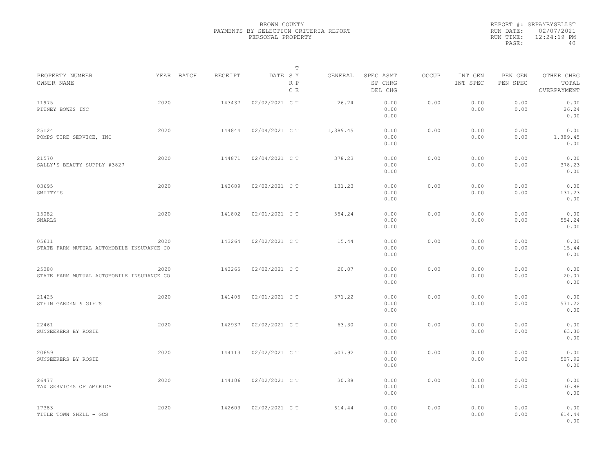|           | REPORT #: SRPAYBYSELLST |
|-----------|-------------------------|
|           | RUN DATE: 02/07/2021    |
| RUN TIME: | 12:24:19 PM             |
| PAGE:     | 40                      |
|           |                         |

|                                                    |      |            |         |                | Т          |          |                                 |       |                     |                     |                                    |  |
|----------------------------------------------------|------|------------|---------|----------------|------------|----------|---------------------------------|-------|---------------------|---------------------|------------------------------------|--|
| PROPERTY NUMBER<br>OWNER NAME                      |      | YEAR BATCH | RECEIPT | DATE SY        | R P<br>C E | GENERAL  | SPEC ASMT<br>SP CHRG<br>DEL CHG | OCCUP | INT GEN<br>INT SPEC | PEN GEN<br>PEN SPEC | OTHER CHRG<br>TOTAL<br>OVERPAYMENT |  |
| 11975<br>PITNEY BOWES INC                          | 2020 |            | 143437  | 02/02/2021 C T |            | 26.24    | 0.00<br>0.00<br>0.00            | 0.00  | 0.00<br>0.00        | 0.00<br>0.00        | 0.00<br>26.24<br>0.00              |  |
| 25124<br>POMPS TIRE SERVICE, INC                   | 2020 |            | 144844  | 02/04/2021 C T |            | 1,389.45 | 0.00<br>0.00<br>0.00            | 0.00  | 0.00<br>0.00        | 0.00<br>0.00        | 0.00<br>1,389.45<br>0.00           |  |
| 21570<br>SALLY'S BEAUTY SUPPLY #3827               | 2020 |            | 144871  | 02/04/2021 C T |            | 378.23   | 0.00<br>0.00<br>0.00            | 0.00  | 0.00<br>0.00        | 0.00<br>0.00        | 0.00<br>378.23<br>0.00             |  |
| 03695<br>SMITTY'S                                  | 2020 |            | 143689  | 02/02/2021 C T |            | 131.23   | 0.00<br>0.00<br>0.00            | 0.00  | 0.00<br>0.00        | 0.00<br>0.00        | 0.00<br>131.23<br>0.00             |  |
| 15082<br>SNARLS                                    | 2020 |            | 141802  | 02/01/2021 C T |            | 554.24   | 0.00<br>0.00<br>0.00            | 0.00  | 0.00<br>0.00        | 0.00<br>0.00        | 0.00<br>554.24<br>0.00             |  |
| 05611<br>STATE FARM MUTUAL AUTOMOBILE INSURANCE CO | 2020 |            | 143264  | 02/02/2021 C T |            | 15.44    | 0.00<br>0.00<br>0.00            | 0.00  | 0.00<br>0.00        | 0.00<br>0.00        | 0.00<br>15.44<br>0.00              |  |
| 25088<br>STATE FARM MUTUAL AUTOMOBILE INSURANCE CO | 2020 |            | 143265  | 02/02/2021 C T |            | 20.07    | 0.00<br>0.00<br>0.00            | 0.00  | 0.00<br>0.00        | 0.00<br>0.00        | 0.00<br>20.07<br>0.00              |  |
| 21425<br>STEIN GARDEN & GIFTS                      | 2020 |            | 141405  | 02/01/2021 C T |            | 571.22   | 0.00<br>0.00<br>0.00            | 0.00  | 0.00<br>0.00        | 0.00<br>0.00        | 0.00<br>571.22<br>0.00             |  |
| 22461<br>SUNSEEKERS BY ROSIE                       | 2020 |            | 142937  | 02/02/2021 C T |            | 63.30    | 0.00<br>0.00<br>0.00            | 0.00  | 0.00<br>0.00        | 0.00<br>0.00        | 0.00<br>63.30<br>0.00              |  |
| 20659<br>SUNSEEKERS BY ROSIE                       | 2020 |            | 144113  | 02/02/2021 C T |            | 507.92   | 0.00<br>0.00<br>0.00            | 0.00  | 0.00<br>0.00        | 0.00<br>0.00        | 0.00<br>507.92<br>0.00             |  |
| 26477<br>TAX SERVICES OF AMERICA                   | 2020 |            | 144106  | 02/02/2021 C T |            | 30.88    | 0.00<br>0.00<br>0.00            | 0.00  | 0.00<br>0.00        | 0.00<br>0.00        | 0.00<br>30.88<br>0.00              |  |
| 17383<br>TITLE TOWN SHELL - GCS                    | 2020 |            | 142603  | 02/02/2021 C T |            | 614.44   | 0.00<br>0.00<br>0.00            | 0.00  | 0.00<br>0.00        | 0.00<br>0.00        | 0.00<br>614.44<br>0.00             |  |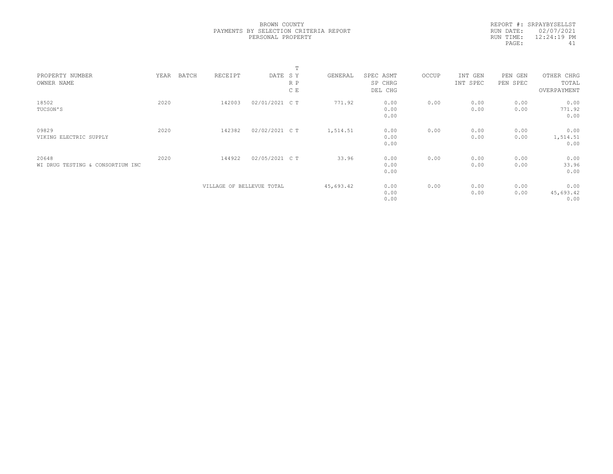|                                  |      |       |                           |                | $\blacksquare$ |           |           |       |          |          |             |  |
|----------------------------------|------|-------|---------------------------|----------------|----------------|-----------|-----------|-------|----------|----------|-------------|--|
| PROPERTY NUMBER                  | YEAR | BATCH | RECEIPT                   | DATE SY        |                | GENERAL   | SPEC ASMT | OCCUP | INT GEN  | PEN GEN  | OTHER CHRG  |  |
| OWNER NAME                       |      |       |                           |                | R P            |           | SP CHRG   |       | INT SPEC | PEN SPEC | TOTAL       |  |
|                                  |      |       |                           |                | C E            |           | DEL CHG   |       |          |          | OVERPAYMENT |  |
| 18502                            | 2020 |       | 142003                    | 02/01/2021 C T |                | 771.92    | 0.00      | 0.00  | 0.00     | 0.00     | 0.00        |  |
| TUCSON'S                         |      |       |                           |                |                |           | 0.00      |       | 0.00     | 0.00     | 771.92      |  |
|                                  |      |       |                           |                |                |           | 0.00      |       |          |          | 0.00        |  |
| 09829                            | 2020 |       | 142382                    | 02/02/2021 C T |                | 1,514.51  | 0.00      | 0.00  | 0.00     | 0.00     | 0.00        |  |
| VIKING ELECTRIC SUPPLY           |      |       |                           |                |                |           | 0.00      |       | 0.00     | 0.00     | 1,514.51    |  |
|                                  |      |       |                           |                |                |           | 0.00      |       |          |          | 0.00        |  |
| 20648                            | 2020 |       | 144922                    | 02/05/2021 C T |                | 33.96     | 0.00      | 0.00  | 0.00     | 0.00     | 0.00        |  |
| WI DRUG TESTING & CONSORTIUM INC |      |       |                           |                |                |           | 0.00      |       | 0.00     | 0.00     | 33.96       |  |
|                                  |      |       |                           |                |                |           | 0.00      |       |          |          | 0.00        |  |
|                                  |      |       | VILLAGE OF BELLEVUE TOTAL |                |                | 45,693.42 | 0.00      | 0.00  | 0.00     | 0.00     | 0.00        |  |
|                                  |      |       |                           |                |                |           | 0.00      |       | 0.00     | 0.00     | 45,693.42   |  |
|                                  |      |       |                           |                |                |           | 0.00      |       |          |          | 0.00        |  |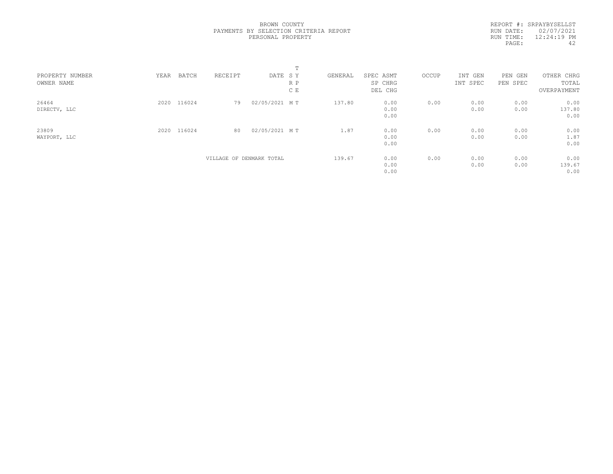|  | BROWN COUNTY      |                                       |  |
|--|-------------------|---------------------------------------|--|
|  |                   | PAYMENTS BY SELECTION CRITERIA REPORT |  |
|  | PERSONAL PROPERTY |                                       |  |

| PROPERTY NUMBER<br>OWNER NAME | YEAR | BATCH       | RECEIPT | DATE SY                  | R P<br>C E | GENERAL | SPEC ASMT<br>SP CHRG<br>DEL CHG | OCCUP | INT GEN<br>INT SPEC | PEN<br>GEN<br>PEN SPEC | OTHER CHRG<br>TOTAL<br>OVERPAYMENT |  |
|-------------------------------|------|-------------|---------|--------------------------|------------|---------|---------------------------------|-------|---------------------|------------------------|------------------------------------|--|
| 26464<br>DIRECTV, LLC         |      | 2020 116024 | 79      | 02/05/2021 MT            |            | 137.80  | 0.00<br>0.00<br>0.00            | 0.00  | 0.00<br>0.00        | 0.00<br>0.00           | 0.00<br>137.80<br>0.00             |  |
| 23809<br>WAYPORT, LLC         |      | 2020 116024 | 80      | 02/05/2021 MT            |            | 1.87    | 0.00<br>0.00<br>0.00            | 0.00  | 0.00<br>0.00        | 0.00<br>0.00           | 0.00<br>1.87<br>0.00               |  |
|                               |      |             |         | VILLAGE OF DENMARK TOTAL |            | 139.67  | 0.00<br>0.00<br>0.00            | 0.00  | 0.00<br>0.00        | 0.00<br>0.00           | 0.00<br>139.67<br>0.00             |  |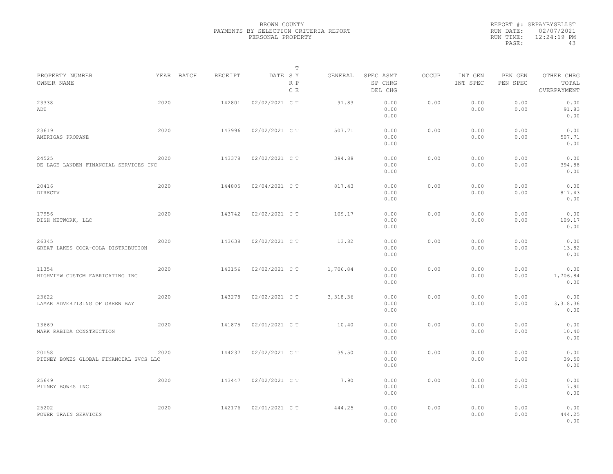|                                                 |      |            |         |                | $\mathbb T$ |          |                                 |       |                     |                     |                                    |  |
|-------------------------------------------------|------|------------|---------|----------------|-------------|----------|---------------------------------|-------|---------------------|---------------------|------------------------------------|--|
| PROPERTY NUMBER<br>OWNER NAME                   |      | YEAR BATCH | RECEIPT | DATE SY        | R P<br>C E  | GENERAL  | SPEC ASMT<br>SP CHRG<br>DEL CHG | OCCUP | INT GEN<br>INT SPEC | PEN GEN<br>PEN SPEC | OTHER CHRG<br>TOTAL<br>OVERPAYMENT |  |
| 23338<br>ADT                                    | 2020 |            | 142801  | 02/02/2021 C T |             | 91.83    | 0.00<br>0.00<br>0.00            | 0.00  | 0.00<br>0.00        | 0.00<br>0.00        | 0.00<br>91.83<br>0.00              |  |
| 23619<br>AMERIGAS PROPANE                       | 2020 |            | 143996  | 02/02/2021 C T |             | 507.71   | 0.00<br>0.00<br>0.00            | 0.00  | 0.00<br>0.00        | 0.00<br>0.00        | 0.00<br>507.71<br>0.00             |  |
| 24525<br>DE LAGE LANDEN FINANCIAL SERVICES INC  | 2020 |            | 143378  | 02/02/2021 C T |             | 394.88   | 0.00<br>0.00<br>0.00            | 0.00  | 0.00<br>0.00        | 0.00<br>0.00        | 0.00<br>394.88<br>0.00             |  |
| 20416<br>DIRECTV                                | 2020 |            | 144805  | 02/04/2021 C T |             | 817.43   | 0.00<br>0.00<br>0.00            | 0.00  | 0.00<br>0.00        | 0.00<br>0.00        | 0.00<br>817.43<br>0.00             |  |
| 17956<br>DISH NETWORK, LLC                      | 2020 |            | 143742  | 02/02/2021 C T |             | 109.17   | 0.00<br>0.00<br>0.00            | 0.00  | 0.00<br>0.00        | 0.00<br>0.00        | 0.00<br>109.17<br>0.00             |  |
| 26345<br>GREAT LAKES COCA-COLA DISTRIBUTION     | 2020 |            | 143638  | 02/02/2021 C T |             | 13.82    | 0.00<br>0.00<br>0.00            | 0.00  | 0.00<br>0.00        | 0.00<br>0.00        | 0.00<br>13.82<br>0.00              |  |
| 11354<br>HIGHVIEW CUSTOM FABRICATING INC        | 2020 |            | 143156  | 02/02/2021 C T |             | 1,706.84 | 0.00<br>0.00<br>0.00            | 0.00  | 0.00<br>0.00        | 0.00<br>0.00        | 0.00<br>1,706.84<br>0.00           |  |
| 23622<br>LAMAR ADVERTISING OF GREEN BAY         | 2020 |            | 143278  | 02/02/2021 C T |             | 3,318.36 | 0.00<br>0.00<br>0.00            | 0.00  | 0.00<br>0.00        | 0.00<br>0.00        | 0.00<br>3,318.36<br>0.00           |  |
| 13669<br>MARK RABIDA CONSTRUCTION               | 2020 |            | 141875  | 02/01/2021 C T |             | 10.40    | 0.00<br>0.00<br>0.00            | 0.00  | 0.00<br>0.00        | 0.00<br>0.00        | 0.00<br>10.40<br>0.00              |  |
| 20158<br>PITNEY BOWES GLOBAL FINANCIAL SVCS LLC | 2020 |            | 144237  | 02/02/2021 C T |             | 39.50    | 0.00<br>0.00<br>0.00            | 0.00  | 0.00<br>0.00        | 0.00<br>0.00        | 0.00<br>39.50<br>0.00              |  |
| 25649<br>PITNEY BOWES INC                       | 2020 |            | 143447  | 02/02/2021 C T |             | 7.90     | 0.00<br>0.00<br>0.00            | 0.00  | 0.00<br>0.00        | 0.00<br>0.00        | 0.00<br>7.90<br>0.00               |  |
| 25202<br>POWER TRAIN SERVICES                   | 2020 |            | 142176  | 02/01/2021 C T |             | 444.25   | 0.00<br>0.00<br>0.00            | 0.00  | 0.00<br>0.00        | 0.00<br>0.00        | 0.00<br>444.25<br>0.00             |  |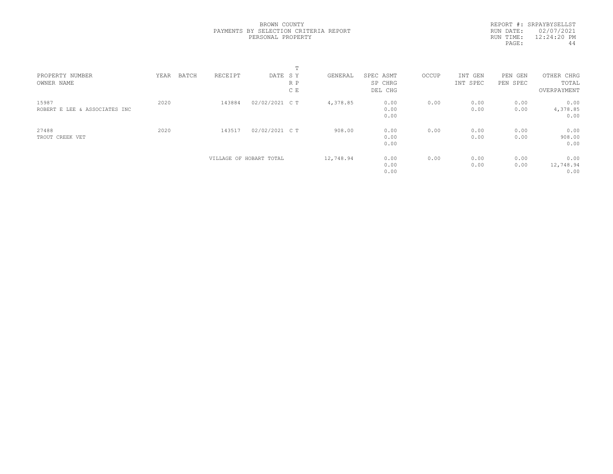REPORT #: SRPAYBYSELLST RUN DATE: 02/07/2021 RUN TIME: 12:24:20 PM PAGE: 44

|                               |      |       |         |                         | $\mathbf{r}$ |           |                      |       |                     |                        |                     |  |
|-------------------------------|------|-------|---------|-------------------------|--------------|-----------|----------------------|-------|---------------------|------------------------|---------------------|--|
| PROPERTY NUMBER<br>OWNER NAME | YEAR | BATCH | RECEIPT | DATE SY                 | R P          | GENERAL   | SPEC ASMT<br>SP CHRG | OCCUP | INT GEN<br>INT SPEC | PEN<br>GEN<br>PEN SPEC | OTHER CHRG<br>TOTAL |  |
|                               |      |       |         |                         |              |           |                      |       |                     |                        |                     |  |
|                               |      |       |         |                         | C E          |           | DEL CHG              |       |                     |                        | OVERPAYMENT         |  |
| 15987                         | 2020 |       | 143884  | 02/02/2021 C T          |              | 4,378.85  | 0.00                 | 0.00  | 0.00                | 0.00                   | 0.00                |  |
| ROBERT E LEE & ASSOCIATES INC |      |       |         |                         |              |           | 0.00                 |       | 0.00                | 0.00                   | 4,378.85            |  |
|                               |      |       |         |                         |              |           | 0.00                 |       |                     |                        | 0.00                |  |
| 27488                         | 2020 |       | 143517  | 02/02/2021 C T          |              | 908.00    | 0.00                 | 0.00  | 0.00                | 0.00                   | 0.00                |  |
| TROUT CREEK VET               |      |       |         |                         |              |           | 0.00                 |       | 0.00                | 0.00                   | 908.00              |  |
|                               |      |       |         |                         |              |           | 0.00                 |       |                     |                        | 0.00                |  |
|                               |      |       |         | VILLAGE OF HOBART TOTAL |              | 12,748.94 | 0.00                 | 0.00  | 0.00                | 0.00                   | 0.00                |  |
|                               |      |       |         |                         |              |           | 0.00                 |       | 0.00                | 0.00                   | 12,748.94           |  |
|                               |      |       |         |                         |              |           | 0.00                 |       |                     |                        | 0.00                |  |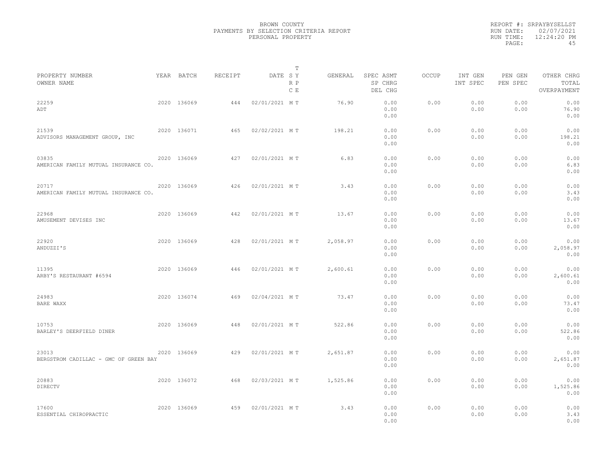|                                                |             |         |               | $\mathbb T$ |          |                                 |       |                     |                     |                                    |  |
|------------------------------------------------|-------------|---------|---------------|-------------|----------|---------------------------------|-------|---------------------|---------------------|------------------------------------|--|
| PROPERTY NUMBER<br>OWNER NAME                  | YEAR BATCH  | RECEIPT | DATE SY       | R P<br>C E  | GENERAL  | SPEC ASMT<br>SP CHRG<br>DEL CHG | OCCUP | INT GEN<br>INT SPEC | PEN GEN<br>PEN SPEC | OTHER CHRG<br>TOTAL<br>OVERPAYMENT |  |
| 22259<br>ADT                                   | 2020 136069 | 444     | 02/01/2021 MT |             | 76.90    | 0.00<br>0.00<br>0.00            | 0.00  | 0.00<br>0.00        | 0.00<br>0.00        | 0.00<br>76.90<br>0.00              |  |
| 21539<br>ADVISORS MANAGEMENT GROUP, INC        | 2020 136071 | 465     | 02/02/2021 MT |             | 198.21   | 0.00<br>0.00<br>0.00            | 0.00  | 0.00<br>0.00        | 0.00<br>0.00        | 0.00<br>198.21<br>0.00             |  |
| 03835<br>AMERICAN FAMILY MUTUAL INSURANCE CO.  | 2020 136069 | 427     | 02/01/2021 MT |             | 6.83     | 0.00<br>0.00<br>0.00            | 0.00  | 0.00<br>0.00        | 0.00<br>0.00        | 0.00<br>6.83<br>0.00               |  |
| 20717<br>AMERICAN FAMILY MUTUAL INSURANCE CO.  | 2020 136069 | 426     | 02/01/2021 MT |             | 3.43     | 0.00<br>0.00<br>0.00            | 0.00  | 0.00<br>0.00        | 0.00<br>0.00        | 0.00<br>3.43<br>0.00               |  |
| 22968<br>AMUSEMENT DEVISES INC                 | 2020 136069 | 442     | 02/01/2021 MT |             | 13.67    | 0.00<br>0.00<br>0.00            | 0.00  | 0.00<br>0.00        | 0.00<br>0.00        | 0.00<br>13.67<br>0.00              |  |
| 22920<br>ANDUZZI'S                             | 2020 136069 | 428     | 02/01/2021 MT |             | 2,058.97 | 0.00<br>0.00<br>0.00            | 0.00  | 0.00<br>0.00        | 0.00<br>0.00        | 0.00<br>2,058.97<br>0.00           |  |
| 11395<br>ARBY'S RESTAURANT #6594               | 2020 136069 | 446     | 02/01/2021 MT |             | 2,600.61 | 0.00<br>0.00<br>0.00            | 0.00  | 0.00<br>0.00        | 0.00<br>0.00        | 0.00<br>2,600.61<br>0.00           |  |
| 24983<br>BARE WAXX                             | 2020 136074 | 469     | 02/04/2021 MT |             | 73.47    | 0.00<br>0.00<br>0.00            | 0.00  | 0.00<br>0.00        | 0.00<br>0.00        | 0.00<br>73.47<br>0.00              |  |
| 10753<br>BARLEY'S DEERFIELD DINER              | 2020 136069 | 448     | 02/01/2021 MT |             | 522.86   | 0.00<br>0.00<br>0.00            | 0.00  | 0.00<br>0.00        | 0.00<br>0.00        | 0.00<br>522.86<br>0.00             |  |
| 23013<br>BERGSTROM CADILLAC - GMC OF GREEN BAY | 2020 136069 | 429     | 02/01/2021 MT |             | 2,651.87 | 0.00<br>0.00<br>0.00            | 0.00  | 0.00<br>0.00        | 0.00<br>0.00        | 0.00<br>2,651.87<br>0.00           |  |
| 20883<br>DIRECTV                               | 2020 136072 | 468     | 02/03/2021 MT |             | 1,525.86 | 0.00<br>0.00<br>0.00            | 0.00  | 0.00<br>0.00        | 0.00<br>0.00        | 0.00<br>1,525.86<br>0.00           |  |
| 17600<br>ESSENTIAL CHIROPRACTIC                | 2020 136069 | 459     | 02/01/2021 MT |             | 3.43     | 0.00<br>0.00<br>0.00            | 0.00  | 0.00<br>0.00        | 0.00<br>0.00        | 0.00<br>3.43<br>0.00               |  |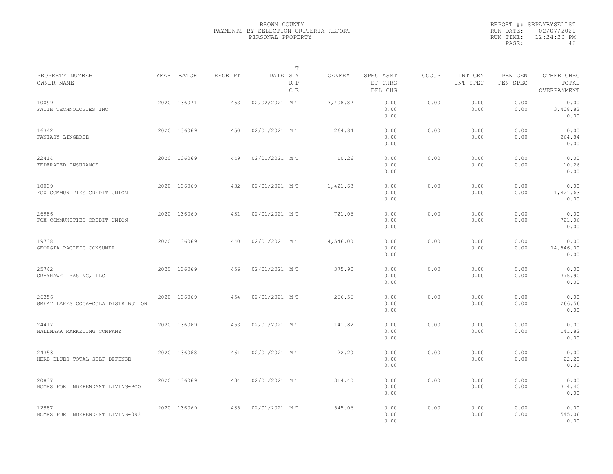|           | REPORT #: SRPAYBYSELLST |
|-----------|-------------------------|
|           | RUN DATE: 02/07/2021    |
| RUN TIME: | $12:24:20$ PM           |
| PAGE:     | 46                      |

|                                             |             |                |               | Т          |           |                                 |       |                     |                     |                                    |  |
|---------------------------------------------|-------------|----------------|---------------|------------|-----------|---------------------------------|-------|---------------------|---------------------|------------------------------------|--|
| PROPERTY NUMBER<br>OWNER NAME               | YEAR BATCH  | <b>RECEIPT</b> | DATE SY       | R P<br>C E | GENERAL   | SPEC ASMT<br>SP CHRG<br>DEL CHG | OCCUP | INT GEN<br>INT SPEC | PEN GEN<br>PEN SPEC | OTHER CHRG<br>TOTAL<br>OVERPAYMENT |  |
| 10099<br>FAITH TECHNOLOGIES INC             | 2020 136071 | 463            | 02/02/2021 MT |            | 3,408.82  | 0.00<br>0.00<br>0.00            | 0.00  | 0.00<br>0.00        | 0.00<br>0.00        | 0.00<br>3,408.82<br>0.00           |  |
| 16342<br>FANTASY LINGERIE                   | 2020 136069 | 450            | 02/01/2021 MT |            | 264.84    | 0.00<br>0.00<br>0.00            | 0.00  | 0.00<br>0.00        | 0.00<br>0.00        | 0.00<br>264.84<br>0.00             |  |
| 22414<br>FEDERATED INSURANCE                | 2020 136069 | 449            | 02/01/2021 MT |            | 10.26     | 0.00<br>0.00<br>0.00            | 0.00  | 0.00<br>0.00        | 0.00<br>0.00        | 0.00<br>10.26<br>0.00              |  |
| 10039<br>FOX COMMUNITIES CREDIT UNION       | 2020 136069 | 432            | 02/01/2021 MT |            | 1,421.63  | 0.00<br>0.00<br>0.00            | 0.00  | 0.00<br>0.00        | 0.00<br>0.00        | 0.00<br>1,421.63<br>0.00           |  |
| 26986<br>FOX COMMUNITIES CREDIT UNION       | 2020 136069 | 431            | 02/01/2021 MT |            | 721.06    | 0.00<br>0.00<br>0.00            | 0.00  | 0.00<br>0.00        | 0.00<br>0.00        | 0.00<br>721.06<br>0.00             |  |
| 19738<br>GEORGIA PACIFIC CONSUMER           | 2020 136069 | 440            | 02/01/2021 MT |            | 14,546.00 | 0.00<br>0.00<br>0.00            | 0.00  | 0.00<br>0.00        | 0.00<br>0.00        | 0.00<br>14,546.00<br>0.00          |  |
| 25742<br>GRAYHAWK LEASING, LLC              | 2020 136069 | 456            | 02/01/2021 MT |            | 375.90    | 0.00<br>0.00<br>0.00            | 0.00  | 0.00<br>0.00        | 0.00<br>0.00        | 0.00<br>375.90<br>0.00             |  |
| 26356<br>GREAT LAKES COCA-COLA DISTRIBUTION | 2020 136069 | 454            | 02/01/2021 MT |            | 266.56    | 0.00<br>0.00<br>0.00            | 0.00  | 0.00<br>0.00        | 0.00<br>0.00        | 0.00<br>266.56<br>0.00             |  |
| 24417<br>HALLMARK MARKETING COMPANY         | 2020 136069 | 453            | 02/01/2021 MT |            | 141.82    | 0.00<br>0.00<br>0.00            | 0.00  | 0.00<br>0.00        | 0.00<br>0.00        | 0.00<br>141.82<br>0.00             |  |
| 24353<br>HERB BLUES TOTAL SELF DEFENSE      | 2020 136068 | 461            | 02/01/2021 MT |            | 22.20     | 0.00<br>0.00<br>0.00            | 0.00  | 0.00<br>0.00        | 0.00<br>0.00        | 0.00<br>22.20<br>0.00              |  |
| 20837<br>HOMES FOR INDEPENDANT LIVING-BCO   | 2020 136069 | 434            | 02/01/2021 MT |            | 314.40    | 0.00<br>0.00<br>0.00            | 0.00  | 0.00<br>0.00        | 0.00<br>0.00        | 0.00<br>314.40<br>0.00             |  |
| 12987<br>HOMES FOR INDEPENDENT LIVING-093   | 2020 136069 | 435            | 02/01/2021 MT |            | 545.06    | 0.00<br>0.00<br>0.00            | 0.00  | 0.00<br>0.00        | 0.00<br>0.00        | 0.00<br>545.06<br>0.00             |  |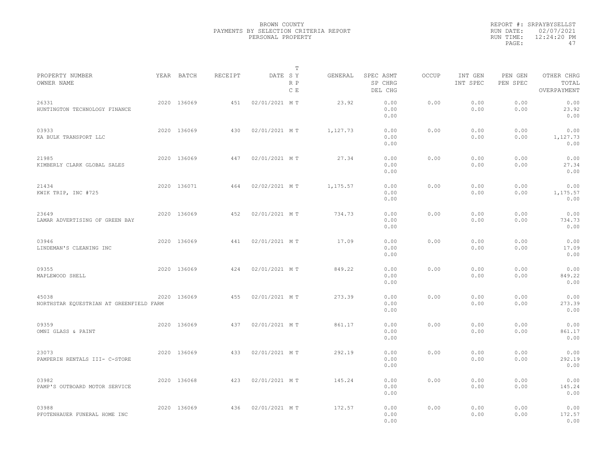|                                                  |             |         | T                     |          |                                 |              |                     |                     |                                    |  |
|--------------------------------------------------|-------------|---------|-----------------------|----------|---------------------------------|--------------|---------------------|---------------------|------------------------------------|--|
| PROPERTY NUMBER<br>OWNER NAME                    | YEAR BATCH  | RECEIPT | DATE SY<br>R P<br>C E | GENERAL  | SPEC ASMT<br>SP CHRG<br>DEL CHG | <b>OCCUP</b> | INT GEN<br>INT SPEC | PEN GEN<br>PEN SPEC | OTHER CHRG<br>TOTAL<br>OVERPAYMENT |  |
| 26331<br>HUNTINGTON TECHNOLOGY FINANCE           | 2020 136069 | 451     | 02/01/2021 MT         | 23.92    | 0.00<br>0.00<br>0.00            | 0.00         | 0.00<br>0.00        | 0.00<br>0.00        | 0.00<br>23.92<br>0.00              |  |
| 03933<br>KA BULK TRANSPORT LLC                   | 2020 136069 | 430     | 02/01/2021 MT         | 1,127.73 | 0.00<br>0.00<br>0.00            | 0.00         | 0.00<br>0.00        | 0.00<br>0.00        | 0.00<br>1,127.73<br>0.00           |  |
| 21985<br>KIMBERLY CLARK GLOBAL SALES             | 2020 136069 | 447     | 02/01/2021 MT         | 27.34    | 0.00<br>0.00<br>0.00            | 0.00         | 0.00<br>0.00        | 0.00<br>0.00        | 0.00<br>27.34<br>0.00              |  |
| 21434<br>KWIK TRIP, INC #725                     | 2020 136071 | 464     | 02/02/2021 MT         | 1,175.57 | 0.00<br>0.00<br>0.00            | 0.00         | 0.00<br>0.00        | 0.00<br>0.00        | 0.00<br>1,175.57<br>0.00           |  |
| 23649<br>LAMAR ADVERTISING OF GREEN BAY          | 2020 136069 | 452     | 02/01/2021 MT         | 734.73   | 0.00<br>0.00<br>0.00            | 0.00         | 0.00<br>0.00        | 0.00<br>0.00        | 0.00<br>734.73<br>0.00             |  |
| 03946<br>LINDEMAN'S CLEANING INC                 | 2020 136069 | 441     | 02/01/2021 MT         | 17.09    | 0.00<br>0.00<br>0.00            | 0.00         | 0.00<br>0.00        | 0.00<br>0.00        | 0.00<br>17.09<br>0.00              |  |
| 09355<br>MAPLEWOOD SHELL                         | 2020 136069 | 424     | 02/01/2021 MT         | 849.22   | 0.00<br>0.00<br>0.00            | 0.00         | 0.00<br>0.00        | 0.00<br>0.00        | 0.00<br>849.22<br>0.00             |  |
| 45038<br>NORTHSTAR EQUESTRIAN AT GREENFIELD FARM | 2020 136069 | 455     | 02/01/2021 MT         | 273.39   | 0.00<br>0.00<br>0.00            | 0.00         | 0.00<br>0.00        | 0.00<br>0.00        | 0.00<br>273.39<br>0.00             |  |
| 09359<br>OMNI GLASS & PAINT                      | 2020 136069 | 437     | 02/01/2021 MT         | 861.17   | 0.00<br>0.00<br>0.00            | 0.00         | 0.00<br>0.00        | 0.00<br>0.00        | 0.00<br>861.17<br>0.00             |  |
| 23073<br>PAMPERIN RENTALS III- C-STORE           | 2020 136069 | 433     | 02/01/2021 MT         | 292.19   | 0.00<br>0.00<br>0.00            | 0.00         | 0.00<br>0.00        | 0.00<br>0.00        | 0.00<br>292.19<br>0.00             |  |
| 03982<br>PAMP'S OUTBOARD MOTOR SERVICE           | 2020 136068 | 423     | 02/01/2021 MT         | 145.24   | 0.00<br>0.00<br>0.00            | 0.00         | 0.00<br>0.00        | 0.00<br>0.00        | 0.00<br>145.24<br>0.00             |  |
| 03988<br>PFOTENHAUER FUNERAL HOME INC            | 2020 136069 | 436     | 02/01/2021 MT         | 172.57   | 0.00<br>0.00<br>0.00            | 0.00         | 0.00<br>0.00        | 0.00<br>0.00        | 0.00<br>172.57<br>0.00             |  |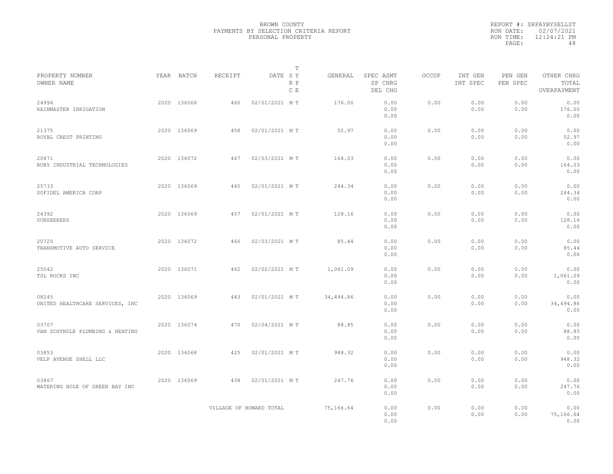|           | REPORT #: SRPAYBYSELLST |
|-----------|-------------------------|
|           | RUN DATE: 02/07/2021    |
| RUN TIME: | $12:24:21$ PM           |
| PAGE:     | 48                      |

|                                          |             |         | T                       |           |                                 |              |                     |                     |                                    |  |
|------------------------------------------|-------------|---------|-------------------------|-----------|---------------------------------|--------------|---------------------|---------------------|------------------------------------|--|
| PROPERTY NUMBER<br>OWNER NAME            | YEAR BATCH  | RECEIPT | DATE SY<br>R P<br>C E   | GENERAL   | SPEC ASMT<br>SP CHRG<br>DEL CHG | <b>OCCUP</b> | INT GEN<br>INT SPEC | PEN GEN<br>PEN SPEC | OTHER CHRG<br>TOTAL<br>OVERPAYMENT |  |
| 24994<br>RAINMASTER IRRIGATION           | 2020 136068 | 460     | 02/01/2021 MT           | 176.00    | 0.00<br>0.00<br>0.00            | 0.00         | 0.00<br>0.00        | 0.00<br>0.00        | 0.00<br>176.00<br>0.00             |  |
| 21375<br>ROYAL CREST PRINTING            | 2020 136069 | 458     | 02/01/2021 MT           | 52.97     | 0.00<br>0.00<br>0.00            | 0.00         | 0.00<br>0.00        | 0.00<br>0.00        | 0.00<br>52.97<br>0.00              |  |
| 20871<br>RUBY INDUSTRIAL TECHNOLOGIES    | 2020 136072 | 467     | 02/03/2021 MT           | 164.03    | 0.00<br>0.00<br>0.00            | 0.00         | 0.00<br>0.00        | 0.00<br>0.00        | 0.00<br>164.03<br>0.00             |  |
| 25733<br>SOFIDEL AMERICA CORP            | 2020 136069 | 445     | 02/01/2021 MT           | 244.34    | 0.00<br>0.00<br>0.00            | 0.00         | 0.00<br>0.00        | 0.00<br>0.00        | 0.00<br>244.34<br>0.00             |  |
| 24392<br>SUNSEEKERS                      | 2020 136069 | 457     | 02/01/2021 MT           | 128.16    | 0.00<br>0.00<br>0.00            | 0.00         | 0.00<br>0.00        | 0.00<br>0.00        | 0.00<br>128.16<br>0.00             |  |
| 20725<br>TRANSMOTIVE AUTO SERVICE        | 2020 136072 | 466     | 02/03/2021 MT           | 85.44     | 0.00<br>0.00<br>0.00            | 0.00         | 0.00<br>0.00        | 0.00<br>0.00        | 0.00<br>85.44<br>0.00              |  |
| 25042<br>TSL ROCKS INC                   | 2020 136071 | 462     | 02/02/2021 MT           | 1,061.09  | 0.00<br>0.00<br>0.00            | 0.00         | 0.00<br>0.00        | 0.00<br>0.00        | 0.00<br>1,061.09<br>0.00           |  |
| 08245<br>UNITED HEALTHCARE SERVICES, INC | 2020 136069 | 443     | 02/01/2021 MT           | 34,494.86 | 0.00<br>0.00<br>0.00            | 0.00         | 0.00<br>0.00        | 0.00<br>0.00        | 0.00<br>34,494.86<br>0.00          |  |
| 03707<br>VAN SCHYNDLE PLUMBING & HEATING | 2020 136074 | 470     | 02/04/2021 MT           | 88.85     | 0.00<br>0.00<br>0.00            | 0.00         | 0.00<br>0.00        | 0.00<br>0.00        | 0.00<br>88.85<br>0.00              |  |
| 03853<br>VELP AVENUE SHELL LLC           | 2020 136068 | 425     | 02/01/2021 MT           | 948.32    | 0.00<br>0.00<br>0.00            | 0.00         | 0.00<br>0.00        | 0.00<br>0.00        | 0.00<br>948.32<br>0.00             |  |
| 03867<br>WATERING HOLE OF GREEN BAY INC  | 2020 136069 | 438     | 02/01/2021 MT           | 247.76    | 0.00<br>0.00<br>0.00            | 0.00         | 0.00<br>0.00        | 0.00<br>0.00        | 0.00<br>247.76<br>0.00             |  |
|                                          |             |         | VILLAGE OF HOWARD TOTAL | 75,166.64 | 0.00<br>0.00<br>0.00            | 0.00         | 0.00<br>0.00        | 0.00<br>0.00        | 0.00<br>75,166.64<br>0.00          |  |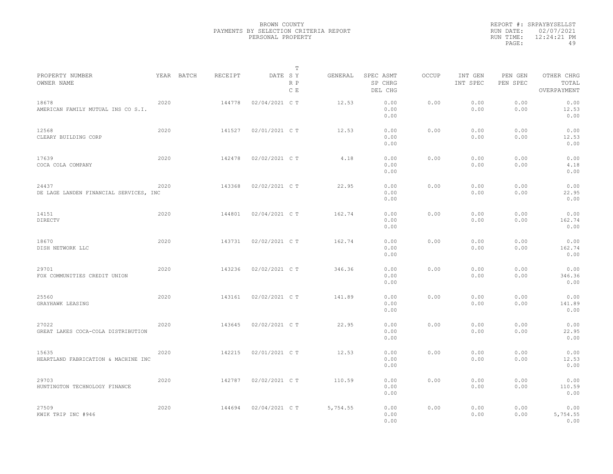|                                                 |      |            |         |                | T          |          |                                 |              |                     |                     |                                    |  |
|-------------------------------------------------|------|------------|---------|----------------|------------|----------|---------------------------------|--------------|---------------------|---------------------|------------------------------------|--|
| PROPERTY NUMBER<br>OWNER NAME                   |      | YEAR BATCH | RECEIPT | DATE SY        | R P<br>C E | GENERAL  | SPEC ASMT<br>SP CHRG<br>DEL CHG | <b>OCCUP</b> | INT GEN<br>INT SPEC | PEN GEN<br>PEN SPEC | OTHER CHRG<br>TOTAL<br>OVERPAYMENT |  |
| 18678<br>AMERICAN FAMILY MUTUAL INS CO S.I.     | 2020 |            | 144778  | 02/04/2021 C T |            | 12.53    | 0.00<br>0.00<br>0.00            | 0.00         | 0.00<br>0.00        | 0.00<br>0.00        | 0.00<br>12.53<br>0.00              |  |
| 12568<br>CLEARY BUILDING CORP                   | 2020 |            | 141527  | 02/01/2021 C T |            | 12.53    | 0.00<br>0.00<br>0.00            | 0.00         | 0.00<br>0.00        | 0.00<br>0.00        | 0.00<br>12.53<br>0.00              |  |
| 17639<br>COCA COLA COMPANY                      | 2020 |            | 142478  | 02/02/2021 C T |            | 4.18     | 0.00<br>0.00<br>0.00            | 0.00         | 0.00<br>0.00        | 0.00<br>0.00        | 0.00<br>4.18<br>0.00               |  |
| 24437<br>DE LAGE LANDEN FINANCIAL SERVICES, INC | 2020 |            | 143368  | 02/02/2021 C T |            | 22.95    | 0.00<br>0.00<br>0.00            | 0.00         | 0.00<br>0.00        | 0.00<br>0.00        | 0.00<br>22.95<br>0.00              |  |
| 14151<br>DIRECTV                                | 2020 |            | 144801  | 02/04/2021 C T |            | 162.74   | 0.00<br>0.00<br>0.00            | 0.00         | 0.00<br>0.00        | 0.00<br>0.00        | 0.00<br>162.74<br>0.00             |  |
| 18670<br>DISH NETWORK LLC                       | 2020 |            | 143731  | 02/02/2021 C T |            | 162.74   | 0.00<br>0.00<br>0.00            | 0.00         | 0.00<br>0.00        | 0.00<br>0.00        | 0.00<br>162.74<br>0.00             |  |
| 29701<br>FOX COMMUNITIES CREDIT UNION           | 2020 |            | 143236  | 02/02/2021 C T |            | 346.36   | 0.00<br>0.00<br>0.00            | 0.00         | 0.00<br>0.00        | 0.00<br>0.00        | 0.00<br>346.36<br>0.00             |  |
| 25560<br>GRAYHAWK LEASING                       | 2020 |            | 143161  | 02/02/2021 C T |            | 141.89   | 0.00<br>0.00<br>0.00            | 0.00         | 0.00<br>0.00        | 0.00<br>0.00        | 0.00<br>141.89<br>0.00             |  |
| 27022<br>GREAT LAKES COCA-COLA DISTRIBUTION     | 2020 |            | 143645  | 02/02/2021 C T |            | 22.95    | 0.00<br>0.00<br>0.00            | 0.00         | 0.00<br>0.00        | 0.00<br>0.00        | 0.00<br>22.95<br>0.00              |  |
| 15635<br>HEARTLAND FABRICATION & MACHINE INC    | 2020 |            | 142215  | 02/01/2021 C T |            | 12.53    | 0.00<br>0.00<br>0.00            | 0.00         | 0.00<br>0.00        | 0.00<br>0.00        | 0.00<br>12.53<br>0.00              |  |
| 29703<br>HUNTINGTON TECHNOLOGY FINANCE          | 2020 |            | 142787  | 02/02/2021 C T |            | 110.59   | 0.00<br>0.00<br>0.00            | 0.00         | 0.00<br>0.00        | 0.00<br>0.00        | 0.00<br>110.59<br>0.00             |  |
| 27509<br>KWIK TRIP INC #946                     | 2020 |            | 144694  | 02/04/2021 C T |            | 5,754.55 | 0.00<br>0.00<br>0.00            | 0.00         | 0.00<br>0.00        | 0.00<br>0.00        | 0.00<br>5,754.55<br>0.00           |  |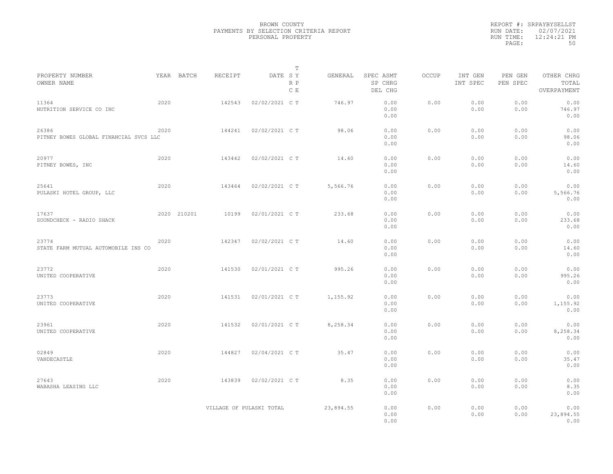|                                                 |      |             |         |                          | T          |           |                                 |              |                     |                     |                                    |  |
|-------------------------------------------------|------|-------------|---------|--------------------------|------------|-----------|---------------------------------|--------------|---------------------|---------------------|------------------------------------|--|
| PROPERTY NUMBER<br>OWNER NAME                   |      | YEAR BATCH  | RECEIPT | DATE SY                  | R P<br>C E | GENERAL   | SPEC ASMT<br>SP CHRG<br>DEL CHG | <b>OCCUP</b> | INT GEN<br>INT SPEC | PEN GEN<br>PEN SPEC | OTHER CHRG<br>TOTAL<br>OVERPAYMENT |  |
| 11364<br>NUTRITION SERVICE CO INC               | 2020 |             | 142543  | 02/02/2021 C T           |            | 746.97    | 0.00<br>0.00<br>0.00            | 0.00         | 0.00<br>0.00        | 0.00<br>0.00        | 0.00<br>746.97<br>0.00             |  |
| 26386<br>PITNEY BOWES GLOBAL FINANCIAL SVCS LLC | 2020 |             | 144241  | 02/02/2021 C T           |            | 98.06     | 0.00<br>0.00<br>0.00            | 0.00         | 0.00<br>0.00        | 0.00<br>0.00        | 0.00<br>98.06<br>0.00              |  |
| 20977<br>PITNEY BOWES, INC                      | 2020 |             | 143442  | 02/02/2021 C T           |            | 14.60     | 0.00<br>0.00<br>0.00            | 0.00         | 0.00<br>0.00        | 0.00<br>0.00        | 0.00<br>14.60<br>0.00              |  |
| 25641<br>PULASKI HOTEL GROUP, LLC               | 2020 |             | 143464  | 02/02/2021 C T           |            | 5,566.76  | 0.00<br>0.00<br>0.00            | 0.00         | 0.00<br>0.00        | 0.00<br>0.00        | 0.00<br>5,566.76<br>0.00           |  |
| 17637<br>SOUNDCHECK - RADIO SHACK               |      | 2020 210201 | 10199   | 02/01/2021 C T           |            | 233.68    | 0.00<br>0.00<br>0.00            | 0.00         | 0.00<br>0.00        | 0.00<br>0.00        | 0.00<br>233.68<br>0.00             |  |
| 23774<br>STATE FARM MUTUAL AUTOMOBILE INS CO    | 2020 |             | 142347  | 02/02/2021 C T           |            | 14.60     | 0.00<br>0.00<br>0.00            | 0.00         | 0.00<br>0.00        | 0.00<br>0.00        | 0.00<br>14.60<br>0.00              |  |
| 23772<br>UNITED COOPERATIVE                     | 2020 |             | 141530  | 02/01/2021 C T           |            | 995.26    | 0.00<br>0.00<br>0.00            | 0.00         | 0.00<br>0.00        | 0.00<br>0.00        | 0.00<br>995.26<br>0.00             |  |
| 23773<br>UNITED COOPERATIVE                     | 2020 |             | 141531  | 02/01/2021 C T           |            | 1,155.92  | 0.00<br>0.00<br>0.00            | 0.00         | 0.00<br>0.00        | 0.00<br>0.00        | 0.00<br>1,155.92<br>0.00           |  |
| 23961<br>UNITED COOPERATIVE                     | 2020 |             | 141532  | 02/01/2021 C T           |            | 8,258.34  | 0.00<br>0.00<br>0.00            | 0.00         | 0.00<br>0.00        | 0.00<br>0.00        | 0.00<br>8,258.34<br>0.00           |  |
| 02849<br>VANDECASTLE                            | 2020 |             | 144827  | 02/04/2021 C T           |            | 35.47     | 0.00<br>0.00<br>0.00            | 0.00         | 0.00<br>0.00        | 0.00<br>0.00        | 0.00<br>35.47<br>0.00              |  |
| 27643<br>WABASHA LEASING LLC                    | 2020 |             | 143839  | 02/02/2021 C T           |            | 8.35      | 0.00<br>0.00<br>0.00            | 0.00         | 0.00<br>0.00        | 0.00<br>0.00        | 0.00<br>8.35<br>0.00               |  |
|                                                 |      |             |         | VILLAGE OF PULASKI TOTAL |            | 23,894.55 | 0.00<br>0.00<br>0.00            | 0.00         | 0.00<br>0.00        | 0.00<br>0.00        | 0.00<br>23,894.55<br>0.00          |  |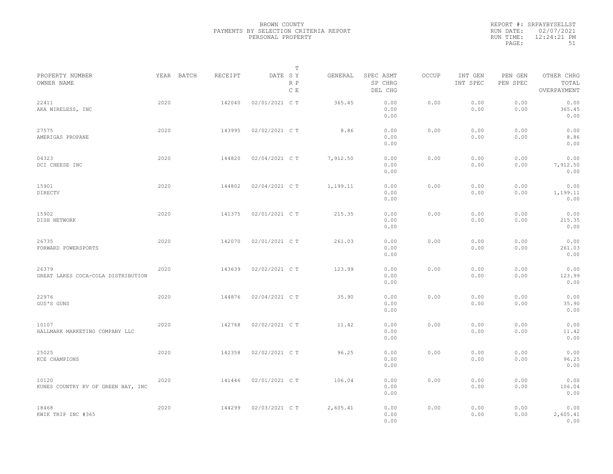|                                             |      |            |         |                | T          |          |                                 |              |                     |                     |                                    |
|---------------------------------------------|------|------------|---------|----------------|------------|----------|---------------------------------|--------------|---------------------|---------------------|------------------------------------|
| PROPERTY NUMBER<br>OWNER NAME               |      | YEAR BATCH | RECEIPT | DATE SY        | R P<br>C E | GENERAL  | SPEC ASMT<br>SP CHRG<br>DEL CHG | <b>OCCUP</b> | INT GEN<br>INT SPEC | PEN GEN<br>PEN SPEC | OTHER CHRG<br>TOTAL<br>OVERPAYMENT |
| 22411<br>AKA WIRELESS, INC                  | 2020 |            | 142040  | 02/01/2021 C T |            | 365.45   | 0.00<br>0.00<br>0.00            | 0.00         | 0.00<br>0.00        | 0.00<br>0.00        | 0.00<br>365.45<br>0.00             |
| 27575<br>AMERIGAS PROPANE                   | 2020 |            | 143995  | 02/02/2021 C T |            | 8.86     | 0.00<br>0.00<br>0.00            | 0.00         | 0.00<br>0.00        | 0.00<br>0.00        | 0.00<br>8.86<br>0.00               |
| 04323<br>DCI CHEESE INC                     | 2020 |            | 144820  | 02/04/2021 C T |            | 7,912.50 | 0.00<br>0.00<br>0.00            | 0.00         | 0.00<br>0.00        | 0.00<br>0.00        | 0.00<br>7,912.50<br>0.00           |
| 15901<br>DIRECTV                            | 2020 |            | 144802  | 02/04/2021 C T |            | 1,199.11 | 0.00<br>0.00<br>0.00            | 0.00         | 0.00<br>0.00        | 0.00<br>0.00        | 0.00<br>1,199.11<br>0.00           |
| 15902<br>DISH NETWORK                       | 2020 |            | 141375  | 02/01/2021 C T |            | 215.35   | 0.00<br>0.00<br>0.00            | 0.00         | 0.00<br>0.00        | 0.00<br>0.00        | 0.00<br>215.35<br>0.00             |
| 26735<br>FORWARD POWERSPORTS                | 2020 |            | 142070  | 02/01/2021 C T |            | 261.03   | 0.00<br>0.00<br>0.00            | 0.00         | 0.00<br>0.00        | 0.00<br>0.00        | 0.00<br>261.03<br>0.00             |
| 26379<br>GREAT LAKES COCA-COLA DISTRIBUTION | 2020 |            | 143639  | 02/02/2021 C T |            | 123.99   | 0.00<br>0.00<br>0.00            | 0.00         | 0.00<br>0.00        | 0.00<br>0.00        | 0.00<br>123.99<br>0.00             |
| 22976<br>GUS'S GUNS                         | 2020 |            | 144876  | 02/04/2021 C T |            | 35.90    | 0.00<br>0.00<br>0.00            | 0.00         | 0.00<br>0.00        | 0.00<br>0.00        | 0.00<br>35.90<br>0.00              |
| 10107<br>HALLMARK MARKETING COMPANY LLC     | 2020 |            | 142768  | 02/02/2021 C T |            | 11.42    | 0.00<br>0.00<br>0.00            | 0.00         | 0.00<br>0.00        | 0.00<br>0.00        | 0.00<br>11.42<br>0.00              |
| 25025<br>KCE CHAMPIONS                      | 2020 |            | 142358  | 02/02/2021 C T |            | 96.25    | 0.00<br>0.00<br>0.00            | 0.00         | 0.00<br>0.00        | 0.00<br>0.00        | 0.00<br>96.25<br>0.00              |
| 10120<br>KUNES COUNTRY RV OF GREEN BAY, INC | 2020 |            | 141446  | 02/01/2021 C T |            | 106.04   | 0.00<br>0.00<br>0.00            | 0.00         | 0.00<br>0.00        | 0.00<br>0.00        | 0.00<br>106.04<br>0.00             |
| 18468<br>KWIK TRIP INC #365                 | 2020 |            | 144299  | 02/03/2021 C T |            | 2,605.41 | 0.00<br>0.00<br>0.00            | 0.00         | 0.00<br>0.00        | 0.00<br>0.00        | 0.00<br>2,605.41<br>0.00           |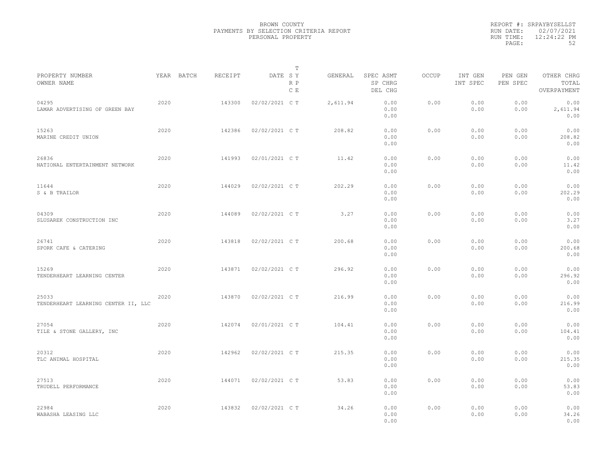|                                              |      |            |         |                | T          |          |                                 |       |                     |                     |                                    |  |
|----------------------------------------------|------|------------|---------|----------------|------------|----------|---------------------------------|-------|---------------------|---------------------|------------------------------------|--|
| PROPERTY NUMBER<br>OWNER NAME                |      | YEAR BATCH | RECEIPT | DATE SY        | R P<br>C E | GENERAL  | SPEC ASMT<br>SP CHRG<br>DEL CHG | OCCUP | INT GEN<br>INT SPEC | PEN GEN<br>PEN SPEC | OTHER CHRG<br>TOTAL<br>OVERPAYMENT |  |
| 04295<br>LAMAR ADVERTISING OF GREEN BAY      | 2020 |            | 143300  | 02/02/2021 C T |            | 2,611.94 | 0.00<br>0.00<br>0.00            | 0.00  | 0.00<br>0.00        | 0.00<br>0.00        | 0.00<br>2,611.94<br>0.00           |  |
| 15263<br>MARINE CREDIT UNION                 | 2020 |            | 142386  | 02/02/2021 C T |            | 208.82   | 0.00<br>0.00<br>0.00            | 0.00  | 0.00<br>0.00        | 0.00<br>0.00        | 0.00<br>208.82<br>0.00             |  |
| 26836<br>NATIONAL ENTERTAINMENT NETWORK      | 2020 |            | 141993  | 02/01/2021 C T |            | 11.42    | 0.00<br>0.00<br>0.00            | 0.00  | 0.00<br>0.00        | 0.00<br>0.00        | 0.00<br>11.42<br>0.00              |  |
| 11644<br>S & B TRAILOR                       | 2020 |            | 144029  | 02/02/2021 C T |            | 202.29   | 0.00<br>0.00<br>0.00            | 0.00  | 0.00<br>0.00        | 0.00<br>0.00        | 0.00<br>202.29<br>0.00             |  |
| 04309<br>SLUSAREK CONSTRUCTION INC           | 2020 |            | 144089  | 02/02/2021 C T |            | 3.27     | 0.00<br>0.00<br>0.00            | 0.00  | 0.00<br>0.00        | 0.00<br>0.00        | 0.00<br>3.27<br>0.00               |  |
| 26741<br>SPORK CAFE & CATERING               | 2020 |            | 143818  | 02/02/2021 C T |            | 200.68   | 0.00<br>0.00<br>0.00            | 0.00  | 0.00<br>0.00        | 0.00<br>0.00        | 0.00<br>200.68<br>0.00             |  |
| 15269<br>TENDERHEART LEARNING CENTER         | 2020 |            | 143871  | 02/02/2021 C T |            | 296.92   | 0.00<br>0.00<br>0.00            | 0.00  | 0.00<br>0.00        | 0.00<br>0.00        | 0.00<br>296.92<br>0.00             |  |
| 25033<br>TENDERHEART LEARNING CENTER II, LLC | 2020 |            | 143870  | 02/02/2021 C T |            | 216.99   | 0.00<br>0.00<br>0.00            | 0.00  | 0.00<br>0.00        | 0.00<br>0.00        | 0.00<br>216.99<br>0.00             |  |
| 27054<br>TILE & STONE GALLERY, INC           | 2020 |            | 142074  | 02/01/2021 C T |            | 104.41   | 0.00<br>0.00<br>0.00            | 0.00  | 0.00<br>0.00        | 0.00<br>0.00        | 0.00<br>104.41<br>0.00             |  |
| 20312<br>TLC ANIMAL HOSPITAL                 | 2020 |            | 142962  | 02/02/2021 C T |            | 215.35   | 0.00<br>0.00<br>0.00            | 0.00  | 0.00<br>0.00        | 0.00<br>0.00        | 0.00<br>215.35<br>0.00             |  |
| 27513<br>TRUDELL PERFORMANCE                 | 2020 |            | 144071  | 02/02/2021 C T |            | 53.83    | 0.00<br>0.00<br>0.00            | 0.00  | 0.00<br>0.00        | 0.00<br>0.00        | 0.00<br>53.83<br>0.00              |  |
| 22984<br>WABASHA LEASING LLC                 | 2020 |            | 143832  | 02/02/2021 C T |            | 34.26    | 0.00<br>0.00<br>0.00            | 0.00  | 0.00<br>0.00        | 0.00<br>0.00        | 0.00<br>34.26<br>0.00              |  |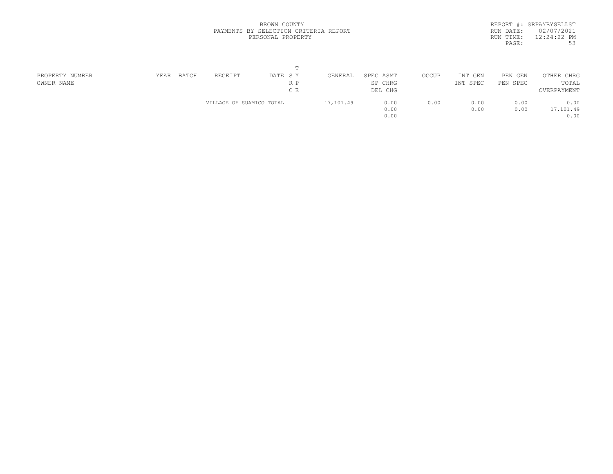|           | REPORT #: SRPAYBYSELLST |
|-----------|-------------------------|
| RUN DATE: | 02/07/2021              |
| RUN TIME: | $12:24:22$ PM           |
| PAGE:     | 53                      |
|           |                         |

| PROPERTY NUMBER | YEAR | BATCH | RECEIPT                  | DATE SY | GENERAL   | SPEC ASMT | OCCUP | INT GEN  | PEN GEN  | OTHER CHRG  |  |
|-----------------|------|-------|--------------------------|---------|-----------|-----------|-------|----------|----------|-------------|--|
| OWNER NAME      |      |       |                          | R P     |           | SP CHRG   |       | INT SPEC | PEN SPEC | TOTAL       |  |
|                 |      |       |                          | C E     |           | DEL CHG   |       |          |          | OVERPAYMENT |  |
|                 |      |       | VILLAGE OF SUAMICO TOTAL |         | 17,101.49 | 0.00      | 0.00  | 0.00     | 0.00     | 0.00        |  |
|                 |      |       |                          |         |           | 0.00      |       | 0.00     | 0.00     | 17,101.49   |  |
|                 |      |       |                          |         |           | 0.00      |       |          |          | 0.00        |  |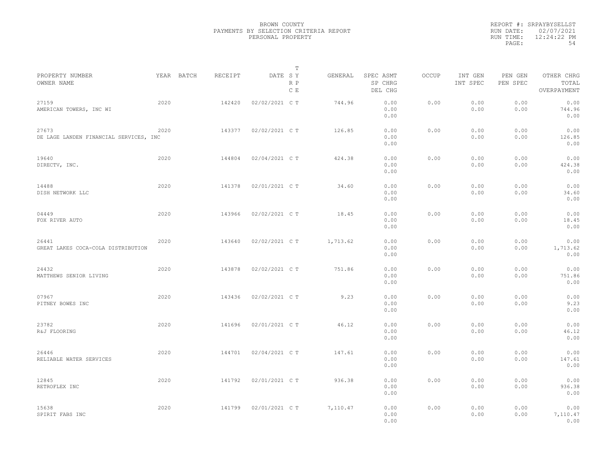|                                                 |      |            |         |                | T          |          |                                 |              |                     |                     |                                    |  |
|-------------------------------------------------|------|------------|---------|----------------|------------|----------|---------------------------------|--------------|---------------------|---------------------|------------------------------------|--|
| PROPERTY NUMBER<br>OWNER NAME                   |      | YEAR BATCH | RECEIPT | DATE SY        | R P<br>C E | GENERAL  | SPEC ASMT<br>SP CHRG<br>DEL CHG | <b>OCCUP</b> | INT GEN<br>INT SPEC | PEN GEN<br>PEN SPEC | OTHER CHRG<br>TOTAL<br>OVERPAYMENT |  |
| 27159<br>AMERICAN TOWERS, INC WI                | 2020 |            | 142420  | 02/02/2021 C T |            | 744.96   | 0.00<br>0.00<br>0.00            | 0.00         | 0.00<br>0.00        | 0.00<br>0.00        | 0.00<br>744.96<br>0.00             |  |
| 27673<br>DE LAGE LANDEN FINANCIAL SERVICES, INC | 2020 |            | 143377  | 02/02/2021 C T |            | 126.85   | 0.00<br>0.00<br>0.00            | 0.00         | 0.00<br>0.00        | 0.00<br>0.00        | 0.00<br>126.85<br>0.00             |  |
| 19640<br>DIRECTV, INC.                          | 2020 |            | 144804  | 02/04/2021 C T |            | 424.38   | 0.00<br>0.00<br>0.00            | 0.00         | 0.00<br>0.00        | 0.00<br>0.00        | 0.00<br>424.38<br>0.00             |  |
| 14488<br>DISH NETWORK LLC                       | 2020 |            | 141378  | 02/01/2021 C T |            | 34.60    | 0.00<br>0.00<br>0.00            | 0.00         | 0.00<br>0.00        | 0.00<br>0.00        | 0.00<br>34.60<br>0.00              |  |
| 04449<br>FOX RIVER AUTO                         | 2020 |            | 143966  | 02/02/2021 C T |            | 18.45    | 0.00<br>0.00<br>0.00            | 0.00         | 0.00<br>0.00        | 0.00<br>0.00        | 0.00<br>18.45<br>0.00              |  |
| 26441<br>GREAT LAKES COCA-COLA DISTRIBUTION     | 2020 |            | 143640  | 02/02/2021 C T |            | 1,713.62 | 0.00<br>0.00<br>0.00            | 0.00         | 0.00<br>0.00        | 0.00<br>0.00        | 0.00<br>1,713.62<br>0.00           |  |
| 24432<br>MATTHEWS SENIOR LIVING                 | 2020 |            | 143878  | 02/02/2021 C T |            | 751.86   | 0.00<br>0.00<br>0.00            | 0.00         | 0.00<br>0.00        | 0.00<br>0.00        | 0.00<br>751.86<br>0.00             |  |
| 07967<br>PITNEY BOWES INC                       | 2020 |            | 143436  | 02/02/2021 C T |            | 9.23     | 0.00<br>0.00<br>0.00            | 0.00         | 0.00<br>0.00        | 0.00<br>0.00        | 0.00<br>9.23<br>0.00               |  |
| 23782<br>R&J FLOORING                           | 2020 |            | 141696  | 02/01/2021 C T |            | 46.12    | 0.00<br>0.00<br>0.00            | 0.00         | 0.00<br>0.00        | 0.00<br>0.00        | 0.00<br>46.12<br>0.00              |  |
| 26446<br>RELIABLE WATER SERVICES                | 2020 |            | 144701  | 02/04/2021 C T |            | 147.61   | 0.00<br>0.00<br>0.00            | 0.00         | 0.00<br>0.00        | 0.00<br>0.00        | 0.00<br>147.61<br>0.00             |  |
| 12845<br>RETROFLEX INC                          | 2020 |            | 141792  | 02/01/2021 C T |            | 936.38   | 0.00<br>0.00<br>0.00            | 0.00         | 0.00<br>0.00        | 0.00<br>0.00        | 0.00<br>936.38<br>0.00             |  |
| 15638<br>SPIRIT FABS INC                        | 2020 |            | 141799  | 02/01/2021 C T |            | 7,110.47 | 0.00<br>0.00<br>0.00            | 0.00         | 0.00<br>0.00        | 0.00<br>0.00        | 0.00<br>7,110.47<br>0.00           |  |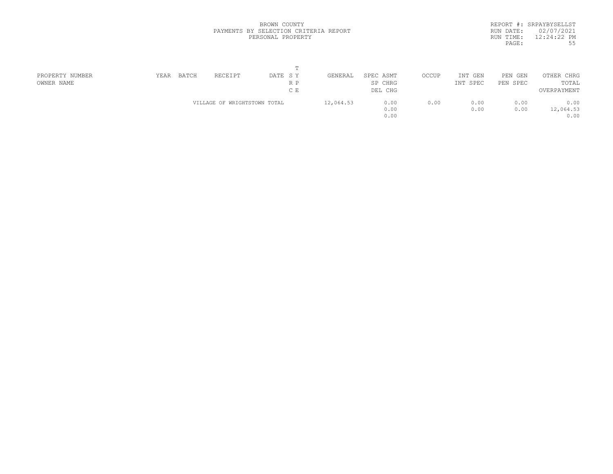|           | REPORT #: SRPAYBYSELLST |
|-----------|-------------------------|
| RUN DATE: | 02/07/2021              |
| RUN TIME: | $12:24:22$ PM           |
| PAGE:     | 55                      |
|           |                         |

| PROPERTY NUMBER | YEAR | BATCH | RECEIPT                      | DATE SY | GENERAL   | SPEC ASMT | OCCUP | INT GEN  | PEN<br>GEN | OTHER CHRG  |  |
|-----------------|------|-------|------------------------------|---------|-----------|-----------|-------|----------|------------|-------------|--|
| OWNER NAME      |      |       |                              | R P     |           | SP CHRG   |       | INT SPEC | PEN SPEC   | TOTAL       |  |
|                 |      |       |                              | C E     |           | DEL CHG   |       |          |            | OVERPAYMENT |  |
|                 |      |       | VILLAGE OF WRIGHTSTOWN TOTAL |         | 12,064.53 | 0.00      | 0.00  | 0.00     | 0.00       | 0.00        |  |
|                 |      |       |                              |         |           | 0.00      |       | 0.00     | 0.00       | 12,064.53   |  |
|                 |      |       |                              |         |           | 0.00      |       |          |            | 0.00        |  |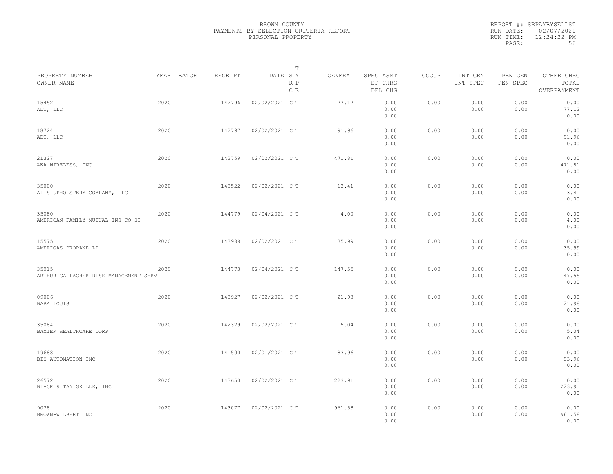|                                                |            |         | T                     |         |                                 |       |                     |                     |                                    |
|------------------------------------------------|------------|---------|-----------------------|---------|---------------------------------|-------|---------------------|---------------------|------------------------------------|
| PROPERTY NUMBER<br>OWNER NAME                  | YEAR BATCH | RECEIPT | DATE SY<br>R P<br>C E | GENERAL | SPEC ASMT<br>SP CHRG<br>DEL CHG | OCCUP | INT GEN<br>INT SPEC | PEN GEN<br>PEN SPEC | OTHER CHRG<br>TOTAL<br>OVERPAYMENT |
| 15452<br>ADT, LLC                              | 2020       | 142796  | 02/02/2021 C T        | 77.12   | 0.00<br>0.00<br>0.00            | 0.00  | 0.00<br>0.00        | 0.00<br>0.00        | 0.00<br>77.12<br>0.00              |
| 18724<br>ADT, LLC                              | 2020       | 142797  | 02/02/2021 C T        | 91.96   | 0.00<br>0.00<br>0.00            | 0.00  | 0.00<br>0.00        | 0.00<br>0.00        | 0.00<br>91.96<br>0.00              |
| 21327<br>AKA WIRELESS, INC                     | 2020       | 142759  | 02/02/2021 C T        | 471.81  | 0.00<br>0.00<br>0.00            | 0.00  | 0.00<br>0.00        | 0.00<br>0.00        | 0.00<br>471.81<br>0.00             |
| 35000<br>AL'S UPHOLSTERY COMPANY, LLC          | 2020       | 143522  | 02/02/2021 C T        | 13.41   | 0.00<br>0.00<br>0.00            | 0.00  | 0.00<br>0.00        | 0.00<br>0.00        | 0.00<br>13.41<br>0.00              |
| 35080<br>AMERICAN FAMILY MUTUAL INS CO SI      | 2020       | 144779  | 02/04/2021 C T        | 4.00    | 0.00<br>0.00<br>0.00            | 0.00  | 0.00<br>0.00        | 0.00<br>0.00        | 0.00<br>4.00<br>0.00               |
| 15575<br>AMERIGAS PROPANE LP                   | 2020       | 143988  | 02/02/2021 C T        | 35.99   | 0.00<br>0.00<br>0.00            | 0.00  | 0.00<br>0.00        | 0.00<br>0.00        | 0.00<br>35.99<br>0.00              |
| 35015<br>ARTHUR GALLAGHER RISK MANAGEMENT SERV | 2020       | 144773  | 02/04/2021 C T        | 147.55  | 0.00<br>0.00<br>0.00            | 0.00  | 0.00<br>0.00        | 0.00<br>0.00        | 0.00<br>147.55<br>0.00             |
| 09006<br>BABA LOUIS                            | 2020       | 143927  | 02/02/2021 C T        | 21.98   | 0.00<br>0.00<br>0.00            | 0.00  | 0.00<br>0.00        | 0.00<br>0.00        | 0.00<br>21.98<br>0.00              |
| 35084<br>BAXTER HEALTHCARE CORP                | 2020       | 142329  | 02/02/2021 C T        | 5.04    | 0.00<br>0.00<br>0.00            | 0.00  | 0.00<br>0.00        | 0.00<br>0.00        | 0.00<br>5.04<br>0.00               |
| 19688<br>BIS AUTOMATION INC                    | 2020       | 141500  | 02/01/2021 C T        | 83.96   | 0.00<br>0.00<br>0.00            | 0.00  | 0.00<br>0.00        | 0.00<br>0.00        | 0.00<br>83.96<br>0.00              |
| 26572<br>BLACK & TAN GRILLE, INC               | 2020       | 143650  | 02/02/2021 C T        | 223.91  | 0.00<br>0.00<br>0.00            | 0.00  | 0.00<br>0.00        | 0.00<br>0.00        | 0.00<br>223.91<br>0.00             |
| 9078<br>BROWN-WILBERT INC                      | 2020       | 143077  | 02/02/2021 C T        | 961.58  | 0.00<br>0.00<br>0.00            | 0.00  | 0.00<br>0.00        | 0.00<br>0.00        | 0.00<br>961.58<br>0.00             |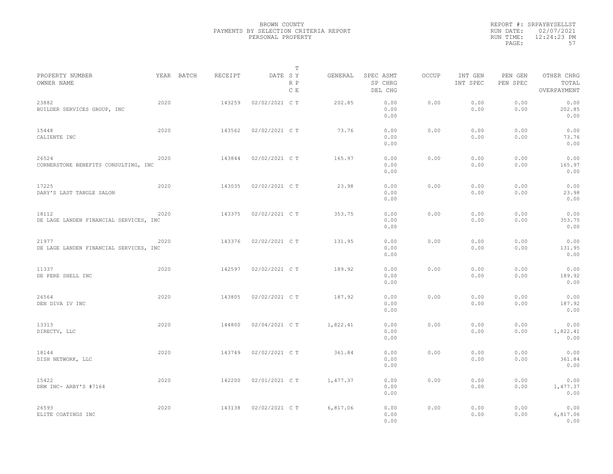|                                                 |      |            |         |                | T          |          |                                 |              |                     |                     |                                    |  |
|-------------------------------------------------|------|------------|---------|----------------|------------|----------|---------------------------------|--------------|---------------------|---------------------|------------------------------------|--|
| PROPERTY NUMBER<br>OWNER NAME                   |      | YEAR BATCH | RECEIPT | DATE SY        | R P<br>C E | GENERAL  | SPEC ASMT<br>SP CHRG<br>DEL CHG | <b>OCCUP</b> | INT GEN<br>INT SPEC | PEN GEN<br>PEN SPEC | OTHER CHRG<br>TOTAL<br>OVERPAYMENT |  |
| 23882<br>BUILDER SERVICES GROUP, INC            | 2020 |            | 143259  | 02/02/2021 C T |            | 202.85   | 0.00<br>0.00<br>0.00            | 0.00         | 0.00<br>0.00        | 0.00<br>0.00        | 0.00<br>202.85<br>0.00             |  |
| 15448<br>CALIENTE INC                           | 2020 |            | 143562  | 02/02/2021 C T |            | 73.76    | 0.00<br>0.00<br>0.00            | 0.00         | 0.00<br>0.00        | 0.00<br>0.00        | 0.00<br>73.76<br>0.00              |  |
| 26524<br>CORNERSTONE BENEFITS CONSULTING, INC   | 2020 |            | 143844  | 02/02/2021 C T |            | 165.97   | 0.00<br>0.00<br>0.00            | 0.00         | 0.00<br>0.00        | 0.00<br>0.00        | 0.00<br>165.97<br>0.00             |  |
| 17225<br>DARY'S LAST TANGLE SALON               | 2020 |            | 143035  | 02/02/2021 C T |            | 23.98    | 0.00<br>0.00<br>0.00            | 0.00         | 0.00<br>0.00        | 0.00<br>0.00        | 0.00<br>23.98<br>0.00              |  |
| 18112<br>DE LAGE LANDEN FINANCIAL SERVICES, INC | 2020 |            | 143375  | 02/02/2021 C T |            | 353.75   | 0.00<br>0.00<br>0.00            | 0.00         | 0.00<br>0.00        | 0.00<br>0.00        | 0.00<br>353.75<br>0.00             |  |
| 21977<br>DE LAGE LANDEN FINANCIAL SERVICES, INC | 2020 |            | 143376  | 02/02/2021 C T |            | 131.95   | 0.00<br>0.00<br>0.00            | 0.00         | 0.00<br>0.00        | 0.00<br>0.00        | 0.00<br>131.95<br>0.00             |  |
| 11337<br>DE PERE SHELL INC                      | 2020 |            | 142597  | 02/02/2021 C T |            | 189.92   | 0.00<br>0.00<br>0.00            | 0.00         | 0.00<br>0.00        | 0.00<br>0.00        | 0.00<br>189.92<br>0.00             |  |
| 26564<br>DEN DIVA IV INC                        | 2020 |            | 143805  | 02/02/2021 C T |            | 187.92   | 0.00<br>0.00<br>0.00            | 0.00         | 0.00<br>0.00        | 0.00<br>0.00        | 0.00<br>187.92<br>0.00             |  |
| 13313<br>DIRECTV, LLC                           | 2020 |            | 144800  | 02/04/2021 C T |            | 1,822.41 | 0.00<br>0.00<br>0.00            | 0.00         | 0.00<br>0.00        | 0.00<br>0.00        | 0.00<br>1,822.41<br>0.00           |  |
| 18144<br>DISH NETWORK, LLC                      | 2020 |            | 143749  | 02/02/2021 C T |            | 361.84   | 0.00<br>0.00<br>0.00            | 0.00         | 0.00<br>0.00        | 0.00<br>0.00        | 0.00<br>361.84<br>0.00             |  |
| 15422<br>DRM INC- ARBY'S #7164                  | 2020 |            | 142200  | 02/01/2021 C T |            | 1,477.37 | 0.00<br>0.00<br>0.00            | 0.00         | 0.00<br>0.00        | 0.00<br>0.00        | 0.00<br>1,477.37<br>0.00           |  |
| 26593<br>ELITE COATINGS INC                     | 2020 |            | 143138  | 02/02/2021 C T |            | 6,817.06 | 0.00<br>0.00<br>0.00            | 0.00         | 0.00<br>0.00        | 0.00<br>0.00        | 0.00<br>6,817.06<br>0.00           |  |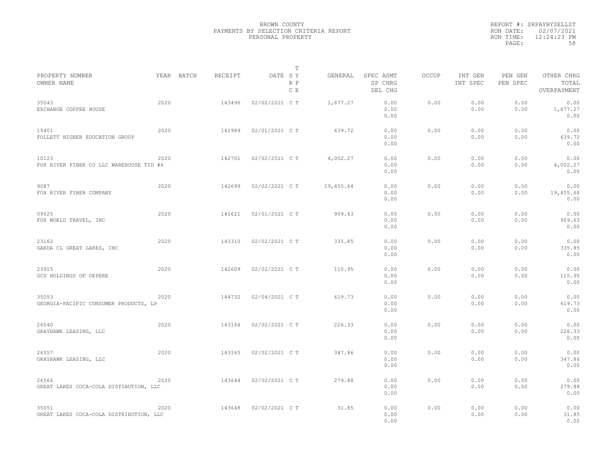|                                                  |      |            |         |                | T          |           |                                 |              |                     |                     |                                    |
|--------------------------------------------------|------|------------|---------|----------------|------------|-----------|---------------------------------|--------------|---------------------|---------------------|------------------------------------|
| PROPERTY NUMBER<br>OWNER NAME                    |      | YEAR BATCH | RECEIPT | DATE SY        | R P<br>C E | GENERAL   | SPEC ASMT<br>SP CHRG<br>DEL CHG | <b>OCCUP</b> | INT GEN<br>INT SPEC | PEN GEN<br>PEN SPEC | OTHER CHRG<br>TOTAL<br>OVERPAYMENT |
| 35043<br>EXCHANGE COFFEE HOUSE                   | 2020 |            | 143496  | 02/02/2021 C T |            | 1,677.27  | 0.00<br>0.00<br>0.00            | 0.00         | 0.00<br>0.00        | 0.00<br>0.00        | 0.00<br>1,677.27<br>0.00           |
| 15401<br>FOLLETT HIGHER EDUCATION GROUP          | 2020 |            | 141989  | 02/01/2021 C T |            | 639.72    | 0.00<br>0.00<br>0.00            | 0.00         | 0.00<br>0.00        | 0.00<br>0.00        | 0.00<br>639.72<br>0.00             |
| 10123<br>FOX RIVER FIBER CO LLC WAREHOUSE TID #6 | 2020 |            | 142701  | 02/02/2021 C T |            | 4,002.27  | 0.00<br>0.00<br>0.00            | 0.00         | 0.00<br>0.00        | 0.00<br>0.00        | 0.00<br>4,002.27<br>0.00           |
| 9087<br>FOX RIVER FIBER COMPANY                  | 2020 |            | 142699  | 02/02/2021 C T |            | 19,455.64 | 0.00<br>0.00<br>0.00            | 0.00         | 0.00<br>0.00        | 0.00<br>0.00        | 0.00<br>19,455.64<br>0.00          |
| 09025<br>FOX WORLD TRAVEL, INC                   | 2020 |            | 141621  | 02/01/2021 C T |            | 909.63    | 0.00<br>0.00<br>0.00            | 0.00         | 0.00<br>0.00        | 0.00<br>0.00        | 0.00<br>909.63<br>0.00             |
| 23162<br>GARDA CL GREAT LAKES, INC               | 2020 |            | 143310  | 02/02/2021 C T |            | 335.85    | 0.00<br>0.00<br>0.00            | 0.00         | 0.00<br>0.00        | 0.00<br>0.00        | 0.00<br>335.85<br>0.00             |
| 23915<br>GCS HOLDINGS OF DEPERE                  | 2020 |            | 142609  | 02/02/2021 C T |            | 115.95    | 0.00<br>0.00<br>0.00            | 0.00         | 0.00<br>0.00        | 0.00<br>0.00        | 0.00<br>115.95<br>0.00             |
| 35053<br>GEORGIA-PACIFIC CONSUMER PRODUCTS, LP   | 2020 |            | 144732  | 02/04/2021 C T |            | 619.73    | 0.00<br>0.00<br>0.00            | 0.00         | 0.00<br>0.00        | 0.00<br>0.00        | 0.00<br>619.73<br>0.00             |
| 26540<br>GRAYHAWK LEASING, LLC                   | 2020 |            | 143164  | 02/02/2021 C T |            | 226.33    | 0.00<br>0.00<br>0.00            | 0.00         | 0.00<br>0.00        | 0.00<br>0.00        | 0.00<br>226.33<br>0.00             |
| 26557<br>GRAYHAWK LEASING, LLC                   | 2020 |            | 143165  | 02/02/2021 C T |            | 347.86    | 0.00<br>0.00<br>0.00            | 0.00         | 0.00<br>0.00        | 0.00<br>0.00        | 0.00<br>347.86<br>0.00             |
| 26566<br>GREAT LAKES COCA-COLA DISTIBUTION, LLC  | 2020 |            | 143644  | 02/02/2021 C T |            | 279.88    | 0.00<br>0.00<br>0.00            | 0.00         | 0.00<br>0.00        | 0.00<br>0.00        | 0.00<br>279.88<br>0.00             |
| 35051<br>GREAT LAKES COCA-COLA DISTRIBUTION, LLC | 2020 |            | 143648  | 02/02/2021 C T |            | 31.85     | 0.00<br>0.00<br>0.00            | 0.00         | 0.00<br>0.00        | 0.00<br>0.00        | 0.00<br>31.85<br>0.00              |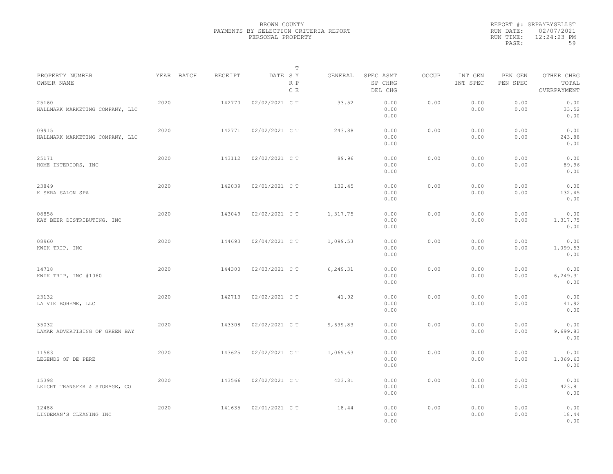|                                          |            |         | T                     |          |                                 |       |                     |                     |                                    |  |
|------------------------------------------|------------|---------|-----------------------|----------|---------------------------------|-------|---------------------|---------------------|------------------------------------|--|
| PROPERTY NUMBER<br>OWNER NAME            | YEAR BATCH | RECEIPT | DATE SY<br>R P<br>C E | GENERAL  | SPEC ASMT<br>SP CHRG<br>DEL CHG | OCCUP | INT GEN<br>INT SPEC | PEN GEN<br>PEN SPEC | OTHER CHRG<br>TOTAL<br>OVERPAYMENT |  |
| 25160<br>HALLMARK MARKETING COMPANY, LLC | 2020       | 142770  | 02/02/2021 C T        | 33.52    | 0.00<br>0.00<br>0.00            | 0.00  | 0.00<br>0.00        | 0.00<br>0.00        | 0.00<br>33.52<br>0.00              |  |
| 09915<br>HALLMARK MARKETING COMPANY, LLC | 2020       | 142771  | 02/02/2021 C T        | 243.88   | 0.00<br>0.00<br>0.00            | 0.00  | 0.00<br>0.00        | 0.00<br>0.00        | 0.00<br>243.88<br>0.00             |  |
| 25171<br>HOME INTERIORS, INC             | 2020       | 143112  | 02/02/2021 C T        | 89.96    | 0.00<br>0.00<br>0.00            | 0.00  | 0.00<br>0.00        | 0.00<br>0.00        | 0.00<br>89.96<br>0.00              |  |
| 23849<br>K SERA SALON SPA                | 2020       | 142039  | 02/01/2021 C T        | 132.45   | 0.00<br>0.00<br>0.00            | 0.00  | 0.00<br>0.00        | 0.00<br>0.00        | 0.00<br>132.45<br>0.00             |  |
| 08858<br>KAY BEER DISTRIBUTING, INC      | 2020       | 143049  | 02/02/2021 C T        | 1,317.75 | 0.00<br>0.00<br>0.00            | 0.00  | 0.00<br>0.00        | 0.00<br>0.00        | 0.00<br>1,317.75<br>0.00           |  |
| 08960<br>KWIK TRIP, INC                  | 2020       | 144693  | 02/04/2021 C T        | 1,099.53 | 0.00<br>0.00<br>0.00            | 0.00  | 0.00<br>0.00        | 0.00<br>0.00        | 0.00<br>1,099.53<br>0.00           |  |
| 14718<br>KWIK TRIP, INC #1060            | 2020       | 144300  | 02/03/2021 C T        | 6,249.31 | 0.00<br>0.00<br>0.00            | 0.00  | 0.00<br>0.00        | 0.00<br>0.00        | 0.00<br>6,249.31<br>0.00           |  |
| 23132<br>LA VIE BOHEME, LLC              | 2020       | 142713  | 02/02/2021 C T        | 41.92    | 0.00<br>0.00<br>0.00            | 0.00  | 0.00<br>0.00        | 0.00<br>0.00        | 0.00<br>41.92<br>0.00              |  |
| 35032<br>LAMAR ADVERTISING OF GREEN BAY  | 2020       | 143308  | 02/02/2021 C T        | 9,699.83 | 0.00<br>0.00<br>0.00            | 0.00  | 0.00<br>0.00        | 0.00<br>0.00        | 0.00<br>9,699.83<br>0.00           |  |
| 11583<br>LEGENDS OF DE PERE              | 2020       | 143625  | 02/02/2021 C T        | 1,069.63 | 0.00<br>0.00<br>0.00            | 0.00  | 0.00<br>0.00        | 0.00<br>0.00        | 0.00<br>1,069.63<br>0.00           |  |
| 15398<br>LEICHT TRANSFER & STORAGE, CO   | 2020       | 143566  | 02/02/2021 C T        | 423.81   | 0.00<br>0.00<br>0.00            | 0.00  | 0.00<br>0.00        | 0.00<br>0.00        | 0.00<br>423.81<br>0.00             |  |
| 12488<br>LINDEMAN'S CLEANING INC         | 2020       | 141635  | 02/01/2021 C T        | 18.44    | 0.00<br>0.00<br>0.00            | 0.00  | 0.00<br>0.00        | 0.00<br>0.00        | 0.00<br>18.44<br>0.00              |  |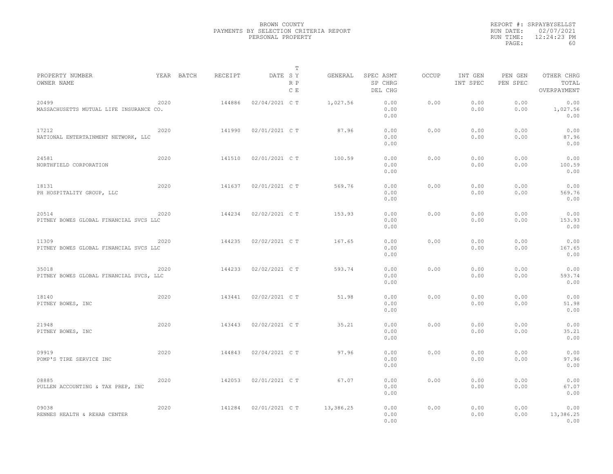|                                                  |      |            |         |                | T          |           |                                 |              |                     |                     |                                    |
|--------------------------------------------------|------|------------|---------|----------------|------------|-----------|---------------------------------|--------------|---------------------|---------------------|------------------------------------|
| PROPERTY NUMBER<br>OWNER NAME                    |      | YEAR BATCH | RECEIPT | DATE SY        | R P<br>C E | GENERAL   | SPEC ASMT<br>SP CHRG<br>DEL CHG | <b>OCCUP</b> | INT GEN<br>INT SPEC | PEN GEN<br>PEN SPEC | OTHER CHRG<br>TOTAL<br>OVERPAYMENT |
| 20499<br>MASSACHUSETTS MUTUAL LIFE INSURANCE CO. | 2020 |            | 144886  | 02/04/2021 C T |            | 1,027.56  | 0.00<br>0.00<br>0.00            | 0.00         | 0.00<br>0.00        | 0.00<br>0.00        | 0.00<br>1,027.56<br>0.00           |
| 17212<br>NATIONAL ENTERTAINMENT NETWORK, LLC     | 2020 |            | 141990  | 02/01/2021 C T |            | 87.96     | 0.00<br>0.00<br>0.00            | 0.00         | 0.00<br>0.00        | 0.00<br>0.00        | 0.00<br>87.96<br>0.00              |
| 24581<br>NORTHFIELD CORPORATION                  | 2020 |            | 141510  | 02/01/2021 C T |            | 100.59    | 0.00<br>0.00<br>0.00            | 0.00         | 0.00<br>0.00        | 0.00<br>0.00        | 0.00<br>100.59<br>0.00             |
| 18131<br>PH HOSPITALITY GROUP, LLC               | 2020 |            | 141637  | 02/01/2021 C T |            | 569.76    | 0.00<br>0.00<br>0.00            | 0.00         | 0.00<br>0.00        | 0.00<br>0.00        | 0.00<br>569.76<br>0.00             |
| 20514<br>PITNEY BOWES GLOBAL FINANCIAL SVCS LLC  | 2020 |            | 144234  | 02/02/2021 C T |            | 153.93    | 0.00<br>0.00<br>0.00            | 0.00         | 0.00<br>0.00        | 0.00<br>0.00        | 0.00<br>153.93<br>0.00             |
| 11309<br>PITNEY BOWES GLOBAL FINANCIAL SVCS LLC  | 2020 |            | 144235  | 02/02/2021 C T |            | 167.65    | 0.00<br>0.00<br>0.00            | 0.00         | 0.00<br>0.00        | 0.00<br>0.00        | 0.00<br>167.65<br>0.00             |
| 35018<br>PITNEY BOWES GLOBAL FINANCIAL SVCS, LLC | 2020 |            | 144233  | 02/02/2021 C T |            | 593.74    | 0.00<br>0.00<br>0.00            | 0.00         | 0.00<br>0.00        | 0.00<br>0.00        | 0.00<br>593.74<br>0.00             |
| 18140<br>PITNEY BOWES, INC                       | 2020 |            | 143441  | 02/02/2021 C T |            | 51.98     | 0.00<br>0.00<br>0.00            | 0.00         | 0.00<br>0.00        | 0.00<br>0.00        | 0.00<br>51.98<br>0.00              |
| 21948<br>PITNEY BOWES, INC                       | 2020 |            | 143443  | 02/02/2021 C T |            | 35.21     | 0.00<br>0.00<br>0.00            | 0.00         | 0.00<br>0.00        | 0.00<br>0.00        | 0.00<br>35.21<br>0.00              |
| 09919<br>POMP'S TIRE SERVICE INC                 | 2020 |            | 144843  | 02/04/2021 C T |            | 97.96     | 0.00<br>0.00<br>0.00            | 0.00         | 0.00<br>0.00        | 0.00<br>0.00        | 0.00<br>97.96<br>0.00              |
| 08885<br>PULLEN ACCOUNTING & TAX PREP, INC       | 2020 |            | 142053  | 02/01/2021 C T |            | 67.07     | 0.00<br>0.00<br>0.00            | 0.00         | 0.00<br>0.00        | 0.00<br>0.00        | 0.00<br>67.07<br>0.00              |
| 09038<br>RENNES HEALTH & REHAB CENTER            | 2020 |            | 141284  | 02/01/2021 C T |            | 13,386.25 | 0.00<br>0.00<br>0.00            | 0.00         | 0.00<br>0.00        | 0.00<br>0.00        | 0.00<br>13,386.25<br>0.00          |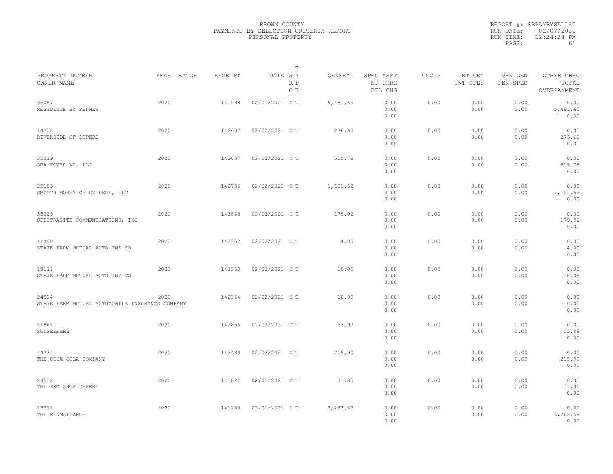|           | REPORT #: SRPAYBYSELLST |
|-----------|-------------------------|
|           | RUN DATE: 02/07/2021    |
| RUN TIME: | $12:24:24$ PM           |
| PAGE:     | 61                      |

|                                                         |            |         |                | Т          |          |                                 |       |                     |                     |                                    |  |
|---------------------------------------------------------|------------|---------|----------------|------------|----------|---------------------------------|-------|---------------------|---------------------|------------------------------------|--|
| PROPERTY NUMBER<br>OWNER NAME                           | YEAR BATCH | RECEIPT | DATE SY        | R P<br>C E | GENERAL  | SPEC ASMT<br>SP CHRG<br>DEL CHG | OCCUP | INT GEN<br>INT SPEC | PEN GEN<br>PEN SPEC | OTHER CHRG<br>TOTAL<br>OVERPAYMENT |  |
| 35057<br>RESIDENCE BY RENNES                            | 2020       | 141288  | 02/01/2021 C T |            | 5,481.65 | 0.00<br>0.00<br>0.00            | 0.00  | 0.00<br>0.00        | 0.00<br>0.00        | 0.00<br>5,481.65<br>0.00           |  |
| 14708<br>RIVERSIDE OF DEPERE                            | 2020       | 142607  | 02/02/2021 C T |            | 276.63   | 0.00<br>0.00<br>0.00            | 0.00  | 0.00<br>0.00        | 0.00<br>0.00        | 0.00<br>276.63<br>0.00             |  |
| 35019<br>SBA TOWER VI, LLC                              | 2020       | 143057  | 02/02/2021 C T |            | 515.78   | 0.00<br>0.00<br>0.00            | 0.00  | 0.00<br>0.00        | 0.00<br>0.00        | 0.00<br>515.78<br>0.00             |  |
| 25183<br>SMOOTH MONEY OF DE PERE, LLC                   | 2020       | 142756  | 02/02/2021 C T |            | 1,101.52 | 0.00<br>0.00<br>0.00            | 0.00  | 0.00<br>0.00        | 0.00<br>0.00        | 0.00<br>1,101.52<br>0.00           |  |
| 35025<br>SPECTRASITE COMMUNICATIONS, INC                | 2020       | 143846  | 02/02/2021 C T |            | 179.92   | 0.00<br>0.00<br>0.00            | 0.00  | 0.00<br>0.00        | 0.00<br>0.00        | 0.00<br>179.92<br>0.00             |  |
| 11340<br>STATE FARM MUTUAL AUTO INS CO                  | 2020       | 142352  | 02/02/2021 C T |            | 4.00     | 0.00<br>0.00<br>0.00            | 0.00  | 0.00<br>0.00        | 0.00<br>0.00        | 0.00<br>4.00<br>0.00               |  |
| 18121<br>STATE FARM MUTUAL AUTO INS CO                  | 2020       | 142353  | 02/02/2021 C T |            | 10.05    | 0.00<br>0.00<br>0.00            | 0.00  | 0.00<br>0.00        | 0.00<br>0.00        | 0.00<br>10.05<br>0.00              |  |
| 24534<br>STATE FARM MUTUAL AUTOMOBILE INSURANCE COMPANY | 2020       | 142354  | 02/02/2021 C T |            | 10.05    | 0.00<br>0.00<br>0.00            | 0.00  | 0.00<br>0.00        | 0.00<br>0.00        | 0.00<br>10.05<br>0.00              |  |
| 21962<br>SUNSEEKERS                                     | 2020       | 142856  | 02/02/2021 C T |            | 33.99    | 0.00<br>0.00<br>0.00            | 0.00  | 0.00<br>0.00        | 0.00<br>0.00        | 0.00<br>33.99<br>0.00              |  |
| 14734<br>THE COCA-COLA COMPANY                          | 2020       | 142480  | 02/02/2021 C T |            | 215.90   | 0.00<br>0.00<br>0.00            | 0.00  | 0.00<br>0.00        | 0.00<br>0.00        | 0.00<br>215.90<br>0.00             |  |
| 24538<br>THE PRO SHOP DEPERE                            | 2020       | 141822  | 02/01/2021 C T |            | 31.85    | 0.00<br>0.00<br>0.00            | 0.00  | 0.00<br>0.00        | 0.00<br>0.00        | 0.00<br>31.85<br>0.00              |  |
| 13311<br>THE RENNAISANCE                                | 2020       | 141286  | 02/01/2021 C T |            | 3,262.59 | 0.00<br>0.00<br>0.00            | 0.00  | 0.00<br>0.00        | 0.00<br>0.00        | 0.00<br>3,262.59<br>0.00           |  |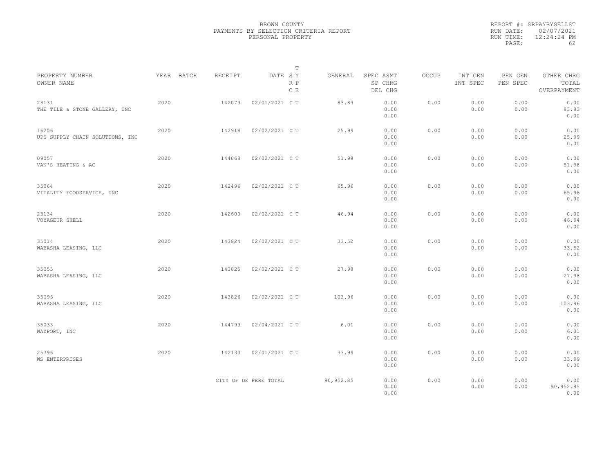|                                          |            |         | $\mathbb T$           |           |                                 |              |                     |                     |                                    |  |
|------------------------------------------|------------|---------|-----------------------|-----------|---------------------------------|--------------|---------------------|---------------------|------------------------------------|--|
| PROPERTY NUMBER<br>OWNER NAME            | YEAR BATCH | RECEIPT | DATE SY<br>R P<br>C E | GENERAL   | SPEC ASMT<br>SP CHRG<br>DEL CHG | <b>OCCUP</b> | INT GEN<br>INT SPEC | PEN GEN<br>PEN SPEC | OTHER CHRG<br>TOTAL<br>OVERPAYMENT |  |
| 23131<br>THE TILE & STONE GALLERY, INC   | 2020       | 142073  | 02/01/2021 C T        | 83.83     | 0.00<br>0.00<br>0.00            | 0.00         | 0.00<br>0.00        | 0.00<br>0.00        | 0.00<br>83.83<br>0.00              |  |
| 16206<br>UPS SUPPLY CHAIN SOLUTIONS, INC | 2020       | 142918  | 02/02/2021 C T        | 25.99     | 0.00<br>0.00<br>0.00            | 0.00         | 0.00<br>0.00        | 0.00<br>0.00        | 0.00<br>25.99<br>0.00              |  |
| 09057<br>VAN'S HEATING & AC              | 2020       | 144068  | 02/02/2021 C T        | 51.98     | 0.00<br>0.00<br>0.00            | 0.00         | 0.00<br>0.00        | 0.00<br>0.00        | 0.00<br>51.98<br>0.00              |  |
| 35064<br>VITALITY FOODSERVICE, INC       | 2020       | 142496  | 02/02/2021 C T        | 65.96     | 0.00<br>0.00<br>0.00            | 0.00         | 0.00<br>0.00        | 0.00<br>0.00        | 0.00<br>65.96<br>0.00              |  |
| 23134<br>VOYAGEUR SHELL                  | 2020       | 142600  | 02/02/2021 C T        | 46.94     | 0.00<br>0.00<br>0.00            | 0.00         | 0.00<br>0.00        | 0.00<br>0.00        | 0.00<br>46.94<br>0.00              |  |
| 35014<br>WABASHA LEASING, LLC            | 2020       | 143824  | 02/02/2021 C T        | 33.52     | 0.00<br>0.00<br>0.00            | 0.00         | 0.00<br>0.00        | 0.00<br>0.00        | 0.00<br>33.52<br>0.00              |  |
| 35055<br>WABASHA LEASING, LLC            | 2020       | 143825  | 02/02/2021 C T        | 27.98     | 0.00<br>0.00<br>0.00            | 0.00         | 0.00<br>0.00        | 0.00<br>0.00        | 0.00<br>27.98<br>0.00              |  |
| 35096<br>WABASHA LEASING, LLC            | 2020       | 143826  | 02/02/2021 C T        | 103.96    | 0.00<br>0.00<br>0.00            | 0.00         | 0.00<br>0.00        | 0.00<br>0.00        | 0.00<br>103.96<br>0.00             |  |
| 35033<br>WAYPORT, INC                    | 2020       | 144793  | 02/04/2021 C T        | 6.01      | 0.00<br>0.00<br>0.00            | 0.00         | 0.00<br>0.00        | 0.00<br>0.00        | 0.00<br>6.01<br>0.00               |  |
| 25796<br>WS ENTERPRISES                  | 2020       | 142130  | 02/01/2021 C T        | 33.99     | 0.00<br>0.00<br>0.00            | 0.00         | 0.00<br>0.00        | 0.00<br>0.00        | 0.00<br>33.99<br>0.00              |  |
|                                          |            |         | CITY OF DE PERE TOTAL | 90,952.85 | 0.00<br>0.00<br>0.00            | 0.00         | 0.00<br>0.00        | 0.00<br>0.00        | 0.00<br>90,952.85<br>0.00          |  |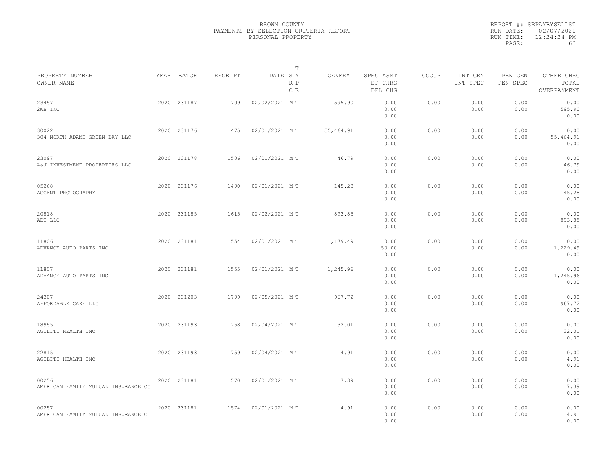| PROPERTY NUMBER                              | YEAR BATCH  | <b>RECEIPT</b> | DATE SY       | т<br>GENERAL | SPEC ASMT             | <b>OCCUP</b> | INT GEN      | PEN GEN      | OTHER CHRG                |  |
|----------------------------------------------|-------------|----------------|---------------|--------------|-----------------------|--------------|--------------|--------------|---------------------------|--|
| OWNER NAME                                   |             |                | R P<br>C E    |              | SP CHRG<br>DEL CHG    |              | INT SPEC     | PEN SPEC     | TOTAL<br>OVERPAYMENT      |  |
| 23457<br>2WB INC                             | 2020 231187 | 1709           | 02/02/2021 MT | 595.90       | 0.00<br>0.00<br>0.00  | 0.00         | 0.00<br>0.00 | 0.00<br>0.00 | 0.00<br>595.90<br>0.00    |  |
| 30022<br>304 NORTH ADAMS GREEN BAY LLC       | 2020 231176 | 1475           | 02/01/2021 MT | 55,464.91    | 0.00<br>0.00<br>0.00  | 0.00         | 0.00<br>0.00 | 0.00<br>0.00 | 0.00<br>55,464.91<br>0.00 |  |
| 23097<br>A&J INVESTMENT PROPERTIES LLC       | 2020 231178 | 1506           | 02/01/2021 MT | 46.79        | 0.00<br>0.00<br>0.00  | 0.00         | 0.00<br>0.00 | 0.00<br>0.00 | 0.00<br>46.79<br>0.00     |  |
| 05268<br>ACCENT PHOTOGRAPHY                  | 2020 231176 | 1490           | 02/01/2021 MT | 145.28       | 0.00<br>0.00<br>0.00  | 0.00         | 0.00<br>0.00 | 0.00<br>0.00 | 0.00<br>145.28<br>0.00    |  |
| 20818<br>ADT LLC                             | 2020 231185 | 1615           | 02/02/2021 MT | 893.85       | 0.00<br>0.00<br>0.00  | 0.00         | 0.00<br>0.00 | 0.00<br>0.00 | 0.00<br>893.85<br>0.00    |  |
| 11806<br>ADVANCE AUTO PARTS INC              | 2020 231181 | 1554           | 02/01/2021 MT | 1,179.49     | 0.00<br>50.00<br>0.00 | 0.00         | 0.00<br>0.00 | 0.00<br>0.00 | 0.00<br>1,229.49<br>0.00  |  |
| 11807<br>ADVANCE AUTO PARTS INC              | 2020 231181 | 1555           | 02/01/2021 MT | 1,245.96     | 0.00<br>0.00<br>0.00  | 0.00         | 0.00<br>0.00 | 0.00<br>0.00 | 0.00<br>1,245.96<br>0.00  |  |
| 24307<br>AFFORDABLE CARE LLC                 | 2020 231203 | 1799           | 02/05/2021 MT | 967.72       | 0.00<br>0.00<br>0.00  | 0.00         | 0.00<br>0.00 | 0.00<br>0.00 | 0.00<br>967.72<br>0.00    |  |
| 18955<br>AGILITI HEALTH INC                  | 2020 231193 | 1758           | 02/04/2021 MT | 32.01        | 0.00<br>0.00<br>0.00  | 0.00         | 0.00<br>0.00 | 0.00<br>0.00 | 0.00<br>32.01<br>0.00     |  |
| 22815<br>AGILITI HEALTH INC                  | 2020 231193 | 1759           | 02/04/2021 MT | 4.91         | 0.00<br>0.00<br>0.00  | 0.00         | 0.00<br>0.00 | 0.00<br>0.00 | 0.00<br>4.91<br>0.00      |  |
| 00256<br>AMERICAN FAMILY MUTUAL INSURANCE CO | 2020 231181 | 1570           | 02/01/2021 MT | 7.39         | 0.00<br>0.00<br>0.00  | 0.00         | 0.00<br>0.00 | 0.00<br>0.00 | 0.00<br>7.39<br>0.00      |  |
| 00257<br>AMERICAN FAMILY MUTUAL INSURANCE CO | 2020 231181 | 1574           | 02/01/2021 MT | 4.91         | 0.00<br>0.00<br>0.00  | 0.00         | 0.00<br>0.00 | 0.00<br>0.00 | 0.00<br>4.91<br>0.00      |  |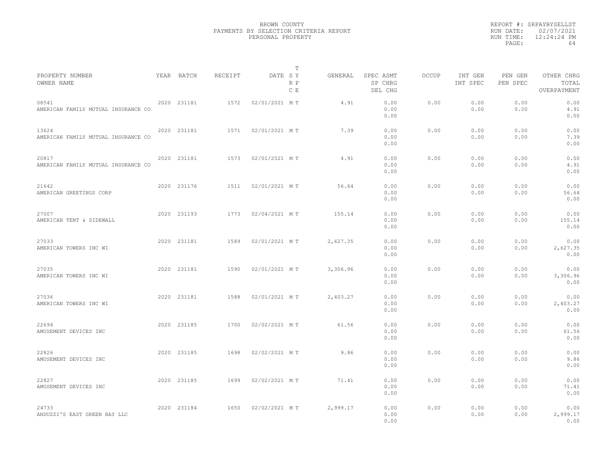|                                              |             |         |               | T          |          |                                 |              |                     |                     |                                    |  |
|----------------------------------------------|-------------|---------|---------------|------------|----------|---------------------------------|--------------|---------------------|---------------------|------------------------------------|--|
| PROPERTY NUMBER<br>OWNER NAME                | YEAR BATCH  | RECEIPT | DATE SY       | R P<br>C E | GENERAL  | SPEC ASMT<br>SP CHRG<br>DEL CHG | <b>OCCUP</b> | INT GEN<br>INT SPEC | PEN GEN<br>PEN SPEC | OTHER CHRG<br>TOTAL<br>OVERPAYMENT |  |
| 08541<br>AMERICAN FAMILY MUTUAL INSURANCE CO | 2020 231181 | 1572    | 02/01/2021 MT |            | 4.91     | 0.00<br>0.00<br>0.00            | 0.00         | 0.00<br>0.00        | 0.00<br>0.00        | 0.00<br>4.91<br>0.00               |  |
| 13624<br>AMERICAN FAMILY MUTUAL INSURANCE CO | 2020 231181 | 1571    | 02/01/2021 MT |            | 7.39     | 0.00<br>0.00<br>0.00            | 0.00         | 0.00<br>0.00        | 0.00<br>0.00        | 0.00<br>7.39<br>0.00               |  |
| 20817<br>AMERICAN FAMILY MUTUAL INSURANCE CO | 2020 231181 | 1573    | 02/01/2021 MT |            | 4.91     | 0.00<br>0.00<br>0.00            | 0.00         | 0.00<br>0.00        | 0.00<br>0.00        | 0.00<br>4.91<br>0.00               |  |
| 21642<br>AMERICAN GREETINGS CORP             | 2020 231176 | 1511    | 02/01/2021 MT |            | 56.64    | 0.00<br>0.00<br>0.00            | 0.00         | 0.00<br>0.00        | 0.00<br>0.00        | 0.00<br>56.64<br>0.00              |  |
| 27007<br>AMERICAN TENT & SIDEWALL            | 2020 231193 | 1773    | 02/04/2021 MT |            | 155.14   | 0.00<br>0.00<br>0.00            | 0.00         | 0.00<br>0.00        | 0.00<br>0.00        | 0.00<br>155.14<br>0.00             |  |
| 27033<br>AMERICAN TOWERS INC WI              | 2020 231181 | 1589    | 02/01/2021 MT |            | 2,627.35 | 0.00<br>0.00<br>0.00            | 0.00         | 0.00<br>0.00        | 0.00<br>0.00        | 0.00<br>2,627.35<br>0.00           |  |
| 27035<br>AMERICAN TOWERS INC WI              | 2020 231181 | 1590    | 02/01/2021 MT |            | 3,306.96 | 0.00<br>0.00<br>0.00            | 0.00         | 0.00<br>0.00        | 0.00<br>0.00        | 0.00<br>3,306.96<br>0.00           |  |
| 27036<br>AMERICAN TOWERS INC WI              | 2020 231181 | 1588    | 02/01/2021 MT |            | 2,403.27 | 0.00<br>0.00<br>0.00            | 0.00         | 0.00<br>0.00        | 0.00<br>0.00        | 0.00<br>2,403.27<br>0.00           |  |
| 22694<br>AMUSEMENT DEVICES INC               | 2020 231185 | 1700    | 02/02/2021 MT |            | 61.56    | 0.00<br>0.00<br>0.00            | 0.00         | 0.00<br>0.00        | 0.00<br>0.00        | 0.00<br>61.56<br>0.00              |  |
| 22826<br>AMUSEMENT DEVICES INC               | 2020 231185 | 1698    | 02/02/2021 MT |            | 9.86     | 0.00<br>0.00<br>0.00            | 0.00         | 0.00<br>0.00        | 0.00<br>0.00        | 0.00<br>9.86<br>0.00               |  |
| 22827<br>AMUSEMENT DEVICES INC               | 2020 231185 | 1699    | 02/02/2021 MT |            | 71.41    | 0.00<br>0.00<br>0.00            | 0.00         | 0.00<br>0.00        | 0.00<br>0.00        | 0.00<br>71.41<br>0.00              |  |
| 24733<br>ANDUZZI'S EAST GREEN BAY LLC        | 2020 231184 | 1650    | 02/02/2021 MT |            | 2,999.17 | 0.00<br>0.00<br>0.00            | 0.00         | 0.00<br>0.00        | 0.00<br>0.00        | 0.00<br>2,999.17<br>0.00           |  |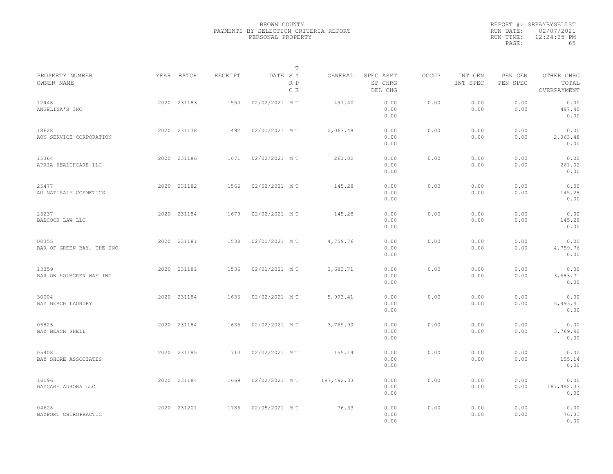|                                    |             |         |               | T          |            |                                 |              |                     |                     |                                    |  |
|------------------------------------|-------------|---------|---------------|------------|------------|---------------------------------|--------------|---------------------|---------------------|------------------------------------|--|
| PROPERTY NUMBER<br>OWNER NAME      | YEAR BATCH  | RECEIPT | DATE SY       | R P<br>C E | GENERAL    | SPEC ASMT<br>SP CHRG<br>DEL CHG | <b>OCCUP</b> | INT GEN<br>INT SPEC | PEN GEN<br>PEN SPEC | OTHER CHRG<br>TOTAL<br>OVERPAYMENT |  |
| 12448<br>ANGELINA'S INC            | 2020 231183 | 1550    | 02/02/2021 MT |            | 497.40     | 0.00<br>0.00<br>0.00            | 0.00         | 0.00<br>0.00        | 0.00<br>0.00        | 0.00<br>497.40<br>0.00             |  |
| 18628<br>AON SERVICE CORPORATION   | 2020 231178 | 1492    | 02/01/2021 MT |            | 2,063.48   | 0.00<br>0.00<br>0.00            | 0.00         | 0.00<br>0.00        | 0.00<br>0.00        | 0.00<br>2,063.48<br>0.00           |  |
| 15364<br>APRIA HEALTHCARE LLC      | 2020 231186 | 1671    | 02/02/2021 MT |            | 261.02     | 0.00<br>0.00<br>0.00            | 0.00         | 0.00<br>0.00        | 0.00<br>0.00        | 0.00<br>261.02<br>0.00             |  |
| 25477<br>AU NATURALE COSMETICS     | 2020 231182 | 1566    | 02/02/2021 MT |            | 145.28     | 0.00<br>0.00<br>0.00            | 0.00         | 0.00<br>0.00        | 0.00<br>0.00        | 0.00<br>145.28<br>0.00             |  |
| 26237<br>BABCOCK LAW LLC           | 2020 231184 | 1679    | 02/02/2021 MT |            | 145.28     | 0.00<br>0.00<br>0.00            | 0.00         | 0.00<br>0.00        | 0.00<br>0.00        | 0.00<br>145.28<br>0.00             |  |
| 00355<br>BAR OF GREEN BAY, THE INC | 2020 231181 | 1538    | 02/01/2021 MT |            | 4,759.76   | 0.00<br>0.00<br>0.00            | 0.00         | 0.00<br>0.00        | 0.00<br>0.00        | 0.00<br>4,759.76<br>0.00           |  |
| 13359<br>BAR ON HOLMGREN WAY INC   | 2020 231181 | 1536    | 02/01/2021 MT |            | 3,683.71   | 0.00<br>0.00<br>0.00            | 0.00         | 0.00<br>0.00        | 0.00<br>0.00        | 0.00<br>3,683.71<br>0.00           |  |
| 30004<br>BAY BEACH LAUNDRY         | 2020 231184 | 1636    | 02/02/2021 MT |            | 5,993.41   | 0.00<br>0.00<br>0.00            | 0.00         | 0.00<br>0.00        | 0.00<br>0.00        | 0.00<br>5,993.41<br>0.00           |  |
| 06826<br>BAY BEACH SHELL           | 2020 231184 | 1635    | 02/02/2021 MT |            | 3,769.90   | 0.00<br>0.00<br>0.00            | 0.00         | 0.00<br>0.00        | 0.00<br>0.00        | 0.00<br>3,769.90<br>0.00           |  |
| 05408<br>BAY SHORE ASSOCIATES      | 2020 231185 | 1710    | 02/02/2021 MT |            | 155.14     | 0.00<br>0.00<br>0.00            | 0.00         | 0.00<br>0.00        | 0.00<br>0.00        | 0.00<br>155.14<br>0.00             |  |
| 16196<br>BAYCARE AURORA LLC        | 2020 231184 | 1669    | 02/02/2021 MT |            | 187,492.33 | 0.00<br>0.00<br>0.00            | 0.00         | 0.00<br>0.00        | 0.00<br>0.00        | 0.00<br>187,492.33<br>0.00         |  |
| 04628<br>BAYPORT CHIROPRACTIC      | 2020 231201 | 1786    | 02/05/2021 MT |            | 76.33      | 0.00<br>0.00<br>0.00            | 0.00         | 0.00<br>0.00        | 0.00<br>0.00        | 0.00<br>76.33<br>0.00              |  |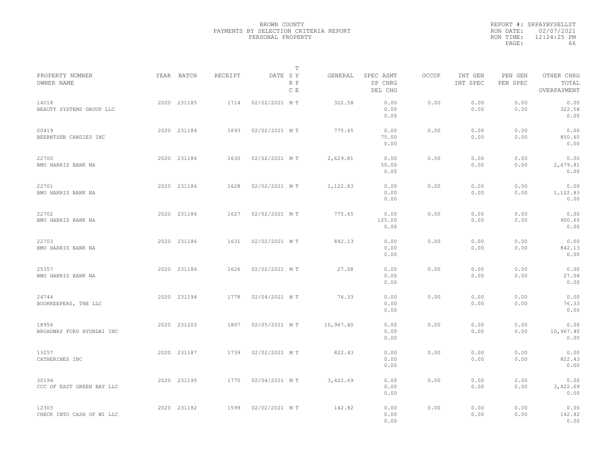|                                    |             |         |               | T          |           |                                 |              |                     |                     |                                    |  |
|------------------------------------|-------------|---------|---------------|------------|-----------|---------------------------------|--------------|---------------------|---------------------|------------------------------------|--|
| PROPERTY NUMBER<br>OWNER NAME      | YEAR BATCH  | RECEIPT | DATE SY       | R P<br>C E | GENERAL   | SPEC ASMT<br>SP CHRG<br>DEL CHG | <b>OCCUP</b> | INT GEN<br>INT SPEC | PEN GEN<br>PEN SPEC | OTHER CHRG<br>TOTAL<br>OVERPAYMENT |  |
| 14018<br>BEAUTY SYSTEMS GROUP LLC  | 2020 231185 | 1714    | 02/02/2021 MT |            | 322.58    | 0.00<br>0.00<br>0.00            | 0.00         | 0.00<br>0.00        | 0.00<br>0.00        | 0.00<br>322.58<br>0.00             |  |
| 00419<br>BEERNTSEN CANDIES INC     | 2020 231184 | 1693    | 02/02/2021 MT |            | 775.65    | 0.00<br>75.00<br>0.00           | 0.00         | 0.00<br>0.00        | 0.00<br>0.00        | 0.00<br>850.65<br>0.00             |  |
| 22700<br>BMO HARRIS BANK NA        | 2020 231186 | 1630    | 02/02/2021 MT |            | 2,629.81  | 0.00<br>50.00<br>0.00           | 0.00         | 0.00<br>0.00        | 0.00<br>0.00        | 0.00<br>2,679.81<br>0.00           |  |
| 22701<br>BMO HARRIS BANK NA        | 2020 231186 | 1628    | 02/02/2021 MT |            | 1,122.83  | 0.00<br>0.00<br>0.00            | 0.00         | 0.00<br>0.00        | 0.00<br>0.00        | 0.00<br>1,122.83<br>0.00           |  |
| 22702<br>BMO HARRIS BANK NA        | 2020 231186 | 1627    | 02/02/2021 MT |            | 775.65    | 0.00<br>125.00<br>0.00          | 0.00         | 0.00<br>0.00        | 0.00<br>0.00        | 0.00<br>900.65<br>0.00             |  |
| 22703<br>BMO HARRIS BANK NA        | 2020 231186 | 1631    | 02/02/2021 MT |            | 842.13    | 0.00<br>0.00<br>0.00            | 0.00         | 0.00<br>0.00        | 0.00<br>0.00        | 0.00<br>842.13<br>0.00             |  |
| 25357<br>BMO HARRIS BANK NA        | 2020 231186 | 1626    | 02/02/2021 MT |            | 27.08     | 0.00<br>0.00<br>0.00            | 0.00         | 0.00<br>0.00        | 0.00<br>0.00        | 0.00<br>27.08<br>0.00              |  |
| 24744<br>BOOKKEEPERS, THE LLC      | 2020 231194 | 1778    | 02/04/2021 MT |            | 76.33     | 0.00<br>0.00<br>0.00            | 0.00         | 0.00<br>0.00        | 0.00<br>0.00        | 0.00<br>76.33<br>0.00              |  |
| 18956<br>BROADWAY FORD HYUNDAI INC | 2020 231203 | 1807    | 02/05/2021 MT |            | 10,967.40 | 0.00<br>0.00<br>0.00            | 0.00         | 0.00<br>0.00        | 0.00<br>0.00        | 0.00<br>10,967.40<br>0.00          |  |
| 13257<br>CATHERINES INC            | 2020 231187 | 1739    | 02/02/2021 MT |            | 822.43    | 0.00<br>0.00<br>0.00            | 0.00         | 0.00<br>0.00        | 0.00<br>0.00        | 0.00<br>822.43<br>0.00             |  |
| 30194<br>CCC OF EAST GREEN BAY LLC | 2020 231195 | 1770    | 02/04/2021 MT |            | 3,422.69  | 0.00<br>0.00<br>0.00            | 0.00         | 0.00<br>0.00        | 0.00<br>0.00        | 0.00<br>3,422.69<br>0.00           |  |
| 12303<br>CHECK INTO CASH OF WI LLC | 2020 231182 | 1599    | 02/02/2021 MT |            | 142.82    | 0.00<br>0.00<br>0.00            | 0.00         | 0.00<br>0.00        | 0.00<br>0.00        | 0.00<br>142.82<br>0.00             |  |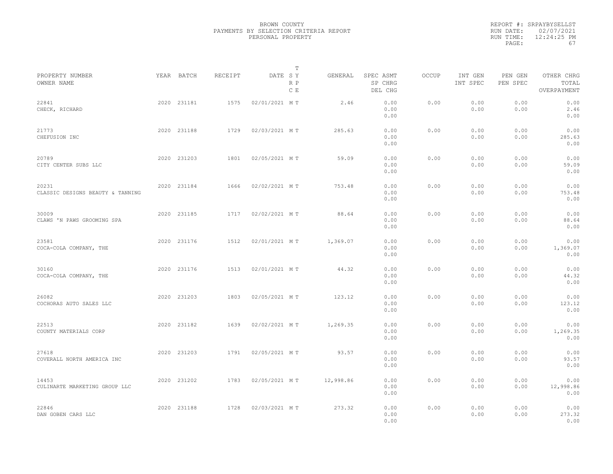|                                           |             |         |               | Т          |           |                                 |              |                     |                     |                                    |  |
|-------------------------------------------|-------------|---------|---------------|------------|-----------|---------------------------------|--------------|---------------------|---------------------|------------------------------------|--|
| PROPERTY NUMBER<br>OWNER NAME             | YEAR BATCH  | RECEIPT | DATE SY       | R P<br>C E | GENERAL   | SPEC ASMT<br>SP CHRG<br>DEL CHG | <b>OCCUP</b> | INT GEN<br>INT SPEC | PEN GEN<br>PEN SPEC | OTHER CHRG<br>TOTAL<br>OVERPAYMENT |  |
| 22841<br>CHECK, RICHARD                   | 2020 231181 | 1575    | 02/01/2021 MT |            | 2.46      | 0.00<br>0.00<br>0.00            | 0.00         | 0.00<br>0.00        | 0.00<br>0.00        | 0.00<br>2.46<br>0.00               |  |
| 21773<br>CHEFUSION INC                    | 2020 231188 | 1729    | 02/03/2021 MT |            | 285.63    | 0.00<br>0.00<br>0.00            | 0.00         | 0.00<br>0.00        | 0.00<br>0.00        | 0.00<br>285.63<br>0.00             |  |
| 20789<br>CITY CENTER SUBS LLC             | 2020 231203 | 1801    | 02/05/2021 MT |            | 59.09     | 0.00<br>0.00<br>0.00            | 0.00         | 0.00<br>0.00        | 0.00<br>0.00        | 0.00<br>59.09<br>0.00              |  |
| 20231<br>CLASSIC DESIGNS BEAUTY & TANNING | 2020 231184 | 1666    | 02/02/2021 MT |            | 753.48    | 0.00<br>0.00<br>0.00            | 0.00         | 0.00<br>0.00        | 0.00<br>0.00        | 0.00<br>753.48<br>0.00             |  |
| 30009<br>CLAWS 'N PAWS GROOMING SPA       | 2020 231185 | 1717    | 02/02/2021 MT |            | 88.64     | 0.00<br>0.00<br>0.00            | 0.00         | 0.00<br>0.00        | 0.00<br>0.00        | 0.00<br>88.64<br>0.00              |  |
| 23581<br>COCA-COLA COMPANY, THE           | 2020 231176 | 1512    | 02/01/2021 MT |            | 1,369.07  | 0.00<br>0.00<br>0.00            | 0.00         | 0.00<br>0.00        | 0.00<br>0.00        | 0.00<br>1,369.07<br>0.00           |  |
| 30160<br>COCA-COLA COMPANY, THE           | 2020 231176 | 1513    | 02/01/2021 MT |            | 44.32     | 0.00<br>0.00<br>0.00            | 0.00         | 0.00<br>0.00        | 0.00<br>0.00        | 0.00<br>44.32<br>0.00              |  |
| 26082<br>COCHORAS AUTO SALES LLC          | 2020 231203 | 1803    | 02/05/2021 MT |            | 123.12    | 0.00<br>0.00<br>0.00            | 0.00         | 0.00<br>0.00        | 0.00<br>0.00        | 0.00<br>123.12<br>0.00             |  |
| 22513<br>COUNTY MATERIALS CORP            | 2020 231182 | 1639    | 02/02/2021 MT |            | 1,269.35  | 0.00<br>0.00<br>0.00            | 0.00         | 0.00<br>0.00        | 0.00<br>0.00        | 0.00<br>1,269.35<br>0.00           |  |
| 27618<br>COVERALL NORTH AMERICA INC       | 2020 231203 | 1791    | 02/05/2021 MT |            | 93.57     | 0.00<br>0.00<br>0.00            | 0.00         | 0.00<br>0.00        | 0.00<br>0.00        | 0.00<br>93.57<br>0.00              |  |
| 14453<br>CULINARTE MARKETING GROUP LLC    | 2020 231202 | 1783    | 02/05/2021 MT |            | 12,998.86 | 0.00<br>0.00<br>0.00            | 0.00         | 0.00<br>0.00        | 0.00<br>0.00        | 0.00<br>12,998.86<br>0.00          |  |
| 22846<br>DAN GOBEN CARS LLC               | 2020 231188 | 1728    | 02/03/2021 MT |            | 273.32    | 0.00<br>0.00<br>0.00            | 0.00         | 0.00<br>0.00        | 0.00<br>0.00        | 0.00<br>273.32<br>0.00             |  |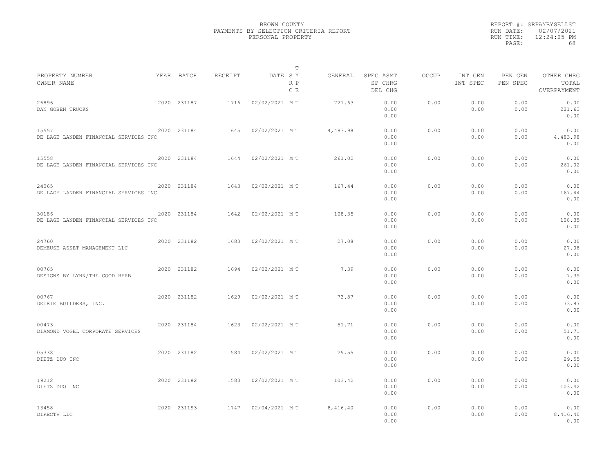|                                                |             |         | T                     |          |                                 |              |                     |                     |                                    |  |
|------------------------------------------------|-------------|---------|-----------------------|----------|---------------------------------|--------------|---------------------|---------------------|------------------------------------|--|
| PROPERTY NUMBER<br>OWNER NAME                  | YEAR BATCH  | RECEIPT | DATE SY<br>R P<br>C E | GENERAL  | SPEC ASMT<br>SP CHRG<br>DEL CHG | <b>OCCUP</b> | INT GEN<br>INT SPEC | PEN GEN<br>PEN SPEC | OTHER CHRG<br>TOTAL<br>OVERPAYMENT |  |
| 26896<br>DAN GOBEN TRUCKS                      | 2020 231187 | 1716    | 02/02/2021 MT         | 221.63   | 0.00<br>0.00<br>0.00            | 0.00         | 0.00<br>0.00        | 0.00<br>0.00        | 0.00<br>221.63<br>0.00             |  |
| 15557<br>DE LAGE LANDEN FINANCIAL SERVICES INC | 2020 231184 | 1645    | 02/02/2021 MT         | 4,483.98 | 0.00<br>0.00<br>0.00            | 0.00         | 0.00<br>0.00        | 0.00<br>0.00        | 0.00<br>4,483.98<br>0.00           |  |
| 15558<br>DE LAGE LANDEN FINANCIAL SERVICES INC | 2020 231184 | 1644    | 02/02/2021 MT         | 261.02   | 0.00<br>0.00<br>0.00            | 0.00         | 0.00<br>0.00        | 0.00<br>0.00        | 0.00<br>261.02<br>0.00             |  |
| 24065<br>DE LAGE LANDEN FINANCIAL SERVICES INC | 2020 231184 | 1643    | 02/02/2021 MT         | 167.44   | 0.00<br>0.00<br>0.00            | 0.00         | 0.00<br>0.00        | 0.00<br>0.00        | 0.00<br>167.44<br>0.00             |  |
| 30186<br>DE LAGE LANDEN FINANCIAL SERVICES INC | 2020 231184 | 1642    | 02/02/2021 MT         | 108.35   | 0.00<br>0.00<br>0.00            | 0.00         | 0.00<br>0.00        | 0.00<br>0.00        | 0.00<br>108.35<br>0.00             |  |
| 24760<br>DEMEUSE ASSET MANAGEMENT LLC          | 2020 231182 | 1683    | 02/02/2021 MT         | 27.08    | 0.00<br>0.00<br>0.00            | 0.00         | 0.00<br>0.00        | 0.00<br>0.00        | 0.00<br>27.08<br>0.00              |  |
| 00765<br>DESIGNS BY LYNN/THE GOOD HERB         | 2020 231182 | 1694    | 02/02/2021 MT         | 7.39     | 0.00<br>0.00<br>0.00            | 0.00         | 0.00<br>0.00        | 0.00<br>0.00        | 0.00<br>7.39<br>0.00               |  |
| 00767<br>DETRIE BUILDERS, INC.                 | 2020 231182 | 1629    | 02/02/2021 MT         | 73.87    | 0.00<br>0.00<br>0.00            | 0.00         | 0.00<br>0.00        | 0.00<br>0.00        | 0.00<br>73.87<br>0.00              |  |
| 00473<br>DIAMOND VOGEL CORPORATE SERVICES      | 2020 231184 | 1623    | 02/02/2021 MT         | 51.71    | 0.00<br>0.00<br>0.00            | 0.00         | 0.00<br>0.00        | 0.00<br>0.00        | 0.00<br>51.71<br>0.00              |  |
| 05338<br>DIETZ DUO INC                         | 2020 231182 | 1584    | 02/02/2021 MT         | 29.55    | 0.00<br>0.00<br>0.00            | 0.00         | 0.00<br>0.00        | 0.00<br>0.00        | 0.00<br>29.55<br>0.00              |  |
| 19212<br>DIETZ DUO INC                         | 2020 231182 | 1583    | 02/02/2021 MT         | 103.42   | 0.00<br>0.00<br>0.00            | 0.00         | 0.00<br>0.00        | 0.00<br>0.00        | 0.00<br>103.42<br>0.00             |  |
| 13458<br>DIRECTV LLC                           | 2020 231193 | 1747    | 02/04/2021 MT         | 8,416.40 | 0.00<br>0.00<br>0.00            | 0.00         | 0.00<br>0.00        | 0.00<br>0.00        | 0.00<br>8,416.40<br>0.00           |  |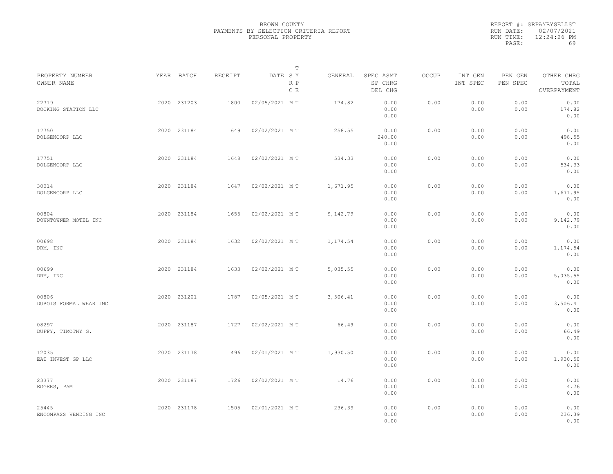| PROPERTY NUMBER                 | YEAR BATCH  | <b>RECEIPT</b> | DATE SY       | т          | GENERAL  | SPEC ASMT              | <b>OCCUP</b> | INT GEN      | PEN GEN      | OTHER CHRG               |  |
|---------------------------------|-------------|----------------|---------------|------------|----------|------------------------|--------------|--------------|--------------|--------------------------|--|
| OWNER NAME                      |             |                |               | R P<br>C E |          | SP CHRG<br>DEL CHG     |              | INT SPEC     | PEN SPEC     | TOTAL<br>OVERPAYMENT     |  |
| 22719<br>DOCKING STATION LLC    | 2020 231203 | 1800           | 02/05/2021 MT |            | 174.82   | 0.00<br>0.00<br>0.00   | 0.00         | 0.00<br>0.00 | 0.00<br>0.00 | 0.00<br>174.82<br>0.00   |  |
| 17750<br>DOLGENCORP LLC         | 2020 231184 | 1649           | 02/02/2021 MT |            | 258.55   | 0.00<br>240.00<br>0.00 | 0.00         | 0.00<br>0.00 | 0.00<br>0.00 | 0.00<br>498.55<br>0.00   |  |
| 17751<br>DOLGENCORP LLC         | 2020 231184 | 1648           | 02/02/2021 MT |            | 534.33   | 0.00<br>0.00<br>0.00   | 0.00         | 0.00<br>0.00 | 0.00<br>0.00 | 0.00<br>534.33<br>0.00   |  |
| 30014<br>DOLGENCORP LLC         | 2020 231184 | 1647           | 02/02/2021 MT |            | 1,671.95 | 0.00<br>0.00<br>0.00   | 0.00         | 0.00<br>0.00 | 0.00<br>0.00 | 0.00<br>1,671.95<br>0.00 |  |
| 00804<br>DOWNTOWNER MOTEL INC   | 2020 231184 | 1655           | 02/02/2021 MT |            | 9,142.79 | 0.00<br>0.00<br>0.00   | 0.00         | 0.00<br>0.00 | 0.00<br>0.00 | 0.00<br>9,142.79<br>0.00 |  |
| 00698<br>DRM, INC               | 2020 231184 | 1632           | 02/02/2021 MT |            | 1,174.54 | 0.00<br>0.00<br>0.00   | 0.00         | 0.00<br>0.00 | 0.00<br>0.00 | 0.00<br>1,174.54<br>0.00 |  |
| 00699<br>DRM, INC               | 2020 231184 | 1633           | 02/02/2021 MT |            | 5,035.55 | 0.00<br>0.00<br>0.00   | 0.00         | 0.00<br>0.00 | 0.00<br>0.00 | 0.00<br>5,035.55<br>0.00 |  |
| 00806<br>DUBOIS FORMAL WEAR INC | 2020 231201 | 1787           | 02/05/2021 MT |            | 3,506.41 | 0.00<br>0.00<br>0.00   | 0.00         | 0.00<br>0.00 | 0.00<br>0.00 | 0.00<br>3,506.41<br>0.00 |  |
| 08297<br>DUFFY, TIMOTHY G.      | 2020 231187 | 1727           | 02/02/2021 MT |            | 66.49    | 0.00<br>0.00<br>0.00   | 0.00         | 0.00<br>0.00 | 0.00<br>0.00 | 0.00<br>66.49<br>0.00    |  |
| 12035<br>EAT INVEST GP LLC      | 2020 231178 | 1496           | 02/01/2021 MT |            | 1,930.50 | 0.00<br>0.00<br>0.00   | 0.00         | 0.00<br>0.00 | 0.00<br>0.00 | 0.00<br>1,930.50<br>0.00 |  |
| 23377<br>EGGERS, PAM            | 2020 231187 | 1726           | 02/02/2021 MT |            | 14.76    | 0.00<br>0.00<br>0.00   | 0.00         | 0.00<br>0.00 | 0.00<br>0.00 | 0.00<br>14.76<br>0.00    |  |
| 25445<br>ENCOMPASS VENDING INC  | 2020 231178 | 1505           | 02/01/2021 MT |            | 236.39   | 0.00<br>0.00<br>0.00   | 0.00         | 0.00<br>0.00 | 0.00<br>0.00 | 0.00<br>236.39<br>0.00   |  |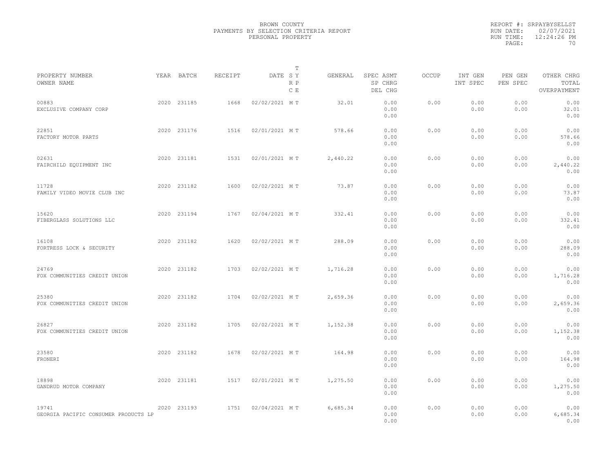|                                               |             |         | T                     |          |                                 |              |                     |                     |                                    |  |
|-----------------------------------------------|-------------|---------|-----------------------|----------|---------------------------------|--------------|---------------------|---------------------|------------------------------------|--|
| PROPERTY NUMBER<br>OWNER NAME                 | YEAR BATCH  | RECEIPT | DATE SY<br>R P<br>C E | GENERAL  | SPEC ASMT<br>SP CHRG<br>DEL CHG | <b>OCCUP</b> | INT GEN<br>INT SPEC | PEN GEN<br>PEN SPEC | OTHER CHRG<br>TOTAL<br>OVERPAYMENT |  |
| 00883<br>EXCLUSIVE COMPANY CORP               | 2020 231185 | 1668    | 02/02/2021 MT         | 32.01    | 0.00<br>0.00<br>0.00            | 0.00         | 0.00<br>0.00        | 0.00<br>0.00        | 0.00<br>32.01<br>0.00              |  |
| 22851<br>FACTORY MOTOR PARTS                  | 2020 231176 | 1516    | 02/01/2021 MT         | 578.66   | 0.00<br>0.00<br>0.00            | 0.00         | 0.00<br>0.00        | 0.00<br>0.00        | 0.00<br>578.66<br>0.00             |  |
| 02631<br>FAIRCHILD EQUIPMENT INC              | 2020 231181 | 1531    | 02/01/2021 MT         | 2,440.22 | 0.00<br>0.00<br>0.00            | 0.00         | 0.00<br>0.00        | 0.00<br>0.00        | 0.00<br>2,440.22<br>0.00           |  |
| 11728<br>FAMILY VIDEO MOVIE CLUB INC          | 2020 231182 | 1600    | 02/02/2021 MT         | 73.87    | 0.00<br>0.00<br>0.00            | 0.00         | 0.00<br>0.00        | 0.00<br>0.00        | 0.00<br>73.87<br>0.00              |  |
| 15620<br>FIBERGLASS SOLUTIONS LLC             | 2020 231194 | 1767    | 02/04/2021 MT         | 332.41   | 0.00<br>0.00<br>0.00            | 0.00         | 0.00<br>0.00        | 0.00<br>0.00        | 0.00<br>332.41<br>0.00             |  |
| 16108<br>FORTRESS LOCK & SECURITY             | 2020 231182 | 1620    | 02/02/2021 MT         | 288.09   | 0.00<br>0.00<br>0.00            | 0.00         | 0.00<br>0.00        | 0.00<br>0.00        | 0.00<br>288.09<br>0.00             |  |
| 24769<br>FOX COMMUNITIES CREDIT UNION         | 2020 231182 | 1703    | 02/02/2021 MT         | 1,716.28 | 0.00<br>0.00<br>0.00            | 0.00         | 0.00<br>0.00        | 0.00<br>0.00        | 0.00<br>1,716.28<br>0.00           |  |
| 25380<br>FOX COMMUNITIES CREDIT UNION         | 2020 231182 | 1704    | 02/02/2021 MT         | 2,659.36 | 0.00<br>0.00<br>0.00            | 0.00         | 0.00<br>0.00        | 0.00<br>0.00        | 0.00<br>2,659.36<br>0.00           |  |
| 26827<br>FOX COMMUNITIES CREDIT UNION         | 2020 231182 | 1705    | 02/02/2021 MT         | 1,152.38 | 0.00<br>0.00<br>0.00            | 0.00         | 0.00<br>0.00        | 0.00<br>0.00        | 0.00<br>1,152.38<br>0.00           |  |
| 23580<br>FRONERI                              | 2020 231182 | 1678    | 02/02/2021 MT         | 164.98   | 0.00<br>0.00<br>0.00            | 0.00         | 0.00<br>0.00        | 0.00<br>0.00        | 0.00<br>164.98<br>0.00             |  |
| 18898<br>GANDRUD MOTOR COMPANY                | 2020 231181 | 1517    | 02/01/2021 MT         | 1,275.50 | 0.00<br>0.00<br>0.00            | 0.00         | 0.00<br>0.00        | 0.00<br>0.00        | 0.00<br>1,275.50<br>0.00           |  |
| 19741<br>GEORGIA PACIFIC CONSUMER PRODUCTS LP | 2020 231193 | 1751    | 02/04/2021 MT         | 6,685.34 | 0.00<br>0.00<br>0.00            | 0.00         | 0.00<br>0.00        | 0.00<br>0.00        | 0.00<br>6,685.34<br>0.00           |  |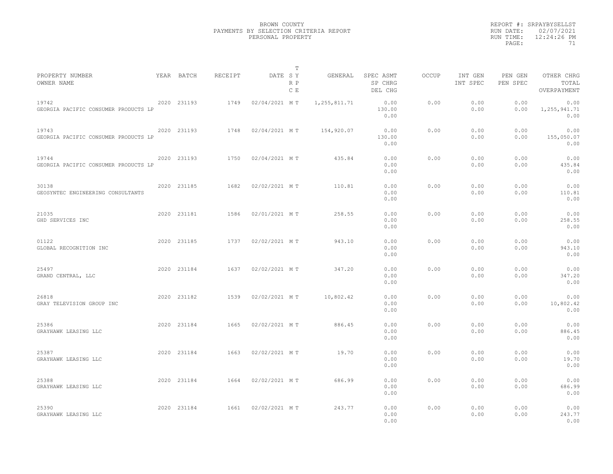|                                               |             |         | T                     |                |                                 |       |                     |                     |                                    |  |
|-----------------------------------------------|-------------|---------|-----------------------|----------------|---------------------------------|-------|---------------------|---------------------|------------------------------------|--|
| PROPERTY NUMBER<br>OWNER NAME                 | YEAR BATCH  | RECEIPT | DATE SY<br>R P<br>C E | GENERAL        | SPEC ASMT<br>SP CHRG<br>DEL CHG | OCCUP | INT GEN<br>INT SPEC | PEN GEN<br>PEN SPEC | OTHER CHRG<br>TOTAL<br>OVERPAYMENT |  |
| 19742<br>GEORGIA PACIFIC CONSUMER PRODUCTS LP | 2020 231193 | 1749    | 02/04/2021 MT         | 1, 255, 811.71 | 0.00<br>130.00<br>0.00          | 0.00  | 0.00<br>0.00        | 0.00<br>0.00        | 0.00<br>1, 255, 941.71<br>0.00     |  |
| 19743<br>GEORGIA PACIFIC CONSUMER PRODUCTS LP | 2020 231193 | 1748    | 02/04/2021 MT         | 154,920.07     | 0.00<br>130.00<br>0.00          | 0.00  | 0.00<br>0.00        | 0.00<br>0.00        | 0.00<br>155,050.07<br>0.00         |  |
| 19744<br>GEORGIA PACIFIC CONSUMER PRODUCTS LP | 2020 231193 | 1750    | 02/04/2021 MT         | 435.84         | 0.00<br>0.00<br>0.00            | 0.00  | 0.00<br>0.00        | 0.00<br>0.00        | 0.00<br>435.84<br>0.00             |  |
| 30138<br>GEOSYNTEC ENGINEERING CONSULTANTS    | 2020 231185 | 1682    | 02/02/2021 MT         | 110.81         | 0.00<br>0.00<br>0.00            | 0.00  | 0.00<br>0.00        | 0.00<br>0.00        | 0.00<br>110.81<br>0.00             |  |
| 21035<br>GHD SERVICES INC                     | 2020 231181 | 1586    | 02/01/2021 MT         | 258.55         | 0.00<br>0.00<br>0.00            | 0.00  | 0.00<br>0.00        | 0.00<br>0.00        | 0.00<br>258.55<br>0.00             |  |
| 01122<br>GLOBAL RECOGNITION INC               | 2020 231185 | 1737    | 02/02/2021 MT         | 943.10         | 0.00<br>0.00<br>0.00            | 0.00  | 0.00<br>0.00        | 0.00<br>0.00        | 0.00<br>943.10<br>0.00             |  |
| 25497<br>GRAND CENTRAL, LLC                   | 2020 231184 | 1637    | 02/02/2021 MT         | 347.20         | 0.00<br>0.00<br>0.00            | 0.00  | 0.00<br>0.00        | 0.00<br>0.00        | 0.00<br>347.20<br>0.00             |  |
| 26818<br>GRAY TELEVISION GROUP INC            | 2020 231182 | 1539    | 02/02/2021 MT         | 10,802.42      | 0.00<br>0.00<br>0.00            | 0.00  | 0.00<br>0.00        | 0.00<br>0.00        | 0.00<br>10,802.42<br>0.00          |  |
| 25386<br>GRAYHAWK LEASING LLC                 | 2020 231184 | 1665    | 02/02/2021 MT         | 886.45         | 0.00<br>0.00<br>0.00            | 0.00  | 0.00<br>0.00        | 0.00<br>0.00        | 0.00<br>886.45<br>0.00             |  |
| 25387<br>GRAYHAWK LEASING LLC                 | 2020 231184 | 1663    | 02/02/2021 MT         | 19.70          | 0.00<br>0.00<br>0.00            | 0.00  | 0.00<br>0.00        | 0.00<br>0.00        | 0.00<br>19.70<br>0.00              |  |
| 25388<br>GRAYHAWK LEASING LLC                 | 2020 231184 | 1664    | 02/02/2021 MT         | 686.99         | 0.00<br>0.00<br>0.00            | 0.00  | 0.00<br>0.00        | 0.00<br>0.00        | 0.00<br>686.99<br>0.00             |  |
| 25390<br>GRAYHAWK LEASING LLC                 | 2020 231184 | 1661    | 02/02/2021 MT         | 243.77         | 0.00<br>0.00<br>0.00            | 0.00  | 0.00<br>0.00        | 0.00<br>0.00        | 0.00<br>243.77<br>0.00             |  |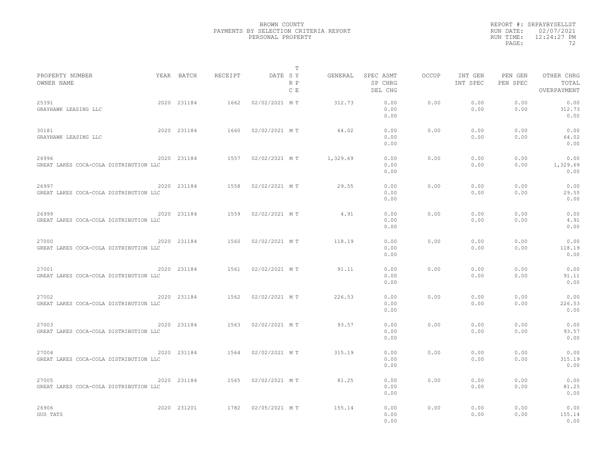|                                                 |             |         | T                     |          |                                 |              |                     |                     |                                    |  |
|-------------------------------------------------|-------------|---------|-----------------------|----------|---------------------------------|--------------|---------------------|---------------------|------------------------------------|--|
| PROPERTY NUMBER<br>OWNER NAME                   | YEAR BATCH  | RECEIPT | DATE SY<br>R P<br>C E | GENERAL  | SPEC ASMT<br>SP CHRG<br>DEL CHG | <b>OCCUP</b> | INT GEN<br>INT SPEC | PEN GEN<br>PEN SPEC | OTHER CHRG<br>TOTAL<br>OVERPAYMENT |  |
| 25391<br>GRAYHAWK LEASING LLC                   | 2020 231184 | 1662    | 02/02/2021 MT         | 312.73   | 0.00<br>0.00<br>0.00            | 0.00         | 0.00<br>0.00        | 0.00<br>0.00        | 0.00<br>312.73<br>0.00             |  |
| 30181<br>GRAYHAWK LEASING LLC                   | 2020 231184 | 1660    | 02/02/2021 MT         | 64.02    | 0.00<br>0.00<br>0.00            | 0.00         | 0.00<br>0.00        | 0.00<br>0.00        | 0.00<br>64.02<br>0.00              |  |
| 26996<br>GREAT LAKES COCA-COLA DISTRIBUTION LLC | 2020 231184 | 1557    | 02/02/2021 MT         | 1,329.69 | 0.00<br>0.00<br>0.00            | 0.00         | 0.00<br>0.00        | 0.00<br>0.00        | 0.00<br>1,329.69<br>0.00           |  |
| 26997<br>GREAT LAKES COCA-COLA DISTRIBUTION LLC | 2020 231184 | 1558    | 02/02/2021 MT         | 29.55    | 0.00<br>0.00<br>0.00            | 0.00         | 0.00<br>0.00        | 0.00<br>0.00        | 0.00<br>29.55<br>0.00              |  |
| 26999<br>GREAT LAKES COCA-COLA DISTRIBUTION LLC | 2020 231184 | 1559    | 02/02/2021 MT         | 4.91     | 0.00<br>0.00<br>0.00            | 0.00         | 0.00<br>0.00        | 0.00<br>0.00        | 0.00<br>4.91<br>0.00               |  |
| 27000<br>GREAT LAKES COCA-COLA DISTRIBUTION LLC | 2020 231184 | 1560    | 02/02/2021 MT         | 118.19   | 0.00<br>0.00<br>0.00            | 0.00         | 0.00<br>0.00        | 0.00<br>0.00        | 0.00<br>118.19<br>0.00             |  |
| 27001<br>GREAT LAKES COCA-COLA DISTRIBUTION LLC | 2020 231184 | 1561    | 02/02/2021 MT         | 91.11    | 0.00<br>0.00<br>0.00            | 0.00         | 0.00<br>0.00        | 0.00<br>0.00        | 0.00<br>91.11<br>0.00              |  |
| 27002<br>GREAT LAKES COCA-COLA DISTRIBUTION LLC | 2020 231184 | 1562    | 02/02/2021 MT         | 226.53   | 0.00<br>0.00<br>0.00            | 0.00         | 0.00<br>0.00        | 0.00<br>0.00        | 0.00<br>226.53<br>0.00             |  |
| 27003<br>GREAT LAKES COCA-COLA DISTRIBUTION LLC | 2020 231184 | 1563    | 02/02/2021 MT         | 93.57    | 0.00<br>0.00<br>0.00            | 0.00         | 0.00<br>0.00        | 0.00<br>0.00        | 0.00<br>93.57<br>0.00              |  |
| 27004<br>GREAT LAKES COCA-COLA DISTRIBUTION LLC | 2020 231184 | 1564    | 02/02/2021 MT         | 315.19   | 0.00<br>0.00<br>0.00            | 0.00         | 0.00<br>0.00        | 0.00<br>0.00        | 0.00<br>315.19<br>0.00             |  |
| 27005<br>GREAT LAKES COCA-COLA DISTRIBUTION LLC | 2020 231184 | 1565    | 02/02/2021 MT         | 81.25    | 0.00<br>0.00<br>0.00            | 0.00         | 0.00<br>0.00        | 0.00<br>0.00        | 0.00<br>81.25<br>0.00              |  |
| 26906<br>GUS TATS                               | 2020 231201 | 1782    | 02/05/2021 MT         | 155.14   | 0.00<br>0.00<br>0.00            | 0.00         | 0.00<br>0.00        | 0.00<br>0.00        | 0.00<br>155.14<br>0.00             |  |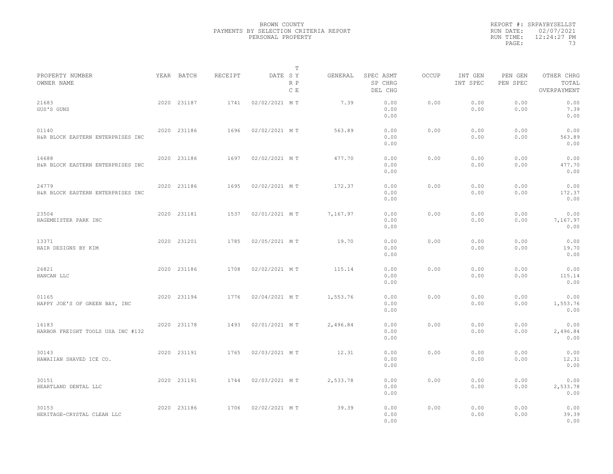|                                            |             |         |               | T          |          |                                 |       |                     |                     |                                    |  |
|--------------------------------------------|-------------|---------|---------------|------------|----------|---------------------------------|-------|---------------------|---------------------|------------------------------------|--|
| PROPERTY NUMBER<br>OWNER NAME              | YEAR BATCH  | RECEIPT | DATE SY       | R P<br>C E | GENERAL  | SPEC ASMT<br>SP CHRG<br>DEL CHG | OCCUP | INT GEN<br>INT SPEC | PEN GEN<br>PEN SPEC | OTHER CHRG<br>TOTAL<br>OVERPAYMENT |  |
| 21683<br>GUS'S GUNS                        | 2020 231187 | 1741    | 02/02/2021 MT |            | 7.39     | 0.00<br>0.00<br>0.00            | 0.00  | 0.00<br>0.00        | 0.00<br>0.00        | 0.00<br>7.39<br>0.00               |  |
| 01140<br>H&R BLOCK EASTERN ENTERPRISES INC | 2020 231186 | 1696    | 02/02/2021 MT |            | 563.89   | 0.00<br>0.00<br>0.00            | 0.00  | 0.00<br>0.00        | 0.00<br>0.00        | 0.00<br>563.89<br>0.00             |  |
| 16688<br>H&R BLOCK EASTERN ENTERPRISES INC | 2020 231186 | 1697    | 02/02/2021 MT |            | 477.70   | 0.00<br>0.00<br>0.00            | 0.00  | 0.00<br>0.00        | 0.00<br>0.00        | 0.00<br>477.70<br>0.00             |  |
| 24779<br>H&R BLOCK EASTERN ENTERPRISES INC | 2020 231186 | 1695    | 02/02/2021 MT |            | 172.37   | 0.00<br>0.00<br>0.00            | 0.00  | 0.00<br>0.00        | 0.00<br>0.00        | 0.00<br>172.37<br>0.00             |  |
| 23504<br>HAGEMEISTER PARK INC              | 2020 231181 | 1537    | 02/01/2021 MT |            | 7,167.97 | 0.00<br>0.00<br>0.00            | 0.00  | 0.00<br>0.00        | 0.00<br>0.00        | 0.00<br>7,167.97<br>0.00           |  |
| 13371<br>HAIR DESIGNS BY KIM               | 2020 231201 | 1785    | 02/05/2021 MT |            | 19.70    | 0.00<br>0.00<br>0.00            | 0.00  | 0.00<br>0.00        | 0.00<br>0.00        | 0.00<br>19.70<br>0.00              |  |
| 26821<br>HANCAN LLC                        | 2020 231186 | 1708    | 02/02/2021 MT |            | 115.14   | 0.00<br>0.00<br>0.00            | 0.00  | 0.00<br>0.00        | 0.00<br>0.00        | 0.00<br>115.14<br>0.00             |  |
| 01165<br>HAPPY JOE'S OF GREEN BAY, INC     | 2020 231194 | 1776    | 02/04/2021 MT |            | 1,553.76 | 0.00<br>0.00<br>0.00            | 0.00  | 0.00<br>0.00        | 0.00<br>0.00        | 0.00<br>1,553.76<br>0.00           |  |
| 16183<br>HARBOR FREIGHT TOOLS USA INC #132 | 2020 231178 | 1493    | 02/01/2021 MT |            | 2,496.84 | 0.00<br>0.00<br>0.00            | 0.00  | 0.00<br>0.00        | 0.00<br>0.00        | 0.00<br>2,496.84<br>0.00           |  |
| 30143<br>HAWAIIAN SHAVED ICE CO.           | 2020 231191 | 1765    | 02/03/2021 MT |            | 12.31    | 0.00<br>0.00<br>0.00            | 0.00  | 0.00<br>0.00        | 0.00<br>0.00        | 0.00<br>12.31<br>0.00              |  |
| 30151<br>HEARTLAND DENTAL LLC              | 2020 231191 | 1744    | 02/03/2021 MT |            | 2,533.78 | 0.00<br>0.00<br>0.00            | 0.00  | 0.00<br>0.00        | 0.00<br>0.00        | 0.00<br>2,533.78<br>0.00           |  |
| 30153<br>HERITAGE-CRYSTAL CLEAN LLC        | 2020 231186 | 1706    | 02/02/2021 MT |            | 39.39    | 0.00<br>0.00<br>0.00            | 0.00  | 0.00<br>0.00        | 0.00<br>0.00        | 0.00<br>39.39<br>0.00              |  |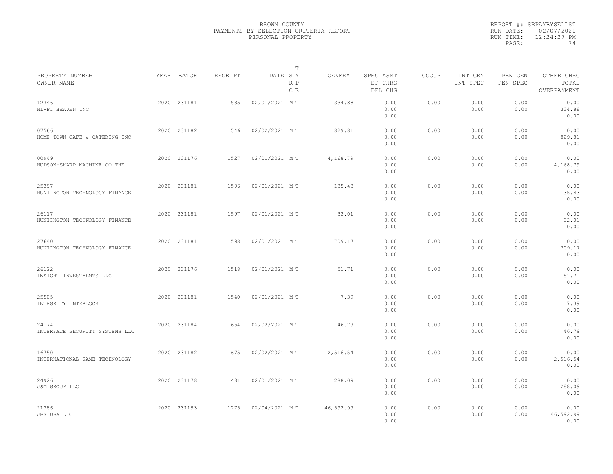|                                         |             |         |               | T          |           |                                 |              |                     |                     |                                    |  |
|-----------------------------------------|-------------|---------|---------------|------------|-----------|---------------------------------|--------------|---------------------|---------------------|------------------------------------|--|
| PROPERTY NUMBER<br>OWNER NAME           | YEAR BATCH  | RECEIPT | DATE SY       | R P<br>C E | GENERAL   | SPEC ASMT<br>SP CHRG<br>DEL CHG | <b>OCCUP</b> | INT GEN<br>INT SPEC | PEN GEN<br>PEN SPEC | OTHER CHRG<br>TOTAL<br>OVERPAYMENT |  |
| 12346<br>HI-FI HEAVEN INC               | 2020 231181 | 1585    | 02/01/2021 MT |            | 334.88    | 0.00<br>0.00<br>0.00            | 0.00         | 0.00<br>0.00        | 0.00<br>0.00        | 0.00<br>334.88<br>0.00             |  |
| 07566<br>HOME TOWN CAFE & CATERING INC  | 2020 231182 | 1546    | 02/02/2021 MT |            | 829.81    | 0.00<br>0.00<br>0.00            | 0.00         | 0.00<br>0.00        | 0.00<br>0.00        | 0.00<br>829.81<br>0.00             |  |
| 00949<br>HUDSON-SHARP MACHINE CO THE    | 2020 231176 | 1527    | 02/01/2021 MT |            | 4,168.79  | 0.00<br>0.00<br>0.00            | 0.00         | 0.00<br>0.00        | 0.00<br>0.00        | 0.00<br>4,168.79<br>0.00           |  |
| 25397<br>HUNTINGTON TECHNOLOGY FINANCE  | 2020 231181 | 1596    | 02/01/2021 MT |            | 135.43    | 0.00<br>0.00<br>0.00            | 0.00         | 0.00<br>0.00        | 0.00<br>0.00        | 0.00<br>135.43<br>0.00             |  |
| 26117<br>HUNTINGTON TECHNOLOGY FINANCE  | 2020 231181 | 1597    | 02/01/2021 MT |            | 32.01     | 0.00<br>0.00<br>0.00            | 0.00         | 0.00<br>0.00        | 0.00<br>0.00        | 0.00<br>32.01<br>0.00              |  |
| 27640<br>HUNTINGTON TECHNOLOGY FINANCE  | 2020 231181 | 1598    | 02/01/2021 MT |            | 709.17    | 0.00<br>0.00<br>0.00            | 0.00         | 0.00<br>0.00        | 0.00<br>0.00        | 0.00<br>709.17<br>0.00             |  |
| 26122<br>INSIGHT INVESTMENTS LLC        | 2020 231176 | 1518    | 02/01/2021 MT |            | 51.71     | 0.00<br>0.00<br>0.00            | 0.00         | 0.00<br>0.00        | 0.00<br>0.00        | 0.00<br>51.71<br>0.00              |  |
| 25505<br>INTEGRITY INTERLOCK            | 2020 231181 | 1540    | 02/01/2021 MT |            | 7.39      | 0.00<br>0.00<br>0.00            | 0.00         | 0.00<br>0.00        | 0.00<br>0.00        | 0.00<br>7.39<br>0.00               |  |
| 24174<br>INTERFACE SECURITY SYSTEMS LLC | 2020 231184 | 1654    | 02/02/2021 MT |            | 46.79     | 0.00<br>0.00<br>0.00            | 0.00         | 0.00<br>0.00        | 0.00<br>0.00        | 0.00<br>46.79<br>0.00              |  |
| 16750<br>INTERNATIONAL GAME TECHNOLOGY  | 2020 231182 | 1675    | 02/02/2021 MT |            | 2,516.54  | 0.00<br>0.00<br>0.00            | 0.00         | 0.00<br>0.00        | 0.00<br>0.00        | 0.00<br>2,516.54<br>0.00           |  |
| 24926<br>J&M GROUP LLC                  | 2020 231178 | 1481    | 02/01/2021 MT |            | 288.09    | 0.00<br>0.00<br>0.00            | 0.00         | 0.00<br>0.00        | 0.00<br>0.00        | 0.00<br>288.09<br>0.00             |  |
| 21386<br>JBS USA LLC                    | 2020 231193 | 1775    | 02/04/2021 MT |            | 46,592.99 | 0.00<br>0.00<br>0.00            | 0.00         | 0.00<br>0.00        | 0.00<br>0.00        | 0.00<br>46,592.99<br>0.00          |  |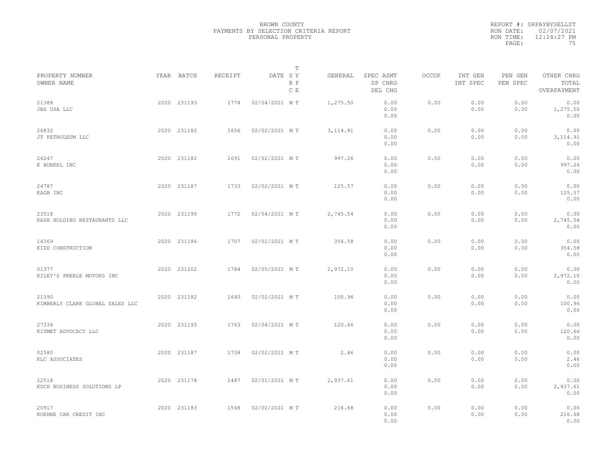|                                          |             |         |               | $\mathbb T$ |           |                                 |       |                     |                     |                                    |  |
|------------------------------------------|-------------|---------|---------------|-------------|-----------|---------------------------------|-------|---------------------|---------------------|------------------------------------|--|
| PROPERTY NUMBER<br>OWNER NAME            | YEAR BATCH  | RECEIPT | DATE SY       | R P<br>C E  | GENERAL   | SPEC ASMT<br>SP CHRG<br>DEL CHG | OCCUP | INT GEN<br>INT SPEC | PEN GEN<br>PEN SPEC | OTHER CHRG<br>TOTAL<br>OVERPAYMENT |  |
| 21388<br>JBS USA LLC                     | 2020 231193 | 1774    | 02/04/2021 MT |             | 1,275.50  | 0.00<br>0.00<br>0.00            | 0.00  | 0.00<br>0.00        | 0.00<br>0.00        | 0.00<br>1,275.50<br>0.00           |  |
| 26832<br>JT PETROLEUM LLC                | 2020 231182 | 1656    | 02/02/2021 MT |             | 3, 114.91 | 0.00<br>0.00<br>0.00            | 0.00  | 0.00<br>0.00        | 0.00<br>0.00        | 0.00<br>3, 114.91<br>0.00          |  |
| 24247<br>K BURKEL INC                    | 2020 231182 | 1691    | 02/02/2021 MT |             | 997.26    | 0.00<br>0.00<br>0.00            | 0.00  | 0.00<br>0.00        | 0.00<br>0.00        | 0.00<br>997.26<br>0.00             |  |
| 24787<br>KAGB INC                        | 2020 231187 | 1733    | 02/02/2021 MT |             | 125.57    | 0.00<br>0.00<br>0.00            | 0.00  | 0.00<br>0.00        | 0.00<br>0.00        | 0.00<br>125.57<br>0.00             |  |
| 23518<br>KASH HOLDING RESTAURANTS LLC    | 2020 231195 | 1772    | 02/04/2021 MT |             | 2,745.54  | 0.00<br>0.00<br>0.00            | 0.00  | 0.00<br>0.00        | 0.00<br>0.00        | 0.00<br>2,745.54<br>0.00           |  |
| 14369<br>KIDD CONSTRUCTION               | 2020 231186 | 1707    | 02/02/2021 MT |             | 354.58    | 0.00<br>0.00<br>0.00            | 0.00  | 0.00<br>0.00        | 0.00<br>0.00        | 0.00<br>354.58<br>0.00             |  |
| 01377<br>KILEY'S PREBLE MOTORS INC       | 2020 231202 | 1784    | 02/05/2021 MT |             | 2,972.10  | 0.00<br>0.00<br>0.00            | 0.00  | 0.00<br>0.00        | 0.00<br>0.00        | 0.00<br>2,972.10<br>0.00           |  |
| 21390<br>KIMBERLY CLARK GLOBAL SALES LLC | 2020 231182 | 1640    | 02/02/2021 MT |             | 100.96    | 0.00<br>0.00<br>0.00            | 0.00  | 0.00<br>0.00        | 0.00<br>0.00        | 0.00<br>100.96<br>0.00             |  |
| 27334<br>KISMET ADVOCACY LLC             | 2020 231193 | 1763    | 02/04/2021 MT |             | 120.66    | 0.00<br>0.00<br>0.00            | 0.00  | 0.00<br>0.00        | 0.00<br>0.00        | 0.00<br>120.66<br>0.00             |  |
| 02580<br>KLC ASSOCIATES                  | 2020 231187 | 1738    | 02/02/2021 MT |             | 2.46      | 0.00<br>0.00<br>0.00            | 0.00  | 0.00<br>0.00        | 0.00<br>0.00        | 0.00<br>2.46<br>0.00               |  |
| 22518<br>KOCH BUSINESS SOLUTIONS LP      | 2020 231178 | 1487    | 02/01/2021 MT |             | 2,937.61  | 0.00<br>0.00<br>0.00            | 0.00  | 0.00<br>0.00        | 0.00<br>0.00        | 0.00<br>2,937.61<br>0.00           |  |
| 20917<br>KOEHNE CAR CREDIT INC           | 2020 231183 | 1548    | 02/02/2021 MT |             | 216.68    | 0.00<br>0.00<br>0.00            | 0.00  | 0.00<br>0.00        | 0.00<br>0.00        | 0.00<br>216.68<br>0.00             |  |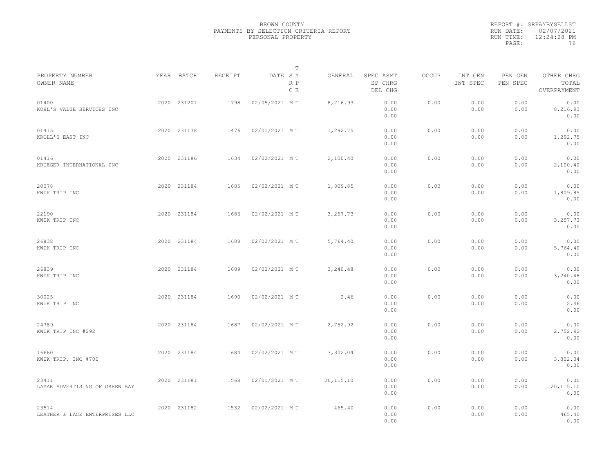|           | REPORT #: SRPAYBYSELLST |
|-----------|-------------------------|
|           | RUN DATE: 02/07/2021    |
| RUN TIME: | $12:24:28$ PM           |
| PAGE:     | 76                      |

|                                         |             |                |               | т          |            |                                 |              |                     |                     |                                    |  |
|-----------------------------------------|-------------|----------------|---------------|------------|------------|---------------------------------|--------------|---------------------|---------------------|------------------------------------|--|
| PROPERTY NUMBER<br>OWNER NAME           | YEAR BATCH  | <b>RECEIPT</b> | DATE SY       | R P<br>C E | GENERAL    | SPEC ASMT<br>SP CHRG<br>DEL CHG | <b>OCCUP</b> | INT GEN<br>INT SPEC | PEN GEN<br>PEN SPEC | OTHER CHRG<br>TOTAL<br>OVERPAYMENT |  |
| 01400<br>KOHL'S VALUE SERVICES INC      | 2020 231201 | 1798           | 02/05/2021 MT |            | 8,216.93   | 0.00<br>0.00<br>0.00            | 0.00         | 0.00<br>0.00        | 0.00<br>0.00        | 0.00<br>8,216.93<br>0.00           |  |
| 01415<br>KROLL'S EAST INC               | 2020 231178 | 1476           | 02/01/2021 MT |            | 1,292.75   | 0.00<br>0.00<br>0.00            | 0.00         | 0.00<br>0.00        | 0.00<br>0.00        | 0.00<br>1,292.75<br>0.00           |  |
| 01416<br>KRUEGER INTERNATIONAL INC      | 2020 231186 | 1634           | 02/02/2021 MT |            | 2,100.40   | 0.00<br>0.00<br>0.00            | 0.00         | 0.00<br>0.00        | 0.00<br>0.00        | 0.00<br>2,100.40<br>0.00           |  |
| 20078<br>KWIK TRIP INC                  | 2020 231184 | 1685           | 02/02/2021 MT |            | 1,809.85   | 0.00<br>0.00<br>0.00            | 0.00         | 0.00<br>0.00        | 0.00<br>0.00        | 0.00<br>1,809.85<br>0.00           |  |
| 22190<br>KWIK TRIP INC                  | 2020 231184 | 1686           | 02/02/2021 MT |            | 3,257.73   | 0.00<br>0.00<br>0.00            | 0.00         | 0.00<br>0.00        | 0.00<br>0.00        | 0.00<br>3,257.73<br>0.00           |  |
| 26838<br>KWIK TRIP INC                  | 2020 231184 | 1688           | 02/02/2021 MT |            | 5,764.40   | 0.00<br>0.00<br>0.00            | 0.00         | 0.00<br>0.00        | 0.00<br>0.00        | 0.00<br>5,764.40<br>0.00           |  |
| 26839<br>KWIK TRIP INC                  | 2020 231184 | 1689           | 02/02/2021 MT |            | 3,240.48   | 0.00<br>0.00<br>0.00            | 0.00         | 0.00<br>0.00        | 0.00<br>0.00        | 0.00<br>3,240.48<br>0.00           |  |
| 30025<br>KWIK TRIP INC                  | 2020 231184 | 1690           | 02/02/2021 MT |            | 2.46       | 0.00<br>0.00<br>0.00            | 0.00         | 0.00<br>0.00        | 0.00<br>0.00        | 0.00<br>2.46<br>0.00               |  |
| 24789<br>KWIK TRIP INC #292             | 2020 231184 | 1687           | 02/02/2021 MT |            | 2,752.92   | 0.00<br>0.00<br>0.00            | 0.00         | 0.00<br>0.00        | 0.00<br>0.00        | 0.00<br>2,752.92<br>0.00           |  |
| 16660<br>KWIK TRIP, INC #700            | 2020 231184 | 1684           | 02/02/2021 MT |            | 3,302.04   | 0.00<br>0.00<br>0.00            | 0.00         | 0.00<br>0.00        | 0.00<br>0.00        | 0.00<br>3,302.04<br>0.00           |  |
| 23411<br>LAMAR ADVERTISING OF GREEN BAY | 2020 231181 | 1568           | 02/01/2021 MT |            | 20, 115.10 | 0.00<br>0.00<br>0.00            | 0.00         | 0.00<br>0.00        | 0.00<br>0.00        | 0.00<br>20,115.10<br>0.00          |  |
| 23514<br>LEATHER & LACE ENTERPRISES LLC | 2020 231182 | 1532           | 02/02/2021 MT |            | 465.40     | 0.00<br>0.00<br>0.00            | 0.00         | 0.00<br>0.00        | 0.00<br>0.00        | 0.00<br>465.40<br>0.00             |  |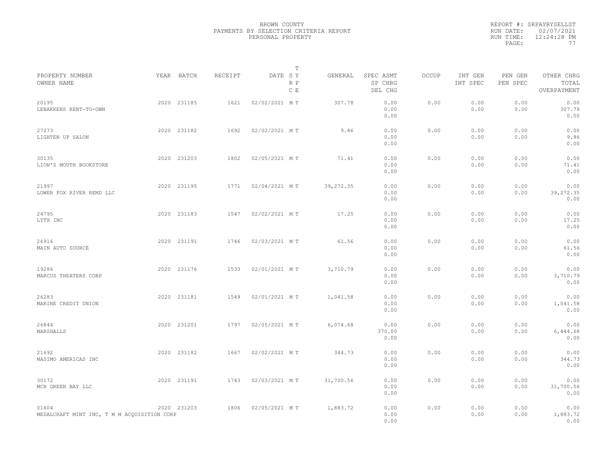|                                                      |             |         |               | Т          |            |                                 |              |                     |                     |                                    |  |
|------------------------------------------------------|-------------|---------|---------------|------------|------------|---------------------------------|--------------|---------------------|---------------------|------------------------------------|--|
| PROPERTY NUMBER<br>OWNER NAME                        | YEAR BATCH  | RECEIPT | DATE SY       | R P<br>C E | GENERAL    | SPEC ASMT<br>SP CHRG<br>DEL CHG | <b>OCCUP</b> | INT GEN<br>INT SPEC | PEN GEN<br>PEN SPEC | OTHER CHRG<br>TOTAL<br>OVERPAYMENT |  |
| 20195<br>LEBAKKENS RENT-TO-OWN                       | 2020 231185 | 1621    | 02/02/2021 MT |            | 307.78     | 0.00<br>0.00<br>0.00            | 0.00         | 0.00<br>0.00        | 0.00<br>0.00        | 0.00<br>307.78<br>0.00             |  |
| 27273<br>LIGHTEN UP SALON                            | 2020 231182 | 1692    | 02/02/2021 MT |            | 9.86       | 0.00<br>0.00<br>0.00            | 0.00         | 0.00<br>0.00        | 0.00<br>0.00        | 0.00<br>9.86<br>0.00               |  |
| 30135<br>LION'S MOUTH BOOKSTORE                      | 2020 231203 | 1802    | 02/05/2021 MT |            | 71.41      | 0.00<br>0.00<br>0.00            | 0.00         | 0.00<br>0.00        | 0.00<br>0.00        | 0.00<br>71.41<br>0.00              |  |
| 21997<br>LOWER FOX RIVER REMD LLC                    | 2020 231195 | 1771    | 02/04/2021 MT |            | 39, 272.35 | 0.00<br>0.00<br>0.00            | 0.00         | 0.00<br>0.00        | 0.00<br>0.00        | 0.00<br>39,272.35<br>0.00          |  |
| 24795<br>LYTX INC                                    | 2020 231183 | 1547    | 02/02/2021 MT |            | 17.25      | 0.00<br>0.00<br>0.00            | 0.00         | 0.00<br>0.00        | 0.00<br>0.00        | 0.00<br>17.25<br>0.00              |  |
| 26916<br>MAIN AUTO SOURCE                            | 2020 231191 | 1746    | 02/03/2021 MT |            | 61.56      | 0.00<br>0.00<br>0.00            | 0.00         | 0.00<br>0.00        | 0.00<br>0.00        | 0.00<br>61.56<br>0.00              |  |
| 19286<br>MARCUS THEATERS CORP                        | 2020 231176 | 1533    | 02/01/2021 MT |            | 3,710.79   | 0.00<br>0.00<br>0.00            | 0.00         | 0.00<br>0.00        | 0.00<br>0.00        | 0.00<br>3,710.79<br>0.00           |  |
| 26283<br>MARINE CREDIT UNION                         | 2020 231181 | 1549    | 02/01/2021 MT |            | 1,041.58   | 0.00<br>0.00<br>0.00            | 0.00         | 0.00<br>0.00        | 0.00<br>0.00        | 0.00<br>1,041.58<br>0.00           |  |
| 26844<br>MARSHALLS                                   | 2020 231201 | 1797    | 02/05/2021 MT |            | 6,074.68   | 0.00<br>370.00<br>0.00          | 0.00         | 0.00<br>0.00        | 0.00<br>0.00        | 0.00<br>6,444.68<br>0.00           |  |
| 21692<br>MASIMO AMERICAS INC                         | 2020 231182 | 1667    | 02/02/2021 MT |            | 344.73     | 0.00<br>0.00<br>0.00            | 0.00         | 0.00<br>0.00        | 0.00<br>0.00        | 0.00<br>344.73<br>0.00             |  |
| 30172<br>MCR GREEN BAY LLC                           | 2020 231191 | 1743    | 02/03/2021 MT |            | 31,700.56  | 0.00<br>0.00<br>0.00            | 0.00         | 0.00<br>0.00        | 0.00<br>0.00        | 0.00<br>31,700.56<br>0.00          |  |
| 01604<br>MEDALCRAFT MINT INC, T M M ACQUISITION CORP | 2020 231203 | 1806    | 02/05/2021 MT |            | 1,883.72   | 0.00<br>0.00<br>0.00            | 0.00         | 0.00<br>0.00        | 0.00<br>0.00        | 0.00<br>1,883.72<br>0.00           |  |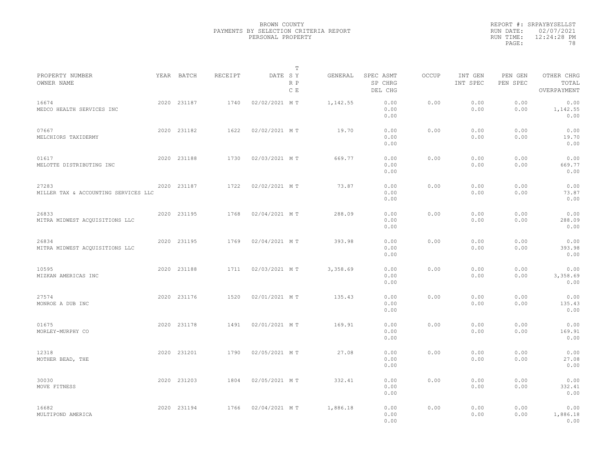|                                               |             |         |               | T          |          |                                 |              |                     |                     |                                    |  |
|-----------------------------------------------|-------------|---------|---------------|------------|----------|---------------------------------|--------------|---------------------|---------------------|------------------------------------|--|
| PROPERTY NUMBER<br>OWNER NAME                 | YEAR BATCH  | RECEIPT | DATE SY       | R P<br>C E | GENERAL  | SPEC ASMT<br>SP CHRG<br>DEL CHG | <b>OCCUP</b> | INT GEN<br>INT SPEC | PEN GEN<br>PEN SPEC | OTHER CHRG<br>TOTAL<br>OVERPAYMENT |  |
| 16674<br>MEDCO HEALTH SERVICES INC            | 2020 231187 | 1740    | 02/02/2021 MT |            | 1,142.55 | 0.00<br>0.00<br>0.00            | 0.00         | 0.00<br>0.00        | 0.00<br>0.00        | 0.00<br>1,142.55<br>0.00           |  |
| 07667<br>MELCHIORS TAXIDERMY                  | 2020 231182 | 1622    | 02/02/2021 MT |            | 19.70    | 0.00<br>0.00<br>0.00            | 0.00         | 0.00<br>0.00        | 0.00<br>0.00        | 0.00<br>19.70<br>0.00              |  |
| 01617<br>MELOTTE DISTRIBUTING INC             | 2020 231188 | 1730    | 02/03/2021 MT |            | 669.77   | 0.00<br>0.00<br>0.00            | 0.00         | 0.00<br>0.00        | 0.00<br>0.00        | 0.00<br>669.77<br>0.00             |  |
| 27283<br>MILLER TAX & ACCOUNTING SERVICES LLC | 2020 231187 | 1722    | 02/02/2021 MT |            | 73.87    | 0.00<br>0.00<br>0.00            | 0.00         | 0.00<br>0.00        | 0.00<br>0.00        | 0.00<br>73.87<br>0.00              |  |
| 26833<br>MITRA MIDWEST ACQUISITIONS LLC       | 2020 231195 | 1768    | 02/04/2021 MT |            | 288.09   | 0.00<br>0.00<br>0.00            | 0.00         | 0.00<br>0.00        | 0.00<br>0.00        | 0.00<br>288.09<br>0.00             |  |
| 26834<br>MITRA MIDWEST ACQUISITIONS LLC       | 2020 231195 | 1769    | 02/04/2021 MT |            | 393.98   | 0.00<br>0.00<br>0.00            | 0.00         | 0.00<br>0.00        | 0.00<br>0.00        | 0.00<br>393.98<br>0.00             |  |
| 10595<br>MIZKAN AMERICAS INC                  | 2020 231188 | 1711    | 02/03/2021 MT |            | 3,358.69 | 0.00<br>0.00<br>0.00            | 0.00         | 0.00<br>0.00        | 0.00<br>0.00        | 0.00<br>3,358.69<br>0.00           |  |
| 27574<br>MONROE A DUB INC                     | 2020 231176 | 1520    | 02/01/2021 MT |            | 135.43   | 0.00<br>0.00<br>0.00            | 0.00         | 0.00<br>0.00        | 0.00<br>0.00        | 0.00<br>135.43<br>0.00             |  |
| 01675<br>MORLEY-MURPHY CO                     | 2020 231178 | 1491    | 02/01/2021 MT |            | 169.91   | 0.00<br>0.00<br>0.00            | 0.00         | 0.00<br>0.00        | 0.00<br>0.00        | 0.00<br>169.91<br>0.00             |  |
| 12318<br>MOTHER BEAD, THE                     | 2020 231201 | 1790    | 02/05/2021 MT |            | 27.08    | 0.00<br>0.00<br>0.00            | 0.00         | 0.00<br>0.00        | 0.00<br>0.00        | 0.00<br>27.08<br>0.00              |  |
| 30030<br>MOVE FITNESS                         | 2020 231203 | 1804    | 02/05/2021 MT |            | 332.41   | 0.00<br>0.00<br>0.00            | 0.00         | 0.00<br>0.00        | 0.00<br>0.00        | 0.00<br>332.41<br>0.00             |  |
| 16682<br>MULTIPOND AMERICA                    | 2020 231194 | 1766    | 02/04/2021 MT |            | 1,886.18 | 0.00<br>0.00<br>0.00            | 0.00         | 0.00<br>0.00        | 0.00<br>0.00        | 0.00<br>1,886.18<br>0.00           |  |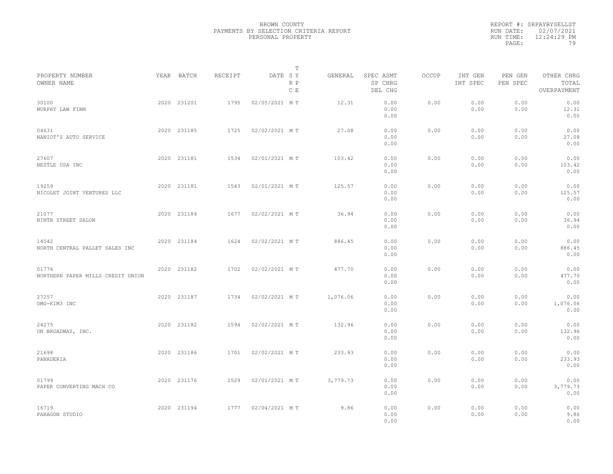|                                            |             |         | T                     |          |                                 |       |                     |                     |                                    |  |
|--------------------------------------------|-------------|---------|-----------------------|----------|---------------------------------|-------|---------------------|---------------------|------------------------------------|--|
| PROPERTY NUMBER<br>OWNER NAME              | YEAR BATCH  | RECEIPT | DATE SY<br>R P<br>C E | GENERAL  | SPEC ASMT<br>SP CHRG<br>DEL CHG | OCCUP | INT GEN<br>INT SPEC | PEN GEN<br>PEN SPEC | OTHER CHRG<br>TOTAL<br>OVERPAYMENT |  |
| 30100<br>MURPHY LAW FIRM                   | 2020 231201 | 1795    | 02/05/2021 MT         | 12.31    | 0.00<br>0.00<br>0.00            | 0.00  | 0.00<br>0.00        | 0.00<br>0.00        | 0.00<br>12.31<br>0.00              |  |
| 04631<br>NANIOT'S AUTO SERVICE             | 2020 231185 | 1725    | 02/02/2021 MT         | 27.08    | 0.00<br>0.00<br>0.00            | 0.00  | 0.00<br>0.00        | 0.00<br>0.00        | 0.00<br>27.08<br>0.00              |  |
| 27607<br>NESTLE USA INC                    | 2020 231181 | 1534    | 02/01/2021 MT         | 103.42   | 0.00<br>0.00<br>0.00            | 0.00  | 0.00<br>0.00        | 0.00<br>0.00        | 0.00<br>103.42<br>0.00             |  |
| 19259<br>NICOLET JOINT VENTURES LLC        | 2020 231181 | 1543    | 02/01/2021 MT         | 125.57   | 0.00<br>0.00<br>0.00            | 0.00  | 0.00<br>0.00        | 0.00<br>0.00        | 0.00<br>125.57<br>0.00             |  |
| 21077<br>NINTH STREET SALON                | 2020 231184 | 1677    | 02/02/2021 MT         | 36.94    | 0.00<br>0.00<br>0.00            | 0.00  | 0.00<br>0.00        | 0.00<br>0.00        | 0.00<br>36.94<br>0.00              |  |
| 14042<br>NORTH CENTRAL PALLET SALES INC    | 2020 231184 | 1624    | 02/02/2021 MT         | 886.45   | 0.00<br>0.00<br>0.00            | 0.00  | 0.00<br>0.00        | 0.00<br>0.00        | 0.00<br>886.45<br>0.00             |  |
| 01776<br>NORTHERN PAPER MILLS CREDIT UNION | 2020 231182 | 1702    | 02/02/2021 MT         | 477.70   | 0.00<br>0.00<br>0.00            | 0.00  | 0.00<br>0.00        | 0.00<br>0.00        | 0.00<br>477.70<br>0.00             |  |
| 27257<br>OMG-KIM3 INC                      | 2020 231187 | 1734    | 02/02/2021 MT         | 1,076.06 | 0.00<br>0.00<br>0.00            | 0.00  | 0.00<br>0.00        | 0.00<br>0.00        | 0.00<br>1,076.06<br>0.00           |  |
| 24275<br>ON BROADWAY, INC.                 | 2020 231182 | 1594    | 02/02/2021 MT         | 132.96   | 0.00<br>0.00<br>0.00            | 0.00  | 0.00<br>0.00        | 0.00<br>0.00        | 0.00<br>132.96<br>0.00             |  |
| 21698<br>PANADERIA                         | 2020 231186 | 1701    | 02/02/2021 MT         | 233.93   | 0.00<br>0.00<br>0.00            | 0.00  | 0.00<br>0.00        | 0.00<br>0.00        | 0.00<br>233.93<br>0.00             |  |
| 01799<br>PAPER CONVERTING MACH CO          | 2020 231176 | 1529    | 02/01/2021 MT         | 3,779.73 | 0.00<br>0.00<br>0.00            | 0.00  | 0.00<br>0.00        | 0.00<br>0.00        | 0.00<br>3,779.73<br>0.00           |  |
| 16719<br>PARAGON STUDIO                    | 2020 231194 | 1777    | 02/04/2021 MT         | 9.86     | 0.00<br>0.00<br>0.00            | 0.00  | 0.00<br>0.00        | 0.00<br>0.00        | 0.00<br>9.86<br>0.00               |  |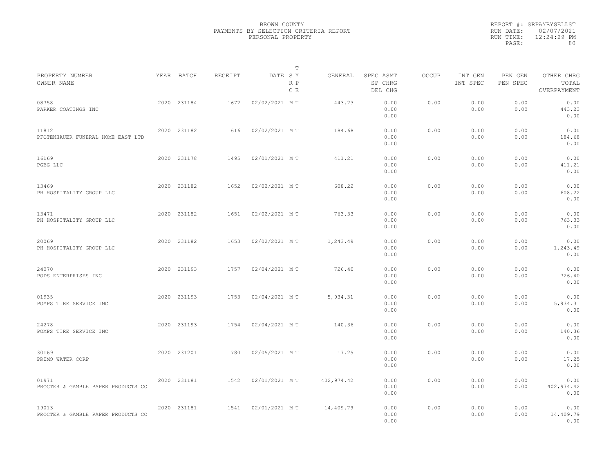|           | REPORT #: SRPAYBYSELLST |
|-----------|-------------------------|
|           | RUN DATE: 02/07/2021    |
| RUN TIME: | $12:24:29$ PM           |
| PAGE:     | 80                      |

|                                             |             |         |               | T          |             |                                 |       |                     |                     |                                    |  |
|---------------------------------------------|-------------|---------|---------------|------------|-------------|---------------------------------|-------|---------------------|---------------------|------------------------------------|--|
| PROPERTY NUMBER<br>OWNER NAME               | YEAR BATCH  | RECEIPT | DATE SY       | R P<br>C E | GENERAL     | SPEC ASMT<br>SP CHRG<br>DEL CHG | OCCUP | INT GEN<br>INT SPEC | PEN GEN<br>PEN SPEC | OTHER CHRG<br>TOTAL<br>OVERPAYMENT |  |
| 08758<br>PARKER COATINGS INC                | 2020 231184 | 1672    | 02/02/2021 MT |            | 443.23      | 0.00<br>0.00<br>0.00            | 0.00  | 0.00<br>0.00        | 0.00<br>0.00        | 0.00<br>443.23<br>0.00             |  |
| 11812<br>PFOTENHAUER FUNERAL HOME EAST LTD  | 2020 231182 | 1616    | 02/02/2021 MT |            | 184.68      | 0.00<br>0.00<br>0.00            | 0.00  | 0.00<br>0.00        | 0.00<br>0.00        | 0.00<br>184.68<br>0.00             |  |
| 16169<br>PGBG LLC                           | 2020 231178 | 1495    | 02/01/2021 MT |            | 411.21      | 0.00<br>0.00<br>0.00            | 0.00  | 0.00<br>0.00        | 0.00<br>0.00        | 0.00<br>411.21<br>0.00             |  |
| 13469<br>PH HOSPITALITY GROUP LLC           | 2020 231182 | 1652    | 02/02/2021 MT |            | 608.22      | 0.00<br>0.00<br>0.00            | 0.00  | 0.00<br>0.00        | 0.00<br>0.00        | 0.00<br>608.22<br>0.00             |  |
| 13471<br>PH HOSPITALITY GROUP LLC           | 2020 231182 | 1651    | 02/02/2021 MT |            | 763.33      | 0.00<br>0.00<br>0.00            | 0.00  | 0.00<br>0.00        | 0.00<br>0.00        | 0.00<br>763.33<br>0.00             |  |
| 20069<br>PH HOSPITALITY GROUP LLC           | 2020 231182 | 1653    | 02/02/2021 MT |            | 1,243.49    | 0.00<br>0.00<br>0.00            | 0.00  | 0.00<br>0.00        | 0.00<br>0.00        | 0.00<br>1,243.49<br>0.00           |  |
| 24070<br>PODS ENTERPRISES INC               | 2020 231193 | 1757    | 02/04/2021 MT |            | 726.40      | 0.00<br>0.00<br>0.00            | 0.00  | 0.00<br>0.00        | 0.00<br>0.00        | 0.00<br>726.40<br>0.00             |  |
| 01935<br>POMPS TIRE SERVICE INC             | 2020 231193 | 1753    | 02/04/2021 MT |            | 5,934.31    | 0.00<br>0.00<br>0.00            | 0.00  | 0.00<br>0.00        | 0.00<br>0.00        | 0.00<br>5,934.31<br>0.00           |  |
| 24278<br>POMPS TIRE SERVICE INC             | 2020 231193 | 1754    | 02/04/2021 MT |            | 140.36      | 0.00<br>0.00<br>0.00            | 0.00  | 0.00<br>0.00        | 0.00<br>0.00        | 0.00<br>140.36<br>0.00             |  |
| 30169<br>PRIMO WATER CORP                   | 2020 231201 | 1780    | 02/05/2021 MT |            | 17.25       | 0.00<br>0.00<br>0.00            | 0.00  | 0.00<br>0.00        | 0.00<br>0.00        | 0.00<br>17.25<br>0.00              |  |
| 01971<br>PROCTER & GAMBLE PAPER PRODUCTS CO | 2020 231181 | 1542    | 02/01/2021 MT |            | 402, 974.42 | 0.00<br>0.00<br>0.00            | 0.00  | 0.00<br>0.00        | 0.00<br>0.00        | 0.00<br>402, 974.42<br>0.00        |  |
| 19013<br>PROCTER & GAMBLE PAPER PRODUCTS CO | 2020 231181 | 1541    | 02/01/2021 MT |            | 14,409.79   | 0.00<br>0.00<br>0.00            | 0.00  | 0.00<br>0.00        | 0.00<br>0.00        | 0.00<br>14,409.79<br>0.00          |  |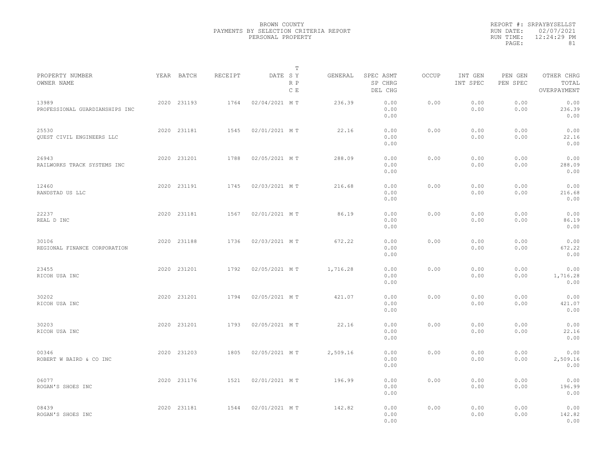|                                         |             |         |               | T          |          |                                 |              |                     |                     |                                    |  |
|-----------------------------------------|-------------|---------|---------------|------------|----------|---------------------------------|--------------|---------------------|---------------------|------------------------------------|--|
| PROPERTY NUMBER<br>OWNER NAME           | YEAR BATCH  | RECEIPT | DATE SY       | R P<br>C E | GENERAL  | SPEC ASMT<br>SP CHRG<br>DEL CHG | <b>OCCUP</b> | INT GEN<br>INT SPEC | PEN GEN<br>PEN SPEC | OTHER CHRG<br>TOTAL<br>OVERPAYMENT |  |
| 13989<br>PROFESSIONAL GUARDIANSHIPS INC | 2020 231193 | 1764    | 02/04/2021 MT |            | 236.39   | 0.00<br>0.00<br>0.00            | 0.00         | 0.00<br>0.00        | 0.00<br>0.00        | 0.00<br>236.39<br>0.00             |  |
| 25530<br>QUEST CIVIL ENGINEERS LLC      | 2020 231181 | 1545    | 02/01/2021 MT |            | 22.16    | 0.00<br>0.00<br>0.00            | 0.00         | 0.00<br>0.00        | 0.00<br>0.00        | 0.00<br>22.16<br>0.00              |  |
| 26943<br>RAILWORKS TRACK SYSTEMS INC    | 2020 231201 | 1788    | 02/05/2021 MT |            | 288.09   | 0.00<br>0.00<br>0.00            | 0.00         | 0.00<br>0.00        | 0.00<br>0.00        | 0.00<br>288.09<br>0.00             |  |
| 12460<br>RANDSTAD US LLC                | 2020 231191 | 1745    | 02/03/2021 MT |            | 216.68   | 0.00<br>0.00<br>0.00            | 0.00         | 0.00<br>0.00        | 0.00<br>0.00        | 0.00<br>216.68<br>0.00             |  |
| 22237<br>REAL D INC                     | 2020 231181 | 1567    | 02/01/2021 MT |            | 86.19    | 0.00<br>0.00<br>0.00            | 0.00         | 0.00<br>0.00        | 0.00<br>0.00        | 0.00<br>86.19<br>0.00              |  |
| 30106<br>REGIONAL FINANCE CORPORATION   | 2020 231188 | 1736    | 02/03/2021 MT |            | 672.22   | 0.00<br>0.00<br>0.00            | 0.00         | 0.00<br>0.00        | 0.00<br>0.00        | 0.00<br>672.22<br>0.00             |  |
| 23455<br>RICOH USA INC                  | 2020 231201 | 1792    | 02/05/2021 MT |            | 1,716.28 | 0.00<br>0.00<br>0.00            | 0.00         | 0.00<br>0.00        | 0.00<br>0.00        | 0.00<br>1,716.28<br>0.00           |  |
| 30202<br>RICOH USA INC                  | 2020 231201 | 1794    | 02/05/2021 MT |            | 421.07   | 0.00<br>0.00<br>0.00            | 0.00         | 0.00<br>0.00        | 0.00<br>0.00        | 0.00<br>421.07<br>0.00             |  |
| 30203<br>RICOH USA INC                  | 2020 231201 | 1793    | 02/05/2021 MT |            | 22.16    | 0.00<br>0.00<br>0.00            | 0.00         | 0.00<br>0.00        | 0.00<br>0.00        | 0.00<br>22.16<br>0.00              |  |
| 00346<br>ROBERT W BAIRD & CO INC        | 2020 231203 | 1805    | 02/05/2021 MT |            | 2,509.16 | 0.00<br>0.00<br>0.00            | 0.00         | 0.00<br>0.00        | 0.00<br>0.00        | 0.00<br>2,509.16<br>0.00           |  |
| 06077<br>ROGAN'S SHOES INC              | 2020 231176 | 1521    | 02/01/2021 MT |            | 196.99   | 0.00<br>0.00<br>0.00            | 0.00         | 0.00<br>0.00        | 0.00<br>0.00        | 0.00<br>196.99<br>0.00             |  |
| 08439<br>ROGAN'S SHOES INC              | 2020 231181 | 1544    | 02/01/2021 MT |            | 142.82   | 0.00<br>0.00<br>0.00            | 0.00         | 0.00<br>0.00        | 0.00<br>0.00        | 0.00<br>142.82<br>0.00             |  |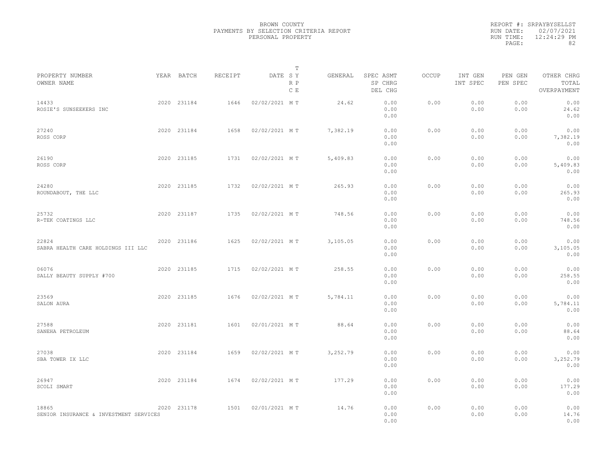| PROPERTY NUMBER                                 | YEAR BATCH  | <b>RECEIPT</b> | DATE SY       | т<br>GENERAL | SPEC ASMT            | <b>OCCUP</b> | INT GEN      | PEN GEN      | OTHER CHRG               |  |
|-------------------------------------------------|-------------|----------------|---------------|--------------|----------------------|--------------|--------------|--------------|--------------------------|--|
| OWNER NAME                                      |             |                | R P<br>C E    |              | SP CHRG<br>DEL CHG   |              | INT SPEC     | PEN SPEC     | TOTAL<br>OVERPAYMENT     |  |
| 14433<br>ROSIE'S SUNSEEKERS INC                 | 2020 231184 | 1646           | 02/02/2021 MT | 24.62        | 0.00<br>0.00<br>0.00 | 0.00         | 0.00<br>0.00 | 0.00<br>0.00 | 0.00<br>24.62<br>0.00    |  |
| 27240<br>ROSS CORP                              | 2020 231184 | 1658           | 02/02/2021 MT | 7,382.19     | 0.00<br>0.00<br>0.00 | 0.00         | 0.00<br>0.00 | 0.00<br>0.00 | 0.00<br>7,382.19<br>0.00 |  |
| 26190<br>ROSS CORP                              | 2020 231185 | 1731           | 02/02/2021 MT | 5,409.83     | 0.00<br>0.00<br>0.00 | 0.00         | 0.00<br>0.00 | 0.00<br>0.00 | 0.00<br>5,409.83<br>0.00 |  |
| 24280<br>ROUNDABOUT, THE LLC                    | 2020 231185 | 1732           | 02/02/2021 MT | 265.93       | 0.00<br>0.00<br>0.00 | 0.00         | 0.00<br>0.00 | 0.00<br>0.00 | 0.00<br>265.93<br>0.00   |  |
| 25732<br>R-TEK COATINGS LLC                     | 2020 231187 | 1735           | 02/02/2021 MT | 748.56       | 0.00<br>0.00<br>0.00 | 0.00         | 0.00<br>0.00 | 0.00<br>0.00 | 0.00<br>748.56<br>0.00   |  |
| 22824<br>SABRA HEALTH CARE HOLDINGS III LLC     | 2020 231186 | 1625           | 02/02/2021 MT | 3,105.05     | 0.00<br>0.00<br>0.00 | 0.00         | 0.00<br>0.00 | 0.00<br>0.00 | 0.00<br>3,105.05<br>0.00 |  |
| 06076<br>SALLY BEAUTY SUPPLY #700               | 2020 231185 | 1715           | 02/02/2021 MT | 258.55       | 0.00<br>0.00<br>0.00 | 0.00         | 0.00<br>0.00 | 0.00<br>0.00 | 0.00<br>258.55<br>0.00   |  |
| 23569<br>SALON AURA                             | 2020 231185 | 1676           | 02/02/2021 MT | 5,784.11     | 0.00<br>0.00<br>0.00 | 0.00         | 0.00<br>0.00 | 0.00<br>0.00 | 0.00<br>5,784.11<br>0.00 |  |
| 27588<br>SANEHA PETROLEUM                       | 2020 231181 | 1601           | 02/01/2021 MT | 88.64        | 0.00<br>0.00<br>0.00 | 0.00         | 0.00<br>0.00 | 0.00<br>0.00 | 0.00<br>88.64<br>0.00    |  |
| 27038<br>SBA TOWER IX LLC                       | 2020 231184 | 1659           | 02/02/2021 MT | 3,252.79     | 0.00<br>0.00<br>0.00 | 0.00         | 0.00<br>0.00 | 0.00<br>0.00 | 0.00<br>3,252.79<br>0.00 |  |
| 26947<br>SCOLI SMART                            | 2020 231184 | 1674           | 02/02/2021 MT | 177.29       | 0.00<br>0.00<br>0.00 | 0.00         | 0.00<br>0.00 | 0.00<br>0.00 | 0.00<br>177.29<br>0.00   |  |
| 18865<br>SENIOR INSURANCE & INVESTMENT SERVICES | 2020 231178 | 1501           | 02/01/2021 MT | 14.76        | 0.00<br>0.00<br>0.00 | 0.00         | 0.00<br>0.00 | 0.00<br>0.00 | 0.00<br>14.76<br>0.00    |  |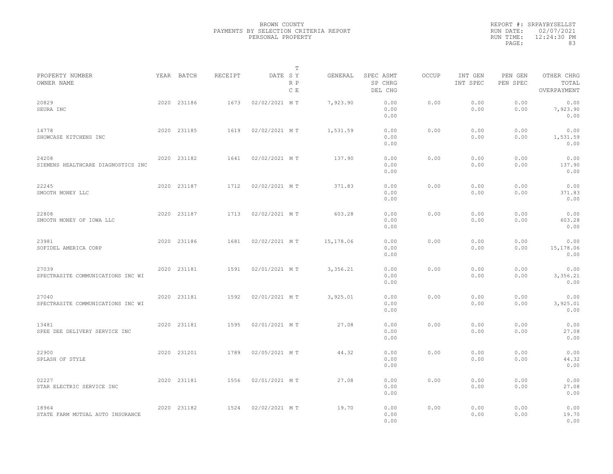|                                             |             |         |               | T          |           |                                 |       |                     |                     |                                    |
|---------------------------------------------|-------------|---------|---------------|------------|-----------|---------------------------------|-------|---------------------|---------------------|------------------------------------|
| PROPERTY NUMBER<br>OWNER NAME               | YEAR BATCH  | RECEIPT | DATE SY       | R P<br>C E | GENERAL   | SPEC ASMT<br>SP CHRG<br>DEL CHG | OCCUP | INT GEN<br>INT SPEC | PEN GEN<br>PEN SPEC | OTHER CHRG<br>TOTAL<br>OVERPAYMENT |
| 20829<br>SEURA INC                          | 2020 231186 | 1673    | 02/02/2021 MT |            | 7,923.90  | 0.00<br>0.00<br>0.00            | 0.00  | 0.00<br>0.00        | 0.00<br>0.00        | 0.00<br>7,923.90<br>0.00           |
| 14778<br>SHOWCASE KITCHENS INC              | 2020 231185 | 1619    | 02/02/2021 MT |            | 1,531.59  | 0.00<br>0.00<br>0.00            | 0.00  | 0.00<br>0.00        | 0.00<br>0.00        | 0.00<br>1,531.59<br>0.00           |
| 24208<br>SIEMENS HEALTHCARE DIAGNOSTICS INC | 2020 231182 | 1641    | 02/02/2021 MT |            | 137.90    | 0.00<br>0.00<br>0.00            | 0.00  | 0.00<br>0.00        | 0.00<br>0.00        | 0.00<br>137.90<br>0.00             |
| 22245<br>SMOOTH MONEY LLC                   | 2020 231187 | 1712    | 02/02/2021 MT |            | 371.83    | 0.00<br>0.00<br>0.00            | 0.00  | 0.00<br>0.00        | 0.00<br>0.00        | 0.00<br>371.83<br>0.00             |
| 22808<br>SMOOTH MONEY OF IOWA LLC           | 2020 231187 | 1713    | 02/02/2021 MT |            | 603.28    | 0.00<br>0.00<br>0.00            | 0.00  | 0.00<br>0.00        | 0.00<br>0.00        | 0.00<br>603.28<br>0.00             |
| 23981<br>SOFIDEL AMERICA CORP               | 2020 231186 | 1681    | 02/02/2021 MT |            | 15,178.06 | 0.00<br>0.00<br>0.00            | 0.00  | 0.00<br>0.00        | 0.00<br>0.00        | 0.00<br>15,178.06<br>0.00          |
| 27039<br>SPECTRASITE COMMUNICATIONS INC WI  | 2020 231181 | 1591    | 02/01/2021 MT |            | 3,356.21  | 0.00<br>0.00<br>0.00            | 0.00  | 0.00<br>0.00        | 0.00<br>0.00        | 0.00<br>3,356.21<br>0.00           |
| 27040<br>SPECTRASITE COMMUNICATIONS INC WI  | 2020 231181 | 1592    | 02/01/2021 MT |            | 3,925.01  | 0.00<br>0.00<br>0.00            | 0.00  | 0.00<br>0.00        | 0.00<br>0.00        | 0.00<br>3,925.01<br>0.00           |
| 13481<br>SPEE DEE DELIVERY SERVICE INC      | 2020 231181 | 1595    | 02/01/2021 MT |            | 27.08     | 0.00<br>0.00<br>0.00            | 0.00  | 0.00<br>0.00        | 0.00<br>0.00        | 0.00<br>27.08<br>0.00              |
| 22900<br>SPLASH OF STYLE                    | 2020 231201 | 1789    | 02/05/2021 MT |            | 44.32     | 0.00<br>0.00<br>0.00            | 0.00  | 0.00<br>0.00        | 0.00<br>0.00        | 0.00<br>44.32<br>0.00              |
| 02227<br>STAR ELECTRIC SERVICE INC          | 2020 231181 | 1556    | 02/01/2021 MT |            | 27.08     | 0.00<br>0.00<br>0.00            | 0.00  | 0.00<br>0.00        | 0.00<br>0.00        | 0.00<br>27.08<br>0.00              |
| 18964<br>STATE FARM MUTUAL AUTO INSURANCE   | 2020 231182 | 1524    | 02/02/2021 MT |            | 19.70     | 0.00<br>0.00<br>0.00            | 0.00  | 0.00<br>0.00        | 0.00<br>0.00        | 0.00<br>19.70<br>0.00              |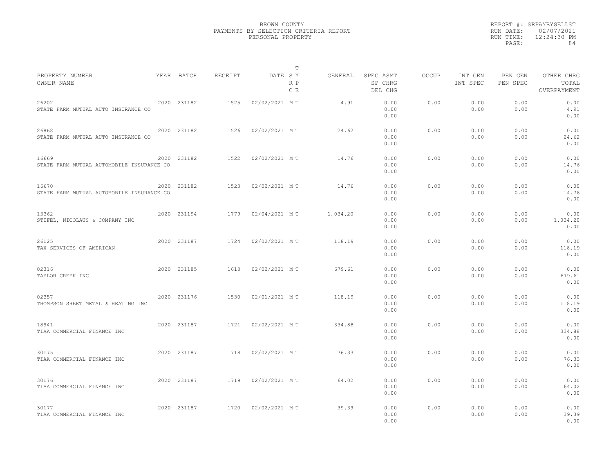|                                                    |             |         | T                     |          |                                 |              |                     |                     |                                    |
|----------------------------------------------------|-------------|---------|-----------------------|----------|---------------------------------|--------------|---------------------|---------------------|------------------------------------|
| PROPERTY NUMBER<br>OWNER NAME                      | YEAR BATCH  | RECEIPT | DATE SY<br>R P<br>C E | GENERAL  | SPEC ASMT<br>SP CHRG<br>DEL CHG | <b>OCCUP</b> | INT GEN<br>INT SPEC | PEN GEN<br>PEN SPEC | OTHER CHRG<br>TOTAL<br>OVERPAYMENT |
| 26202<br>STATE FARM MUTUAL AUTO INSURANCE CO       | 2020 231182 | 1525    | 02/02/2021 MT         | 4.91     | 0.00<br>0.00<br>0.00            | 0.00         | 0.00<br>0.00        | 0.00<br>0.00        | 0.00<br>4.91<br>0.00               |
| 26868<br>STATE FARM MUTUAL AUTO INSURANCE CO       | 2020 231182 | 1526    | 02/02/2021 MT         | 24.62    | 0.00<br>0.00<br>0.00            | 0.00         | 0.00<br>0.00        | 0.00<br>0.00        | 0.00<br>24.62<br>0.00              |
| 16669<br>STATE FARM MUTUAL AUTOMOBILE INSURANCE CO | 2020 231182 | 1522    | 02/02/2021 MT         | 14.76    | 0.00<br>0.00<br>0.00            | 0.00         | 0.00<br>0.00        | 0.00<br>0.00        | 0.00<br>14.76<br>0.00              |
| 16670<br>STATE FARM MUTUAL AUTOMOBILE INSURANCE CO | 2020 231182 | 1523    | 02/02/2021 MT         | 14.76    | 0.00<br>0.00<br>0.00            | 0.00         | 0.00<br>0.00        | 0.00<br>0.00        | 0.00<br>14.76<br>0.00              |
| 13362<br>STIFEL, NICOLAUS & COMPANY INC            | 2020 231194 | 1779    | 02/04/2021 MT         | 1,034.20 | 0.00<br>0.00<br>0.00            | 0.00         | 0.00<br>0.00        | 0.00<br>0.00        | 0.00<br>1,034.20<br>0.00           |
| 26125<br>TAX SERVICES OF AMERICAN                  | 2020 231187 | 1724    | 02/02/2021 MT         | 118.19   | 0.00<br>0.00<br>0.00            | 0.00         | 0.00<br>0.00        | 0.00<br>0.00        | 0.00<br>118.19<br>0.00             |
| 02316<br>TAYLOR CREEK INC                          | 2020 231185 | 1618    | 02/02/2021 MT         | 679.61   | 0.00<br>0.00<br>0.00            | 0.00         | 0.00<br>0.00        | 0.00<br>0.00        | 0.00<br>679.61<br>0.00             |
| 02357<br>THOMPSON SHEET METAL & HEATING INC        | 2020 231176 | 1530    | 02/01/2021 MT         | 118.19   | 0.00<br>0.00<br>0.00            | 0.00         | 0.00<br>0.00        | 0.00<br>0.00        | 0.00<br>118.19<br>0.00             |
| 18941<br>TIAA COMMERCIAL FINANCE INC               | 2020 231187 | 1721    | 02/02/2021 MT         | 334.88   | 0.00<br>0.00<br>0.00            | 0.00         | 0.00<br>0.00        | 0.00<br>0.00        | 0.00<br>334.88<br>0.00             |
| 30175<br>TIAA COMMERCIAL FINANCE INC               | 2020 231187 | 1718    | 02/02/2021 MT         | 76.33    | 0.00<br>0.00<br>0.00            | 0.00         | 0.00<br>0.00        | 0.00<br>0.00        | 0.00<br>76.33<br>0.00              |
| 30176<br>TIAA COMMERCIAL FINANCE INC               | 2020 231187 | 1719    | 02/02/2021 MT         | 64.02    | 0.00<br>0.00<br>0.00            | 0.00         | 0.00<br>0.00        | 0.00<br>0.00        | 0.00<br>64.02<br>0.00              |
| 30177<br>TIAA COMMERCIAL FINANCE INC               | 2020 231187 | 1720    | 02/02/2021 MT         | 39.39    | 0.00<br>0.00<br>0.00            | 0.00         | 0.00<br>0.00        | 0.00<br>0.00        | 0.00<br>39.39<br>0.00              |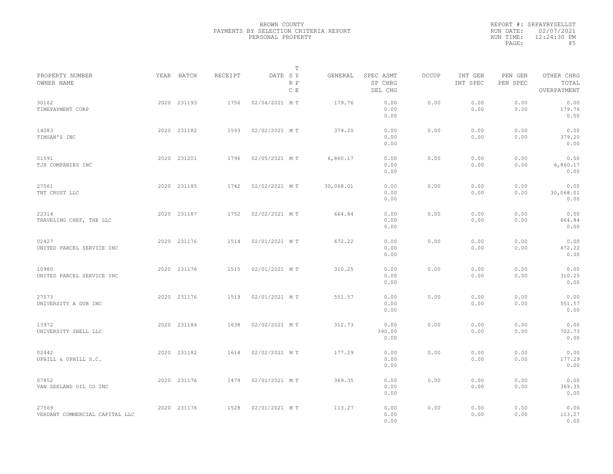|                                         |             |         | T                     |           |                                 |              |                     |                     |                                    |  |
|-----------------------------------------|-------------|---------|-----------------------|-----------|---------------------------------|--------------|---------------------|---------------------|------------------------------------|--|
| PROPERTY NUMBER<br>OWNER NAME           | YEAR BATCH  | RECEIPT | DATE SY<br>R P<br>C E | GENERAL   | SPEC ASMT<br>SP CHRG<br>DEL CHG | <b>OCCUP</b> | INT GEN<br>INT SPEC | PEN GEN<br>PEN SPEC | OTHER CHRG<br>TOTAL<br>OVERPAYMENT |  |
| 30162<br>TIMEPAYMENT CORP               | 2020 231193 | 1756    | 02/04/2021 MT         | 179.76    | 0.00<br>0.00<br>0.00            | 0.00         | 0.00<br>0.00        | 0.00<br>0.00        | 0.00<br>179.76<br>0.00             |  |
| 14083<br>TIMSAN'S INC                   | 2020 231182 | 1593    | 02/02/2021 MT         | 379.20    | 0.00<br>0.00<br>0.00            | 0.00         | 0.00<br>0.00        | 0.00<br>0.00        | 0.00<br>379.20<br>0.00             |  |
| 01591<br>TJX COMPANIES INC              | 2020 231201 | 1796    | 02/05/2021 MT         | 6,860.17  | 0.00<br>0.00<br>0.00            | 0.00         | 0.00<br>0.00        | 0.00<br>0.00        | 0.00<br>6,860.17<br>0.00           |  |
| 27561<br>TNT CRUST LLC                  | 2020 231185 | 1742    | 02/02/2021 MT         | 30,068.01 | 0.00<br>0.00<br>0.00            | 0.00         | 0.00<br>0.00        | 0.00<br>0.00        | 0.00<br>30,068.01<br>0.00          |  |
| 22314<br>TRAVELING CHEF, THE LLC        | 2020 231187 | 1752    | 02/02/2021 MT         | 664.84    | 0.00<br>0.00<br>0.00            | 0.00         | 0.00<br>0.00        | 0.00<br>0.00        | 0.00<br>664.84<br>0.00             |  |
| 02427<br>UNITED PARCEL SERVICE INC      | 2020 231176 | 1514    | 02/01/2021 MT         | 672.22    | 0.00<br>0.00<br>0.00            | 0.00         | 0.00<br>0.00        | 0.00<br>0.00        | 0.00<br>672.22<br>0.00             |  |
| 10980<br>UNITED PARCEL SERVICE INC      | 2020 231176 | 1515    | 02/01/2021 MT         | 310.25    | 0.00<br>0.00<br>0.00            | 0.00         | 0.00<br>0.00        | 0.00<br>0.00        | 0.00<br>310.25<br>0.00             |  |
| 27573<br>UNIVERSITY A DUB INC           | 2020 231176 | 1519    | 02/01/2021 MT         | 551.57    | 0.00<br>0.00<br>0.00            | 0.00         | 0.00<br>0.00        | 0.00<br>0.00        | 0.00<br>551.57<br>0.00             |  |
| 13972<br>UNIVERSITY SHELL LLC           | 2020 231184 | 1638    | 02/02/2021 MT         | 312.73    | 0.00<br>390.00<br>0.00          | 0.00         | 0.00<br>0.00        | 0.00<br>0.00        | 0.00<br>702.73<br>0.00             |  |
| 02442<br>UPHILL & UPHILL S.C.           | 2020 231182 | 1614    | 02/02/2021 MT         | 177.29    | 0.00<br>0.00<br>0.00            | 0.00         | 0.00<br>0.00        | 0.00<br>0.00        | 0.00<br>177.29<br>0.00             |  |
| 07852<br>VAN ZEELAND OIL CO INC         | 2020 231176 | 1479    | 02/01/2021 MT         | 369.35    | 0.00<br>0.00<br>0.00            | 0.00         | 0.00<br>0.00        | 0.00<br>0.00        | 0.00<br>369.35<br>0.00             |  |
| 27569<br>VERDANT COMMERCIAL CAPITAL LLC | 2020 231176 | 1528    | 02/01/2021 MT         | 113.27    | 0.00<br>0.00<br>0.00            | 0.00         | 0.00<br>0.00        | 0.00<br>0.00        | 0.00<br>113.27<br>0.00             |  |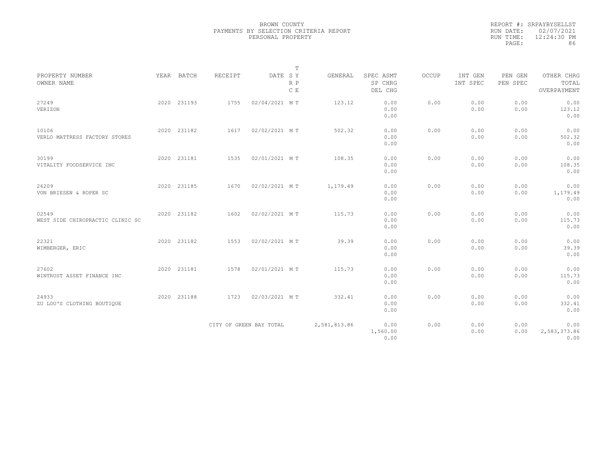|                                           |             |                | $\mathbb T$             |              |                                 |       |                     |                     |                                    |
|-------------------------------------------|-------------|----------------|-------------------------|--------------|---------------------------------|-------|---------------------|---------------------|------------------------------------|
| PROPERTY NUMBER<br>OWNER NAME             | YEAR BATCH  | <b>RECEIPT</b> | DATE SY<br>R P<br>C E   | GENERAL      | SPEC ASMT<br>SP CHRG<br>DEL CHG | OCCUP | INT GEN<br>INT SPEC | PEN GEN<br>PEN SPEC | OTHER CHRG<br>TOTAL<br>OVERPAYMENT |
| 27249<br>VERIZON                          | 2020 231193 | 1755           | 02/04/2021 MT           | 123.12       | 0.00<br>0.00<br>0.00            | 0.00  | 0.00<br>0.00        | 0.00<br>0.00        | 0.00<br>123.12<br>0.00             |
| 10106<br>VERLO MATTRESS FACTORY STORES    | 2020 231182 | 1617           | 02/02/2021 MT           | 502.32       | 0.00<br>0.00<br>0.00            | 0.00  | 0.00<br>0.00        | 0.00<br>0.00        | 0.00<br>502.32<br>0.00             |
| 30199<br>VITALITY FOODSERVICE INC         | 2020 231181 | 1535           | 02/01/2021 MT           | 108.35       | 0.00<br>0.00<br>0.00            | 0.00  | 0.00<br>0.00        | 0.00<br>0.00        | 0.00<br>108.35<br>0.00             |
| 26209<br>VON BRIESEN & ROPER SC           | 2020 231185 | 1670           | 02/02/2021 MT           | 1,179.49     | 0.00<br>0.00<br>0.00            | 0.00  | 0.00<br>0.00        | 0.00<br>0.00        | 0.00<br>1,179.49<br>0.00           |
| 02549<br>WEST SIDE CHIROPRACTIC CLINIC SC | 2020 231182 | 1602           | 02/02/2021 MT           | 115.73       | 0.00<br>0.00<br>0.00            | 0.00  | 0.00<br>0.00        | 0.00<br>0.00        | 0.00<br>115.73<br>0.00             |
| 22321<br>WIMBERGER, ERIC                  | 2020 231182 | 1553           | 02/02/2021 MT           | 39.39        | 0.00<br>0.00<br>0.00            | 0.00  | 0.00<br>0.00        | 0.00<br>0.00        | 0.00<br>39.39<br>0.00              |
| 27602<br>WINTRUST ASSET FINANCE INC       | 2020 231181 | 1578           | 02/01/2021 MT           | 115.73       | 0.00<br>0.00<br>0.00            | 0.00  | 0.00<br>0.00        | 0.00<br>0.00        | 0.00<br>115.73<br>0.00             |
| 24933<br>ZU LOU'S CLOTHING BOUTIQUE       | 2020 231188 | 1723           | 02/03/2021 MT           | 332.41       | 0.00<br>0.00<br>0.00            | 0.00  | 0.00<br>0.00        | 0.00<br>0.00        | 0.00<br>332.41<br>0.00             |
|                                           |             |                | CITY OF GREEN BAY TOTAL | 2,581,813.86 | 0.00<br>1,560.00<br>0.00        | 0.00  | 0.00<br>0.00        | 0.00<br>0.00        | 0.00<br>2,583,373.86<br>0.00       |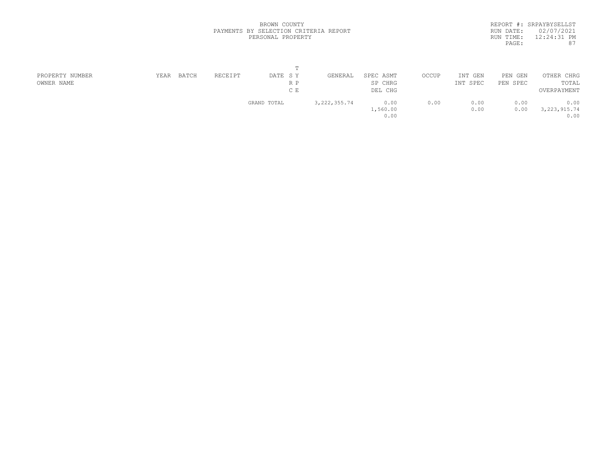| REPORT #: SRPAYBYSELLST    |
|----------------------------|
| RUN DATE: 02/07/2021       |
| $12:24:31$ PM<br>RUN TIME: |
| 87                         |
|                            |

| PROPERTY NUMBER | YEAR | BATCH | RECEIPT | DATE SY     | GENERAL        | SPEC ASMT | OCCUP | INT GEN  | PEN GEN  | OTHER CHRG     |  |
|-----------------|------|-------|---------|-------------|----------------|-----------|-------|----------|----------|----------------|--|
| OWNER NAME      |      |       |         | R P         |                | SP CHRG   |       | INT SPEC | PEN SPEC | TOTAL          |  |
|                 |      |       |         | C E         |                | DEL CHG   |       |          |          | OVERPAYMENT    |  |
|                 |      |       |         | GRAND TOTAL | 3, 222, 355.74 | 0.00      | 0.00  | 0.00     | 0.00     | 0.00           |  |
|                 |      |       |         |             |                | 1,560.00  |       | 0.00     | 0.00     | 3, 223, 915.74 |  |
|                 |      |       |         |             |                | 0.00      |       |          |          | 0.00           |  |